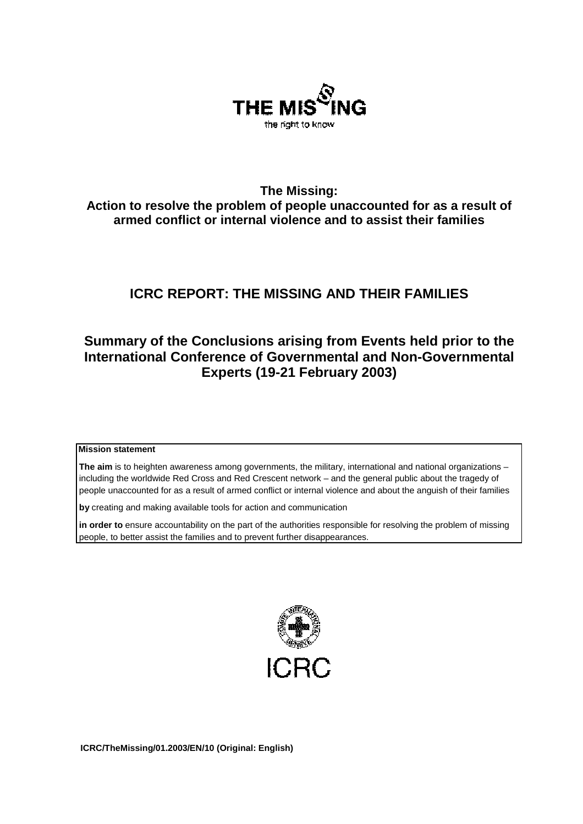

# **The Missing: Action to resolve the problem of people unaccounted for as a result of armed conflict or internal violence and to assist their families**

# **ICRC REPORT: THE MISSING AND THEIR FAMILIES**

# **Summary of the Conclusions arising from Events held prior to the International Conference of Governmental and Non-Governmental Experts (19-21 February 2003)**

# **Mission statement**

**The aim** is to heighten awareness among governments, the military, international and national organizations – including the worldwide Red Cross and Red Crescent network – and the general public about the tragedy of people unaccounted for as a result of armed conflict or internal violence and about the anguish of their families

**by** creating and making available tools for action and communication

**in order to** ensure accountability on the part of the authorities responsible for resolving the problem of missing people, to better assist the families and to prevent further disappearances.

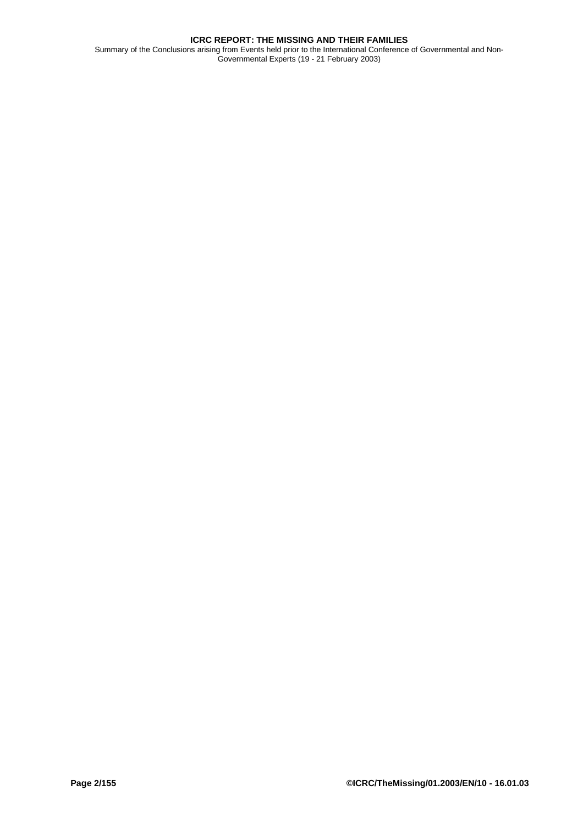Summary of the Conclusions arising from Events held prior to the International Conference of Governmental and Non-Governmental Experts (19 - 21 February 2003)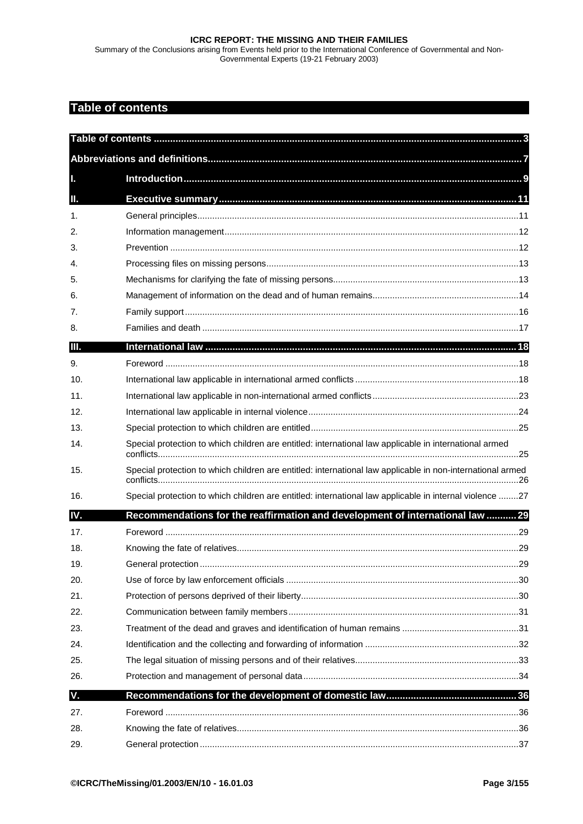Summary of the Conclusions arising from Events held prior to the International Conference of Governmental and Non-Governmental Experts (19-21 February 2003)

# **Table of contents**

| L   |                                                                                                            |  |  |
|-----|------------------------------------------------------------------------------------------------------------|--|--|
| Ш.  |                                                                                                            |  |  |
| 1.  |                                                                                                            |  |  |
| 2.  |                                                                                                            |  |  |
| 3.  |                                                                                                            |  |  |
| 4.  |                                                                                                            |  |  |
| 5.  |                                                                                                            |  |  |
| 6.  |                                                                                                            |  |  |
| 7.  |                                                                                                            |  |  |
| 8.  |                                                                                                            |  |  |
| Ш.  |                                                                                                            |  |  |
| 9.  |                                                                                                            |  |  |
| 10. |                                                                                                            |  |  |
| 11. |                                                                                                            |  |  |
| 12. |                                                                                                            |  |  |
| 13. |                                                                                                            |  |  |
| 14. | Special protection to which children are entitled: international law applicable in international armed     |  |  |
| 15. | Special protection to which children are entitled: international law applicable in non-international armed |  |  |
| 16. | Special protection to which children are entitled: international law applicable in internal violence 27    |  |  |
| IV. | Recommendations for the reaffirmation and development of international law  29                             |  |  |
| 17. |                                                                                                            |  |  |
| 18. |                                                                                                            |  |  |
| 19. |                                                                                                            |  |  |
| 20. |                                                                                                            |  |  |
| 21. |                                                                                                            |  |  |
| 22. |                                                                                                            |  |  |
| 23. |                                                                                                            |  |  |
| 24. |                                                                                                            |  |  |
| 25. |                                                                                                            |  |  |
| 26. |                                                                                                            |  |  |
| V.  |                                                                                                            |  |  |
| 27. |                                                                                                            |  |  |
| 28. |                                                                                                            |  |  |
| 29. |                                                                                                            |  |  |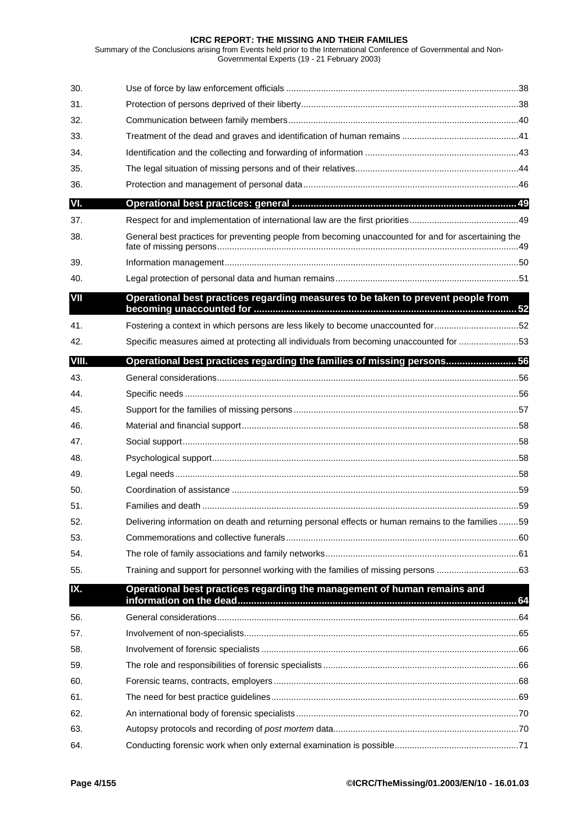Summary of the Conclusions arising from Events held prior to the International Conference of Governmental and Non-Governmental Experts (19 - 21 February 2003)

| 30.   |                                                                                                     |  |
|-------|-----------------------------------------------------------------------------------------------------|--|
| 31.   |                                                                                                     |  |
| 32.   |                                                                                                     |  |
| 33.   |                                                                                                     |  |
| 34.   |                                                                                                     |  |
| 35.   |                                                                                                     |  |
| 36.   |                                                                                                     |  |
| VI.   |                                                                                                     |  |
| 37.   |                                                                                                     |  |
| 38.   | General best practices for preventing people from becoming unaccounted for and for ascertaining the |  |
| 39.   |                                                                                                     |  |
| 40.   |                                                                                                     |  |
| VII   | Operational best practices regarding measures to be taken to prevent people from                    |  |
| 41.   | Fostering a context in which persons are less likely to become unaccounted for52                    |  |
| 42.   | Specific measures aimed at protecting all individuals from becoming unaccounted for 53              |  |
| VIII. | Operational best practices regarding the families of missing persons 56                             |  |
| 43.   |                                                                                                     |  |
| 44.   |                                                                                                     |  |
| 45.   |                                                                                                     |  |
| 46.   |                                                                                                     |  |
| 47.   |                                                                                                     |  |
| 48.   |                                                                                                     |  |
| 49.   |                                                                                                     |  |
| 50.   |                                                                                                     |  |
| 51.   |                                                                                                     |  |
| 52.   | Delivering information on death and returning personal effects or human remains to the families59   |  |
| 53.   |                                                                                                     |  |
| 54.   |                                                                                                     |  |
| 55.   | Training and support for personnel working with the families of missing persons 63                  |  |
| IX.   | Operational best practices regarding the management of human remains and                            |  |
| 56.   |                                                                                                     |  |
| 57.   |                                                                                                     |  |
| 58.   |                                                                                                     |  |
| 59.   |                                                                                                     |  |
| 60.   |                                                                                                     |  |
| 61.   |                                                                                                     |  |
| 62.   |                                                                                                     |  |
| 63.   |                                                                                                     |  |
| 64.   |                                                                                                     |  |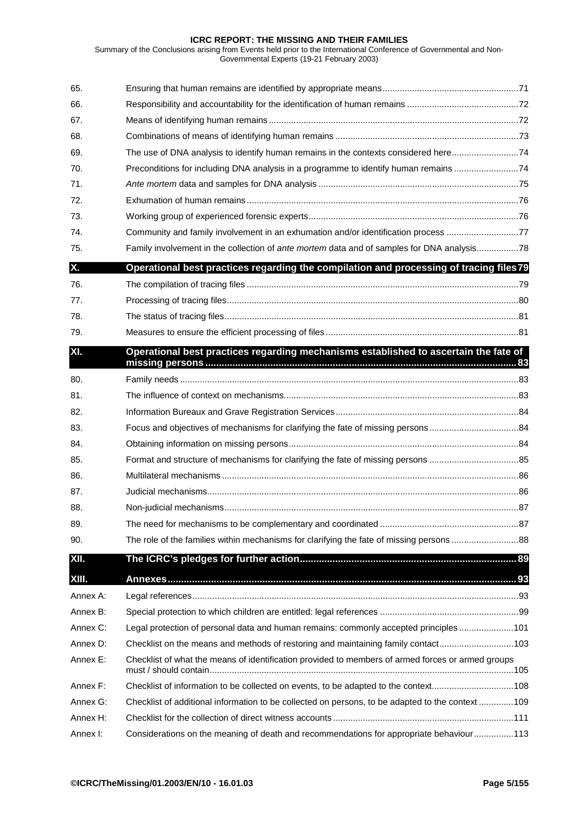Summary of the Conclusions arising from Events held prior to the International Conference of Governmental and Non-Governmental Experts (19-21 February 2003)

| 65.      |                                                                                                   |  |
|----------|---------------------------------------------------------------------------------------------------|--|
| 66.      |                                                                                                   |  |
| 67.      |                                                                                                   |  |
| 68.      |                                                                                                   |  |
| 69.      | The use of DNA analysis to identify human remains in the contexts considered here74               |  |
| 70.      | Preconditions for including DNA analysis in a programme to identify human remains 74              |  |
| 71.      |                                                                                                   |  |
| 72.      |                                                                                                   |  |
| 73.      |                                                                                                   |  |
| 74.      | Community and family involvement in an exhumation and/or identification process 77                |  |
| 75.      | Family involvement in the collection of ante mortem data and of samples for DNA analysis78        |  |
| Χ.       | Operational best practices regarding the compilation and processing of tracing files79            |  |
| 76.      |                                                                                                   |  |
| 77.      |                                                                                                   |  |
| 78.      |                                                                                                   |  |
| 79.      |                                                                                                   |  |
| XI.      | Operational best practices regarding mechanisms established to ascertain the fate of              |  |
| 80.      |                                                                                                   |  |
| 81.      |                                                                                                   |  |
| 82.      |                                                                                                   |  |
| 83.      | Focus and objectives of mechanisms for clarifying the fate of missing persons84                   |  |
| 84.      |                                                                                                   |  |
| 85.      |                                                                                                   |  |
| 86.      |                                                                                                   |  |
| 87.      |                                                                                                   |  |
| 88.      |                                                                                                   |  |
| 89.      |                                                                                                   |  |
| 90.      | The role of the families within mechanisms for clarifying the fate of missing persons 88          |  |
| XII.     |                                                                                                   |  |
| XIII.    |                                                                                                   |  |
| Annex A: |                                                                                                   |  |
| Annex B: |                                                                                                   |  |
| Annex C: | Legal protection of personal data and human remains: commonly accepted principles101              |  |
| Annex D: | Checklist on the means and methods of restoring and maintaining family contact103                 |  |
| Annex E: | Checklist of what the means of identification provided to members of armed forces or armed groups |  |
| Annex F: | Checklist of information to be collected on events, to be adapted to the context108               |  |
| Annex G: | Checklist of additional information to be collected on persons, to be adapted to the context 109  |  |
| Annex H: |                                                                                                   |  |
| Annex I: | Considerations on the meaning of death and recommendations for appropriate behaviour113           |  |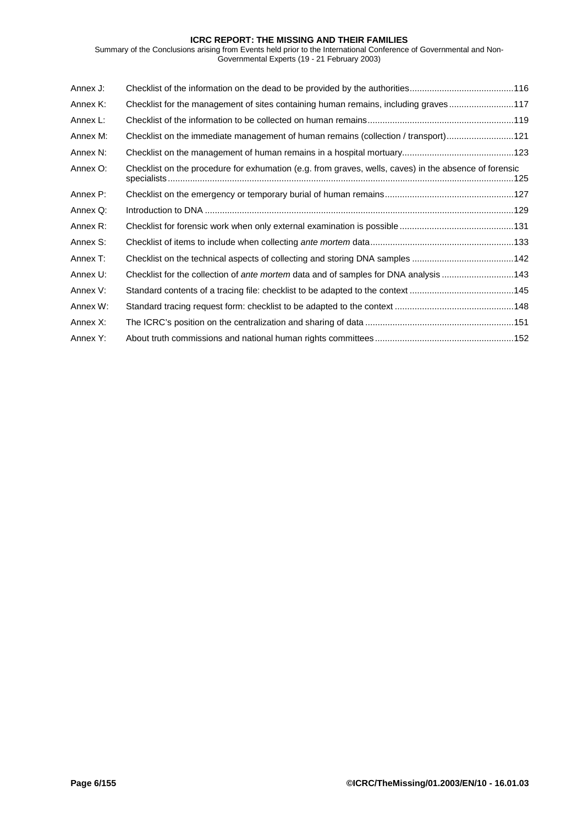Summary of the Conclusions arising from Events held prior to the International Conference of Governmental and Non-Governmental Experts (19 - 21 February 2003)

| Annex J: |                                                                                                       |  |
|----------|-------------------------------------------------------------------------------------------------------|--|
| Annex K: | Checklist for the management of sites containing human remains, including graves117                   |  |
| Annex L: |                                                                                                       |  |
| Annex M: | Checklist on the immediate management of human remains (collection / transport)121                    |  |
| Annex N: |                                                                                                       |  |
| Annex O: | Checklist on the procedure for exhumation (e.g. from graves, wells, caves) in the absence of forensic |  |
| Annex P: |                                                                                                       |  |
| Annex Q: |                                                                                                       |  |
| Annex R: |                                                                                                       |  |
| Annex S: |                                                                                                       |  |
| Annex T: |                                                                                                       |  |
| Annex U: | Checklist for the collection of ante mortem data and of samples for DNA analysis 143                  |  |
| Annex V: |                                                                                                       |  |
| Annex W: |                                                                                                       |  |
| Annex X: |                                                                                                       |  |
| Annex Y: |                                                                                                       |  |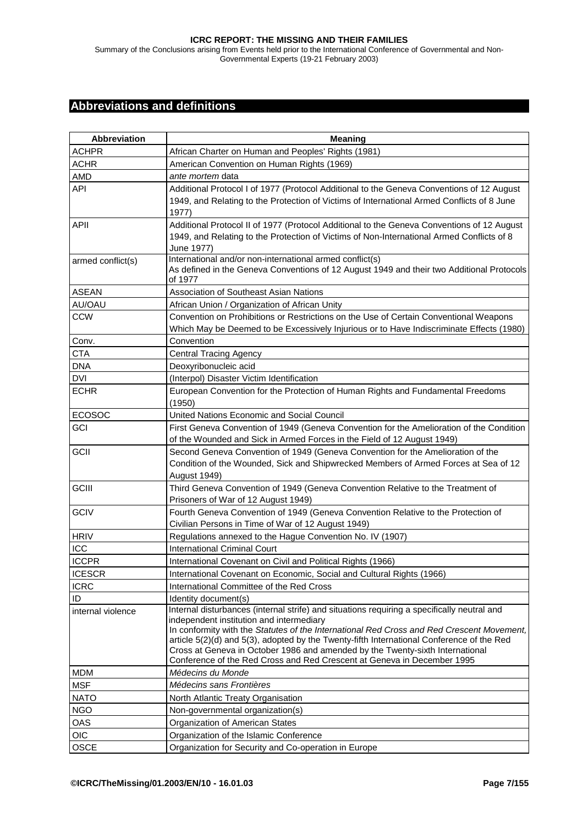<span id="page-6-0"></span>Summary of the Conclusions arising from Events held prior to the International Conference of Governmental and Non-Governmental Experts (19-21 February 2003)

# **Abbreviations and definitions**

| Abbreviation      | <b>Meaning</b>                                                                                                                                           |
|-------------------|----------------------------------------------------------------------------------------------------------------------------------------------------------|
| <b>ACHPR</b>      | African Charter on Human and Peoples' Rights (1981)                                                                                                      |
| <b>ACHR</b>       | American Convention on Human Rights (1969)                                                                                                               |
| AMD               | ante mortem data                                                                                                                                         |
| <b>API</b>        | Additional Protocol I of 1977 (Protocol Additional to the Geneva Conventions of 12 August                                                                |
|                   | 1949, and Relating to the Protection of Victims of International Armed Conflicts of 8 June                                                               |
|                   | 1977)                                                                                                                                                    |
| <b>APII</b>       | Additional Protocol II of 1977 (Protocol Additional to the Geneva Conventions of 12 August                                                               |
|                   | 1949, and Relating to the Protection of Victims of Non-International Armed Conflicts of 8                                                                |
|                   | June 1977)<br>International and/or non-international armed conflict(s)                                                                                   |
| armed conflict(s) | As defined in the Geneva Conventions of 12 August 1949 and their two Additional Protocols                                                                |
|                   | of 1977                                                                                                                                                  |
| <b>ASEAN</b>      | Association of Southeast Asian Nations                                                                                                                   |
| AU/OAU            | African Union / Organization of African Unity                                                                                                            |
| <b>CCW</b>        | Convention on Prohibitions or Restrictions on the Use of Certain Conventional Weapons                                                                    |
|                   | Which May be Deemed to be Excessively Injurious or to Have Indiscriminate Effects (1980)                                                                 |
| Conv.             | Convention                                                                                                                                               |
| <b>CTA</b>        | <b>Central Tracing Agency</b>                                                                                                                            |
| <b>DNA</b>        | Deoxyribonucleic acid                                                                                                                                    |
| <b>DVI</b>        | (Interpol) Disaster Victim Identification                                                                                                                |
| <b>ECHR</b>       | European Convention for the Protection of Human Rights and Fundamental Freedoms<br>(1950)                                                                |
| <b>ECOSOC</b>     | United Nations Economic and Social Council                                                                                                               |
| GCI               | First Geneva Convention of 1949 (Geneva Convention for the Amelioration of the Condition                                                                 |
|                   | of the Wounded and Sick in Armed Forces in the Field of 12 August 1949)                                                                                  |
| GCII              | Second Geneva Convention of 1949 (Geneva Convention for the Amelioration of the                                                                          |
|                   | Condition of the Wounded, Sick and Shipwrecked Members of Armed Forces at Sea of 12                                                                      |
|                   | <b>August 1949)</b>                                                                                                                                      |
| GCIII             | Third Geneva Convention of 1949 (Geneva Convention Relative to the Treatment of                                                                          |
|                   | Prisoners of War of 12 August 1949)                                                                                                                      |
| <b>GCIV</b>       | Fourth Geneva Convention of 1949 (Geneva Convention Relative to the Protection of                                                                        |
|                   | Civilian Persons in Time of War of 12 August 1949)                                                                                                       |
| <b>HRIV</b>       | Regulations annexed to the Hague Convention No. IV (1907)                                                                                                |
| ICC               | <b>International Criminal Court</b>                                                                                                                      |
| <b>ICCPR</b>      | International Covenant on Civil and Political Rights (1966)                                                                                              |
| <b>ICESCR</b>     | International Covenant on Economic, Social and Cultural Rights (1966)                                                                                    |
| <b>ICRC</b>       | International Committee of the Red Cross                                                                                                                 |
| ID                | Identity document(s)<br>Internal disturbances (internal strife) and situations requiring a specifically neutral and                                      |
| internal violence | independent institution and intermediary                                                                                                                 |
|                   | In conformity with the Statutes of the International Red Cross and Red Crescent Movement,                                                                |
|                   | article $5(2)(d)$ and $5(3)$ , adopted by the Twenty-fifth International Conference of the Red                                                           |
|                   | Cross at Geneva in October 1986 and amended by the Twenty-sixth International<br>Conference of the Red Cross and Red Crescent at Geneva in December 1995 |
| <b>MDM</b>        | Médecins du Monde                                                                                                                                        |
| <b>MSF</b>        | Médecins sans Frontières                                                                                                                                 |
| <b>NATO</b>       | North Atlantic Treaty Organisation                                                                                                                       |
| <b>NGO</b>        | Non-governmental organization(s)                                                                                                                         |
| OAS               | Organization of American States                                                                                                                          |
| <b>OIC</b>        | Organization of the Islamic Conference                                                                                                                   |
| OSCE              | Organization for Security and Co-operation in Europe                                                                                                     |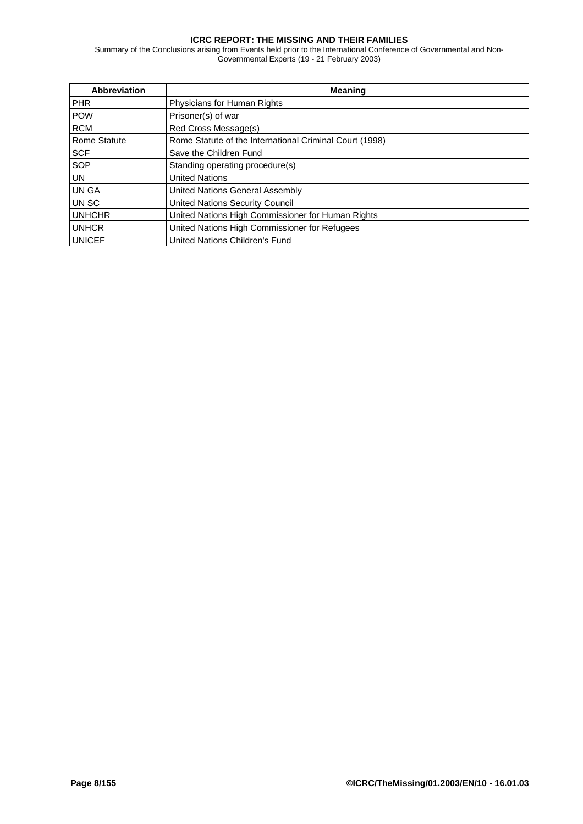Summary of the Conclusions arising from Events held prior to the International Conference of Governmental and Non-Governmental Experts (19 - 21 February 2003)

| <b>Abbreviation</b> | <b>Meaning</b>                                          |
|---------------------|---------------------------------------------------------|
| <b>PHR</b>          | Physicians for Human Rights                             |
| <b>POW</b>          | Prisoner(s) of war                                      |
| <b>RCM</b>          | Red Cross Message(s)                                    |
| <b>Rome Statute</b> | Rome Statute of the International Criminal Court (1998) |
| <b>SCF</b>          | Save the Children Fund                                  |
| <b>SOP</b>          | Standing operating procedure(s)                         |
| UN.                 | <b>United Nations</b>                                   |
| UN GA               | United Nations General Assembly                         |
| UN SC               | <b>United Nations Security Council</b>                  |
| <b>UNHCHR</b>       | United Nations High Commissioner for Human Rights       |
| <b>UNHCR</b>        | United Nations High Commissioner for Refugees           |
| <b>UNICEF</b>       | United Nations Children's Fund                          |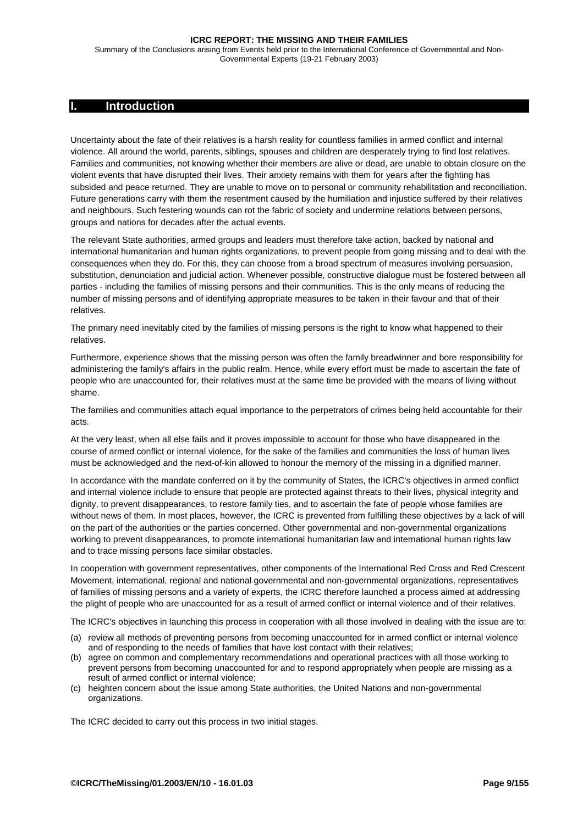<span id="page-8-0"></span>Summary of the Conclusions arising from Events held prior to the International Conference of Governmental and Non-Governmental Experts (19-21 February 2003)

# **I. Introduction**

Uncertainty about the fate of their relatives is a harsh reality for countless families in armed conflict and internal violence. All around the world, parents, siblings, spouses and children are desperately trying to find lost relatives. Families and communities, not knowing whether their members are alive or dead, are unable to obtain closure on the violent events that have disrupted their lives. Their anxiety remains with them for years after the fighting has subsided and peace returned. They are unable to move on to personal or community rehabilitation and reconciliation. Future generations carry with them the resentment caused by the humiliation and injustice suffered by their relatives and neighbours. Such festering wounds can rot the fabric of society and undermine relations between persons, groups and nations for decades after the actual events.

The relevant State authorities, armed groups and leaders must therefore take action, backed by national and international humanitarian and human rights organizations, to prevent people from going missing and to deal with the consequences when they do. For this, they can choose from a broad spectrum of measures involving persuasion, substitution, denunciation and judicial action. Whenever possible, constructive dialogue must be fostered between all parties - including the families of missing persons and their communities. This is the only means of reducing the number of missing persons and of identifying appropriate measures to be taken in their favour and that of their relatives.

The primary need inevitably cited by the families of missing persons is the right to know what happened to their relatives.

Furthermore, experience shows that the missing person was often the family breadwinner and bore responsibility for administering the family's affairs in the public realm. Hence, while every effort must be made to ascertain the fate of people who are unaccounted for, their relatives must at the same time be provided with the means of living without shame.

The families and communities attach equal importance to the perpetrators of crimes being held accountable for their acts.

At the very least, when all else fails and it proves impossible to account for those who have disappeared in the course of armed conflict or internal violence, for the sake of the families and communities the loss of human lives must be acknowledged and the next-of-kin allowed to honour the memory of the missing in a dignified manner.

In accordance with the mandate conferred on it by the community of States, the ICRC's objectives in armed conflict and internal violence include to ensure that people are protected against threats to their lives, physical integrity and dignity, to prevent disappearances, to restore family ties, and to ascertain the fate of people whose families are without news of them. In most places, however, the ICRC is prevented from fulfilling these objectives by a lack of will on the part of the authorities or the parties concerned. Other governmental and non-governmental organizations working to prevent disappearances, to promote international humanitarian law and international human rights law and to trace missing persons face similar obstacles.

In cooperation with government representatives, other components of the International Red Cross and Red Crescent Movement, international, regional and national governmental and non-governmental organizations, representatives of families of missing persons and a variety of experts, the ICRC therefore launched a process aimed at addressing the plight of people who are unaccounted for as a result of armed conflict or internal violence and of their relatives.

The ICRC's objectives in launching this process in cooperation with all those involved in dealing with the issue are to:

- (a) review all methods of preventing persons from becoming unaccounted for in armed conflict or internal violence and of responding to the needs of families that have lost contact with their relatives;
- (b) agree on common and complementary recommendations and operational practices with all those working to prevent persons from becoming unaccounted for and to respond appropriately when people are missing as a result of armed conflict or internal violence;
- (c) heighten concern about the issue among State authorities, the United Nations and non-governmental organizations.

The ICRC decided to carry out this process in two initial stages.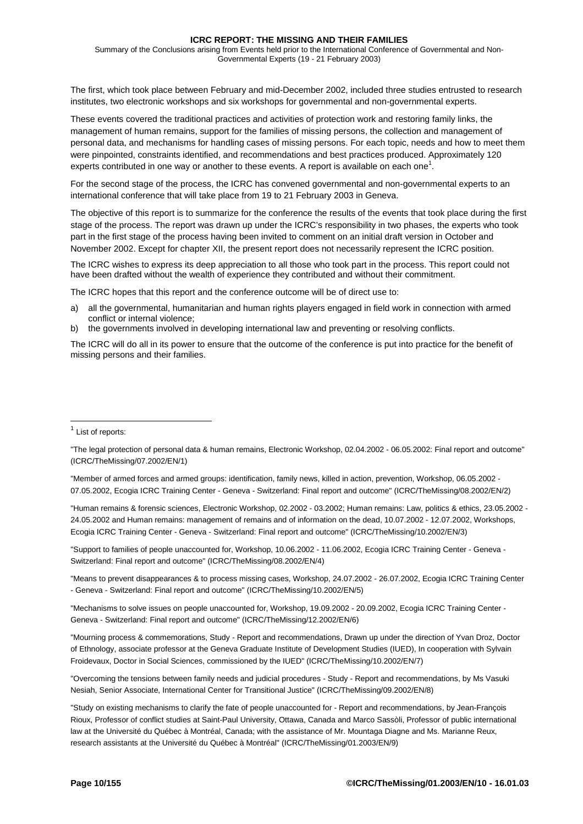Summary of the Conclusions arising from Events held prior to the International Conference of Governmental and Non-Governmental Experts (19 - 21 February 2003)

The first, which took place between February and mid-December 2002, included three studies entrusted to research institutes, two electronic workshops and six workshops for governmental and non-governmental experts.

These events covered the traditional practices and activities of protection work and restoring family links, the management of human remains, support for the families of missing persons, the collection and management of personal data, and mechanisms for handling cases of missing persons. For each topic, needs and how to meet them were pinpointed, constraints identified, and recommendations and best practices produced. Approximately 120 experts contributed in one way or another to these events. A report is available on each one<sup>1</sup>.

For the second stage of the process, the ICRC has convened governmental and non-governmental experts to an international conference that will take place from 19 to 21 February 2003 in Geneva.

The objective of this report is to summarize for the conference the results of the events that took place during the first stage of the process. The report was drawn up under the ICRC's responsibility in two phases, the experts who took part in the first stage of the process having been invited to comment on an initial draft version in October and November 2002. Except for chapter XII, the present report does not necessarily represent the ICRC position.

The ICRC wishes to express its deep appreciation to all those who took part in the process. This report could not have been drafted without the wealth of experience they contributed and without their commitment.

The ICRC hopes that this report and the conference outcome will be of direct use to:

- a) all the governmental, humanitarian and human rights players engaged in field work in connection with armed conflict or internal violence;
- b) the governments involved in developing international law and preventing or resolving conflicts.

The ICRC will do all in its power to ensure that the outcome of the conference is put into practice for the benefit of missing persons and their families.

l

"Human remains & forensic sciences, Electronic Workshop, 02.2002 - 03.2002; Human remains: Law, politics & ethics, 23.05.2002 - 24.05.2002 and Human remains: management of remains and of information on the dead, 10.07.2002 - 12.07.2002, Workshops, Ecogia ICRC Training Center - Geneva - Switzerland: Final report and outcome" (ICRC/TheMissing/10.2002/EN/3)

"Support to families of people unaccounted for, Workshop, 10.06.2002 - 11.06.2002, Ecogia ICRC Training Center - Geneva - Switzerland: Final report and outcome" (ICRC/TheMissing/08.2002/EN/4)

"Means to prevent disappearances & to process missing cases, Workshop, 24.07.2002 - 26.07.2002, Ecogia ICRC Training Center - Geneva - Switzerland: Final report and outcome" (ICRC/TheMissing/10.2002/EN/5)

"Mechanisms to solve issues on people unaccounted for, Workshop, 19.09.2002 - 20.09.2002, Ecogia ICRC Training Center - Geneva - Switzerland: Final report and outcome" (ICRC/TheMissing/12.2002/EN/6)

"Mourning process & commemorations, Study - Report and recommendations, Drawn up under the direction of Yvan Droz, Doctor of Ethnology, associate professor at the Geneva Graduate Institute of Development Studies (IUED), In cooperation with Sylvain Froidevaux, Doctor in Social Sciences, commissioned by the IUED" (ICRC/TheMissing/10.2002/EN/7)

"Overcoming the tensions between family needs and judicial procedures - Study - Report and recommendations, by Ms Vasuki Nesiah, Senior Associate, International Center for Transitional Justice" (ICRC/TheMissing/09.2002/EN/8)

<sup>1</sup> List of reports:

<sup>&</sup>quot;The legal protection of personal data & human remains, Electronic Workshop, 02.04.2002 - 06.05.2002: Final report and outcome" (ICRC/TheMissing/07.2002/EN/1)

<sup>&</sup>quot;Member of armed forces and armed groups: identification, family news, killed in action, prevention, Workshop, 06.05.2002 - 07.05.2002, Ecogia ICRC Training Center - Geneva - Switzerland: Final report and outcome" (ICRC/TheMissing/08.2002/EN/2)

<sup>&</sup>quot;Study on existing mechanisms to clarify the fate of people unaccounted for - Report and recommendations, by Jean-François Rioux, Professor of conflict studies at Saint-Paul University, Ottawa, Canada and Marco Sassòli, Professor of public international law at the Université du Québec à Montréal, Canada; with the assistance of Mr. Mountaga Diagne and Ms. Marianne Reux, research assistants at the Université du Québec à Montréal" (ICRC/TheMissing/01.2003/EN/9)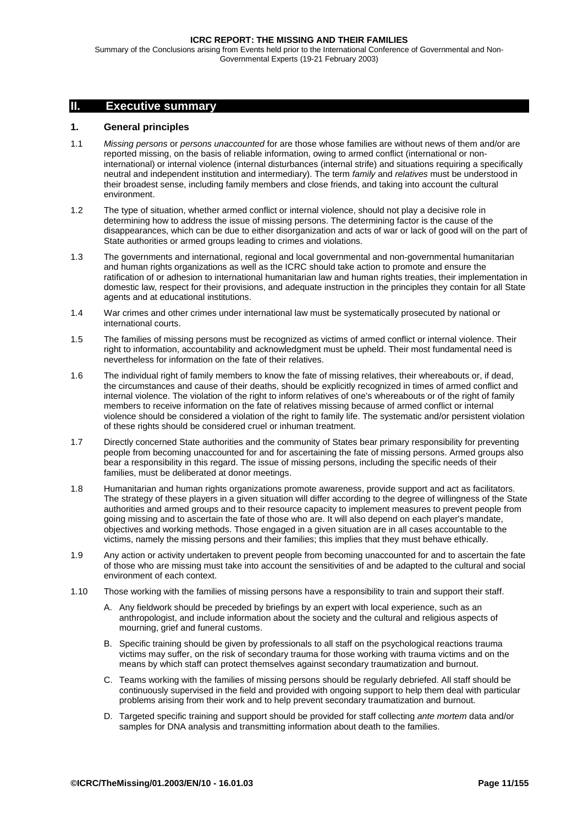<span id="page-10-0"></span>Summary of the Conclusions arising from Events held prior to the International Conference of Governmental and Non-Governmental Experts (19-21 February 2003)

# **II. Executive summary**

# **1. General principles**

- 1.1 *Missing persons* or *persons unaccounted* for are those whose families are without news of them and/or are reported missing, on the basis of reliable information, owing to armed conflict (international or noninternational) or internal violence (internal disturbances (internal strife) and situations requiring a specifically neutral and independent institution and intermediary). The term *family* and *relatives* must be understood in their broadest sense, including family members and close friends, and taking into account the cultural environment.
- 1.2 The type of situation, whether armed conflict or internal violence, should not play a decisive role in determining how to address the issue of missing persons. The determining factor is the cause of the disappearances, which can be due to either disorganization and acts of war or lack of good will on the part of State authorities or armed groups leading to crimes and violations.
- 1.3 The governments and international, regional and local governmental and non-governmental humanitarian and human rights organizations as well as the ICRC should take action to promote and ensure the ratification of or adhesion to international humanitarian law and human rights treaties, their implementation in domestic law, respect for their provisions, and adequate instruction in the principles they contain for all State agents and at educational institutions.
- 1.4 War crimes and other crimes under international law must be systematically prosecuted by national or international courts.
- 1.5 The families of missing persons must be recognized as victims of armed conflict or internal violence. Their right to information, accountability and acknowledgment must be upheld. Their most fundamental need is nevertheless for information on the fate of their relatives.
- 1.6 The individual right of family members to know the fate of missing relatives, their whereabouts or, if dead, the circumstances and cause of their deaths, should be explicitly recognized in times of armed conflict and internal violence. The violation of the right to inform relatives of one's whereabouts or of the right of family members to receive information on the fate of relatives missing because of armed conflict or internal violence should be considered a violation of the right to family life. The systematic and/or persistent violation of these rights should be considered cruel or inhuman treatment.
- 1.7 Directly concerned State authorities and the community of States bear primary responsibility for preventing people from becoming unaccounted for and for ascertaining the fate of missing persons. Armed groups also bear a responsibility in this regard. The issue of missing persons, including the specific needs of their families, must be deliberated at donor meetings.
- 1.8 Humanitarian and human rights organizations promote awareness, provide support and act as facilitators. The strategy of these players in a given situation will differ according to the degree of willingness of the State authorities and armed groups and to their resource capacity to implement measures to prevent people from going missing and to ascertain the fate of those who are. It will also depend on each player's mandate, objectives and working methods. Those engaged in a given situation are in all cases accountable to the victims, namely the missing persons and their families; this implies that they must behave ethically.
- 1.9 Any action or activity undertaken to prevent people from becoming unaccounted for and to ascertain the fate of those who are missing must take into account the sensitivities of and be adapted to the cultural and social environment of each context.
- 1.10 Those working with the families of missing persons have a responsibility to train and support their staff.
	- A. Any fieldwork should be preceded by briefings by an expert with local experience, such as an anthropologist, and include information about the society and the cultural and religious aspects of mourning, grief and funeral customs.
	- B. Specific training should be given by professionals to all staff on the psychological reactions trauma victims may suffer, on the risk of secondary trauma for those working with trauma victims and on the means by which staff can protect themselves against secondary traumatization and burnout.
	- C. Teams working with the families of missing persons should be regularly debriefed. All staff should be continuously supervised in the field and provided with ongoing support to help them deal with particular problems arising from their work and to help prevent secondary traumatization and burnout.
	- D. Targeted specific training and support should be provided for staff collecting *ante mortem* data and/or samples for DNA analysis and transmitting information about death to the families.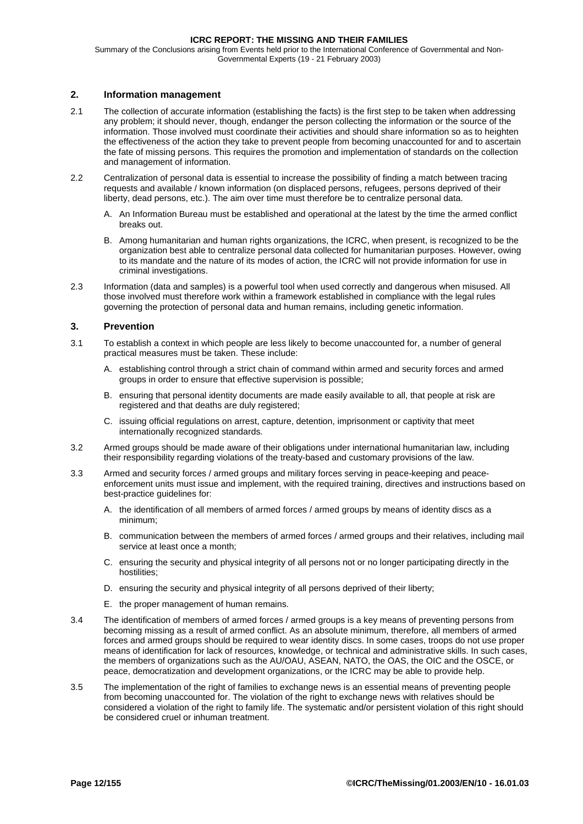<span id="page-11-0"></span>Summary of the Conclusions arising from Events held prior to the International Conference of Governmental and Non-Governmental Experts (19 - 21 February 2003)

# **2. Information management**

- 2.1 The collection of accurate information (establishing the facts) is the first step to be taken when addressing any problem; it should never, though, endanger the person collecting the information or the source of the information. Those involved must coordinate their activities and should share information so as to heighten the effectiveness of the action they take to prevent people from becoming unaccounted for and to ascertain the fate of missing persons. This requires the promotion and implementation of standards on the collection and management of information.
- 2.2 Centralization of personal data is essential to increase the possibility of finding a match between tracing requests and available / known information (on displaced persons, refugees, persons deprived of their liberty, dead persons, etc.). The aim over time must therefore be to centralize personal data.
	- A. An Information Bureau must be established and operational at the latest by the time the armed conflict breaks out.
	- B. Among humanitarian and human rights organizations, the ICRC, when present, is recognized to be the organization best able to centralize personal data collected for humanitarian purposes. However, owing to its mandate and the nature of its modes of action, the ICRC will not provide information for use in criminal investigations.
- 2.3 Information (data and samples) is a powerful tool when used correctly and dangerous when misused. All those involved must therefore work within a framework established in compliance with the legal rules governing the protection of personal data and human remains, including genetic information.

# **3. Prevention**

- 3.1 To establish a context in which people are less likely to become unaccounted for, a number of general practical measures must be taken. These include:
	- A. establishing control through a strict chain of command within armed and security forces and armed groups in order to ensure that effective supervision is possible;
	- B. ensuring that personal identity documents are made easily available to all, that people at risk are registered and that deaths are duly registered;
	- C. issuing official regulations on arrest, capture, detention, imprisonment or captivity that meet internationally recognized standards.
- 3.2 Armed groups should be made aware of their obligations under international humanitarian law, including their responsibility regarding violations of the treaty-based and customary provisions of the law.
- 3.3 Armed and security forces / armed groups and military forces serving in peace-keeping and peaceenforcement units must issue and implement, with the required training, directives and instructions based on best-practice guidelines for:
	- A. the identification of all members of armed forces / armed groups by means of identity discs as a minimum;
	- B. communication between the members of armed forces / armed groups and their relatives, including mail service at least once a month;
	- C. ensuring the security and physical integrity of all persons not or no longer participating directly in the hostilities;
	- D. ensuring the security and physical integrity of all persons deprived of their liberty;
	- E. the proper management of human remains.
- 3.4 The identification of members of armed forces / armed groups is a key means of preventing persons from becoming missing as a result of armed conflict. As an absolute minimum, therefore, all members of armed forces and armed groups should be required to wear identity discs. In some cases, troops do not use proper means of identification for lack of resources, knowledge, or technical and administrative skills. In such cases, the members of organizations such as the AU/OAU, ASEAN, NATO, the OAS, the OIC and the OSCE, or peace, democratization and development organizations, or the ICRC may be able to provide help.
- 3.5 The implementation of the right of families to exchange news is an essential means of preventing people from becoming unaccounted for. The violation of the right to exchange news with relatives should be considered a violation of the right to family life. The systematic and/or persistent violation of this right should be considered cruel or inhuman treatment.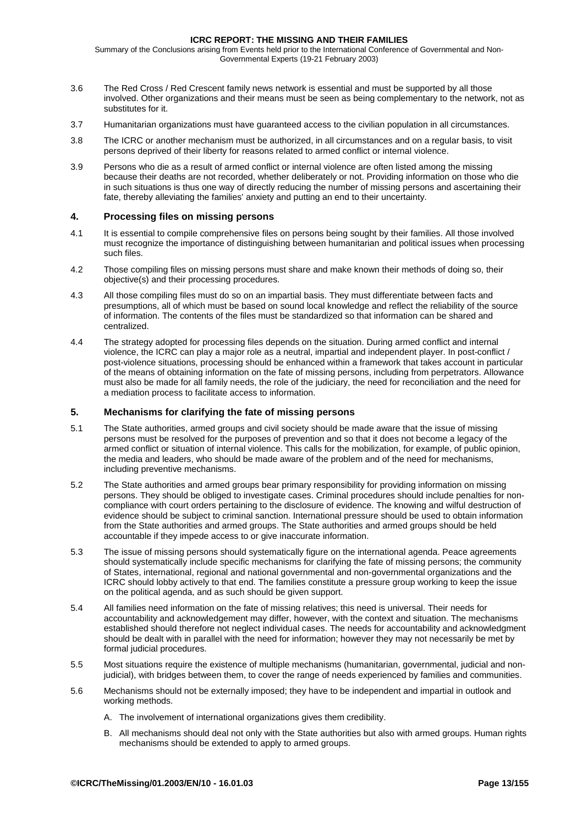<span id="page-12-0"></span>Summary of the Conclusions arising from Events held prior to the International Conference of Governmental and Non-Governmental Experts (19-21 February 2003)

- 3.6 The Red Cross / Red Crescent family news network is essential and must be supported by all those involved. Other organizations and their means must be seen as being complementary to the network, not as substitutes for it.
- 3.7 Humanitarian organizations must have guaranteed access to the civilian population in all circumstances.
- 3.8 The ICRC or another mechanism must be authorized, in all circumstances and on a regular basis, to visit persons deprived of their liberty for reasons related to armed conflict or internal violence.
- 3.9 Persons who die as a result of armed conflict or internal violence are often listed among the missing because their deaths are not recorded, whether deliberately or not. Providing information on those who die in such situations is thus one way of directly reducing the number of missing persons and ascertaining their fate, thereby alleviating the families' anxiety and putting an end to their uncertainty.

# **4. Processing files on missing persons**

- 4.1 It is essential to compile comprehensive files on persons being sought by their families. All those involved must recognize the importance of distinguishing between humanitarian and political issues when processing such files.
- 4.2 Those compiling files on missing persons must share and make known their methods of doing so, their objective(s) and their processing procedures.
- 4.3 All those compiling files must do so on an impartial basis. They must differentiate between facts and presumptions, all of which must be based on sound local knowledge and reflect the reliability of the source of information. The contents of the files must be standardized so that information can be shared and centralized.
- 4.4 The strategy adopted for processing files depends on the situation. During armed conflict and internal violence, the ICRC can play a major role as a neutral, impartial and independent player. In post-conflict / post-violence situations, processing should be enhanced within a framework that takes account in particular of the means of obtaining information on the fate of missing persons, including from perpetrators. Allowance must also be made for all family needs, the role of the judiciary, the need for reconciliation and the need for a mediation process to facilitate access to information.

# **5. Mechanisms for clarifying the fate of missing persons**

- 5.1 The State authorities, armed groups and civil society should be made aware that the issue of missing persons must be resolved for the purposes of prevention and so that it does not become a legacy of the armed conflict or situation of internal violence. This calls for the mobilization, for example, of public opinion, the media and leaders, who should be made aware of the problem and of the need for mechanisms, including preventive mechanisms.
- 5.2 The State authorities and armed groups bear primary responsibility for providing information on missing persons. They should be obliged to investigate cases. Criminal procedures should include penalties for noncompliance with court orders pertaining to the disclosure of evidence. The knowing and wilful destruction of evidence should be subject to criminal sanction. International pressure should be used to obtain information from the State authorities and armed groups. The State authorities and armed groups should be held accountable if they impede access to or give inaccurate information.
- 5.3 The issue of missing persons should systematically figure on the international agenda. Peace agreements should systematically include specific mechanisms for clarifying the fate of missing persons; the community of States, international, regional and national governmental and non-governmental organizations and the ICRC should lobby actively to that end. The families constitute a pressure group working to keep the issue on the political agenda, and as such should be given support.
- 5.4 All families need information on the fate of missing relatives; this need is universal. Their needs for accountability and acknowledgement may differ, however, with the context and situation. The mechanisms established should therefore not neglect individual cases. The needs for accountability and acknowledgment should be dealt with in parallel with the need for information; however they may not necessarily be met by formal judicial procedures.
- 5.5 Most situations require the existence of multiple mechanisms (humanitarian, governmental, judicial and nonjudicial), with bridges between them, to cover the range of needs experienced by families and communities.
- 5.6 Mechanisms should not be externally imposed; they have to be independent and impartial in outlook and working methods.
	- A. The involvement of international organizations gives them credibility.
	- B. All mechanisms should deal not only with the State authorities but also with armed groups. Human rights mechanisms should be extended to apply to armed groups.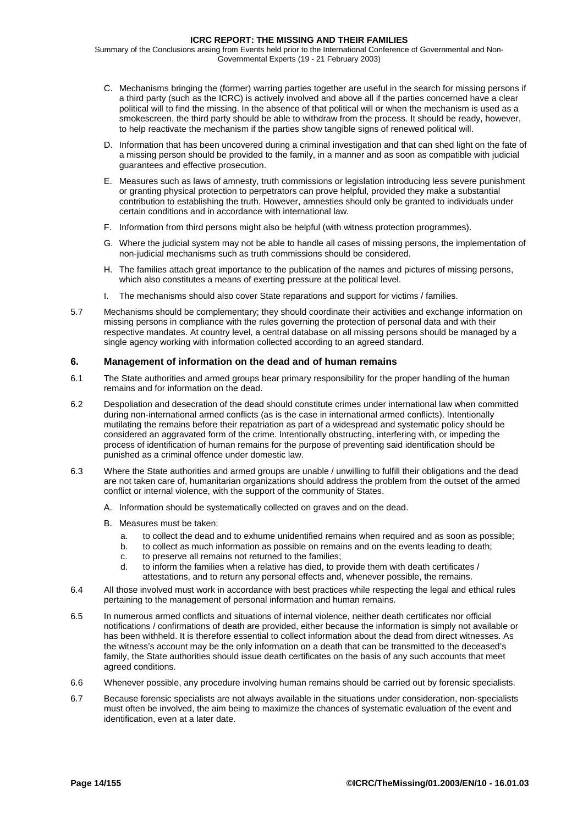<span id="page-13-0"></span>Summary of the Conclusions arising from Events held prior to the International Conference of Governmental and Non-Governmental Experts (19 - 21 February 2003)

- C. Mechanisms bringing the (former) warring parties together are useful in the search for missing persons if a third party (such as the ICRC) is actively involved and above all if the parties concerned have a clear political will to find the missing. In the absence of that political will or when the mechanism is used as a smokescreen, the third party should be able to withdraw from the process. It should be ready, however, to help reactivate the mechanism if the parties show tangible signs of renewed political will.
- D. Information that has been uncovered during a criminal investigation and that can shed light on the fate of a missing person should be provided to the family, in a manner and as soon as compatible with judicial guarantees and effective prosecution.
- E. Measures such as laws of amnesty, truth commissions or legislation introducing less severe punishment or granting physical protection to perpetrators can prove helpful, provided they make a substantial contribution to establishing the truth. However, amnesties should only be granted to individuals under certain conditions and in accordance with international law.
- F. Information from third persons might also be helpful (with witness protection programmes).
- G. Where the judicial system may not be able to handle all cases of missing persons, the implementation of non-judicial mechanisms such as truth commissions should be considered.
- H. The families attach great importance to the publication of the names and pictures of missing persons, which also constitutes a means of exerting pressure at the political level.
- I. The mechanisms should also cover State reparations and support for victims / families.
- 5.7 Mechanisms should be complementary; they should coordinate their activities and exchange information on missing persons in compliance with the rules governing the protection of personal data and with their respective mandates. At country level, a central database on all missing persons should be managed by a single agency working with information collected according to an agreed standard.

## **6. Management of information on the dead and of human remains**

- 6.1 The State authorities and armed groups bear primary responsibility for the proper handling of the human remains and for information on the dead.
- 6.2 Despoliation and desecration of the dead should constitute crimes under international law when committed during non-international armed conflicts (as is the case in international armed conflicts). Intentionally mutilating the remains before their repatriation as part of a widespread and systematic policy should be considered an aggravated form of the crime. Intentionally obstructing, interfering with, or impeding the process of identification of human remains for the purpose of preventing said identification should be punished as a criminal offence under domestic law.
- 6.3 Where the State authorities and armed groups are unable / unwilling to fulfill their obligations and the dead are not taken care of, humanitarian organizations should address the problem from the outset of the armed conflict or internal violence, with the support of the community of States.
	- A. Information should be systematically collected on graves and on the dead.
	- B. Measures must be taken:
		- a. to collect the dead and to exhume unidentified remains when required and as soon as possible;
		- b. to collect as much information as possible on remains and on the events leading to death;
		- c. to preserve all remains not returned to the families;
		- d. to inform the families when a relative has died, to provide them with death certificates / attestations, and to return any personal effects and, whenever possible, the remains.
- 6.4 All those involved must work in accordance with best practices while respecting the legal and ethical rules pertaining to the management of personal information and human remains.
- 6.5 In numerous armed conflicts and situations of internal violence, neither death certificates nor official notifications / confirmations of death are provided, either because the information is simply not available or has been withheld. It is therefore essential to collect information about the dead from direct witnesses. As the witness's account may be the only information on a death that can be transmitted to the deceased's family, the State authorities should issue death certificates on the basis of any such accounts that meet agreed conditions.
- 6.6 Whenever possible, any procedure involving human remains should be carried out by forensic specialists.
- 6.7 Because forensic specialists are not always available in the situations under consideration, non-specialists must often be involved, the aim being to maximize the chances of systematic evaluation of the event and identification, even at a later date.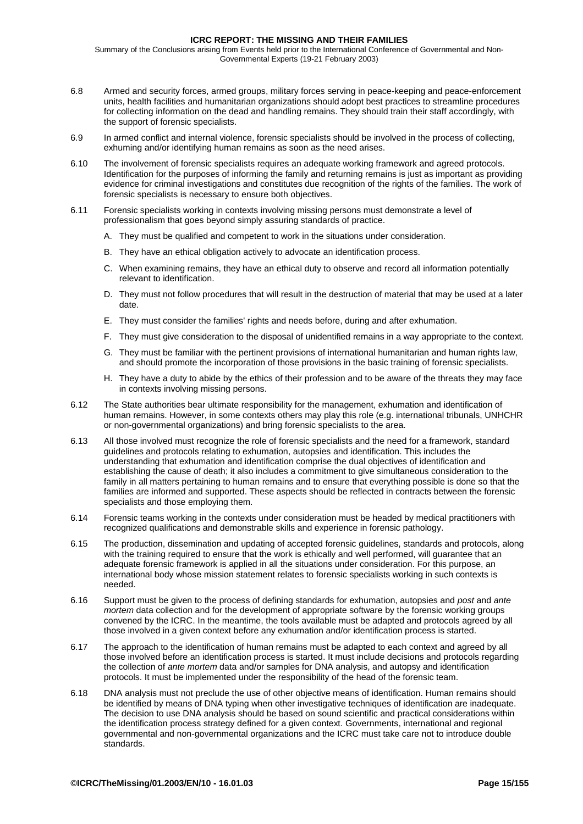Summary of the Conclusions arising from Events held prior to the International Conference of Governmental and Non-Governmental Experts (19-21 February 2003)

- 6.8 Armed and security forces, armed groups, military forces serving in peace-keeping and peace-enforcement units, health facilities and humanitarian organizations should adopt best practices to streamline procedures for collecting information on the dead and handling remains. They should train their staff accordingly, with the support of forensic specialists.
- 6.9 In armed conflict and internal violence, forensic specialists should be involved in the process of collecting, exhuming and/or identifying human remains as soon as the need arises.
- 6.10 The involvement of forensic specialists requires an adequate working framework and agreed protocols. Identification for the purposes of informing the family and returning remains is just as important as providing evidence for criminal investigations and constitutes due recognition of the rights of the families. The work of forensic specialists is necessary to ensure both objectives.
- 6.11 Forensic specialists working in contexts involving missing persons must demonstrate a level of professionalism that goes beyond simply assuring standards of practice.
	- A. They must be qualified and competent to work in the situations under consideration.
	- B. They have an ethical obligation actively to advocate an identification process.
	- C. When examining remains, they have an ethical duty to observe and record all information potentially relevant to identification.
	- D. They must not follow procedures that will result in the destruction of material that may be used at a later date.
	- E. They must consider the families' rights and needs before, during and after exhumation.
	- F. They must give consideration to the disposal of unidentified remains in a way appropriate to the context.
	- G. They must be familiar with the pertinent provisions of international humanitarian and human rights law, and should promote the incorporation of those provisions in the basic training of forensic specialists.
	- H. They have a duty to abide by the ethics of their profession and to be aware of the threats they may face in contexts involving missing persons.
- 6.12 The State authorities bear ultimate responsibility for the management, exhumation and identification of human remains. However, in some contexts others may play this role (e.g. international tribunals, UNHCHR or non-governmental organizations) and bring forensic specialists to the area.
- 6.13 All those involved must recognize the role of forensic specialists and the need for a framework, standard guidelines and protocols relating to exhumation, autopsies and identification. This includes the understanding that exhumation and identification comprise the dual objectives of identification and establishing the cause of death; it also includes a commitment to give simultaneous consideration to the family in all matters pertaining to human remains and to ensure that everything possible is done so that the families are informed and supported. These aspects should be reflected in contracts between the forensic specialists and those employing them.
- 6.14 Forensic teams working in the contexts under consideration must be headed by medical practitioners with recognized qualifications and demonstrable skills and experience in forensic pathology.
- 6.15 The production, dissemination and updating of accepted forensic guidelines, standards and protocols, along with the training required to ensure that the work is ethically and well performed, will guarantee that an adequate forensic framework is applied in all the situations under consideration. For this purpose, an international body whose mission statement relates to forensic specialists working in such contexts is needed.
- 6.16 Support must be given to the process of defining standards for exhumation, autopsies and *post* and *ante mortem* data collection and for the development of appropriate software by the forensic working groups convened by the ICRC. In the meantime, the tools available must be adapted and protocols agreed by all those involved in a given context before any exhumation and/or identification process is started.
- 6.17 The approach to the identification of human remains must be adapted to each context and agreed by all those involved before an identification process is started. It must include decisions and protocols regarding the collection of *ante mortem* data and/or samples for DNA analysis, and autopsy and identification protocols. It must be implemented under the responsibility of the head of the forensic team.
- 6.18 DNA analysis must not preclude the use of other objective means of identification. Human remains should be identified by means of DNA typing when other investigative techniques of identification are inadequate. The decision to use DNA analysis should be based on sound scientific and practical considerations within the identification process strategy defined for a given context. Governments, international and regional governmental and non-governmental organizations and the ICRC must take care not to introduce double standards.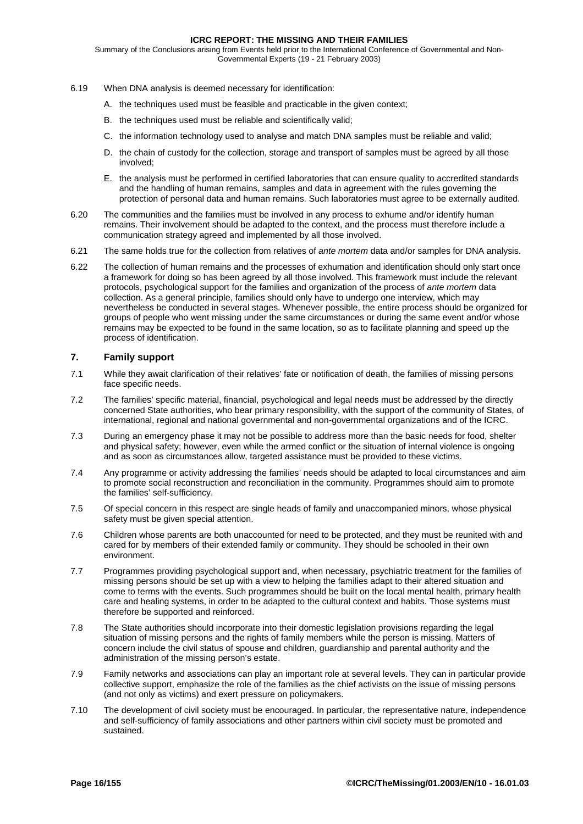<span id="page-15-0"></span>Summary of the Conclusions arising from Events held prior to the International Conference of Governmental and Non-Governmental Experts (19 - 21 February 2003)

- 6.19 When DNA analysis is deemed necessary for identification:
	- A. the techniques used must be feasible and practicable in the given context:
	- B. the techniques used must be reliable and scientifically valid;
	- C. the information technology used to analyse and match DNA samples must be reliable and valid;
	- D. the chain of custody for the collection, storage and transport of samples must be agreed by all those involved;
	- E. the analysis must be performed in certified laboratories that can ensure quality to accredited standards and the handling of human remains, samples and data in agreement with the rules governing the protection of personal data and human remains. Such laboratories must agree to be externally audited.
- 6.20 The communities and the families must be involved in any process to exhume and/or identify human remains. Their involvement should be adapted to the context, and the process must therefore include a communication strategy agreed and implemented by all those involved.
- 6.21 The same holds true for the collection from relatives of *ante mortem* data and/or samples for DNA analysis.
- 6.22 The collection of human remains and the processes of exhumation and identification should only start once a framework for doing so has been agreed by all those involved. This framework must include the relevant protocols, psychological support for the families and organization of the process of *ante mortem* data collection. As a general principle, families should only have to undergo one interview, which may nevertheless be conducted in several stages. Whenever possible, the entire process should be organized for groups of people who went missing under the same circumstances or during the same event and/or whose remains may be expected to be found in the same location, so as to facilitate planning and speed up the process of identification.

# **7. Family support**

- 7.1 While they await clarification of their relatives' fate or notification of death, the families of missing persons face specific needs.
- 7.2 The families' specific material, financial, psychological and legal needs must be addressed by the directly concerned State authorities, who bear primary responsibility, with the support of the community of States, of international, regional and national governmental and non-governmental organizations and of the ICRC.
- 7.3 During an emergency phase it may not be possible to address more than the basic needs for food, shelter and physical safety; however, even while the armed conflict or the situation of internal violence is ongoing and as soon as circumstances allow, targeted assistance must be provided to these victims.
- 7.4 Any programme or activity addressing the families' needs should be adapted to local circumstances and aim to promote social reconstruction and reconciliation in the community. Programmes should aim to promote the families' self-sufficiency.
- 7.5 Of special concern in this respect are single heads of family and unaccompanied minors, whose physical safety must be given special attention.
- 7.6 Children whose parents are both unaccounted for need to be protected, and they must be reunited with and cared for by members of their extended family or community. They should be schooled in their own environment.
- 7.7 Programmes providing psychological support and, when necessary, psychiatric treatment for the families of missing persons should be set up with a view to helping the families adapt to their altered situation and come to terms with the events. Such programmes should be built on the local mental health, primary health care and healing systems, in order to be adapted to the cultural context and habits. Those systems must therefore be supported and reinforced.
- 7.8 The State authorities should incorporate into their domestic legislation provisions regarding the legal situation of missing persons and the rights of family members while the person is missing. Matters of concern include the civil status of spouse and children, guardianship and parental authority and the administration of the missing person's estate.
- 7.9 Family networks and associations can play an important role at several levels. They can in particular provide collective support, emphasize the role of the families as the chief activists on the issue of missing persons (and not only as victims) and exert pressure on policymakers.
- 7.10 The development of civil society must be encouraged. In particular, the representative nature, independence and self-sufficiency of family associations and other partners within civil society must be promoted and sustained.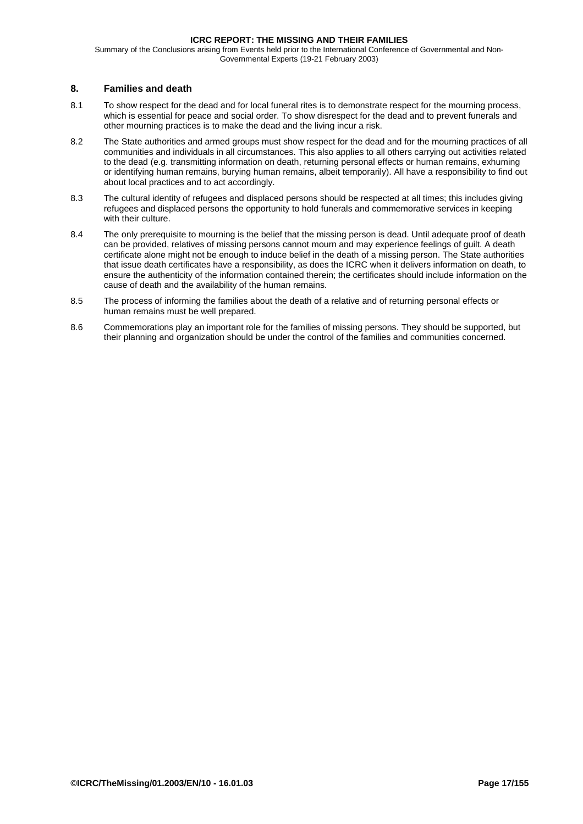<span id="page-16-0"></span>Summary of the Conclusions arising from Events held prior to the International Conference of Governmental and Non-Governmental Experts (19-21 February 2003)

# **8. Families and death**

- 8.1 To show respect for the dead and for local funeral rites is to demonstrate respect for the mourning process, which is essential for peace and social order. To show disrespect for the dead and to prevent funerals and other mourning practices is to make the dead and the living incur a risk.
- 8.2 The State authorities and armed groups must show respect for the dead and for the mourning practices of all communities and individuals in all circumstances. This also applies to all others carrying out activities related to the dead (e.g. transmitting information on death, returning personal effects or human remains, exhuming or identifying human remains, burying human remains, albeit temporarily). All have a responsibility to find out about local practices and to act accordingly.
- 8.3 The cultural identity of refugees and displaced persons should be respected at all times; this includes giving refugees and displaced persons the opportunity to hold funerals and commemorative services in keeping with their culture.
- 8.4 The only prerequisite to mourning is the belief that the missing person is dead. Until adequate proof of death can be provided, relatives of missing persons cannot mourn and may experience feelings of guilt. A death certificate alone might not be enough to induce belief in the death of a missing person. The State authorities that issue death certificates have a responsibility, as does the ICRC when it delivers information on death, to ensure the authenticity of the information contained therein; the certificates should include information on the cause of death and the availability of the human remains.
- 8.5 The process of informing the families about the death of a relative and of returning personal effects or human remains must be well prepared.
- 8.6 Commemorations play an important role for the families of missing persons. They should be supported, but their planning and organization should be under the control of the families and communities concerned.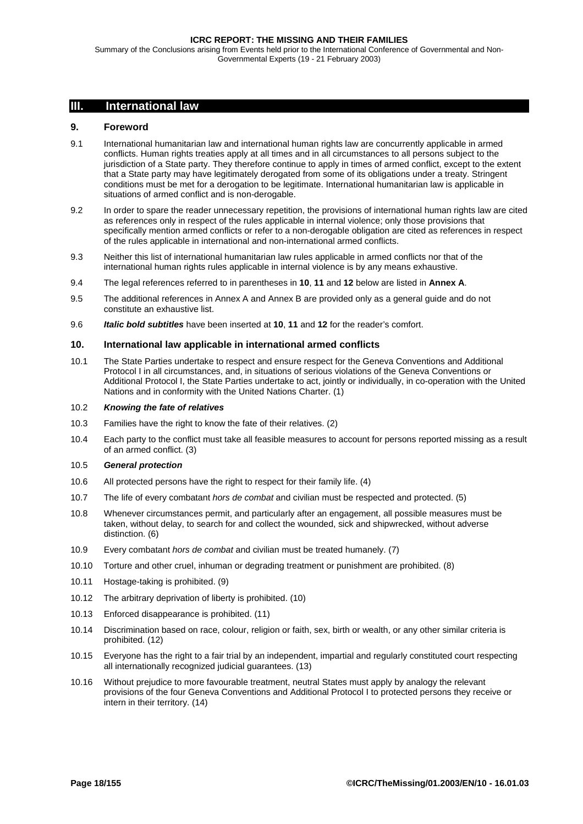<span id="page-17-0"></span>Summary of the Conclusions arising from Events held prior to the International Conference of Governmental and Non-Governmental Experts (19 - 21 February 2003)

# **III. International law**

## **9. Foreword**

- 9.1 International humanitarian law and international human rights law are concurrently applicable in armed conflicts. Human rights treaties apply at all times and in all circumstances to all persons subject to the jurisdiction of a State party. They therefore continue to apply in times of armed conflict, except to the extent that a State party may have legitimately derogated from some of its obligations under a treaty. Stringent conditions must be met for a derogation to be legitimate. International humanitarian law is applicable in situations of armed conflict and is non-derogable.
- 9.2 In order to spare the reader unnecessary repetition, the provisions of international human rights law are cited as references only in respect of the rules applicable in internal violence; only those provisions that specifically mention armed conflicts or refer to a non-derogable obligation are cited as references in respect of the rules applicable in international and non-international armed conflicts.
- 9.3 Neither this list of international humanitarian law rules applicable in armed conflicts nor that of the international human rights rules applicable in internal violence is by any means exhaustive.
- 9.4 The legal references referred to in parentheses in **10**, **[11](#page-22-0)** and **[12](#page-23-0)** below are listed in **[Annex A](#page-92-0)**.
- 9.5 The additional references in [Annex A](#page-92-0) and [Annex B](#page-98-0) are provided only as a general guide and do not constitute an exhaustive list.
- 9.6 *Italic bold subtitles* have been inserted at **10**, **[11](#page-22-0)** and **[12](#page-23-0)** for the reader's comfort.

### **10. International law applicable in international armed conflicts**

10.1 The State Parties undertake to respect and ensure respect for the Geneva Conventions and Additional Protocol I in all circumstances, and, in situations of serious violations of the Geneva Conventions or Additional Protocol I, the State Parties undertake to act, jointly or individually, in co-operation with the United Nations and in conformity with the United Nations Charter. ([1\)](#page-92-0)

#### 10.2 *Knowing the fate of relatives*

- 10.3 Families have the right to know the fate of their relatives. ([2\)](#page-92-0)
- 10.4 Each party to the conflict must take all feasible measures to account for persons reported missing as a result of an armed conflict. [\(3\)](#page-92-0)

#### 10.5 *General protection*

- 10.6 All protected persons have the right to respect for their family life. ([4\)](#page-92-0)
- 10.7 The life of every combatant *hors de combat* and civilian must be respected and protected. [\(5\)](#page-92-0)
- 10.8 Whenever circumstances permit, and particularly after an engagement, all possible measures must be taken, without delay, to search for and collect the wounded, sick and shipwrecked, without adverse distinction. [\(6\)](#page-92-0)
- 10.9 Every combatant *hors de combat* and civilian must be treated humanely. [\(7\)](#page-92-0)
- 10.10 Torture and other cruel, inhuman or degrading treatment or punishment are prohibited. ([8\)](#page-92-0)
- 10.11 Hostage-taking is prohibited. ([9\)](#page-92-0)
- 10.12 The arbitrary deprivation of liberty is prohibited. [\(10\)](#page-92-0)
- 10.13 Enforced disappearance is prohibited. ([11\)](#page-92-0)
- 10.14 Discrimination based on race, colour, religion or faith, sex, birth or wealth, or any other similar criteria is prohibited. ([12\)](#page-92-0)
- 10.15 Everyone has the right to a fair trial by an independent, impartial and regularly constituted court respecting all internationally recognized judicial guarantees. [\(13\)](#page-92-0)
- 10.16 Without prejudice to more favourable treatment, neutral States must apply by analogy the relevant provisions of the four Geneva Conventions and Additional Protocol I to protected persons they receive or intern in their territory. [\(14\)](#page-92-0)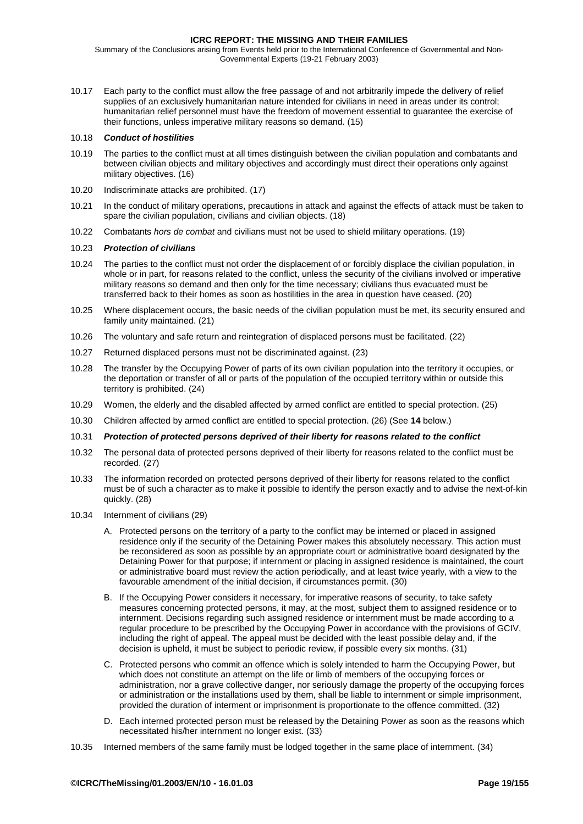<span id="page-18-0"></span>Summary of the Conclusions arising from Events held prior to the International Conference of Governmental and Non-Governmental Experts (19-21 February 2003)

10.17 Each party to the conflict must allow the free passage of and not arbitrarily impede the delivery of relief supplies of an exclusively humanitarian nature intended for civilians in need in areas under its control; humanitarian relief personnel must have the freedom of movement essential to guarantee the exercise of their functions, unless imperative military reasons so demand. ([15\)](#page-92-0)

### 10.18 *Conduct of hostilities*

- 10.19 The parties to the conflict must at all times distinguish between the civilian population and combatants and between civilian objects and military objectives and accordingly must direct their operations only against military objectives. [\(16\)](#page-92-0)
- 10.20 Indiscriminate attacks are prohibited. [\(17\)](#page-92-0)
- 10.21 In the conduct of military operations, precautions in attack and against the effects of attack must be taken to spare the civilian population, civilians and civilian objects. ([18\)](#page-92-0)
- 10.22 Combatants *hors de combat* and civilians must not be used to shield military operations. ([19\)](#page-92-0)

#### 10.23 *Protection of civilians*

- 10.24 The parties to the conflict must not order the displacement of or forcibly displace the civilian population, in whole or in part, for reasons related to the conflict, unless the security of the civilians involved or imperative military reasons so demand and then only for the time necessary; civilians thus evacuated must be transferred back to their homes as soon as hostilities in the area in question have ceased. ([20\)](#page-92-0)
- 10.25 Where displacement occurs, the basic needs of the civilian population must be met, its security ensured and family unity maintained. ([21\)](#page-92-0)
- 10.26 The voluntary and safe return and reintegration of displaced persons must be facilitated. ([22\)](#page-92-0)
- 10.27 Returned displaced persons must not be discriminated against. [\(23\)](#page-92-0)
- 10.28 The transfer by the Occupying Power of parts of its own civilian population into the territory it occupies, or the deportation or transfer of all or parts of the population of the occupied territory within or outside this territory is prohibited. ([24\)](#page-92-0)
- 10.29 Women, the elderly and the disabled affected by armed conflict are entitled to special protection. ([25\)](#page-92-0)
- 10.30 Children affected by armed conflict are entitled to special protection. ([26\)](#page-93-0) (See **[14](#page-24-0)** below.)
- 10.31 *Protection of protected persons deprived of their liberty for reasons related to the conflict*
- 10.32 The personal data of protected persons deprived of their liberty for reasons related to the conflict must be recorded. [\(27\)](#page-93-0)
- 10.33 The information recorded on protected persons deprived of their liberty for reasons related to the conflict must be of such a character as to make it possible to identify the person exactly and to advise the next-of-kin quickly. [\(28\)](#page-93-0)
- 10.34 Internment of civilians ([29\)](#page-93-0)
	- A. Protected persons on the territory of a party to the conflict may be interned or placed in assigned residence only if the security of the Detaining Power makes this absolutely necessary. This action must be reconsidered as soon as possible by an appropriate court or administrative board designated by the Detaining Power for that purpose; if internment or placing in assigned residence is maintained, the court or administrative board must review the action periodically, and at least twice yearly, with a view to the favourable amendment of the initial decision, if circumstances permit. [\(30\)](#page-93-0)
	- B. If the Occupying Power considers it necessary, for imperative reasons of security, to take safety measures concerning protected persons, it may, at the most, subject them to assigned residence or to internment. Decisions regarding such assigned residence or internment must be made according to a regular procedure to be prescribed by the Occupying Power in accordance with the provisions of GCIV, including the right of appeal. The appeal must be decided with the least possible delay and, if the decision is upheld, it must be subject to periodic review, if possible every six months. ([31\)](#page-93-0)
	- C. Protected persons who commit an offence which is solely intended to harm the Occupying Power, but which does not constitute an attempt on the life or limb of members of the occupying forces or administration, nor a grave collective danger, nor seriously damage the property of the occupying forces or administration or the installations used by them, shall be liable to internment or simple imprisonment, provided the duration of interment or imprisonment is proportionate to the offence committed. ([32\)](#page-93-0)
	- D. Each interned protected person must be released by the Detaining Power as soon as the reasons which necessitated his/her internment no longer exist. ([33\)](#page-93-0)
- 10.35 Interned members of the same family must be lodged together in the same place of internment. ([34\)](#page-93-0)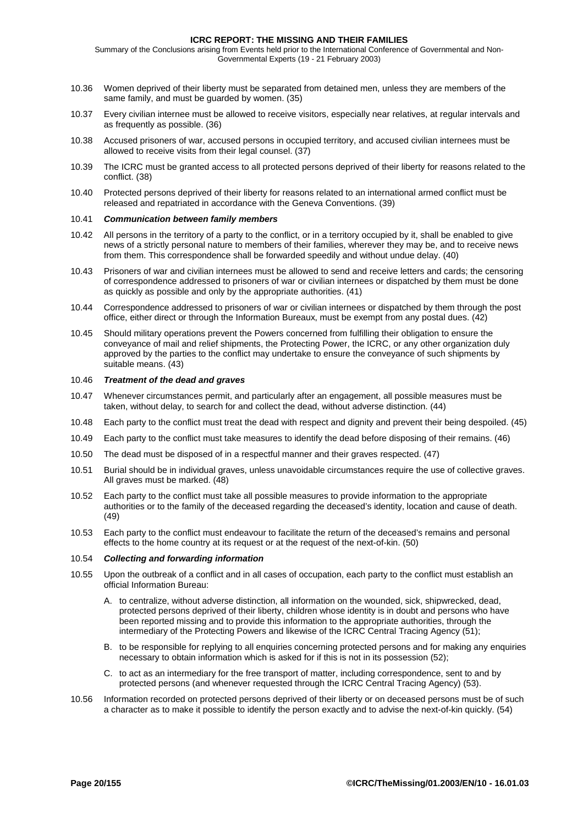<span id="page-19-0"></span>Summary of the Conclusions arising from Events held prior to the International Conference of Governmental and Non-Governmental Experts (19 - 21 February 2003)

- 10.36 Women deprived of their liberty must be separated from detained men, unless they are members of the same family, and must be guarded by women. ([35\)](#page-93-0)
- 10.37 Every civilian internee must be allowed to receive visitors, especially near relatives, at regular intervals and as frequently as possible. [\(36\)](#page-93-0)
- 10.38 Accused prisoners of war, accused persons in occupied territory, and accused civilian internees must be allowed to receive visits from their legal counsel. ([37\)](#page-93-0)
- 10.39 The ICRC must be granted access to all protected persons deprived of their liberty for reasons related to the conflict. [\(38\)](#page-93-0)
- 10.40 Protected persons deprived of their liberty for reasons related to an international armed conflict must be released and repatriated in accordance with the Geneva Conventions. [\(39\)](#page-93-0)

### 10.41 *Communication between family members*

- 10.42 All persons in the territory of a party to the conflict, or in a territory occupied by it, shall be enabled to give news of a strictly personal nature to members of their families, wherever they may be, and to receive news from them. This correspondence shall be forwarded speedily and without undue delay. [\(40\)](#page-93-0)
- 10.43 Prisoners of war and civilian internees must be allowed to send and receive letters and cards; the censoring of correspondence addressed to prisoners of war or civilian internees or dispatched by them must be done as quickly as possible and only by the appropriate authorities. ([41\)](#page-93-0)
- 10.44 Correspondence addressed to prisoners of war or civilian internees or dispatched by them through the post office, either direct or through the Information Bureaux, must be exempt from any postal dues. ([42\)](#page-93-0)
- 10.45 Should military operations prevent the Powers concerned from fulfilling their obligation to ensure the conveyance of mail and relief shipments, the Protecting Power, the ICRC, or any other organization duly approved by the parties to the conflict may undertake to ensure the conveyance of such shipments by suitable means. ([43\)](#page-93-0)

# 10.46 *Treatment of the dead and graves*

- 10.47 Whenever circumstances permit, and particularly after an engagement, all possible measures must be taken, without delay, to search for and collect the dead, without adverse distinction. ([44\)](#page-93-0)
- 10.48 Each party to the conflict must treat the dead with respect and dignity and prevent their being despoiled. ([45\)](#page-93-0)
- 10.49 Each party to the conflict must take measures to identify the dead before disposing of their remains. ([46\)](#page-93-0)
- 10.50 The dead must be disposed of in a respectful manner and their graves respected. ([47\)](#page-93-0)
- 10.51 Burial should be in individual graves, unless unavoidable circumstances require the use of collective graves. All graves must be marked. ([48\)](#page-93-0)
- 10.52 Each party to the conflict must take all possible measures to provide information to the appropriate authorities or to the family of the deceased regarding the deceased's identity, location and cause of death. ([49\)](#page-93-0)
- 10.53 Each party to the conflict must endeavour to facilitate the return of the deceased's remains and personal effects to the home country at its request or at the request of the next-of-kin. [\(50\)](#page-93-0)

#### 10.54 *Collecting and forwarding information*

- 10.55 Upon the outbreak of a conflict and in all cases of occupation, each party to the conflict must establish an official Information Bureau:
	- A. to centralize, without adverse distinction, all information on the wounded, sick, shipwrecked, dead, protected persons deprived of their liberty, children whose identity is in doubt and persons who have been reported missing and to provide this information to the appropriate authorities, through the intermediary of the Protecting Powers and likewise of the ICRC Central Tracing Agency [\(51\)](#page-93-0);
	- B. to be responsible for replying to all enquiries concerning protected persons and for making any enquiries necessary to obtain information which is asked for if this is not in its possession ([52\)](#page-93-0);
	- C. to act as an intermediary for the free transport of matter, including correspondence, sent to and by protected persons (and whenever requested through the ICRC Central Tracing Agency) ([53\)](#page-93-0).
- 10.56 Information recorded on protected persons deprived of their liberty or on deceased persons must be of such a character as to make it possible to identify the person exactly and to advise the next-of-kin quickly. [\(54\)](#page-93-0)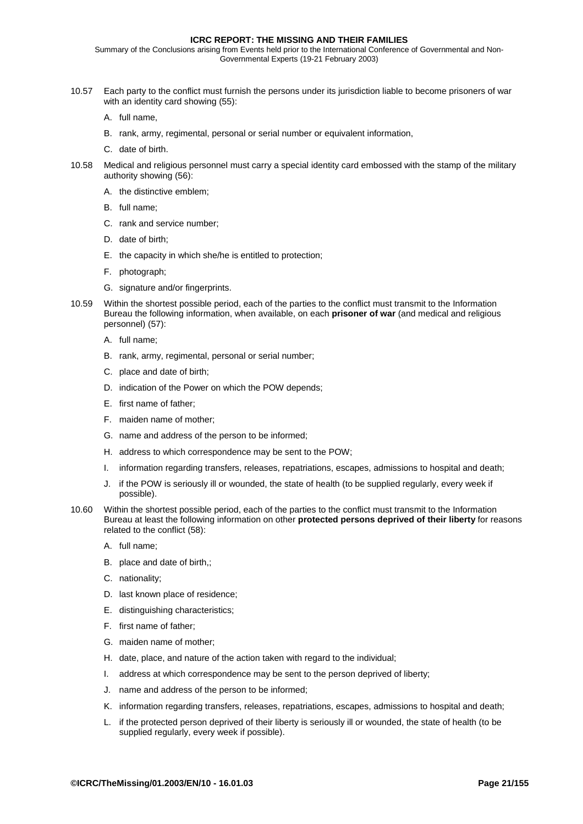Summary of the Conclusions arising from Events held prior to the International Conference of Governmental and Non-Governmental Experts (19-21 February 2003)

- 10.57 Each party to the conflict must furnish the persons under its jurisdiction liable to become prisoners of war with an identity card showing ([55\)](#page-93-0):
	- A. full name,
	- B. rank, army, regimental, personal or serial number or equivalent information,
	- C. date of birth.
- 10.58 Medical and religious personnel must carry a special identity card embossed with the stamp of the military authority showing ([56\)](#page-93-0):
	- A. the distinctive emblem;
	- B. full name;
	- C. rank and service number;
	- D. date of birth;
	- E. the capacity in which she/he is entitled to protection;
	- F. photograph;
	- G. signature and/or fingerprints.
- 10.59 Within the shortest possible period, each of the parties to the conflict must transmit to the Information Bureau the following information, when available, on each **prisoner of war** (and medical and religious personnel) ([57\)](#page-93-0):
	- A. full name;
	- B. rank, army, regimental, personal or serial number;
	- C. place and date of birth;
	- D. indication of the Power on which the POW depends;
	- E. first name of father;
	- F. maiden name of mother;
	- G. name and address of the person to be informed;
	- H. address to which correspondence may be sent to the POW;
	- I. information regarding transfers, releases, repatriations, escapes, admissions to hospital and death;
	- J. if the POW is seriously ill or wounded, the state of health (to be supplied regularly, every week if possible).
- 10.60 Within the shortest possible period, each of the parties to the conflict must transmit to the Information Bureau at least the following information on other **protected persons deprived of their liberty** for reasons related to the conflict [\(58\)](#page-93-0):
	- A. full name;
	- B. place and date of birth,;
	- C. nationality;
	- D. last known place of residence;
	- E. distinguishing characteristics;
	- F. first name of father;
	- G. maiden name of mother;
	- H. date, place, and nature of the action taken with regard to the individual;
	- I. address at which correspondence may be sent to the person deprived of liberty;
	- J. name and address of the person to be informed;
	- K. information regarding transfers, releases, repatriations, escapes, admissions to hospital and death;
	- L. if the protected person deprived of their liberty is seriously ill or wounded, the state of health (to be supplied regularly, every week if possible).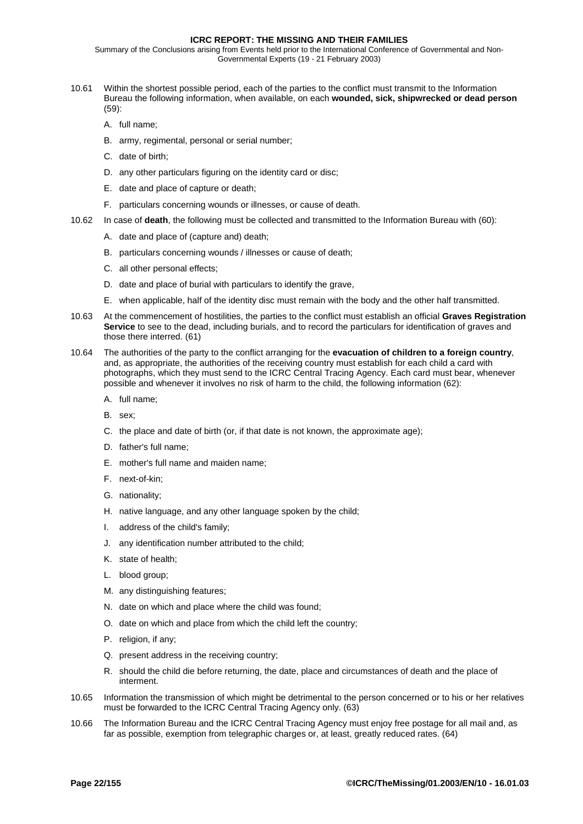<span id="page-21-0"></span>Summary of the Conclusions arising from Events held prior to the International Conference of Governmental and Non-Governmental Experts (19 - 21 February 2003)

- 10.61 Within the shortest possible period, each of the parties to the conflict must transmit to the Information Bureau the following information, when available, on each **wounded, sick, shipwrecked or dead person** ([59\)](#page-93-0):
	- A. full name;
	- B. army, regimental, personal or serial number;
	- C. date of birth;
	- D. any other particulars figuring on the identity card or disc;
	- E. date and place of capture or death;
	- F. particulars concerning wounds or illnesses, or cause of death.
- 10.62 In case of **death**, the following must be collected and transmitted to the Information Bureau with ([60\):](#page-93-0)
	- A. date and place of (capture and) death;
	- B. particulars concerning wounds / illnesses or cause of death;
	- C. all other personal effects;
	- D. date and place of burial with particulars to identify the grave,
	- E. when applicable, half of the identity disc must remain with the body and the other half transmitted.
- 10.63 At the commencement of hostilities, the parties to the conflict must establish an official **Graves Registration Service** to see to the dead, including burials, and to record the particulars for identification of graves and those there interred. [\(61\)](#page-93-0)
- 10.64 The authorities of the party to the conflict arranging for the **evacuation of children to a foreign country**, and, as appropriate, the authorities of the receiving country must establish for each child a card with photographs, which they must send to the ICRC Central Tracing Agency. Each card must bear, whenever possible and whenever it involves no risk of harm to the child, the following information ([62\):](#page-93-0)
	- A. full name;
	- B. sex;
	- C. the place and date of birth (or, if that date is not known, the approximate age);
	- D. father's full name;
	- E. mother's full name and maiden name;
	- F. next-of-kin;
	- G. nationality;
	- H. native language, and any other language spoken by the child;
	- I. address of the child's family;
	- J. any identification number attributed to the child;
	- K. state of health;
	- L. blood group;
	- M. any distinguishing features;
	- N. date on which and place where the child was found;
	- O. date on which and place from which the child left the country;
	- P. religion, if any;
	- Q. present address in the receiving country;
	- R. should the child die before returning, the date, place and circumstances of death and the place of interment.
- 10.65 Information the transmission of which might be detrimental to the person concerned or to his or her relatives must be forwarded to the ICRC Central Tracing Agency only. [\(63\)](#page-93-0)
- 10.66 The Information Bureau and the ICRC Central Tracing Agency must enjoy free postage for all mail and, as far as possible, exemption from telegraphic charges or, at least, greatly reduced rates. ([64\)](#page-93-0)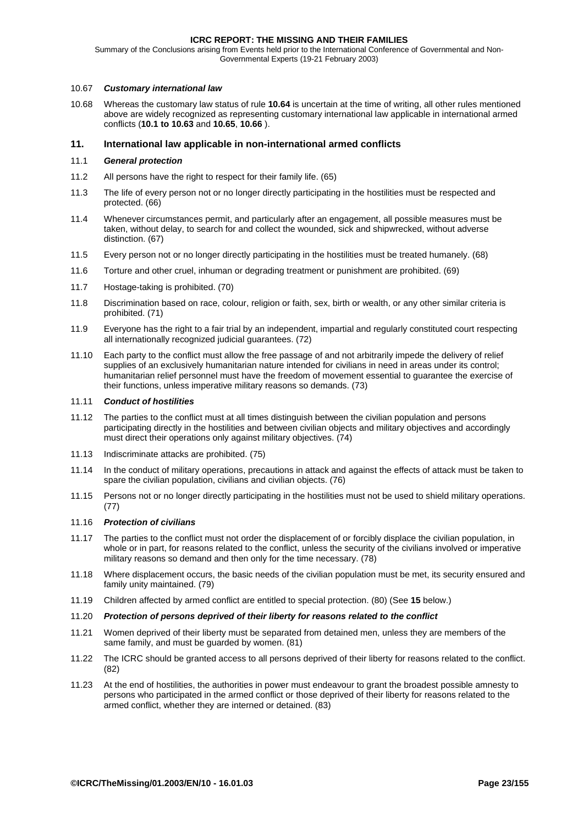<span id="page-22-0"></span>Summary of the Conclusions arising from Events held prior to the International Conference of Governmental and Non-Governmental Experts (19-21 February 2003)

### 10.67 *Customary international law*

10.68 Whereas the customary law status of rule **[10.64](#page-21-0)** is uncertain at the time of writing, all other rules mentioned above are widely recognized as representing customary international law applicable in international armed conflicts (**[10.1](#page-17-0) to [10.63](#page-21-0)** and **[10.65](#page-21-0)**, **[10.66](#page-21-0)** ).

### **11. International law applicable in non-international armed conflicts**

### 11.1 *General protection*

- 11.2 All persons have the right to respect for their family life. [\(65\)](#page-93-0)
- 11.3 The life of every person not or no longer directly participating in the hostilities must be respected and protected. ([66\)](#page-93-0)
- 11.4 Whenever circumstances permit, and particularly after an engagement, all possible measures must be taken, without delay, to search for and collect the wounded, sick and shipwrecked, without adverse distinction. [\(67\)](#page-93-0)
- 11.5 Every person not or no longer directly participating in the hostilities must be treated humanely. [\(68\)](#page-93-0)
- 11.6 Torture and other cruel, inhuman or degrading treatment or punishment are prohibited. ([69\)](#page-94-0)
- 11.7 Hostage-taking is prohibited. ([70\)](#page-94-0)
- 11.8 Discrimination based on race, colour, religion or faith, sex, birth or wealth, or any other similar criteria is prohibited. ([71\)](#page-94-0)
- 11.9 Everyone has the right to a fair trial by an independent, impartial and regularly constituted court respecting all internationally recognized judicial guarantees. [\(72\)](#page-94-0)
- 11.10 Each party to the conflict must allow the free passage of and not arbitrarily impede the delivery of relief supplies of an exclusively humanitarian nature intended for civilians in need in areas under its control; humanitarian relief personnel must have the freedom of movement essential to guarantee the exercise of their functions, unless imperative military reasons so demands. [\(73\)](#page-94-0)

### 11.11 *Conduct of hostilities*

- 11.12 The parties to the conflict must at all times distinguish between the civilian population and persons participating directly in the hostilities and between civilian objects and military objectives and accordingly must direct their operations only against military objectives. ([74\)](#page-94-0)
- 11.13 Indiscriminate attacks are prohibited. [\(75\)](#page-94-0)
- 11.14 In the conduct of military operations, precautions in attack and against the effects of attack must be taken to spare the civilian population, civilians and civilian objects. ([76\)](#page-94-0)
- 11.15 Persons not or no longer directly participating in the hostilities must not be used to shield military operations. ([77\)](#page-94-0)

### 11.16 *Protection of civilians*

- 11.17 The parties to the conflict must not order the displacement of or forcibly displace the civilian population, in whole or in part, for reasons related to the conflict, unless the security of the civilians involved or imperative military reasons so demand and then only for the time necessary. [\(78\)](#page-94-0)
- 11.18 Where displacement occurs, the basic needs of the civilian population must be met, its security ensured and family unity maintained. ([79\)](#page-94-0)
- 11.19 Children affected by armed conflict are entitled to special protection. ([80\)](#page-94-0) (See **[15](#page-25-0)** below.)
- 11.20 *Protection of persons deprived of their liberty for reasons related to the conflict*
- 11.21 Women deprived of their liberty must be separated from detained men, unless they are members of the same family, and must be guarded by women. ([81\)](#page-94-0)
- 11.22 The ICRC should be granted access to all persons deprived of their liberty for reasons related to the conflict. ([82\)](#page-94-0)
- 11.23 At the end of hostilities, the authorities in power must endeavour to grant the broadest possible amnesty to persons who participated in the armed conflict or those deprived of their liberty for reasons related to the armed conflict, whether they are interned or detained. ([83\)](#page-94-0)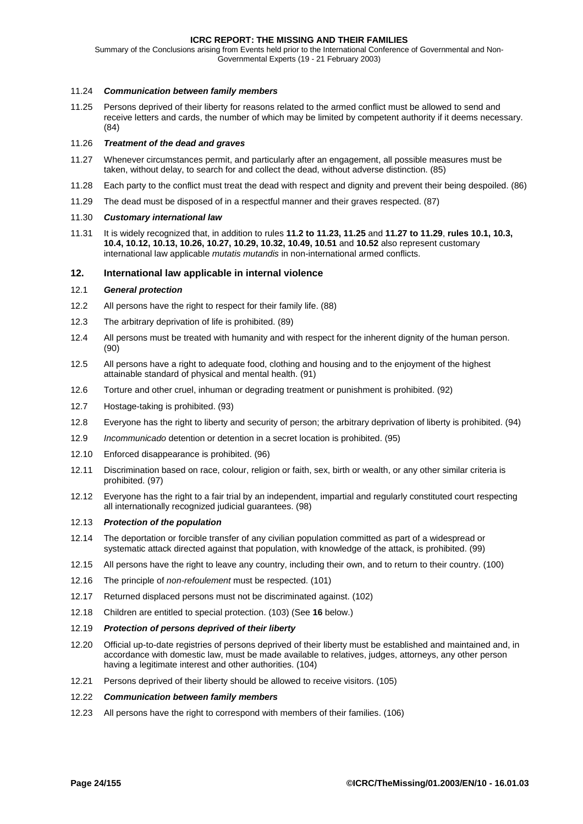<span id="page-23-0"></span>Summary of the Conclusions arising from Events held prior to the International Conference of Governmental and Non-Governmental Experts (19 - 21 February 2003)

# 11.24 *Communication between family members*

11.25 Persons deprived of their liberty for reasons related to the armed conflict must be allowed to send and receive letters and cards, the number of which may be limited by competent authority if it deems necessary. ([84\)](#page-94-0)

## 11.26 *Treatment of the dead and graves*

- 11.27 Whenever circumstances permit, and particularly after an engagement, all possible measures must be taken, without delay, to search for and collect the dead, without adverse distinction. ([85\)](#page-94-0)
- 11.28 Each party to the conflict must treat the dead with respect and dignity and prevent their being despoiled. ([86\)](#page-94-0)
- 11.29 The dead must be disposed of in a respectful manner and their graves respected. ([87\)](#page-94-0)

### 11.30 *Customary international law*

11.31 It is widely recognized that, in addition to rules **[11.2](#page-22-0) to [11.23,](#page-22-0) 11.25** and **11.27 to 11.29**, **rules [10.1, 10.3,](#page-17-0) [10.4, 10.12, 10.13,](#page-17-0) [10.26, 10.27,](#page-18-0) [10.29, 10.32,](#page-18-0) [10.49, 10.51](#page-19-0)** and **[10.52](#page-19-0)** also represent customary international law applicable *mutatis mutandis* in non-international armed conflicts.

# **12. International law applicable in internal violence**

### 12.1 *General protection*

- 12.2 All persons have the right to respect for their family life. [\(88\)](#page-94-0)
- 12.3 The arbitrary deprivation of life is prohibited. ([89\)](#page-94-0)
- 12.4 All persons must be treated with humanity and with respect for the inherent dignity of the human person. ([90\)](#page-94-0)
- 12.5 All persons have a right to adequate food, clothing and housing and to the enjoyment of the highest attainable standard of physical and mental health. ([91\)](#page-94-0)
- 12.6 Torture and other cruel, inhuman or degrading treatment or punishment is prohibited. [\(92\)](#page-94-0)
- 12.7 Hostage-taking is prohibited. ([93\)](#page-94-0)
- 12.8 Everyone has the right to liberty and security of person; the arbitrary deprivation of liberty is prohibited. ([94\)](#page-94-0)
- 12.9 *Incommunicado* detention or detention in a secret location is prohibited. ([95\)](#page-94-0)
- 12.10 Enforced disappearance is prohibited. ([96\)](#page-94-0)
- 12.11 Discrimination based on race, colour, religion or faith, sex, birth or wealth, or any other similar criteria is prohibited. ([97\)](#page-95-0)
- 12.12 Everyone has the right to a fair trial by an independent, impartial and regularly constituted court respecting all internationally recognized judicial guarantees. [\(98\)](#page-95-0)

### 12.13 *Protection of the population*

- 12.14 The deportation or forcible transfer of any civilian population committed as part of a widespread or systematic attack directed against that population, with knowledge of the attack, is prohibited. [\(99\)](#page-95-0)
- 12.15 All persons have the right to leave any country, including their own, and to return to their country. [\(100\)](#page-95-0)
- 12.16 The principle of *non-refoulement* must be respected. [\(101\)](#page-95-0)
- 12.17 Returned displaced persons must not be discriminated against. [\(102\)](#page-95-0)
- 12.18 Children are entitled to special protection. ([103\)](#page-95-0) (See **[16](#page-26-0)** below.)
- 12.19 *Protection of persons deprived of their liberty*
- 12.20 Official up-to-date registries of persons deprived of their liberty must be established and maintained and, in accordance with domestic law, must be made available to relatives, judges, attorneys, any other person having a legitimate interest and other authorities. ([104\)](#page-95-0)
- 12.21 Persons deprived of their liberty should be allowed to receive visitors. [\(105\)](#page-95-0)

### 12.22 *Communication between family members*

12.23 All persons have the right to correspond with members of their families. ([106\)](#page-95-0)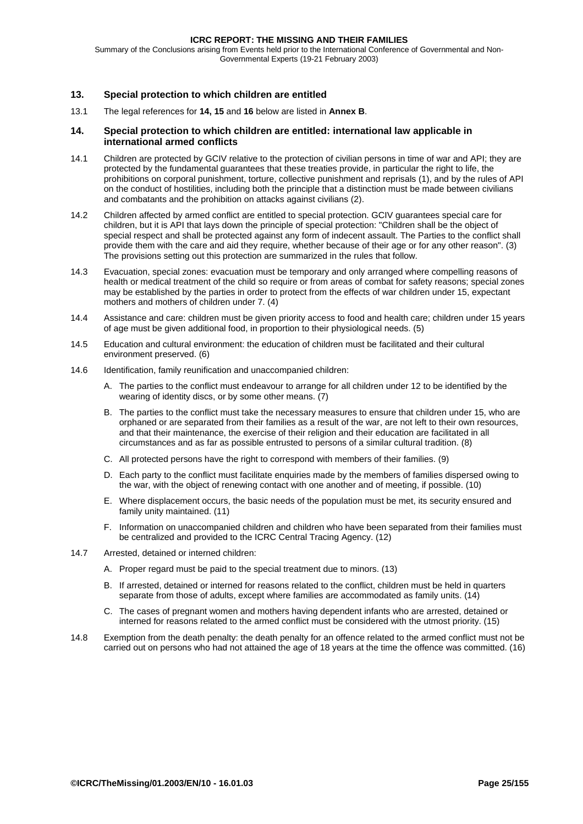<span id="page-24-0"></span>Summary of the Conclusions arising from Events held prior to the International Conference of Governmental and Non-Governmental Experts (19-21 February 2003)

# **13. Special protection to which children are entitled**

13.1 The legal references for **14, [15](#page-25-0)** and **[16](#page-26-0)** below are listed in **[Annex B](#page-98-0)**.

# **14. Special protection to which children are entitled: international law applicable in international armed conflicts**

- 14.1 Children are protected by GCIV relative to the protection of civilian persons in time of war and API; they are protected by the fundamental guarantees that these treaties provide, in particular the right to life, the prohibitions on corporal punishment, torture, collective punishment and reprisals ([1\)](#page-98-0), and by the rules of API on the conduct of hostilities, including both the principle that a distinction must be made between civilians and combatants and the prohibition on attacks against civilians ([2\)](#page-98-0).
- 14.2 Children affected by armed conflict are entitled to special protection. GCIV guarantees special care for children, but it is API that lays down the principle of special protection: "Children shall be the object of special respect and shall be protected against any form of indecent assault. The Parties to the conflict shall provide them with the care and aid they require, whether because of their age or for any other reason". ([3\)](#page-98-0) The provisions setting out this protection are summarized in the rules that follow.
- 14.3 Evacuation, special zones: evacuation must be temporary and only arranged where compelling reasons of health or medical treatment of the child so require or from areas of combat for safety reasons; special zones may be established by the parties in order to protect from the effects of war children under 15, expectant mothers and mothers of children under 7. [\(4\)](#page-98-0)
- 14.4 Assistance and care: children must be given priority access to food and health care; children under 15 years of age must be given additional food, in proportion to their physiological needs. ([5\)](#page-98-0)
- 14.5 Education and cultural environment: the education of children must be facilitated and their cultural environment preserved. [\(6\)](#page-98-0)
- 14.6 Identification, family reunification and unaccompanied children:
	- A. The parties to the conflict must endeavour to arrange for all children under 12 to be identified by the wearing of identity discs, or by some other means. ([7\)](#page-98-0)
	- B. The parties to the conflict must take the necessary measures to ensure that children under 15, who are orphaned or are separated from their families as a result of the war, are not left to their own resources, and that their maintenance, the exercise of their religion and their education are facilitated in all circumstances and as far as possible entrusted to persons of a similar cultural tradition. ([8\)](#page-98-0)
	- C. All protected persons have the right to correspond with members of their families. ([9\)](#page-98-0)
	- D. Each party to the conflict must facilitate enquiries made by the members of families dispersed owing to the war, with the object of renewing contact with one another and of meeting, if possible. ([10\)](#page-98-0)
	- E. Where displacement occurs, the basic needs of the population must be met, its security ensured and family unity maintained. [\(11\)](#page-98-0)
	- F. Information on unaccompanied children and children who have been separated from their families must be centralized and provided to the ICRC Central Tracing Agency. [\(12\)](#page-98-0)
- 14.7 Arrested, detained or interned children:
	- A. Proper regard must be paid to the special treatment due to minors. [\(13\)](#page-98-0)
	- B. If arrested, detained or interned for reasons related to the conflict, children must be held in quarters separate from those of adults, except where families are accommodated as family units. ([14\)](#page-98-0)
	- C. The cases of pregnant women and mothers having dependent infants who are arrested, detained or interned for reasons related to the armed conflict must be considered with the utmost priority. [\(15\)](#page-98-0)
- 14.8 Exemption from the death penalty: the death penalty for an offence related to the armed conflict must not be carried out on persons who had not attained the age of 18 years at the time the offence was committed. ([16\)](#page-98-0)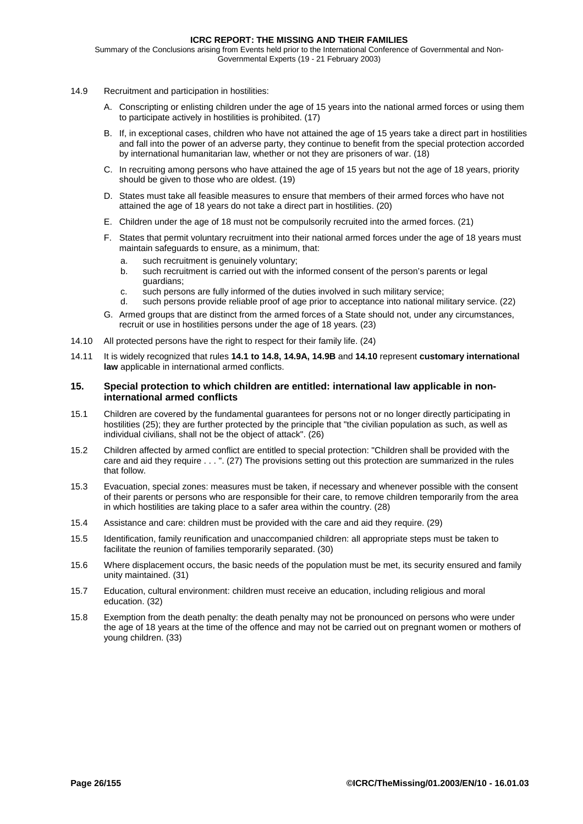<span id="page-25-0"></span>Summary of the Conclusions arising from Events held prior to the International Conference of Governmental and Non-Governmental Experts (19 - 21 February 2003)

- 14.9 Recruitment and participation in hostilities:
	- A. Conscripting or enlisting children under the age of 15 years into the national armed forces or using them to participate actively in hostilities is prohibited. ([17\)](#page-98-0)
	- B. If, in exceptional cases, children who have not attained the age of 15 years take a direct part in hostilities and fall into the power of an adverse party, they continue to benefit from the special protection accorded by international humanitarian law, whether or not they are prisoners of war. [\(18\)](#page-98-0)
	- C. In recruiting among persons who have attained the age of 15 years but not the age of 18 years, priority should be given to those who are oldest. [\(19\)](#page-98-0)
	- D. States must take all feasible measures to ensure that members of their armed forces who have not attained the age of 18 years do not take a direct part in hostilities. ([20\)](#page-98-0)
	- E. Children under the age of 18 must not be compulsorily recruited into the armed forces. [\(21\)](#page-98-0)
	- F. States that permit voluntary recruitment into their national armed forces under the age of 18 years must maintain safeguards to ensure, as a minimum, that:
		- a. such recruitment is genuinely voluntary;
		- b. such recruitment is carried out with the informed consent of the person's parents or legal guardians;
		- c. such persons are fully informed of the duties involved in such military service;
		- d. such persons provide reliable proof of age prior to acceptance into national military service. [\(22\)](#page-98-0)
	- G. Armed groups that are distinct from the armed forces of a State should not, under any circumstances, recruit or use in hostilities persons under the age of 18 years. ([23\)](#page-98-0)
- 14.10 All protected persons have the right to respect for their family life. ([24\)](#page-98-0)
- 14.11 It is widely recognized that rules **[14.1](#page-24-0) to [14.8,](#page-24-0) 14.9A, 14.9B** and **14.10** represent **customary international law** applicable in international armed conflicts.

# **15. Special protection to which children are entitled: international law applicable in noninternational armed conflicts**

- 15.1 Children are covered by the fundamental guarantees for persons not or no longer directly participating in hostilities ([25\)](#page-98-0); they are further protected by the principle that "the civilian population as such, as well as individual civilians, shall not be the object of attack". [\(26\)](#page-98-0)
- 15.2 Children affected by armed conflict are entitled to special protection: "Children shall be provided with the care and aid they require . . . ". [\(27\)](#page-98-0) The provisions setting out this protection are summarized in the rules that follow.
- 15.3 Evacuation, special zones: measures must be taken, if necessary and whenever possible with the consent of their parents or persons who are responsible for their care, to remove children temporarily from the area in which hostilities are taking place to a safer area within the country. [\(28\)](#page-98-0)
- 15.4 Assistance and care: children must be provided with the care and aid they require. ([29\)](#page-98-0)
- 15.5 Identification, family reunification and unaccompanied children: all appropriate steps must be taken to facilitate the reunion of families temporarily separated. [\(30\)](#page-98-0)
- 15.6 Where displacement occurs, the basic needs of the population must be met, its security ensured and family unity maintained. [\(31\)](#page-98-0)
- 15.7 Education, cultural environment: children must receive an education, including religious and moral education. [\(32\)](#page-98-0)
- 15.8 Exemption from the death penalty: the death penalty may not be pronounced on persons who were under the age of 18 years at the time of the offence and may not be carried out on pregnant women or mothers of young children. ([33\)](#page-98-0)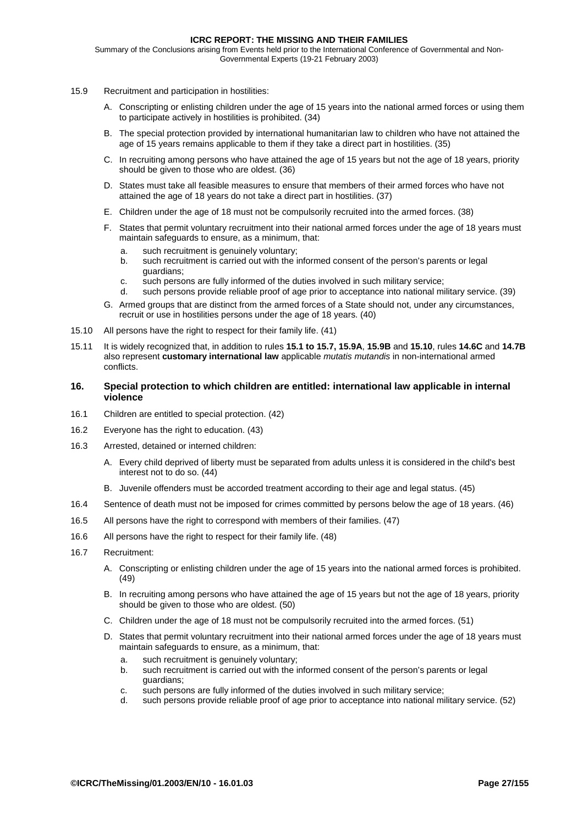<span id="page-26-0"></span>Summary of the Conclusions arising from Events held prior to the International Conference of Governmental and Non-Governmental Experts (19-21 February 2003)

- 15.9 Recruitment and participation in hostilities:
	- A. Conscripting or enlisting children under the age of 15 years into the national armed forces or using them to participate actively in hostilities is prohibited. ([34\)](#page-98-0)
	- B. The special protection provided by international humanitarian law to children who have not attained the age of 15 years remains applicable to them if they take a direct part in hostilities. ([35\)](#page-98-0)
	- C. In recruiting among persons who have attained the age of 15 years but not the age of 18 years, priority should be given to those who are oldest. [\(36\)](#page-98-0)
	- D. States must take all feasible measures to ensure that members of their armed forces who have not attained the age of 18 years do not take a direct part in hostilities. ([37\)](#page-98-0)
	- E. Children under the age of 18 must not be compulsorily recruited into the armed forces. [\(38\)](#page-98-0)
	- F. States that permit voluntary recruitment into their national armed forces under the age of 18 years must maintain safeguards to ensure, as a minimum, that:
		- a. such recruitment is genuinely voluntary;
		- b. such recruitment is carried out with the informed consent of the person's parents or legal guardians;
		- c. such persons are fully informed of the duties involved in such military service;
		- d. such persons provide reliable proof of age prior to acceptance into national military service. [\(39\)](#page-98-0)
	- G. Armed groups that are distinct from the armed forces of a State should not, under any circumstances, recruit or use in hostilities persons under the age of 18 years. ([40\)](#page-98-0)
- 15.10 All persons have the right to respect for their family life. [\(41\)](#page-98-0)
- 15.11 It is widely recognized that, in addition to rules **[15.1 t](#page-25-0)o [15.7,](#page-25-0) 15.9A**, **15.9B** and **15.10**, rules **[14.6C](#page-24-0)** and **[14.7B](#page-24-0)** also represent **customary international law** applicable *mutatis mutandis* in non-international armed conflicts.

# **16. Special protection to which children are entitled: international law applicable in internal violence**

- 16.1 Children are entitled to special protection. ([42\)](#page-98-0)
- 16.2 Everyone has the right to education. ([43\)](#page-99-0)
- 16.3 Arrested, detained or interned children:
	- A. Every child deprived of liberty must be separated from adults unless it is considered in the child's best interest not to do so. ([44\)](#page-99-0)
	- B. Juvenile offenders must be accorded treatment according to their age and legal status. ([45\)](#page-99-0)
- 16.4 Sentence of death must not be imposed for crimes committed by persons below the age of 18 years. ([46\)](#page-99-0)
- 16.5 All persons have the right to correspond with members of their families. ([47\)](#page-99-0)
- 16.6 All persons have the right to respect for their family life. [\(48\)](#page-99-0)
- 16.7 Recruitment:
	- A. Conscripting or enlisting children under the age of 15 years into the national armed forces is prohibited. ([49\)](#page-99-0)
	- B. In recruiting among persons who have attained the age of 15 years but not the age of 18 years, priority should be given to those who are oldest. [\(50\)](#page-99-0)
	- C. Children under the age of 18 must not be compulsorily recruited into the armed forces. [\(51\)](#page-99-0)
	- D. States that permit voluntary recruitment into their national armed forces under the age of 18 years must maintain safeguards to ensure, as a minimum, that:
		- a. such recruitment is genuinely voluntary;
		- b. such recruitment is carried out with the informed consent of the person's parents or legal guardians;
		- c. such persons are fully informed of the duties involved in such military service;
		- d. such persons provide reliable proof of age prior to acceptance into national military service. [\(52\)](#page-99-0)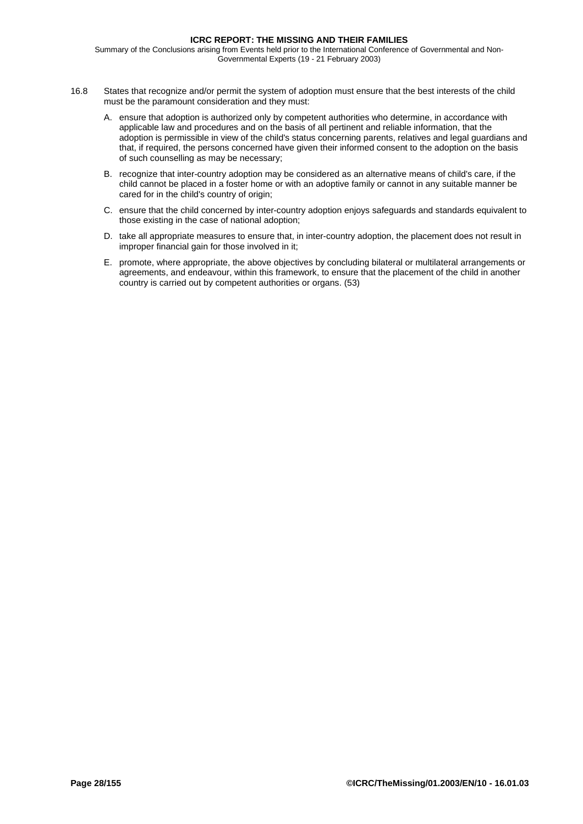Summary of the Conclusions arising from Events held prior to the International Conference of Governmental and Non-Governmental Experts (19 - 21 February 2003)

- 16.8 States that recognize and/or permit the system of adoption must ensure that the best interests of the child must be the paramount consideration and they must:
	- A. ensure that adoption is authorized only by competent authorities who determine, in accordance with applicable law and procedures and on the basis of all pertinent and reliable information, that the adoption is permissible in view of the child's status concerning parents, relatives and legal guardians and that, if required, the persons concerned have given their informed consent to the adoption on the basis of such counselling as may be necessary;
	- B. recognize that inter-country adoption may be considered as an alternative means of child's care, if the child cannot be placed in a foster home or with an adoptive family or cannot in any suitable manner be cared for in the child's country of origin;
	- C. ensure that the child concerned by inter-country adoption enjoys safeguards and standards equivalent to those existing in the case of national adoption;
	- D. take all appropriate measures to ensure that, in inter-country adoption, the placement does not result in improper financial gain for those involved in it;
	- E. promote, where appropriate, the above objectives by concluding bilateral or multilateral arrangements or agreements, and endeavour, within this framework, to ensure that the placement of the child in another country is carried out by competent authorities or organs. ([53\)](#page-99-0)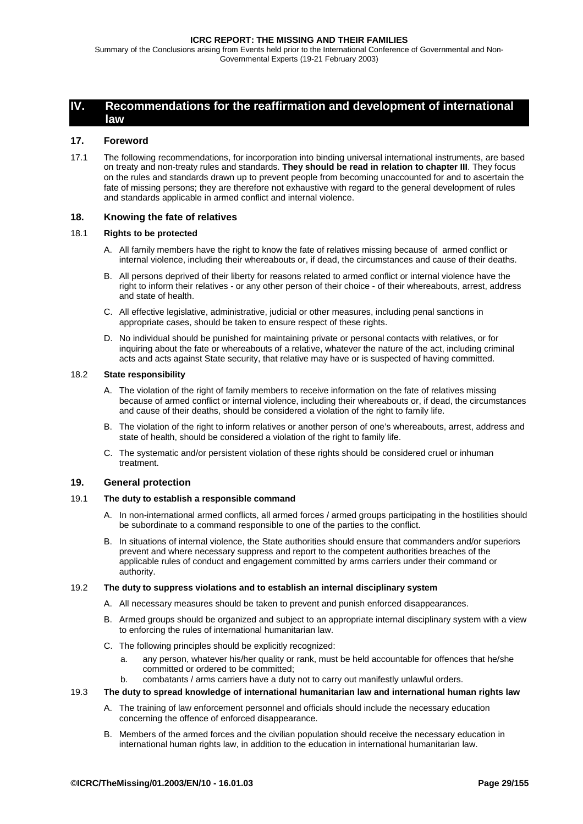<span id="page-28-0"></span>Summary of the Conclusions arising from Events held prior to the International Conference of Governmental and Non-Governmental Experts (19-21 February 2003)

# **IV. Recommendations for the reaffirmation and development of international law**

## **17. Foreword**

17.1 The following recommendations, for incorporation into binding universal international instruments, are based on treaty and non-treaty rules and standards. **They should be read in relation to chapter III**. They focus on the rules and standards drawn up to prevent people from becoming unaccounted for and to ascertain the fate of missing persons; they are therefore not exhaustive with regard to the general development of rules and standards applicable in armed conflict and internal violence.

### **18. Knowing the fate of relatives**

### 18.1 **Rights to be protected**

- A. All family members have the right to know the fate of relatives missing because of armed conflict or internal violence, including their whereabouts or, if dead, the circumstances and cause of their deaths.
- B. All persons deprived of their liberty for reasons related to armed conflict or internal violence have the right to inform their relatives - or any other person of their choice - of their whereabouts, arrest, address and state of health.
- C. All effective legislative, administrative, judicial or other measures, including penal sanctions in appropriate cases, should be taken to ensure respect of these rights.
- D. No individual should be punished for maintaining private or personal contacts with relatives, or for inquiring about the fate or whereabouts of a relative, whatever the nature of the act, including criminal acts and acts against State security, that relative may have or is suspected of having committed.

# 18.2 **State responsibility**

- A. The violation of the right of family members to receive information on the fate of relatives missing because of armed conflict or internal violence, including their whereabouts or, if dead, the circumstances and cause of their deaths, should be considered a violation of the right to family life.
- B. The violation of the right to inform relatives or another person of one's whereabouts, arrest, address and state of health, should be considered a violation of the right to family life.
- C. The systematic and/or persistent violation of these rights should be considered cruel or inhuman treatment.

## **19. General protection**

# 19.1 **The duty to establish a responsible command**

- A. In non-international armed conflicts, all armed forces / armed groups participating in the hostilities should be subordinate to a command responsible to one of the parties to the conflict.
- B. In situations of internal violence, the State authorities should ensure that commanders and/or superiors prevent and where necessary suppress and report to the competent authorities breaches of the applicable rules of conduct and engagement committed by arms carriers under their command or authority.

### 19.2 **The duty to suppress violations and to establish an internal disciplinary system**

- A. All necessary measures should be taken to prevent and punish enforced disappearances.
- B. Armed groups should be organized and subject to an appropriate internal disciplinary system with a view to enforcing the rules of international humanitarian law.
- C. The following principles should be explicitly recognized:
	- a. any person, whatever his/her quality or rank, must be held accountable for offences that he/she committed or ordered to be committed;
	- b. combatants / arms carriers have a duty not to carry out manifestly unlawful orders.

### 19.3 **The duty to spread knowledge of international humanitarian law and international human rights law**

- A. The training of law enforcement personnel and officials should include the necessary education concerning the offence of enforced disappearance.
- B. Members of the armed forces and the civilian population should receive the necessary education in international human rights law, in addition to the education in international humanitarian law.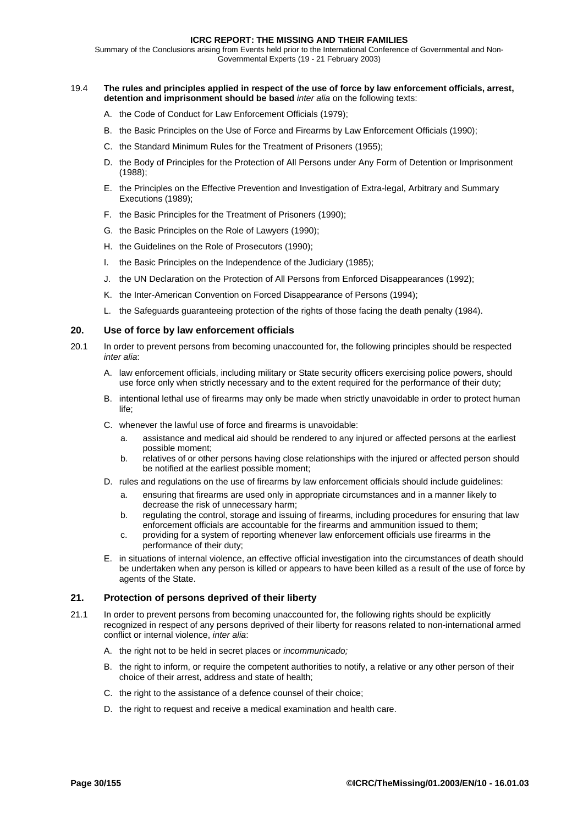<span id="page-29-0"></span>Summary of the Conclusions arising from Events held prior to the International Conference of Governmental and Non-Governmental Experts (19 - 21 February 2003)

## 19.4 **The rules and principles applied in respect of the use of force by law enforcement officials, arrest, detention and imprisonment should be based** *inter alia* on the following texts:

- A. the Code of Conduct for Law Enforcement Officials (1979);
- B. the Basic Principles on the Use of Force and Firearms by Law Enforcement Officials (1990);
- C. the Standard Minimum Rules for the Treatment of Prisoners (1955);
- D. the Body of Principles for the Protection of All Persons under Any Form of Detention or Imprisonment (1988);
- E. the Principles on the Effective Prevention and Investigation of Extra-legal, Arbitrary and Summary Executions (1989);
- F. the Basic Principles for the Treatment of Prisoners (1990);
- G. the Basic Principles on the Role of Lawyers (1990);
- H. the Guidelines on the Role of Prosecutors (1990);
- I. the Basic Principles on the Independence of the Judiciary (1985);
- J. the UN Declaration on the Protection of All Persons from Enforced Disappearances (1992);
- K. the Inter-American Convention on Forced Disappearance of Persons (1994);
- L. the Safeguards guaranteeing protection of the rights of those facing the death penalty (1984).

# **20. Use of force by law enforcement officials**

- 20.1 In order to prevent persons from becoming unaccounted for, the following principles should be respected *inter alia*:
	- A. law enforcement officials, including military or State security officers exercising police powers, should use force only when strictly necessary and to the extent required for the performance of their duty;
	- B. intentional lethal use of firearms may only be made when strictly unavoidable in order to protect human life;
	- C. whenever the lawful use of force and firearms is unavoidable:
		- a. assistance and medical aid should be rendered to any injured or affected persons at the earliest possible moment;
		- b. relatives of or other persons having close relationships with the injured or affected person should be notified at the earliest possible moment;
	- D. rules and regulations on the use of firearms by law enforcement officials should include guidelines:
		- a. ensuring that firearms are used only in appropriate circumstances and in a manner likely to decrease the risk of unnecessary harm;
		- b. regulating the control, storage and issuing of firearms, including procedures for ensuring that law enforcement officials are accountable for the firearms and ammunition issued to them;
		- c. providing for a system of reporting whenever law enforcement officials use firearms in the performance of their duty;
	- E. in situations of internal violence, an effective official investigation into the circumstances of death should be undertaken when any person is killed or appears to have been killed as a result of the use of force by agents of the State.

# **21. Protection of persons deprived of their liberty**

- 21.1 In order to prevent persons from becoming unaccounted for, the following rights should be explicitly recognized in respect of any persons deprived of their liberty for reasons related to non-international armed conflict or internal violence, *inter alia*:
	- A. the right not to be held in secret places or *incommunicado;*
	- B. the right to inform, or require the competent authorities to notify, a relative or any other person of their choice of their arrest, address and state of health;
	- C. the right to the assistance of a defence counsel of their choice;
	- D. the right to request and receive a medical examination and health care.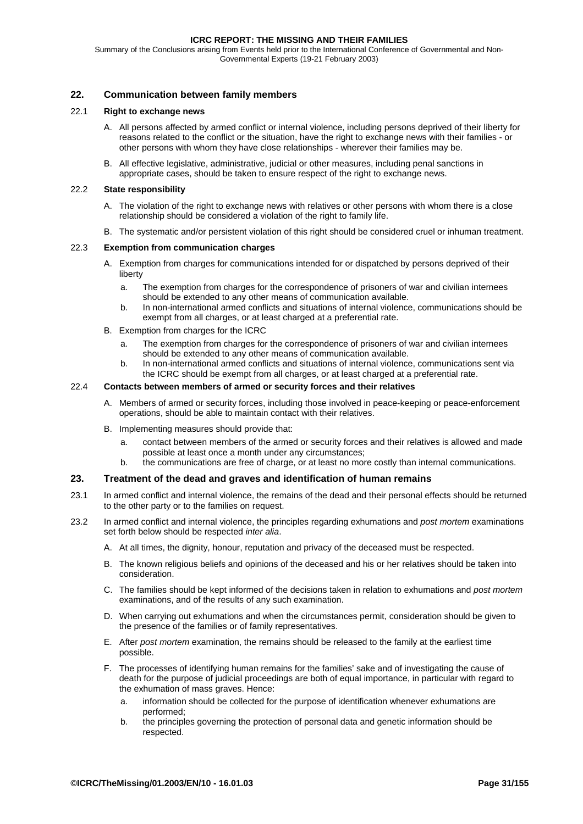<span id="page-30-0"></span>Summary of the Conclusions arising from Events held prior to the International Conference of Governmental and Non-Governmental Experts (19-21 February 2003)

# **22. Communication between family members**

### 22.1 **Right to exchange news**

- A. All persons affected by armed conflict or internal violence, including persons deprived of their liberty for reasons related to the conflict or the situation, have the right to exchange news with their families - or other persons with whom they have close relationships - wherever their families may be.
- B. All effective legislative, administrative, judicial or other measures, including penal sanctions in appropriate cases, should be taken to ensure respect of the right to exchange news.

#### 22.2 **State responsibility**

- A. The violation of the right to exchange news with relatives or other persons with whom there is a close relationship should be considered a violation of the right to family life.
- B. The systematic and/or persistent violation of this right should be considered cruel or inhuman treatment.

### 22.3 **Exemption from communication charges**

- A. Exemption from charges for communications intended for or dispatched by persons deprived of their liberty
	- a. The exemption from charges for the correspondence of prisoners of war and civilian internees should be extended to any other means of communication available.
	- b. In non-international armed conflicts and situations of internal violence, communications should be exempt from all charges, or at least charged at a preferential rate.
- B. Exemption from charges for the ICRC
	- a. The exemption from charges for the correspondence of prisoners of war and civilian internees should be extended to any other means of communication available.
	- b. In non-international armed conflicts and situations of internal violence, communications sent via the ICRC should be exempt from all charges, or at least charged at a preferential rate.

#### 22.4 **Contacts between members of armed or security forces and their relatives**

- A. Members of armed or security forces, including those involved in peace-keeping or peace-enforcement operations, should be able to maintain contact with their relatives.
- B. Implementing measures should provide that:
	- a. contact between members of the armed or security forces and their relatives is allowed and made possible at least once a month under any circumstances;
	- b. the communications are free of charge, or at least no more costly than internal communications.

# **23. Treatment of the dead and graves and identification of human remains**

- 23.1 In armed conflict and internal violence, the remains of the dead and their personal effects should be returned to the other party or to the families on request.
- 23.2 In armed conflict and internal violence, the principles regarding exhumations and *post mortem* examinations set forth below should be respected *inter alia*.
	- A. At all times, the dignity, honour, reputation and privacy of the deceased must be respected.
	- B. The known religious beliefs and opinions of the deceased and his or her relatives should be taken into consideration.
	- C. The families should be kept informed of the decisions taken in relation to exhumations and *post mortem* examinations, and of the results of any such examination.
	- D. When carrying out exhumations and when the circumstances permit, consideration should be given to the presence of the families or of family representatives.
	- E. After *post mortem* examination, the remains should be released to the family at the earliest time possible.
	- F. The processes of identifying human remains for the families' sake and of investigating the cause of death for the purpose of judicial proceedings are both of equal importance, in particular with regard to the exhumation of mass graves. Hence:
		- a. information should be collected for the purpose of identification whenever exhumations are performed;
		- b. the principles governing the protection of personal data and genetic information should be respected.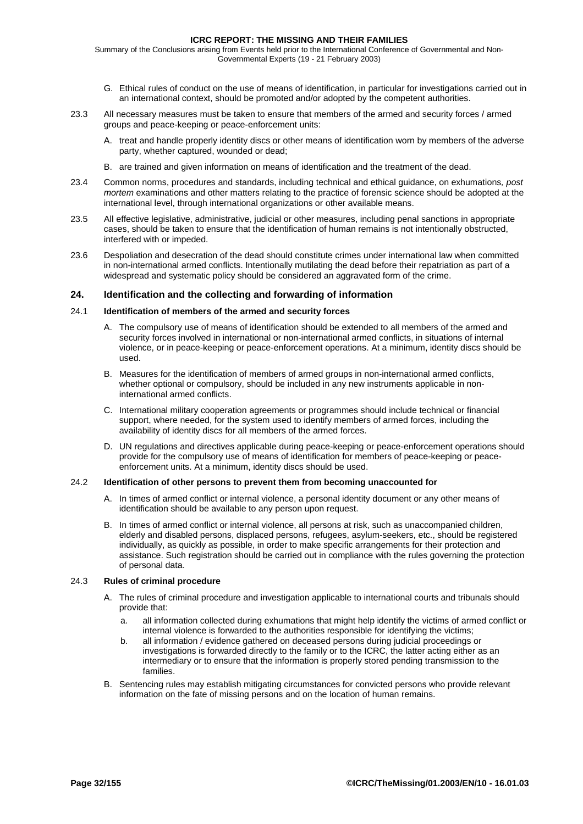<span id="page-31-0"></span>Summary of the Conclusions arising from Events held prior to the International Conference of Governmental and Non-Governmental Experts (19 - 21 February 2003)

- G. Ethical rules of conduct on the use of means of identification, in particular for investigations carried out in an international context, should be promoted and/or adopted by the competent authorities.
- 23.3 All necessary measures must be taken to ensure that members of the armed and security forces / armed groups and peace-keeping or peace-enforcement units:
	- A. treat and handle properly identity discs or other means of identification worn by members of the adverse party, whether captured, wounded or dead;
	- B. are trained and given information on means of identification and the treatment of the dead.
- 23.4 Common norms, procedures and standards, including technical and ethical guidance, on exhumations*, post mortem* examinations and other matters relating to the practice of forensic science should be adopted at the international level, through international organizations or other available means.
- 23.5 All effective legislative, administrative, judicial or other measures, including penal sanctions in appropriate cases, should be taken to ensure that the identification of human remains is not intentionally obstructed, interfered with or impeded.
- 23.6 Despoliation and desecration of the dead should constitute crimes under international law when committed in non-international armed conflicts. Intentionally mutilating the dead before their repatriation as part of a widespread and systematic policy should be considered an aggravated form of the crime.

# **24. Identification and the collecting and forwarding of information**

### 24.1 **Identification of members of the armed and security forces**

- A. The compulsory use of means of identification should be extended to all members of the armed and security forces involved in international or non-international armed conflicts, in situations of internal violence, or in peace-keeping or peace-enforcement operations. At a minimum, identity discs should be used.
- B. Measures for the identification of members of armed groups in non-international armed conflicts, whether optional or compulsory, should be included in any new instruments applicable in noninternational armed conflicts.
- C. International military cooperation agreements or programmes should include technical or financial support, where needed, for the system used to identify members of armed forces, including the availability of identity discs for all members of the armed forces.
- D. UN regulations and directives applicable during peace-keeping or peace-enforcement operations should provide for the compulsory use of means of identification for members of peace-keeping or peaceenforcement units. At a minimum, identity discs should be used.

# 24.2 **Identification of other persons to prevent them from becoming unaccounted for**

- A. In times of armed conflict or internal violence, a personal identity document or any other means of identification should be available to any person upon request.
- B. In times of armed conflict or internal violence, all persons at risk, such as unaccompanied children, elderly and disabled persons, displaced persons, refugees, asylum-seekers, etc., should be registered individually, as quickly as possible, in order to make specific arrangements for their protection and assistance. Such registration should be carried out in compliance with the rules governing the protection of personal data.

### 24.3 **Rules of criminal procedure**

- A. The rules of criminal procedure and investigation applicable to international courts and tribunals should provide that:
	- a. all information collected during exhumations that might help identify the victims of armed conflict or internal violence is forwarded to the authorities responsible for identifying the victims;
	- b. all information / evidence gathered on deceased persons during judicial proceedings or investigations is forwarded directly to the family or to the ICRC, the latter acting either as an intermediary or to ensure that the information is properly stored pending transmission to the families.
- B. Sentencing rules may establish mitigating circumstances for convicted persons who provide relevant information on the fate of missing persons and on the location of human remains.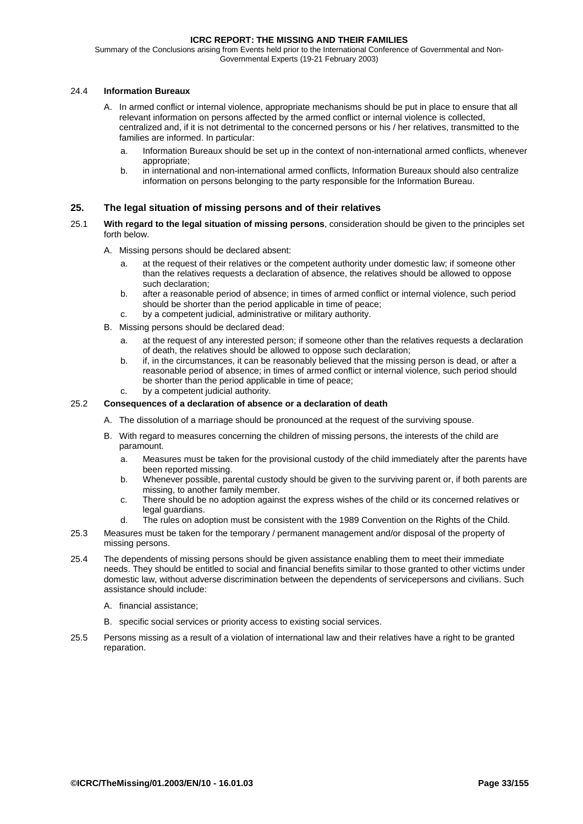<span id="page-32-0"></span>Summary of the Conclusions arising from Events held prior to the International Conference of Governmental and Non-Governmental Experts (19-21 February 2003)

# 24.4 **Information Bureaux**

- A. In armed conflict or internal violence, appropriate mechanisms should be put in place to ensure that all relevant information on persons affected by the armed conflict or internal violence is collected, centralized and, if it is not detrimental to the concerned persons or his / her relatives, transmitted to the families are informed. In particular:
	- a. Information Bureaux should be set up in the context of non-international armed conflicts, whenever appropriate;
	- b. in international and non-international armed conflicts, Information Bureaux should also centralize information on persons belonging to the party responsible for the Information Bureau.

# **25. The legal situation of missing persons and of their relatives**

- 25.1 **With regard to the legal situation of missing persons**, consideration should be given to the principles set forth below.
	- A. Missing persons should be declared absent:
		- a. at the request of their relatives or the competent authority under domestic law; if someone other than the relatives requests a declaration of absence, the relatives should be allowed to oppose such declaration;
		- b. after a reasonable period of absence; in times of armed conflict or internal violence, such period should be shorter than the period applicable in time of peace;
		- c. by a competent judicial, administrative or military authority.
	- B. Missing persons should be declared dead:
		- a. at the request of any interested person; if someone other than the relatives requests a declaration of death, the relatives should be allowed to oppose such declaration;
		- b. if, in the circumstances, it can be reasonably believed that the missing person is dead, or after a reasonable period of absence; in times of armed conflict or internal violence, such period should be shorter than the period applicable in time of peace;
		- c. by a competent judicial authority.

### 25.2 **Consequences of a declaration of absence or a declaration of death**

- A. The dissolution of a marriage should be pronounced at the request of the surviving spouse.
- B. With regard to measures concerning the children of missing persons, the interests of the child are paramount.
	- a. Measures must be taken for the provisional custody of the child immediately after the parents have been reported missing.
	- b. Whenever possible, parental custody should be given to the surviving parent or, if both parents are missing, to another family member.
	- c. There should be no adoption against the express wishes of the child or its concerned relatives or legal guardians.
	- d. The rules on adoption must be consistent with the 1989 Convention on the Rights of the Child.
- 25.3 Measures must be taken for the temporary / permanent management and/or disposal of the property of missing persons.
- 25.4 The dependents of missing persons should be given assistance enabling them to meet their immediate needs. They should be entitled to social and financial benefits similar to those granted to other victims under domestic law, without adverse discrimination between the dependents of servicepersons and civilians. Such assistance should include:
	- A. financial assistance;
	- B. specific social services or priority access to existing social services.
- 25.5 Persons missing as a result of a violation of international law and their relatives have a right to be granted reparation.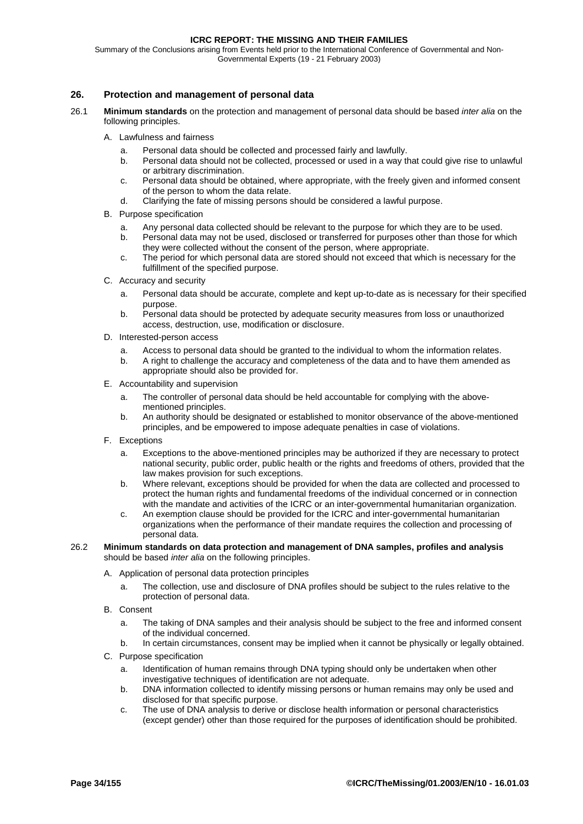<span id="page-33-0"></span>Summary of the Conclusions arising from Events held prior to the International Conference of Governmental and Non-Governmental Experts (19 - 21 February 2003)

# **26. Protection and management of personal data**

- 26.1 **Minimum standards** on the protection and management of personal data should be based *inter alia* on the following principles.
	- A. Lawfulness and fairness
		- a. Personal data should be collected and processed fairly and lawfully.
		- b. Personal data should not be collected, processed or used in a way that could give rise to unlawful or arbitrary discrimination.
		- c. Personal data should be obtained, where appropriate, with the freely given and informed consent of the person to whom the data relate.
		- d. Clarifying the fate of missing persons should be considered a lawful purpose.
	- B. Purpose specification
		- a. Any personal data collected should be relevant to the purpose for which they are to be used.
		- b. Personal data may not be used, disclosed or transferred for purposes other than those for which they were collected without the consent of the person, where appropriate.
		- c. The period for which personal data are stored should not exceed that which is necessary for the fulfillment of the specified purpose.
	- C. Accuracy and security
		- a. Personal data should be accurate, complete and kept up-to-date as is necessary for their specified purpose.
		- b. Personal data should be protected by adequate security measures from loss or unauthorized access, destruction, use, modification or disclosure.
	- D. Interested-person access
		- a. Access to personal data should be granted to the individual to whom the information relates.
		- b. A right to challenge the accuracy and completeness of the data and to have them amended as appropriate should also be provided for.
	- E. Accountability and supervision
		- a. The controller of personal data should be held accountable for complying with the abovementioned principles.
		- b. An authority should be designated or established to monitor observance of the above-mentioned principles, and be empowered to impose adequate penalties in case of violations.
	- F. Exceptions
		- a. Exceptions to the above-mentioned principles may be authorized if they are necessary to protect national security, public order, public health or the rights and freedoms of others, provided that the law makes provision for such exceptions.
		- b. Where relevant, exceptions should be provided for when the data are collected and processed to protect the human rights and fundamental freedoms of the individual concerned or in connection with the mandate and activities of the ICRC or an inter-governmental humanitarian organization.
		- c. An exemption clause should be provided for the ICRC and inter-governmental humanitarian organizations when the performance of their mandate requires the collection and processing of personal data.
- 26.2 **Minimum standards on data protection and management of DNA samples, profiles and analysis** should be based *inter alia* on the following principles.
	- A. Application of personal data protection principles
		- a. The collection, use and disclosure of DNA profiles should be subject to the rules relative to the protection of personal data.
	- B. Consent
		- a. The taking of DNA samples and their analysis should be subject to the free and informed consent of the individual concerned.
		- b. In certain circumstances, consent may be implied when it cannot be physically or legally obtained.
	- C. Purpose specification
		- a. Identification of human remains through DNA typing should only be undertaken when other investigative techniques of identification are not adequate.
		- b. DNA information collected to identify missing persons or human remains may only be used and disclosed for that specific purpose.
		- c. The use of DNA analysis to derive or disclose health information or personal characteristics (except gender) other than those required for the purposes of identification should be prohibited.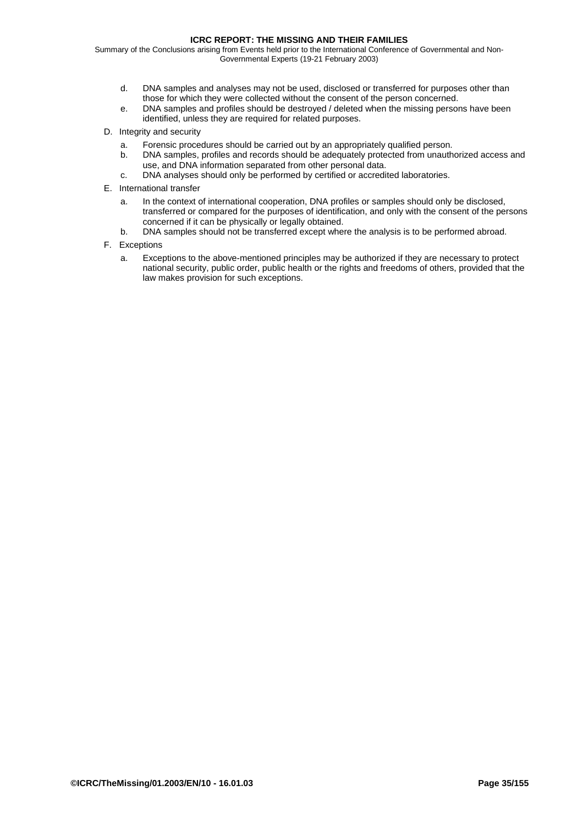Summary of the Conclusions arising from Events held prior to the International Conference of Governmental and Non-Governmental Experts (19-21 February 2003)

- d. DNA samples and analyses may not be used, disclosed or transferred for purposes other than those for which they were collected without the consent of the person concerned.
- e. DNA samples and profiles should be destroyed / deleted when the missing persons have been identified, unless they are required for related purposes.
- D. Integrity and security
	- a. Forensic procedures should be carried out by an appropriately qualified person.
	- DNA samples, profiles and records should be adequately protected from unauthorized access and use, and DNA information separated from other personal data.
	- c. DNA analyses should only be performed by certified or accredited laboratories.
- E. International transfer
	- a. In the context of international cooperation, DNA profiles or samples should only be disclosed, transferred or compared for the purposes of identification, and only with the consent of the persons concerned if it can be physically or legally obtained.
	- b. DNA samples should not be transferred except where the analysis is to be performed abroad.
- F. Exceptions
	- a. Exceptions to the above-mentioned principles may be authorized if they are necessary to protect national security, public order, public health or the rights and freedoms of others, provided that the law makes provision for such exceptions.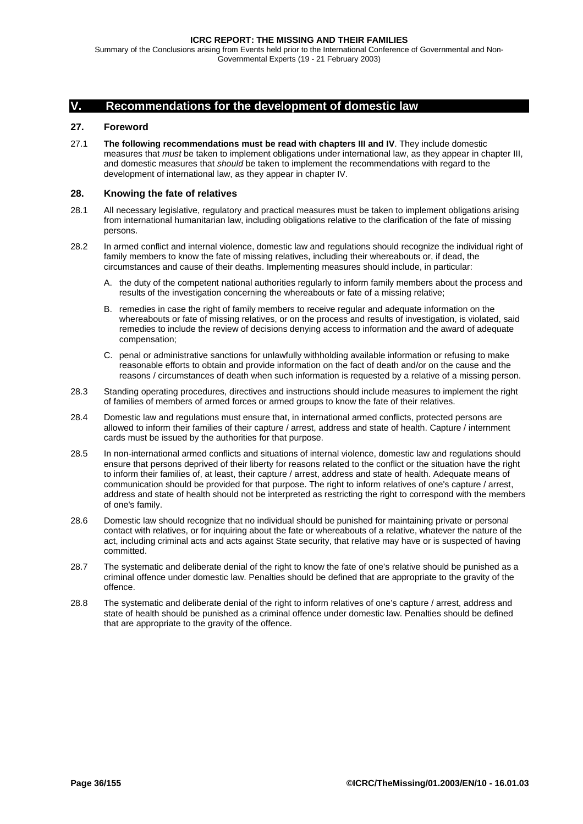<span id="page-35-0"></span>Summary of the Conclusions arising from Events held prior to the International Conference of Governmental and Non-Governmental Experts (19 - 21 February 2003)

# **V. Recommendations for the development of domestic law**

# **27. Foreword**

27.1 **The following recommendations must be read with chapters III and IV**. They include domestic measures that *must* be taken to implement obligations under international law, as they appear in chapter III, and domestic measures that *should* be taken to implement the recommendations with regard to the development of international law, as they appear in chapter IV.

## **28. Knowing the fate of relatives**

- 28.1 All necessary legislative, regulatory and practical measures must be taken to implement obligations arising from international humanitarian law, including obligations relative to the clarification of the fate of missing persons.
- 28.2 In armed conflict and internal violence, domestic law and regulations should recognize the individual right of family members to know the fate of missing relatives, including their whereabouts or, if dead, the circumstances and cause of their deaths. Implementing measures should include, in particular:
	- A. the duty of the competent national authorities regularly to inform family members about the process and results of the investigation concerning the whereabouts or fate of a missing relative;
	- B. remedies in case the right of family members to receive regular and adequate information on the whereabouts or fate of missing relatives, or on the process and results of investigation, is violated, said remedies to include the review of decisions denying access to information and the award of adequate compensation;
	- C. penal or administrative sanctions for unlawfully withholding available information or refusing to make reasonable efforts to obtain and provide information on the fact of death and/or on the cause and the reasons / circumstances of death when such information is requested by a relative of a missing person.
- 28.3 Standing operating procedures, directives and instructions should include measures to implement the right of families of members of armed forces or armed groups to know the fate of their relatives.
- 28.4 Domestic law and regulations must ensure that, in international armed conflicts, protected persons are allowed to inform their families of their capture / arrest, address and state of health. Capture / internment cards must be issued by the authorities for that purpose.
- 28.5 In non-international armed conflicts and situations of internal violence, domestic law and regulations should ensure that persons deprived of their liberty for reasons related to the conflict or the situation have the right to inform their families of, at least, their capture / arrest, address and state of health. Adequate means of communication should be provided for that purpose. The right to inform relatives of one's capture / arrest, address and state of health should not be interpreted as restricting the right to correspond with the members of one's family.
- 28.6 Domestic law should recognize that no individual should be punished for maintaining private or personal contact with relatives, or for inquiring about the fate or whereabouts of a relative, whatever the nature of the act, including criminal acts and acts against State security, that relative may have or is suspected of having committed.
- 28.7 The systematic and deliberate denial of the right to know the fate of one's relative should be punished as a criminal offence under domestic law. Penalties should be defined that are appropriate to the gravity of the offence.
- 28.8 The systematic and deliberate denial of the right to inform relatives of one's capture / arrest, address and state of health should be punished as a criminal offence under domestic law. Penalties should be defined that are appropriate to the gravity of the offence.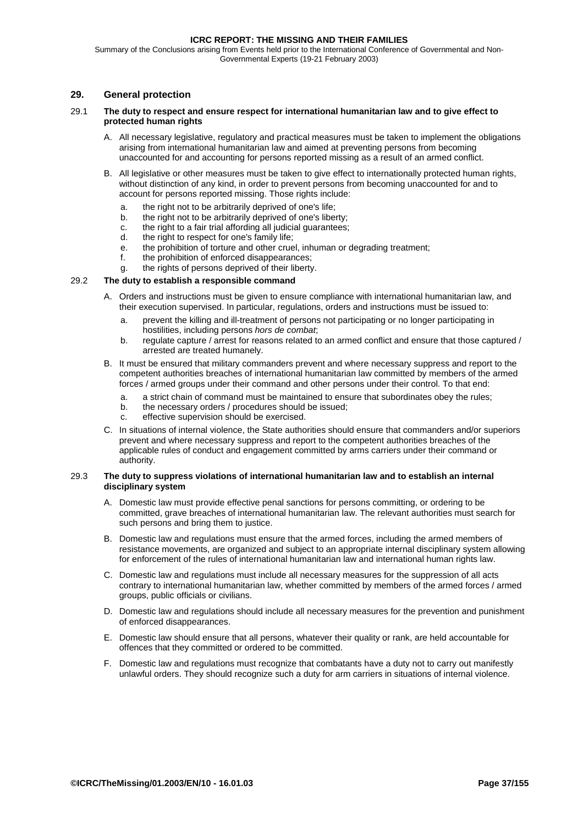<span id="page-36-0"></span>Summary of the Conclusions arising from Events held prior to the International Conference of Governmental and Non-Governmental Experts (19-21 February 2003)

# **29. General protection**

#### 29.1 **The duty to respect and ensure respect for international humanitarian law and to give effect to protected human rights**

- A. All necessary legislative, regulatory and practical measures must be taken to implement the obligations arising from international humanitarian law and aimed at preventing persons from becoming unaccounted for and accounting for persons reported missing as a result of an armed conflict.
- B. All legislative or other measures must be taken to give effect to internationally protected human rights, without distinction of any kind, in order to prevent persons from becoming unaccounted for and to account for persons reported missing. Those rights include:
	- a. the right not to be arbitrarily deprived of one's life;
	- b. the right not to be arbitrarily deprived of one's liberty;
	- c. the right to a fair trial affording all judicial guarantees;
	- d. the right to respect for one's family life;
	- e. the prohibition of torture and other cruel, inhuman or degrading treatment;
	- f. the prohibition of enforced disappearances;
	- g. the rights of persons deprived of their liberty.

### 29.2 **The duty to establish a responsible command**

- A. Orders and instructions must be given to ensure compliance with international humanitarian law, and their execution supervised. In particular, regulations, orders and instructions must be issued to:
	- a. prevent the killing and ill-treatment of persons not participating or no longer participating in hostilities, including persons *hors de combat*;
	- b. regulate capture / arrest for reasons related to an armed conflict and ensure that those captured / arrested are treated humanely.
- B. It must be ensured that military commanders prevent and where necessary suppress and report to the competent authorities breaches of international humanitarian law committed by members of the armed forces / armed groups under their command and other persons under their control. To that end:
	- a. a strict chain of command must be maintained to ensure that subordinates obey the rules;
	- b. the necessary orders / procedures should be issued;
	- c. effective supervision should be exercised.
- C. In situations of internal violence, the State authorities should ensure that commanders and/or superiors prevent and where necessary suppress and report to the competent authorities breaches of the applicable rules of conduct and engagement committed by arms carriers under their command or authority.

## 29.3 **The duty to suppress violations of international humanitarian law and to establish an internal disciplinary system**

- A. Domestic law must provide effective penal sanctions for persons committing, or ordering to be committed, grave breaches of international humanitarian law. The relevant authorities must search for such persons and bring them to justice.
- B. Domestic law and regulations must ensure that the armed forces, including the armed members of resistance movements, are organized and subject to an appropriate internal disciplinary system allowing for enforcement of the rules of international humanitarian law and international human rights law.
- C. Domestic law and regulations must include all necessary measures for the suppression of all acts contrary to international humanitarian law, whether committed by members of the armed forces / armed groups, public officials or civilians.
- D. Domestic law and regulations should include all necessary measures for the prevention and punishment of enforced disappearances.
- E. Domestic law should ensure that all persons, whatever their quality or rank, are held accountable for offences that they committed or ordered to be committed.
- F. Domestic law and regulations must recognize that combatants have a duty not to carry out manifestly unlawful orders. They should recognize such a duty for arm carriers in situations of internal violence.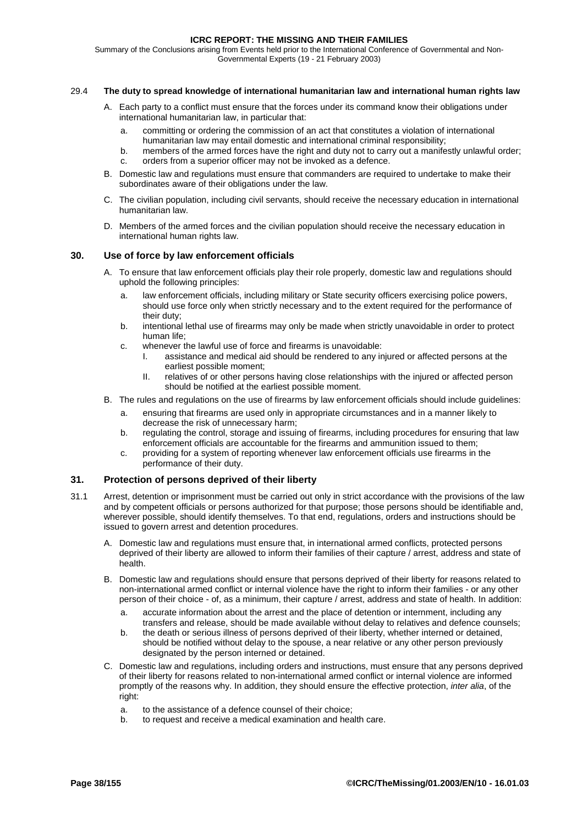<span id="page-37-0"></span>Summary of the Conclusions arising from Events held prior to the International Conference of Governmental and Non-Governmental Experts (19 - 21 February 2003)

## 29.4 **The duty to spread knowledge of international humanitarian law and international human rights law**

- A. Each party to a conflict must ensure that the forces under its command know their obligations under international humanitarian law, in particular that:
	- a. committing or ordering the commission of an act that constitutes a violation of international humanitarian law may entail domestic and international criminal responsibility;
	- b. members of the armed forces have the right and duty not to carry out a manifestly unlawful order;
	- c. orders from a superior officer may not be invoked as a defence.
- B. Domestic law and regulations must ensure that commanders are required to undertake to make their subordinates aware of their obligations under the law.
- C. The civilian population, including civil servants, should receive the necessary education in international humanitarian law.
- D. Members of the armed forces and the civilian population should receive the necessary education in international human rights law.

# **30. Use of force by law enforcement officials**

- A. To ensure that law enforcement officials play their role properly, domestic law and regulations should uphold the following principles:
	- a. law enforcement officials, including military or State security officers exercising police powers, should use force only when strictly necessary and to the extent required for the performance of their duty;
	- b. intentional lethal use of firearms may only be made when strictly unavoidable in order to protect human life;
	- c. whenever the lawful use of force and firearms is unavoidable:
		- I. assistance and medical aid should be rendered to any injured or affected persons at the earliest possible moment;
		- II. relatives of or other persons having close relationships with the injured or affected person should be notified at the earliest possible moment.
- B. The rules and regulations on the use of firearms by law enforcement officials should include guidelines:
	- a. ensuring that firearms are used only in appropriate circumstances and in a manner likely to decrease the risk of unnecessary harm;
	- b. regulating the control, storage and issuing of firearms, including procedures for ensuring that law enforcement officials are accountable for the firearms and ammunition issued to them;
	- c. providing for a system of reporting whenever law enforcement officials use firearms in the performance of their duty.

# **31. Protection of persons deprived of their liberty**

- 31.1 Arrest, detention or imprisonment must be carried out only in strict accordance with the provisions of the law and by competent officials or persons authorized for that purpose; those persons should be identifiable and, wherever possible, should identify themselves. To that end, regulations, orders and instructions should be issued to govern arrest and detention procedures.
	- A. Domestic law and regulations must ensure that, in international armed conflicts, protected persons deprived of their liberty are allowed to inform their families of their capture / arrest, address and state of health.
	- B. Domestic law and regulations should ensure that persons deprived of their liberty for reasons related to non-international armed conflict or internal violence have the right to inform their families - or any other person of their choice - of, as a minimum, their capture / arrest, address and state of health. In addition:
		- a. accurate information about the arrest and the place of detention or internment, including any transfers and release, should be made available without delay to relatives and defence counsels;
		- b. the death or serious illness of persons deprived of their liberty, whether interned or detained, should be notified without delay to the spouse, a near relative or any other person previously designated by the person interned or detained.
	- C. Domestic law and regulations, including orders and instructions, must ensure that any persons deprived of their liberty for reasons related to non-international armed conflict or internal violence are informed promptly of the reasons why. In addition, they should ensure the effective protection, *inter alia*, of the right:
		- a. to the assistance of a defence counsel of their choice;
		- b. to request and receive a medical examination and health care.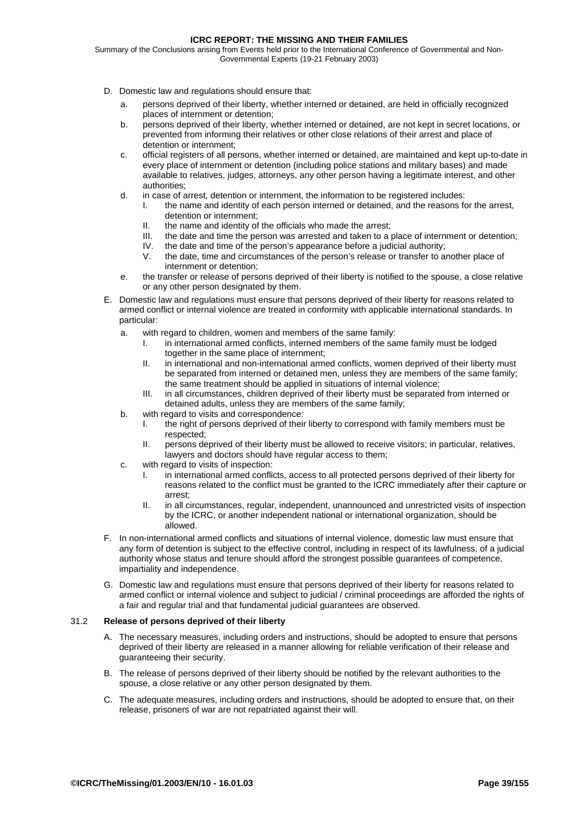Summary of the Conclusions arising from Events held prior to the International Conference of Governmental and Non-Governmental Experts (19-21 February 2003)

- D. Domestic law and regulations should ensure that:
	- a. persons deprived of their liberty, whether interned or detained, are held in officially recognized places of internment or detention;
	- b. persons deprived of their liberty, whether interned or detained, are not kept in secret locations, or prevented from informing their relatives or other close relations of their arrest and place of detention or internment;
	- c. official registers of all persons, whether interned or detained, are maintained and kept up-to-date in every place of internment or detention (including police stations and military bases) and made available to relatives, judges, attorneys, any other person having a legitimate interest, and other authorities;
	- d. in case of arrest, detention or internment, the information to be registered includes:
		- I. the name and identity of each person interned or detained, and the reasons for the arrest, detention or internment;
		- II. the name and identity of the officials who made the arrest;
		- III. the date and time the person was arrested and taken to a place of internment or detention;
		- IV. the date and time of the person's appearance before a judicial authority;
		- V. the date, time and circumstances of the person's release or transfer to another place of internment or detention;
	- e. the transfer or release of persons deprived of their liberty is notified to the spouse, a close relative or any other person designated by them.
- E. Domestic law and regulations must ensure that persons deprived of their liberty for reasons related to armed conflict or internal violence are treated in conformity with applicable international standards. In particular:
	- a. with regard to children, women and members of the same family:
		- I. in international armed conflicts, interned members of the same family must be lodged together in the same place of internment;
		- II. in international and non-international armed conflicts, women deprived of their liberty must be separated from interned or detained men, unless they are members of the same family; the same treatment should be applied in situations of internal violence;
		- III. in all circumstances, children deprived of their liberty must be separated from interned or detained adults, unless they are members of the same family;
	- b. with regard to visits and correspondence:
		- I. the right of persons deprived of their liberty to correspond with family members must be respected;
		- II. persons deprived of their liberty must be allowed to receive visitors; in particular, relatives, lawyers and doctors should have regular access to them;
	- c. with regard to visits of inspection:
		- I. in international armed conflicts, access to all protected persons deprived of their liberty for reasons related to the conflict must be granted to the ICRC immediately after their capture or arrest;
		- II. in all circumstances, regular, independent, unannounced and unrestricted visits of inspection by the ICRC, or another independent national or international organization, should be allowed.
- F. In non-international armed conflicts and situations of internal violence, domestic law must ensure that any form of detention is subject to the effective control, including in respect of its lawfulness, of a judicial authority whose status and tenure should afford the strongest possible guarantees of competence, impartiality and independence.
- G. Domestic law and regulations must ensure that persons deprived of their liberty for reasons related to armed conflict or internal violence and subject to judicial / criminal proceedings are afforded the rights of a fair and regular trial and that fundamental judicial guarantees are observed.

### 31.2 **Release of persons deprived of their liberty**

- A. The necessary measures, including orders and instructions, should be adopted to ensure that persons deprived of their liberty are released in a manner allowing for reliable verification of their release and guaranteeing their security.
- B. The release of persons deprived of their liberty should be notified by the relevant authorities to the spouse, a close relative or any other person designated by them.
- C. The adequate measures, including orders and instructions, should be adopted to ensure that, on their release, prisoners of war are not repatriated against their will.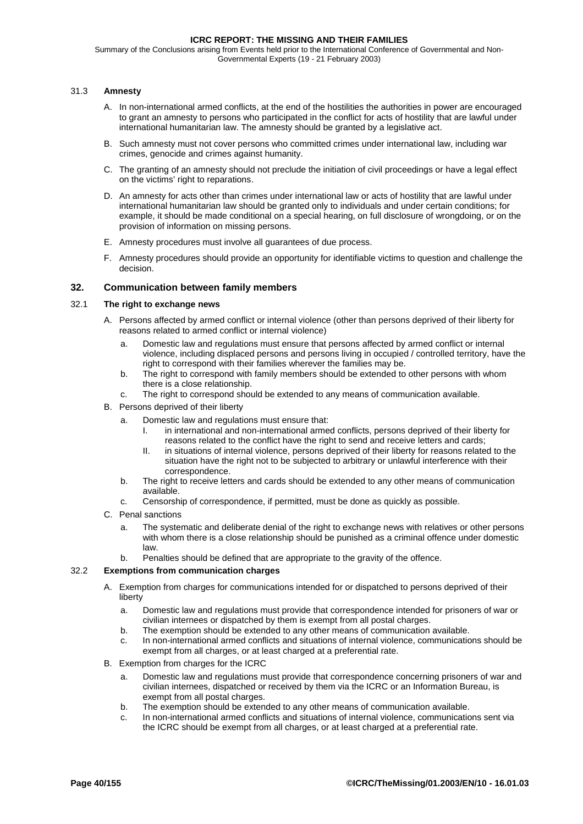<span id="page-39-0"></span>Summary of the Conclusions arising from Events held prior to the International Conference of Governmental and Non-Governmental Experts (19 - 21 February 2003)

# 31.3 **Amnesty**

- A. In non-international armed conflicts, at the end of the hostilities the authorities in power are encouraged to grant an amnesty to persons who participated in the conflict for acts of hostility that are lawful under international humanitarian law. The amnesty should be granted by a legislative act.
- B. Such amnesty must not cover persons who committed crimes under international law, including war crimes, genocide and crimes against humanity.
- C. The granting of an amnesty should not preclude the initiation of civil proceedings or have a legal effect on the victims' right to reparations.
- D. An amnesty for acts other than crimes under international law or acts of hostility that are lawful under international humanitarian law should be granted only to individuals and under certain conditions; for example, it should be made conditional on a special hearing, on full disclosure of wrongdoing, or on the provision of information on missing persons.
- E. Amnesty procedures must involve all guarantees of due process.
- F. Amnesty procedures should provide an opportunity for identifiable victims to question and challenge the decision.

# **32. Communication between family members**

### 32.1 **The right to exchange news**

- A. Persons affected by armed conflict or internal violence (other than persons deprived of their liberty for reasons related to armed conflict or internal violence)
	- a. Domestic law and regulations must ensure that persons affected by armed conflict or internal violence, including displaced persons and persons living in occupied / controlled territory, have the right to correspond with their families wherever the families may be.
	- b. The right to correspond with family members should be extended to other persons with whom there is a close relationship.
	- c. The right to correspond should be extended to any means of communication available.
- B. Persons deprived of their liberty
	- a. Domestic law and regulations must ensure that:
		- I. in international and non-international armed conflicts, persons deprived of their liberty for reasons related to the conflict have the right to send and receive letters and cards;
		- II. in situations of internal violence, persons deprived of their liberty for reasons related to the situation have the right not to be subjected to arbitrary or unlawful interference with their correspondence.
	- b. The right to receive letters and cards should be extended to any other means of communication available.
	- c. Censorship of correspondence, if permitted, must be done as quickly as possible.
- C. Penal sanctions
	- a. The systematic and deliberate denial of the right to exchange news with relatives or other persons with whom there is a close relationship should be punished as a criminal offence under domestic law.
	- b. Penalties should be defined that are appropriate to the gravity of the offence.

### 32.2 **Exemptions from communication charges**

- A. Exemption from charges for communications intended for or dispatched to persons deprived of their liberty
	- a. Domestic law and regulations must provide that correspondence intended for prisoners of war or civilian internees or dispatched by them is exempt from all postal charges.
	- b. The exemption should be extended to any other means of communication available.
	- c. In non-international armed conflicts and situations of internal violence, communications should be exempt from all charges, or at least charged at a preferential rate.
- B. Exemption from charges for the ICRC
	- a. Domestic law and regulations must provide that correspondence concerning prisoners of war and civilian internees, dispatched or received by them via the ICRC or an Information Bureau, is exempt from all postal charges.
	- b. The exemption should be extended to any other means of communication available.
	- c. In non-international armed conflicts and situations of internal violence, communications sent via the ICRC should be exempt from all charges, or at least charged at a preferential rate.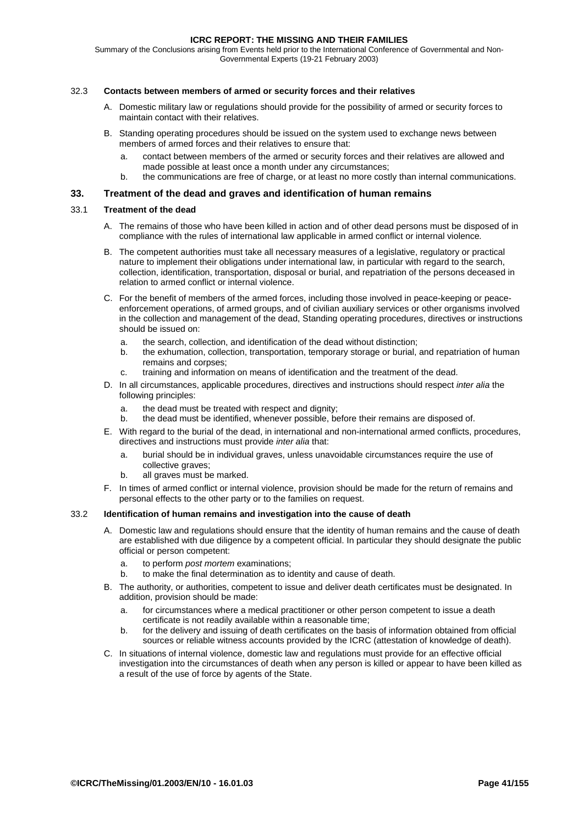<span id="page-40-0"></span>Summary of the Conclusions arising from Events held prior to the International Conference of Governmental and Non-Governmental Experts (19-21 February 2003)

### 32.3 **Contacts between members of armed or security forces and their relatives**

- A. Domestic military law or regulations should provide for the possibility of armed or security forces to maintain contact with their relatives.
- B. Standing operating procedures should be issued on the system used to exchange news between members of armed forces and their relatives to ensure that:
	- a. contact between members of the armed or security forces and their relatives are allowed and made possible at least once a month under any circumstances;
	- b. the communications are free of charge, or at least no more costly than internal communications.

# **33. Treatment of the dead and graves and identification of human remains**

### 33.1 **Treatment of the dead**

- A. The remains of those who have been killed in action and of other dead persons must be disposed of in compliance with the rules of international law applicable in armed conflict or internal violence*.*
- B. The competent authorities must take all necessary measures of a legislative, regulatory or practical nature to implement their obligations under international law, in particular with regard to the search, collection, identification, transportation, disposal or burial, and repatriation of the persons deceased in relation to armed conflict or internal violence.
- C. For the benefit of members of the armed forces, including those involved in peace-keeping or peaceenforcement operations, of armed groups, and of civilian auxiliary services or other organisms involved in the collection and management of the dead, Standing operating procedures, directives or instructions should be issued on:
	- a. the search, collection, and identification of the dead without distinction;
	- b. the exhumation, collection, transportation, temporary storage or burial, and repatriation of human remains and corpses;
	- c. training and information on means of identification and the treatment of the dead.
- D. In all circumstances, applicable procedures, directives and instructions should respect *inter alia* the following principles:
	- a. the dead must be treated with respect and dignity;
	- b. the dead must be identified, whenever possible, before their remains are disposed of.
- E. With regard to the burial of the dead, in international and non-international armed conflicts, procedures, directives and instructions must provide *inter alia* that:
	- a. burial should be in individual graves, unless unavoidable circumstances require the use of collective graves;
	- b. all graves must be marked.
- F. In times of armed conflict or internal violence, provision should be made for the return of remains and personal effects to the other party or to the families on request.

#### 33.2 **Identification of human remains and investigation into the cause of death**

- A. Domestic law and regulations should ensure that the identity of human remains and the cause of death are established with due diligence by a competent official. In particular they should designate the public official or person competent:
	- a. to perform *post mortem* examinations;
	- b. to make the final determination as to identity and cause of death.
- B. The authority, or authorities, competent to issue and deliver death certificates must be designated. In addition, provision should be made:
	- a. for circumstances where a medical practitioner or other person competent to issue a death certificate is not readily available within a reasonable time;
	- b. for the delivery and issuing of death certificates on the basis of information obtained from official sources or reliable witness accounts provided by the ICRC (attestation of knowledge of death).
- C. In situations of internal violence, domestic law and regulations must provide for an effective official investigation into the circumstances of death when any person is killed or appear to have been killed as a result of the use of force by agents of the State.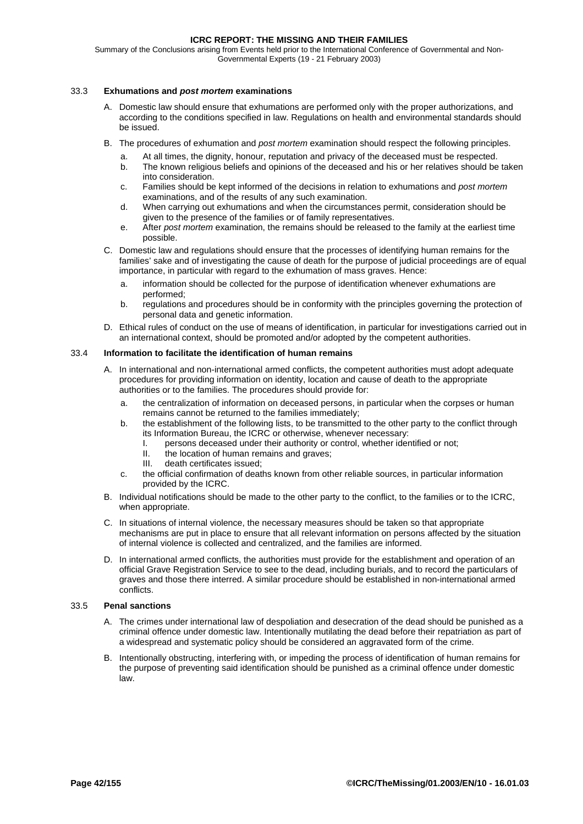<span id="page-41-0"></span>Summary of the Conclusions arising from Events held prior to the International Conference of Governmental and Non-Governmental Experts (19 - 21 February 2003)

# 33.3 **Exhumations and** *post mortem* **examinations**

- A. Domestic law should ensure that exhumations are performed only with the proper authorizations, and according to the conditions specified in law. Regulations on health and environmental standards should be issued.
- B. The procedures of exhumation and *post mortem* examination should respect the following principles.
	- a. At all times, the dignity, honour, reputation and privacy of the deceased must be respected.
	- b. The known religious beliefs and opinions of the deceased and his or her relatives should be taken into consideration.
	- c. Families should be kept informed of the decisions in relation to exhumations and *post mortem* examinations, and of the results of any such examination.
	- d. When carrying out exhumations and when the circumstances permit, consideration should be given to the presence of the families or of family representatives.
	- e. After *post mortem* examination, the remains should be released to the family at the earliest time possible.
- C. Domestic law and regulations should ensure that the processes of identifying human remains for the families' sake and of investigating the cause of death for the purpose of judicial proceedings are of equal importance, in particular with regard to the exhumation of mass graves. Hence:
	- a. information should be collected for the purpose of identification whenever exhumations are performed;
	- b. regulations and procedures should be in conformity with the principles governing the protection of personal data and genetic information.
- D. Ethical rules of conduct on the use of means of identification, in particular for investigations carried out in an international context, should be promoted and/or adopted by the competent authorities.

# 33.4 **Information to facilitate the identification of human remains**

- A. In international and non-international armed conflicts, the competent authorities must adopt adequate procedures for providing information on identity, location and cause of death to the appropriate authorities or to the families. The procedures should provide for:
	- a. the centralization of information on deceased persons, in particular when the corpses or human remains cannot be returned to the families immediately;
	- b. the establishment of the following lists, to be transmitted to the other party to the conflict through its Information Bureau, the ICRC or otherwise, whenever necessary:
		- I. persons deceased under their authority or control, whether identified or not;
		- II. the location of human remains and graves;
		- III. death certificates issued;
	- c. the official confirmation of deaths known from other reliable sources, in particular information provided by the ICRC.
- B. Individual notifications should be made to the other party to the conflict, to the families or to the ICRC, when appropriate.
- C. In situations of internal violence, the necessary measures should be taken so that appropriate mechanisms are put in place to ensure that all relevant information on persons affected by the situation of internal violence is collected and centralized, and the families are informed.
- D. In international armed conflicts, the authorities must provide for the establishment and operation of an official Grave Registration Service to see to the dead, including burials, and to record the particulars of graves and those there interred. A similar procedure should be established in non-international armed conflicts.

### 33.5 **Penal sanctions**

- A. The crimes under international law of despoliation and desecration of the dead should be punished as a criminal offence under domestic law. Intentionally mutilating the dead before their repatriation as part of a widespread and systematic policy should be considered an aggravated form of the crime.
- B. Intentionally obstructing, interfering with, or impeding the process of identification of human remains for the purpose of preventing said identification should be punished as a criminal offence under domestic law.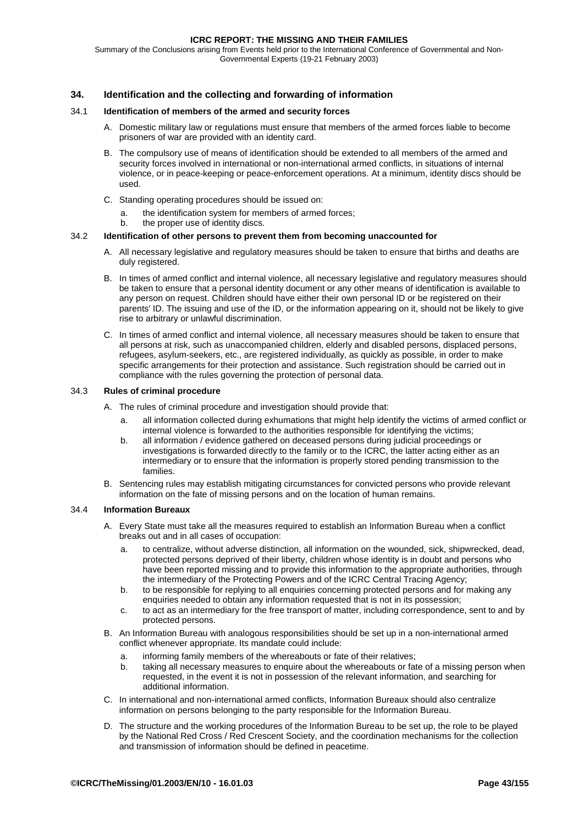<span id="page-42-0"></span>Summary of the Conclusions arising from Events held prior to the International Conference of Governmental and Non-Governmental Experts (19-21 February 2003)

# **34. Identification and the collecting and forwarding of information**

#### 34.1 **Identification of members of the armed and security forces**

- A. Domestic military law or regulations must ensure that members of the armed forces liable to become prisoners of war are provided with an identity card.
- B. The compulsory use of means of identification should be extended to all members of the armed and security forces involved in international or non-international armed conflicts, in situations of internal violence, or in peace-keeping or peace-enforcement operations. At a minimum, identity discs should be used.
- C. Standing operating procedures should be issued on:
	- a. the identification system for members of armed forces;
	- b. the proper use of identity discs.

#### 34.2 **Identification of other persons to prevent them from becoming unaccounted for**

- A. All necessary legislative and regulatory measures should be taken to ensure that births and deaths are duly registered.
- B. In times of armed conflict and internal violence, all necessary legislative and regulatory measures should be taken to ensure that a personal identity document or any other means of identification is available to any person on request. Children should have either their own personal ID or be registered on their parents' ID. The issuing and use of the ID, or the information appearing on it, should not be likely to give rise to arbitrary or unlawful discrimination.
- C. In times of armed conflict and internal violence, all necessary measures should be taken to ensure that all persons at risk, such as unaccompanied children, elderly and disabled persons, displaced persons, refugees, asylum-seekers, etc., are registered individually, as quickly as possible, in order to make specific arrangements for their protection and assistance. Such registration should be carried out in compliance with the rules governing the protection of personal data.

# 34.3 **Rules of criminal procedure**

- A. The rules of criminal procedure and investigation should provide that:
	- a. all information collected during exhumations that might help identify the victims of armed conflict or internal violence is forwarded to the authorities responsible for identifying the victims;
	- b. all information / evidence gathered on deceased persons during judicial proceedings or investigations is forwarded directly to the family or to the ICRC, the latter acting either as an intermediary or to ensure that the information is properly stored pending transmission to the families.
- B. Sentencing rules may establish mitigating circumstances for convicted persons who provide relevant information on the fate of missing persons and on the location of human remains.

#### 34.4 **Information Bureaux**

- A. Every State must take all the measures required to establish an Information Bureau when a conflict breaks out and in all cases of occupation:
	- a. to centralize, without adverse distinction, all information on the wounded, sick, shipwrecked, dead, protected persons deprived of their liberty, children whose identity is in doubt and persons who have been reported missing and to provide this information to the appropriate authorities, through the intermediary of the Protecting Powers and of the ICRC Central Tracing Agency;
	- b. to be responsible for replying to all enquiries concerning protected persons and for making any enquiries needed to obtain any information requested that is not in its possession;
	- c. to act as an intermediary for the free transport of matter, including correspondence, sent to and by protected persons.
- B. An Information Bureau with analogous responsibilities should be set up in a non-international armed conflict whenever appropriate. Its mandate could include:
	- a. informing family members of the whereabouts or fate of their relatives;
	- b. taking all necessary measures to enquire about the whereabouts or fate of a missing person when requested, in the event it is not in possession of the relevant information, and searching for additional information.
- C. In international and non-international armed conflicts, Information Bureaux should also centralize information on persons belonging to the party responsible for the Information Bureau.
- D. The structure and the working procedures of the Information Bureau to be set up, the role to be played by the National Red Cross / Red Crescent Society, and the coordination mechanisms for the collection and transmission of information should be defined in peacetime.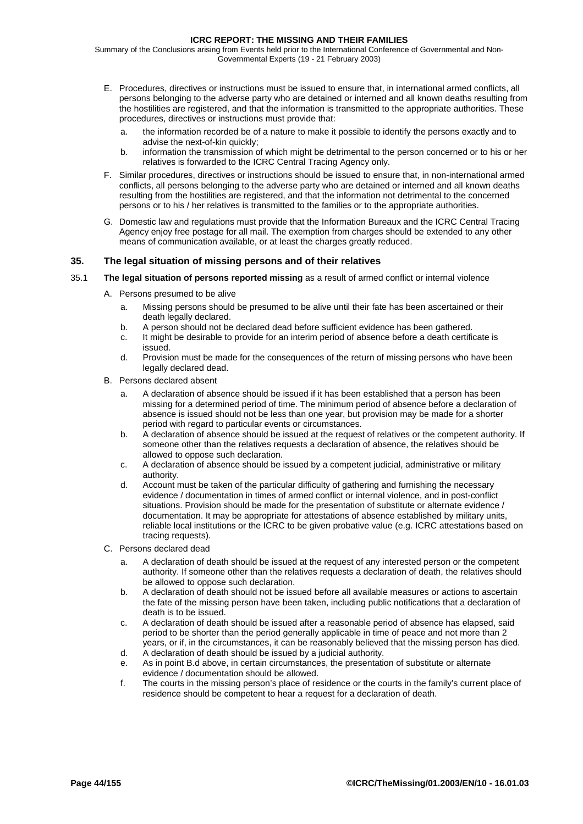<span id="page-43-0"></span>Summary of the Conclusions arising from Events held prior to the International Conference of Governmental and Non-Governmental Experts (19 - 21 February 2003)

- E. Procedures, directives or instructions must be issued to ensure that, in international armed conflicts, all persons belonging to the adverse party who are detained or interned and all known deaths resulting from the hostilities are registered, and that the information is transmitted to the appropriate authorities. These procedures, directives or instructions must provide that:
	- a. the information recorded be of a nature to make it possible to identify the persons exactly and to advise the next-of-kin quickly;
	- b. information the transmission of which might be detrimental to the person concerned or to his or her relatives is forwarded to the ICRC Central Tracing Agency only.
- F. Similar procedures, directives or instructions should be issued to ensure that, in non-international armed conflicts, all persons belonging to the adverse party who are detained or interned and all known deaths resulting from the hostilities are registered, and that the information not detrimental to the concerned persons or to his / her relatives is transmitted to the families or to the appropriate authorities.
- G. Domestic law and regulations must provide that the Information Bureaux and the ICRC Central Tracing Agency enjoy free postage for all mail. The exemption from charges should be extended to any other means of communication available, or at least the charges greatly reduced.

# **35. The legal situation of missing persons and of their relatives**

- 35.1 **The legal situation of persons reported missing** as a result of armed conflict or internal violence
	- A. Persons presumed to be alive
		- a. Missing persons should be presumed to be alive until their fate has been ascertained or their death legally declared.
		- b. A person should not be declared dead before sufficient evidence has been gathered.
		- c. It might be desirable to provide for an interim period of absence before a death certificate is issued.
		- d. Provision must be made for the consequences of the return of missing persons who have been legally declared dead.
	- B. Persons declared absent
		- a. A declaration of absence should be issued if it has been established that a person has been missing for a determined period of time. The minimum period of absence before a declaration of absence is issued should not be less than one year, but provision may be made for a shorter period with regard to particular events or circumstances.
		- b. A declaration of absence should be issued at the request of relatives or the competent authority. If someone other than the relatives requests a declaration of absence, the relatives should be allowed to oppose such declaration.
		- c. A declaration of absence should be issued by a competent judicial, administrative or military authority.
		- d. Account must be taken of the particular difficulty of gathering and furnishing the necessary evidence / documentation in times of armed conflict or internal violence, and in post-conflict situations. Provision should be made for the presentation of substitute or alternate evidence / documentation. It may be appropriate for attestations of absence established by military units, reliable local institutions or the ICRC to be given probative value (e.g. ICRC attestations based on tracing requests).
	- C. Persons declared dead
		- a. A declaration of death should be issued at the request of any interested person or the competent authority. If someone other than the relatives requests a declaration of death, the relatives should be allowed to oppose such declaration.
		- b. A declaration of death should not be issued before all available measures or actions to ascertain the fate of the missing person have been taken, including public notifications that a declaration of death is to be issued.
		- c. A declaration of death should be issued after a reasonable period of absence has elapsed, said period to be shorter than the period generally applicable in time of peace and not more than 2 years, or if, in the circumstances, it can be reasonably believed that the missing person has died.
		- d. A declaration of death should be issued by a judicial authority.
		- e. As in point B.d above, in certain circumstances, the presentation of substitute or alternate evidence / documentation should be allowed.
		- f. The courts in the missing person's place of residence or the courts in the family's current place of residence should be competent to hear a request for a declaration of death.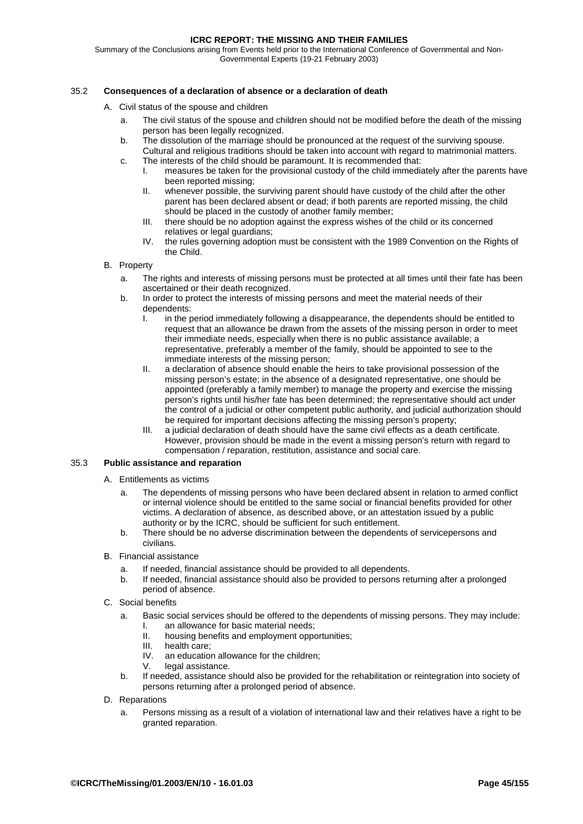Summary of the Conclusions arising from Events held prior to the International Conference of Governmental and Non-Governmental Experts (19-21 February 2003)

# 35.2 **Consequences of a declaration of absence or a declaration of death**

- A. Civil status of the spouse and children
	- a. The civil status of the spouse and children should not be modified before the death of the missing person has been legally recognized.
	- b. The dissolution of the marriage should be pronounced at the request of the surviving spouse. Cultural and religious traditions should be taken into account with regard to matrimonial matters.
	- c. The interests of the child should be paramount. It is recommended that:
		- I. measures be taken for the provisional custody of the child immediately after the parents have been reported missing;
		- II. whenever possible, the surviving parent should have custody of the child after the other parent has been declared absent or dead; if both parents are reported missing, the child should be placed in the custody of another family member;
		- III. there should be no adoption against the express wishes of the child or its concerned relatives or legal guardians;
		- IV. the rules governing adoption must be consistent with the 1989 Convention on the Rights of the Child.
- B. Property
	- a. The rights and interests of missing persons must be protected at all times until their fate has been ascertained or their death recognized.
	- b. In order to protect the interests of missing persons and meet the material needs of their dependents:
		- I. in the period immediately following a disappearance, the dependents should be entitled to request that an allowance be drawn from the assets of the missing person in order to meet their immediate needs, especially when there is no public assistance available; a representative, preferably a member of the family, should be appointed to see to the immediate interests of the missing person;
		- II. a declaration of absence should enable the heirs to take provisional possession of the missing person's estate; in the absence of a designated representative, one should be appointed (preferably a family member) to manage the property and exercise the missing person's rights until his/her fate has been determined; the representative should act under the control of a judicial or other competent public authority, and judicial authorization should be required for important decisions affecting the missing person's property;
		- III. a judicial declaration of death should have the same civil effects as a death certificate. However, provision should be made in the event a missing person's return with regard to compensation / reparation, restitution, assistance and social care.

### 35.3 **Public assistance and reparation**

- A. Entitlements as victims
	- a. The dependents of missing persons who have been declared absent in relation to armed conflict or internal violence should be entitled to the same social or financial benefits provided for other victims. A declaration of absence, as described above, or an attestation issued by a public authority or by the ICRC, should be sufficient for such entitlement.
	- b. There should be no adverse discrimination between the dependents of servicepersons and civilians.
- B. Financial assistance
	- a. If needed, financial assistance should be provided to all dependents.
	- b. If needed, financial assistance should also be provided to persons returning after a prolonged period of absence.
- C. Social benefits
	- a. Basic social services should be offered to the dependents of missing persons. They may include: I. an allowance for basic material needs;
		- II. housing benefits and employment opportunities;
		- III. health care;
		- IV. an education allowance for the children;
		- V. legal assistance.
	- b. If needed, assistance should also be provided for the rehabilitation or reintegration into society of persons returning after a prolonged period of absence.
- D. Reparations
	- a. Persons missing as a result of a violation of international law and their relatives have a right to be granted reparation.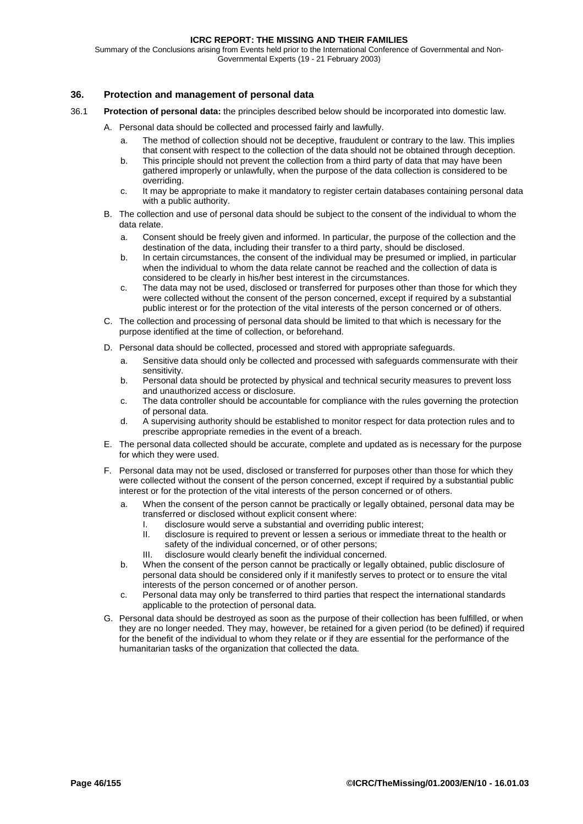<span id="page-45-0"></span>Summary of the Conclusions arising from Events held prior to the International Conference of Governmental and Non-Governmental Experts (19 - 21 February 2003)

# **36. Protection and management of personal data**

- 36.1 **Protection of personal data:** the principles described below should be incorporated into domestic law.
	- A. Personal data should be collected and processed fairly and lawfully.
		- a. The method of collection should not be deceptive, fraudulent or contrary to the law. This implies that consent with respect to the collection of the data should not be obtained through deception.
		- b. This principle should not prevent the collection from a third party of data that may have been gathered improperly or unlawfully, when the purpose of the data collection is considered to be overriding.
		- c. It may be appropriate to make it mandatory to register certain databases containing personal data with a public authority.
	- B. The collection and use of personal data should be subject to the consent of the individual to whom the data relate.
		- a. Consent should be freely given and informed. In particular, the purpose of the collection and the destination of the data, including their transfer to a third party, should be disclosed.
		- b. In certain circumstances, the consent of the individual may be presumed or implied, in particular when the individual to whom the data relate cannot be reached and the collection of data is considered to be clearly in his/her best interest in the circumstances.
		- c. The data may not be used, disclosed or transferred for purposes other than those for which they were collected without the consent of the person concerned, except if required by a substantial public interest or for the protection of the vital interests of the person concerned or of others.
	- C. The collection and processing of personal data should be limited to that which is necessary for the purpose identified at the time of collection, or beforehand.
	- D. Personal data should be collected, processed and stored with appropriate safeguards.
		- a. Sensitive data should only be collected and processed with safeguards commensurate with their sensitivity.
		- b. Personal data should be protected by physical and technical security measures to prevent loss and unauthorized access or disclosure.
		- c. The data controller should be accountable for compliance with the rules governing the protection of personal data.
		- d. A supervising authority should be established to monitor respect for data protection rules and to prescribe appropriate remedies in the event of a breach.
	- E. The personal data collected should be accurate, complete and updated as is necessary for the purpose for which they were used.
	- F. Personal data may not be used, disclosed or transferred for purposes other than those for which they were collected without the consent of the person concerned, except if required by a substantial public interest or for the protection of the vital interests of the person concerned or of others.
		- a. When the consent of the person cannot be practically or legally obtained, personal data may be transferred or disclosed without explicit consent where:
			- I. disclosure would serve a substantial and overriding public interest;
			- II. disclosure is required to prevent or lessen a serious or immediate threat to the health or safety of the individual concerned, or of other persons;
			- III. disclosure would clearly benefit the individual concerned.
		- b. When the consent of the person cannot be practically or legally obtained, public disclosure of personal data should be considered only if it manifestly serves to protect or to ensure the vital interests of the person concerned or of another person.
		- c. Personal data may only be transferred to third parties that respect the international standards applicable to the protection of personal data.
	- G. Personal data should be destroyed as soon as the purpose of their collection has been fulfilled, or when they are no longer needed. They may, however, be retained for a given period (to be defined) if required for the benefit of the individual to whom they relate or if they are essential for the performance of the humanitarian tasks of the organization that collected the data.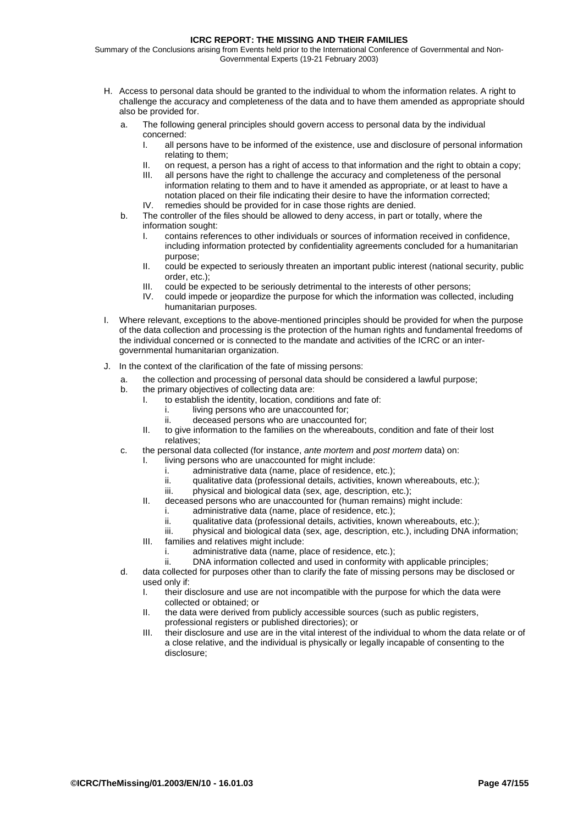Summary of the Conclusions arising from Events held prior to the International Conference of Governmental and Non-Governmental Experts (19-21 February 2003)

- H. Access to personal data should be granted to the individual to whom the information relates. A right to challenge the accuracy and completeness of the data and to have them amended as appropriate should also be provided for.
	- a. The following general principles should govern access to personal data by the individual concerned:
		- I. all persons have to be informed of the existence, use and disclosure of personal information relating to them;
		- II. on request, a person has a right of access to that information and the right to obtain a copy;
		- III. all persons have the right to challenge the accuracy and completeness of the personal information relating to them and to have it amended as appropriate, or at least to have a notation placed on their file indicating their desire to have the information corrected;
		- IV. remedies should be provided for in case those rights are denied.
	- b. The controller of the files should be allowed to deny access, in part or totally, where the information sought:
		- I. contains references to other individuals or sources of information received in confidence, including information protected by confidentiality agreements concluded for a humanitarian purpose;
		- II. could be expected to seriously threaten an important public interest (national security, public order, etc.);
		- III. could be expected to be seriously detrimental to the interests of other persons;
		- IV. could impede or jeopardize the purpose for which the information was collected, including humanitarian purposes.
- I. Where relevant, exceptions to the above-mentioned principles should be provided for when the purpose of the data collection and processing is the protection of the human rights and fundamental freedoms of the individual concerned or is connected to the mandate and activities of the ICRC or an intergovernmental humanitarian organization.
- J. In the context of the clarification of the fate of missing persons:
	- a. the collection and processing of personal data should be considered a lawful purpose;
	- b. the primary objectives of collecting data are:
		- I. to establish the identity, location, conditions and fate of:
			- i. living persons who are unaccounted for;
			- ii. deceased persons who are unaccounted for;
		- II. to give information to the families on the whereabouts, condition and fate of their lost relatives;
	- c. the personal data collected (for instance, *ante mortem* and *post mortem* data) on:
		- I. living persons who are unaccounted for might include:
			- i. administrative data (name, place of residence, etc.);
			- ii. qualitative data (professional details, activities, known whereabouts, etc.);
			- iii. physical and biological data (sex, age, description, etc.);
		- II. deceased persons who are unaccounted for (human remains) might include:
			- i. administrative data (name, place of residence, etc.);
			- ii. qualitative data (professional details, activities, known whereabouts, etc.);
			- iii. physical and biological data (sex, age, description, etc.), including DNA information;
		- III. families and relatives might include:
			- i. administrative data (name, place of residence, etc.);
			- ii. DNA information collected and used in conformity with applicable principles;
	- d. data collected for purposes other than to clarify the fate of missing persons may be disclosed or used only if:
		- I. their disclosure and use are not incompatible with the purpose for which the data were collected or obtained; or
		- II. the data were derived from publicly accessible sources (such as public registers, professional registers or published directories); or
		- III. their disclosure and use are in the vital interest of the individual to whom the data relate or of a close relative, and the individual is physically or legally incapable of consenting to the disclosure;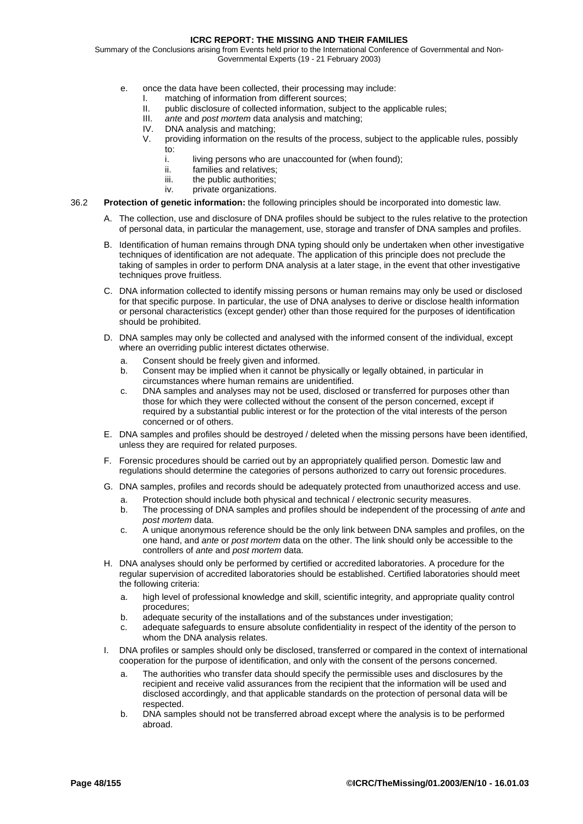Summary of the Conclusions arising from Events held prior to the International Conference of Governmental and Non-Governmental Experts (19 - 21 February 2003)

- e. once the data have been collected, their processing may include:
	- matching of information from different sources;
	- II. public disclosure of collected information, subject to the applicable rules;
	- III. *ante* and *post mortem* data analysis and matching;
	- IV. DNA analysis and matching;
	- V. providing information on the results of the process, subject to the applicable rules, possibly to:
		- i. living persons who are unaccounted for (when found);
		- ii. families and relatives;<br>iii. the public authorities:
		- the public authorities;
		- iv. private organizations.

# 36.2 **Protection of genetic information:** the following principles should be incorporated into domestic law.

- A. The collection, use and disclosure of DNA profiles should be subject to the rules relative to the protection of personal data, in particular the management, use, storage and transfer of DNA samples and profiles.
- B. Identification of human remains through DNA typing should only be undertaken when other investigative techniques of identification are not adequate. The application of this principle does not preclude the taking of samples in order to perform DNA analysis at a later stage, in the event that other investigative techniques prove fruitless.
- C. DNA information collected to identify missing persons or human remains may only be used or disclosed for that specific purpose. In particular, the use of DNA analyses to derive or disclose health information or personal characteristics (except gender) other than those required for the purposes of identification should be prohibited.
- D. DNA samples may only be collected and analysed with the informed consent of the individual, except where an overriding public interest dictates otherwise.
	- a. Consent should be freely given and informed.
	- b. Consent may be implied when it cannot be physically or legally obtained, in particular in circumstances where human remains are unidentified.
	- c. DNA samples and analyses may not be used, disclosed or transferred for purposes other than those for which they were collected without the consent of the person concerned, except if required by a substantial public interest or for the protection of the vital interests of the person concerned or of others.
- E. DNA samples and profiles should be destroyed / deleted when the missing persons have been identified, unless they are required for related purposes.
- F. Forensic procedures should be carried out by an appropriately qualified person. Domestic law and regulations should determine the categories of persons authorized to carry out forensic procedures.
- G. DNA samples, profiles and records should be adequately protected from unauthorized access and use.
	- a. Protection should include both physical and technical / electronic security measures.
	- b. The processing of DNA samples and profiles should be independent of the processing of *ante* and *post mortem* data.
	- c. A unique anonymous reference should be the only link between DNA samples and profiles, on the one hand, and *ante* or *post mortem* data on the other. The link should only be accessible to the controllers of *ante* and *post mortem* data.
- H. DNA analyses should only be performed by certified or accredited laboratories. A procedure for the regular supervision of accredited laboratories should be established. Certified laboratories should meet the following criteria:
	- a. high level of professional knowledge and skill, scientific integrity, and appropriate quality control procedures;
	- b. adequate security of the installations and of the substances under investigation;
	- c. adequate safeguards to ensure absolute confidentiality in respect of the identity of the person to whom the DNA analysis relates.
- I. DNA profiles or samples should only be disclosed, transferred or compared in the context of international cooperation for the purpose of identification, and only with the consent of the persons concerned.
	- a. The authorities who transfer data should specify the permissible uses and disclosures by the recipient and receive valid assurances from the recipient that the information will be used and disclosed accordingly, and that applicable standards on the protection of personal data will be respected.
	- b. DNA samples should not be transferred abroad except where the analysis is to be performed abroad.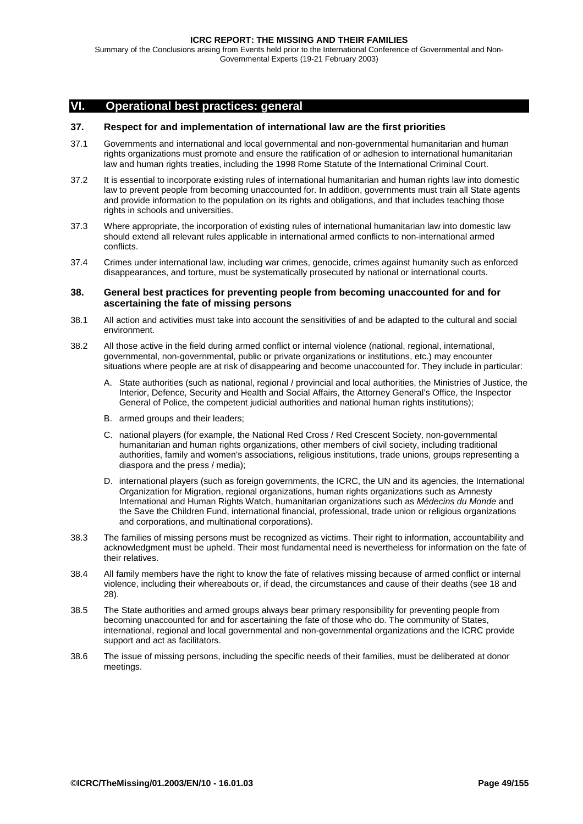<span id="page-48-0"></span>Summary of the Conclusions arising from Events held prior to the International Conference of Governmental and Non-Governmental Experts (19-21 February 2003)

# **VI. Operational best practices: general**

## **37. Respect for and implementation of international law are the first priorities**

- 37.1 Governments and international and local governmental and non-governmental humanitarian and human rights organizations must promote and ensure the ratification of or adhesion to international humanitarian law and human rights treaties, including the 1998 Rome Statute of the International Criminal Court.
- 37.2 It is essential to incorporate existing rules of international humanitarian and human rights law into domestic law to prevent people from becoming unaccounted for. In addition, governments must train all State agents and provide information to the population on its rights and obligations, and that includes teaching those rights in schools and universities.
- 37.3 Where appropriate, the incorporation of existing rules of international humanitarian law into domestic law should extend all relevant rules applicable in international armed conflicts to non-international armed conflicts.
- 37.4 Crimes under international law, including war crimes, genocide, crimes against humanity such as enforced disappearances, and torture, must be systematically prosecuted by national or international courts*.*

### **38. General best practices for preventing people from becoming unaccounted for and for ascertaining the fate of missing persons**

- 38.1 All action and activities must take into account the sensitivities of and be adapted to the cultural and social environment.
- 38.2 All those active in the field during armed conflict or internal violence (national, regional, international, governmental, non-governmental, public or private organizations or institutions, etc.) may encounter situations where people are at risk of disappearing and become unaccounted for. They include in particular:
	- A. State authorities (such as national, regional / provincial and local authorities, the Ministries of Justice, the Interior, Defence, Security and Health and Social Affairs, the Attorney General's Office, the Inspector General of Police, the competent judicial authorities and national human rights institutions);
	- B. armed groups and their leaders;
	- C. national players (for example, the National Red Cross / Red Crescent Society, non-governmental humanitarian and human rights organizations, other members of civil society, including traditional authorities, family and women's associations, religious institutions, trade unions, groups representing a diaspora and the press / media);
	- D. international players (such as foreign governments, the ICRC, the UN and its agencies, the International Organization for Migration, regional organizations, human rights organizations such as Amnesty International and Human Rights Watch, humanitarian organizations such as *Médecins du Monde* and the Save the Children Fund, international financial, professional, trade union or religious organizations and corporations, and multinational corporations).
- 38.3 The families of missing persons must be recognized as victims. Their right to information, accountability and acknowledgment must be upheld. Their most fundamental need is nevertheless for information on the fate of their relatives.
- 38.4 All family members have the right to know the fate of relatives missing because of armed conflict or internal violence, including their whereabouts or, if dead, the circumstances and cause of their deaths (see [18 a](#page-28-0)nd [28\)](#page-35-0).
- 38.5 The State authorities and armed groups always bear primary responsibility for preventing people from becoming unaccounted for and for ascertaining the fate of those who do. The community of States, international, regional and local governmental and non-governmental organizations and the ICRC provide support and act as facilitators.
- 38.6 The issue of missing persons, including the specific needs of their families, must be deliberated at donor meetings.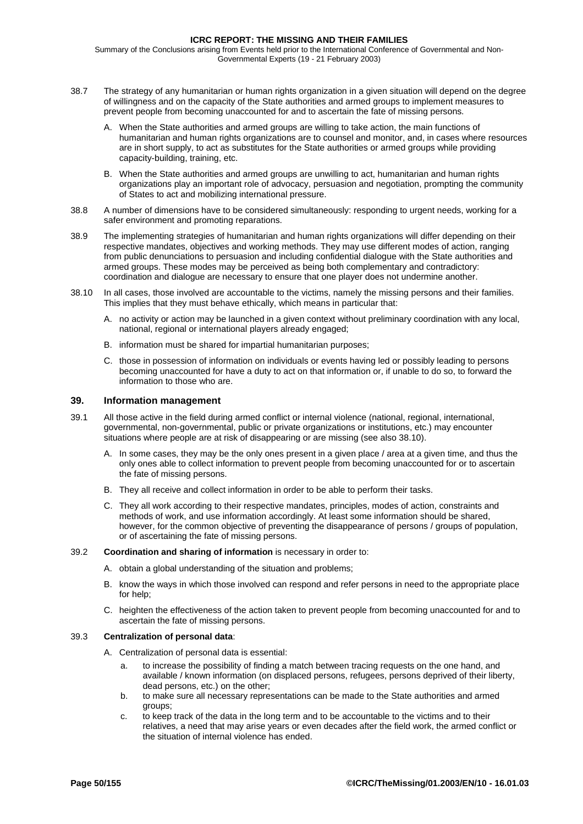<span id="page-49-0"></span>Summary of the Conclusions arising from Events held prior to the International Conference of Governmental and Non-Governmental Experts (19 - 21 February 2003)

- 38.7 The strategy of any humanitarian or human rights organization in a given situation will depend on the degree of willingness and on the capacity of the State authorities and armed groups to implement measures to prevent people from becoming unaccounted for and to ascertain the fate of missing persons.
	- A. When the State authorities and armed groups are willing to take action, the main functions of humanitarian and human rights organizations are to counsel and monitor, and, in cases where resources are in short supply, to act as substitutes for the State authorities or armed groups while providing capacity-building, training, etc.
	- B. When the State authorities and armed groups are unwilling to act, humanitarian and human rights organizations play an important role of advocacy, persuasion and negotiation, prompting the community of States to act and mobilizing international pressure.
- 38.8 A number of dimensions have to be considered simultaneously: responding to urgent needs, working for a safer environment and promoting reparations.
- 38.9 The implementing strategies of humanitarian and human rights organizations will differ depending on their respective mandates, objectives and working methods. They may use different modes of action, ranging from public denunciations to persuasion and including confidential dialogue with the State authorities and armed groups. These modes may be perceived as being both complementary and contradictory: coordination and dialogue are necessary to ensure that one player does not undermine another.
- 38.10 In all cases, those involved are accountable to the victims, namely the missing persons and their families. This implies that they must behave ethically, which means in particular that:
	- A. no activity or action may be launched in a given context without preliminary coordination with any local, national, regional or international players already engaged;
	- B. information must be shared for impartial humanitarian purposes;
	- C. those in possession of information on individuals or events having led or possibly leading to persons becoming unaccounted for have a duty to act on that information or, if unable to do so, to forward the information to those who are.

## **39. Information management**

- 39.1 All those active in the field during armed conflict or internal violence (national, regional, international, governmental, non-governmental, public or private organizations or institutions, etc.) may encounter situations where people are at risk of disappearing or are missing (see also 38.10).
	- A. In some cases, they may be the only ones present in a given place / area at a given time, and thus the only ones able to collect information to prevent people from becoming unaccounted for or to ascertain the fate of missing persons.
	- B. They all receive and collect information in order to be able to perform their tasks.
	- C. They all work according to their respective mandates, principles, modes of action, constraints and methods of work, and use information accordingly. At least some information should be shared, however, for the common objective of preventing the disappearance of persons / groups of population, or of ascertaining the fate of missing persons.

### 39.2 **Coordination and sharing of information** is necessary in order to:

- A. obtain a global understanding of the situation and problems;
- B. know the ways in which those involved can respond and refer persons in need to the appropriate place for help;
- C. heighten the effectiveness of the action taken to prevent people from becoming unaccounted for and to ascertain the fate of missing persons.

# 39.3 **Centralization of personal data**:

- A. Centralization of personal data is essential:
	- a. to increase the possibility of finding a match between tracing requests on the one hand, and available / known information (on displaced persons, refugees, persons deprived of their liberty, dead persons, etc.) on the other;
	- b. to make sure all necessary representations can be made to the State authorities and armed groups;
	- c. to keep track of the data in the long term and to be accountable to the victims and to their relatives, a need that may arise years or even decades after the field work, the armed conflict or the situation of internal violence has ended.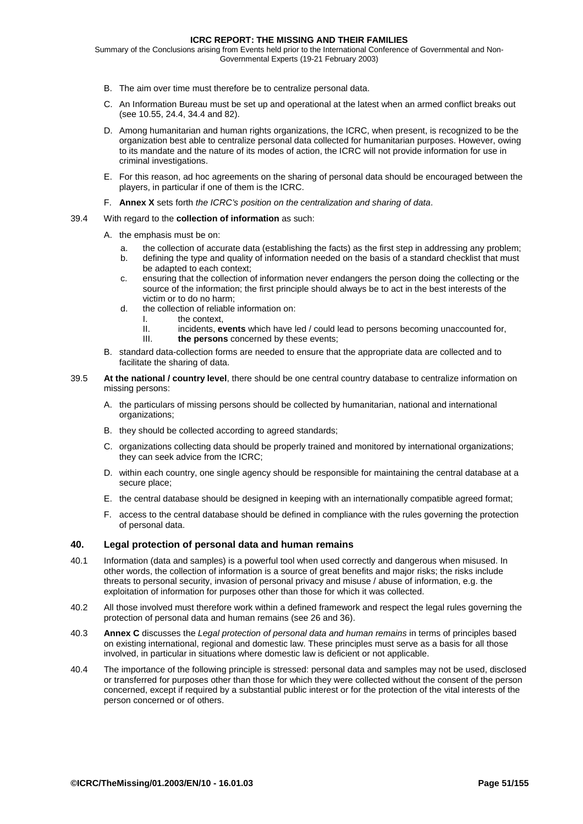<span id="page-50-0"></span>Summary of the Conclusions arising from Events held prior to the International Conference of Governmental and Non-Governmental Experts (19-21 February 2003)

- B. The aim over time must therefore be to centralize personal data.
- C. An Information Bureau must be set up and operational at the latest when an armed conflict breaks out (see [10.55,](#page-19-0) [24.4,](#page-32-0) [34.4 a](#page-42-0)nd [82\)](#page-83-0).
- D. Among humanitarian and human rights organizations, the ICRC, when present, is recognized to be the organization best able to centralize personal data collected for humanitarian purposes. However, owing to its mandate and the nature of its modes of action, the ICRC will not provide information for use in criminal investigations.
- E. For this reason, ad hoc agreements on the sharing of personal data should be encouraged between the players, in particular if one of them is the ICRC.
- F. **[Annex X](#page-150-0)** sets forth *the ICRC's position on the centralization and sharing of data*.
- 39.4 With regard to the **collection of information** as such:
	- A. the emphasis must be on:
		- a. the collection of accurate data (establishing the facts) as the first step in addressing any problem;
		- b. defining the type and quality of information needed on the basis of a standard checklist that must be adapted to each context;
		- c. ensuring that the collection of information never endangers the person doing the collecting or the source of the information; the first principle should always be to act in the best interests of the victim or to do no harm;
		- d. the collection of reliable information on:
			- I. the context,<br>II. incidents. ex
				- incidents, **events** which have led / could lead to persons becoming unaccounted for,
			- III. **the persons** concerned by these events;
	- B. standard data-collection forms are needed to ensure that the appropriate data are collected and to facilitate the sharing of data.
- 39.5 **At the national / country level**, there should be one central country database to centralize information on missing persons:
	- A. the particulars of missing persons should be collected by humanitarian, national and international organizations;
	- B. they should be collected according to agreed standards;
	- C. organizations collecting data should be properly trained and monitored by international organizations; they can seek advice from the ICRC;
	- D. within each country, one single agency should be responsible for maintaining the central database at a secure place;
	- E. the central database should be designed in keeping with an internationally compatible agreed format;
	- F. access to the central database should be defined in compliance with the rules governing the protection of personal data.

# **40. Legal protection of personal data and human remains**

- 40.1 Information (data and samples) is a powerful tool when used correctly and dangerous when misused. In other words, the collection of information is a source of great benefits and major risks; the risks include threats to personal security, invasion of personal privacy and misuse / abuse of information, e.g. the exploitation of information for purposes other than those for which it was collected.
- 40.2 All those involved must therefore work within a defined framework and respect the legal rules governing the protection of personal data and human remains (see [26 a](#page-33-0)nd [36\)](#page-45-0).
- 40.3 **[Annex C](#page-100-0)** discusses the *Legal protection of personal data and human remains* in terms of principles based on existing international, regional and domestic law. These principles must serve as a basis for all those involved, in particular in situations where domestic law is deficient or not applicable.
- 40.4 The importance of the following principle is stressed: personal data and samples may not be used, disclosed or transferred for purposes other than those for which they were collected without the consent of the person concerned, except if required by a substantial public interest or for the protection of the vital interests of the person concerned or of others.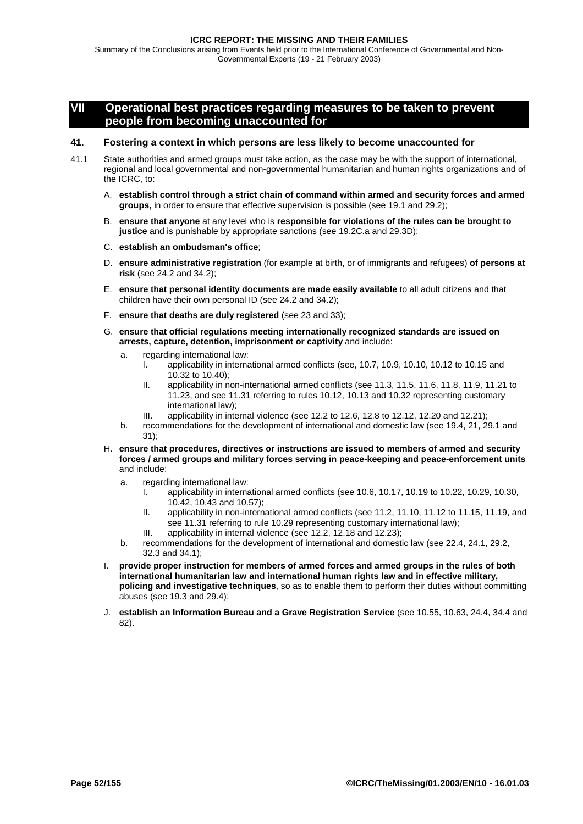Summary of the Conclusions arising from Events held prior to the International Conference of Governmental and Non-Governmental Experts (19 - 21 February 2003)

# **VII Operational best practices regarding measures to be taken to prevent people from becoming unaccounted for**

### **41. Fostering a context in which persons are less likely to become unaccounted for**

- 41.1 State authorities and armed groups must take action, as the case may be with the support of international, regional and local governmental and non-governmental humanitarian and human rights organizations and of the ICRC, to:
	- A. **establish control through a strict chain of command within armed and security forces and armed groups,** in order to ensure that effective supervision is possible (see [19.1 a](#page-28-0)nd [29.2\)](#page-36-0);
	- B. **ensure that anyone** at any level who is **responsible for violations of the rules can be brought to justice** and is punishable by appropriate sanctions (see [19.2C.a a](#page-28-0)nd [29.3D\)](#page-36-0);
	- C. **establish an ombudsman's office**;
	- D. **ensure administrative registration** (for example at birth, or of immigrants and refugees) **of persons at risk** (see [24.2 a](#page-31-0)nd [34.2\)](#page-42-0);
	- E. **ensure that personal identity documents are made easily available** to all adult citizens and that children have their own personal ID (see [24.2 a](#page-31-0)nd [34.2\)](#page-42-0);
	- F. **ensure that deaths are duly registered** (see [23 a](#page-30-0)nd [33\)](#page-40-0);
	- G. **ensure that official regulations meeting internationally recognized standards are issued on arrests, capture, detention, imprisonment or captivity** and include:
		- a. regarding international law:
			- I. applicability in international armed conflicts (see, [10.7, 10.9,](#page-17-0) [10.10, 10.12 t](#page-17-0)o [10.15](#page-17-0) and [10.32](#page-18-0) to [10.40\);](#page-19-0)
			- II. applicability in non-international armed conflicts (see [11.3, 11.5, 11.6, 11.8, 11.9, 11.21 t](#page-22-0)o [11.23,](#page-22-0) and see [11.31 r](#page-23-0)eferring to rules [10.12, 10.13 a](#page-17-0)nd [10.32](#page-18-0) representing customary international law);
			- III. applicability in internal violence (see [12.2](#page-23-0) to [12.6,](#page-23-0) [12.8 t](#page-23-0)o [12.12, 12.20 a](#page-23-0)nd [12.21\);](#page-23-0)
		- b. recommendations for the development of international and domestic law (see [19.4,](#page-29-0) [21,](#page-29-0) [29.1 a](#page-36-0)nd [31\)](#page-37-0);
	- H. **ensure that procedures, directives or instructions are issued to members of armed and security forces / armed groups and military forces serving in peace-keeping and peace-enforcement units** and include:
		- a. regarding international law:
			- I. applicability in international armed conflicts (see [10.6,](#page-17-0) [10.17, 10.19](#page-18-0) to [10.22, 10.29, 10.30,](#page-18-0)  [10.42,](#page-19-0) [10.43 a](#page-19-0)nd [10.57\);](#page-20-0)
			- II. applicability in non-international armed conflicts (see [11.2, 11.10, 11.12](#page-22-0) to [11.15, 11.19,](#page-22-0) and see [11.31 r](#page-23-0)eferring to rule [10.29 r](#page-18-0)epresenting customary international law);
			- III. applicability in internal violence (see [12.2,](#page-23-0) [12.18 a](#page-23-0)nd [12.23\);](#page-23-0)
		- b. recommendations for the development of international and domestic law (see [22.4,](#page-30-0) [24.1,](#page-31-0) [29.2,](#page-36-0) [32.3 a](#page-40-0)nd [34.1\)](#page-42-0);
	- I. **provide proper instruction for members of armed forces and armed groups in the rules of both international humanitarian law and international human rights law and in effective military, policing and investigative techniques**, so as to enable them to perform their duties without committing abuses (see [19.3](#page-28-0) and [29.4\)](#page-37-0);
	- J. **establish an Information Bureau and a Grave Registration Service** (see [10.55,](#page-19-0) [10.63,](#page-21-0) [24.4,](#page-32-0) [34.4 a](#page-42-0)nd [82\)](#page-83-0).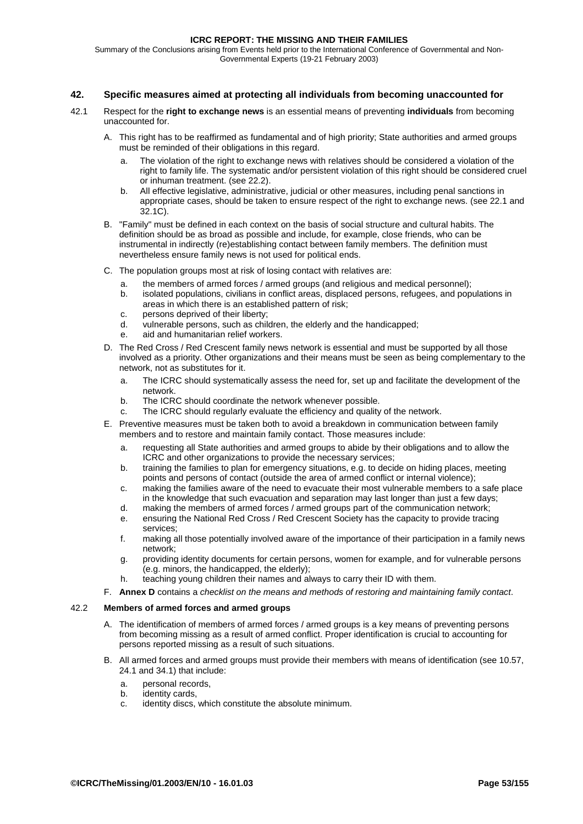<span id="page-52-0"></span>Summary of the Conclusions arising from Events held prior to the International Conference of Governmental and Non-Governmental Experts (19-21 February 2003)

# **42. Specific measures aimed at protecting all individuals from becoming unaccounted for**

- 42.1 Respect for the **right to exchange news** is an essential means of preventing **individuals** from becoming unaccounted for.
	- A. This right has to be reaffirmed as fundamental and of high priority; State authorities and armed groups must be reminded of their obligations in this regard.
		- a. The violation of the right to exchange news with relatives should be considered a violation of the right to family life. The systematic and/or persistent violation of this right should be considered cruel or inhuman treatment. (see [22.2\)](#page-30-0).
		- b. All effective legislative, administrative, judicial or other measures, including penal sanctions in appropriate cases, should be taken to ensure respect of the right to exchange news. (see [22.1 a](#page-30-0)nd [32.1C\)](#page-39-0).
	- B. "Family" must be defined in each context on the basis of social structure and cultural habits. The definition should be as broad as possible and include, for example, close friends, who can be instrumental in indirectly (re)establishing contact between family members. The definition must nevertheless ensure family news is not used for political ends.
	- C. The population groups most at risk of losing contact with relatives are:
		- a. the members of armed forces / armed groups (and religious and medical personnel);
		- b. isolated populations, civilians in conflict areas, displaced persons, refugees, and populations in areas in which there is an established pattern of risk;
		- c. persons deprived of their liberty;
		- d. vulnerable persons, such as children, the elderly and the handicapped;
		- e. aid and humanitarian relief workers.
	- D. The Red Cross / Red Crescent family news network is essential and must be supported by all those involved as a priority. Other organizations and their means must be seen as being complementary to the network, not as substitutes for it.
		- a. The ICRC should systematically assess the need for, set up and facilitate the development of the network.
		- b. The ICRC should coordinate the network whenever possible.
		- c. The ICRC should regularly evaluate the efficiency and quality of the network.
	- E. Preventive measures must be taken both to avoid a breakdown in communication between family members and to restore and maintain family contact. Those measures include:
		- a. requesting all State authorities and armed groups to abide by their obligations and to allow the ICRC and other organizations to provide the necessary services;
		- b. training the families to plan for emergency situations, e.g. to decide on hiding places, meeting points and persons of contact (outside the area of armed conflict or internal violence);
		- c. making the families aware of the need to evacuate their most vulnerable members to a safe place in the knowledge that such evacuation and separation may last longer than just a few days;
		- d. making the members of armed forces / armed groups part of the communication network;
		- e. ensuring the National Red Cross / Red Crescent Society has the capacity to provide tracing services;
		- f. making all those potentially involved aware of the importance of their participation in a family news network;
		- g. providing identity documents for certain persons, women for example, and for vulnerable persons (e.g. minors, the handicapped, the elderly);
		- h. teaching young children their names and always to carry their ID with them.
	- F. **[Annex D](#page-102-0)** contains a *checklist on the means and methods of restoring and maintaining family contact*.

# 42.2 **Members of armed forces and armed groups**

- A. The identification of members of armed forces / armed groups is a key means of preventing persons from becoming missing as a result of armed conflict. Proper identification is crucial to accounting for persons reported missing as a result of such situations.
- B. All armed forces and armed groups must provide their members with means of identification (see [10.57,](#page-20-0)  [24.1 a](#page-31-0)nd [34.1\)](#page-42-0) that include:
	- a. personal records,
	- b. identity cards,
	- c. identity discs, which constitute the absolute minimum.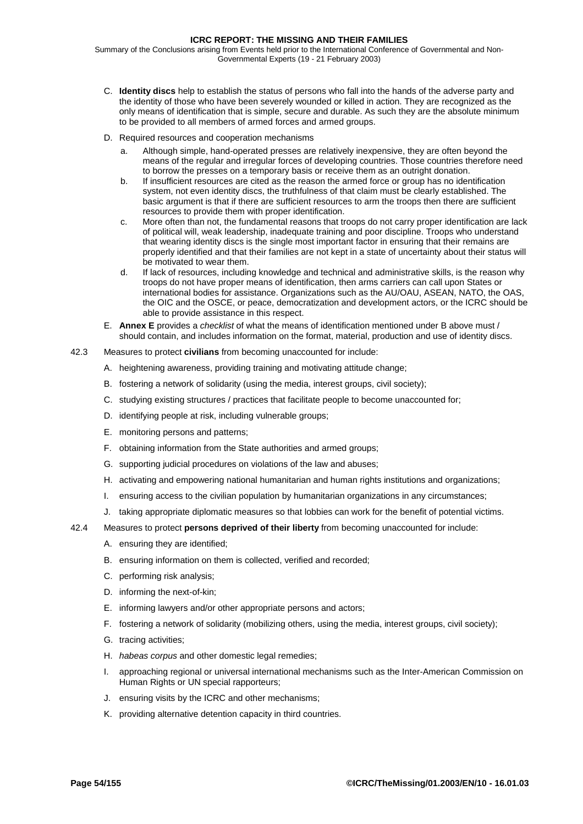Summary of the Conclusions arising from Events held prior to the International Conference of Governmental and Non-Governmental Experts (19 - 21 February 2003)

- C. **Identity discs** help to establish the status of persons who fall into the hands of the adverse party and the identity of those who have been severely wounded or killed in action. They are recognized as the only means of identification that is simple, secure and durable. As such they are the absolute minimum to be provided to all members of armed forces and armed groups.
- D. Required resources and cooperation mechanisms
	- a. Although simple, hand-operated presses are relatively inexpensive, they are often beyond the means of the regular and irregular forces of developing countries. Those countries therefore need to borrow the presses on a temporary basis or receive them as an outright donation.
	- b. If insufficient resources are cited as the reason the armed force or group has no identification system, not even identity discs, the truthfulness of that claim must be clearly established. The basic argument is that if there are sufficient resources to arm the troops then there are sufficient resources to provide them with proper identification.
	- c. More often than not, the fundamental reasons that troops do not carry proper identification are lack of political will, weak leadership, inadequate training and poor discipline. Troops who understand that wearing identity discs is the single most important factor in ensuring that their remains are properly identified and that their families are not kept in a state of uncertainty about their status will be motivated to wear them.
	- d. If lack of resources, including knowledge and technical and administrative skills, is the reason why troops do not have proper means of identification, then arms carriers can call upon States or international bodies for assistance. Organizations such as the AU/OAU, ASEAN, NATO, the OAS, the OIC and the OSCE, or peace, democratization and development actors, or the ICRC should be able to provide assistance in this respect.
- E. **[Annex E](#page-104-0)** provides a *checklist* of what the means of identification mentioned under [B](#page-52-0) above must / should contain, and includes information on the format, material, production and use of identity discs.
- 42.3 Measures to protect **civilians** from becoming unaccounted for include:
	- A. heightening awareness, providing training and motivating attitude change;
	- B. fostering a network of solidarity (using the media, interest groups, civil society);
	- C. studying existing structures / practices that facilitate people to become unaccounted for;
	- D. identifying people at risk, including vulnerable groups;
	- E. monitoring persons and patterns;
	- F. obtaining information from the State authorities and armed groups;
	- G. supporting judicial procedures on violations of the law and abuses;
	- H. activating and empowering national humanitarian and human rights institutions and organizations;
	- I. ensuring access to the civilian population by humanitarian organizations in any circumstances;
	- J. taking appropriate diplomatic measures so that lobbies can work for the benefit of potential victims.
- 42.4 Measures to protect **persons deprived of their liberty** from becoming unaccounted for include:
	- A. ensuring they are identified;
	- B. ensuring information on them is collected, verified and recorded;
	- C. performing risk analysis;
	- D. informing the next-of-kin;
	- E. informing lawyers and/or other appropriate persons and actors;
	- F. fostering a network of solidarity (mobilizing others, using the media, interest groups, civil society);
	- G. tracing activities;
	- H. *habeas corpus* and other domestic legal remedies;
	- I. approaching regional or universal international mechanisms such as the Inter-American Commission on Human Rights or UN special rapporteurs;
	- J. ensuring visits by the ICRC and other mechanisms;
	- K. providing alternative detention capacity in third countries.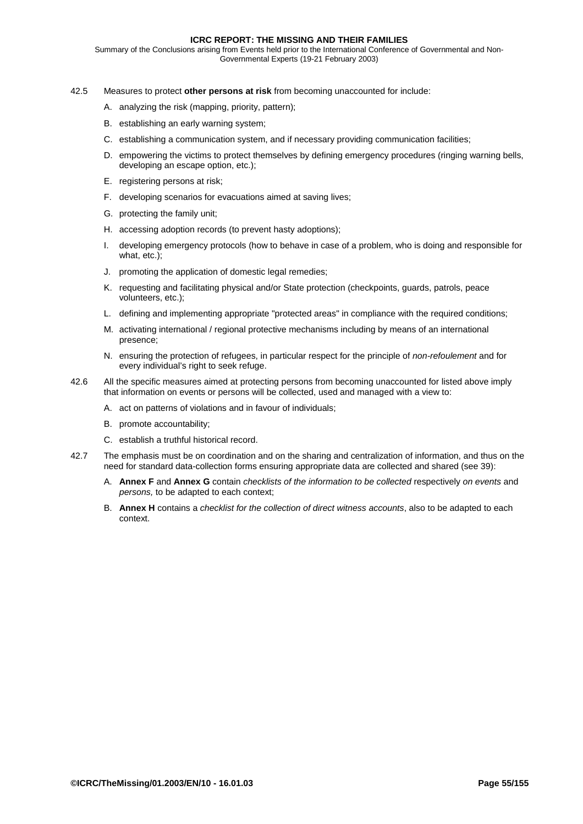Summary of the Conclusions arising from Events held prior to the International Conference of Governmental and Non-Governmental Experts (19-21 February 2003)

- 42.5 Measures to protect **other persons at risk** from becoming unaccounted for include:
	- A. analyzing the risk (mapping, priority, pattern);
	- B. establishing an early warning system;
	- C. establishing a communication system, and if necessary providing communication facilities;
	- D. empowering the victims to protect themselves by defining emergency procedures (ringing warning bells, developing an escape option, etc.);
	- E. registering persons at risk;
	- F. developing scenarios for evacuations aimed at saving lives;
	- G. protecting the family unit;
	- H. accessing adoption records (to prevent hasty adoptions);
	- I. developing emergency protocols (how to behave in case of a problem, who is doing and responsible for what, etc.);
	- J. promoting the application of domestic legal remedies;
	- K. requesting and facilitating physical and/or State protection (checkpoints, guards, patrols, peace volunteers, etc.);
	- L. defining and implementing appropriate "protected areas" in compliance with the required conditions;
	- M. activating international / regional protective mechanisms including by means of an international presence;
	- N. ensuring the protection of refugees, in particular respect for the principle of *non-refoulement* and for every individual's right to seek refuge.
- 42.6 All the specific measures aimed at protecting persons from becoming unaccounted for listed above imply that information on events or persons will be collected, used and managed with a view to:
	- A. act on patterns of violations and in favour of individuals;
	- B. promote accountability;
	- C. establish a truthful historical record.
- 42.7 The emphasis must be on coordination and on the sharing and centralization of information, and thus on the need for standard data-collection forms ensuring appropriate data are collected and shared (see [39\):](#page-49-0)
	- A. **[Annex F](#page-107-0)** and **[Annex G](#page-108-0)** contain *checklists of the information to be collected* respectively *on events* and *persons,* to be adapted to each context;
	- B. **[Annex H](#page-110-0)** contains a *checklist for the collection of direct witness accounts*, also to be adapted to each context.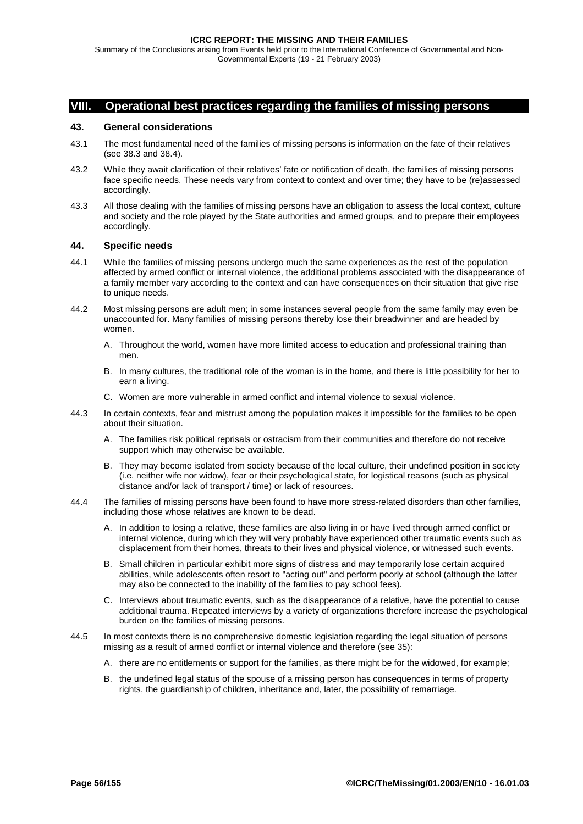# **VIII. Operational best practices regarding the families of missing persons**

# **43. General considerations**

- 43.1 The most fundamental need of the families of missing persons is information on the fate of their relatives (see [38.3](#page-48-0) and [38.4\)](#page-48-0).
- 43.2 While they await clarification of their relatives' fate or notification of death, the families of missing persons face specific needs. These needs vary from context to context and over time; they have to be (re)assessed accordingly.
- 43.3 All those dealing with the families of missing persons have an obligation to assess the local context, culture and society and the role played by the State authorities and armed groups, and to prepare their employees accordingly.

# **44. Specific needs**

- 44.1 While the families of missing persons undergo much the same experiences as the rest of the population affected by armed conflict or internal violence, the additional problems associated with the disappearance of a family member vary according to the context and can have consequences on their situation that give rise to unique needs.
- 44.2 Most missing persons are adult men; in some instances several people from the same family may even be unaccounted for. Many families of missing persons thereby lose their breadwinner and are headed by women.
	- A. Throughout the world, women have more limited access to education and professional training than men.
	- B. In many cultures, the traditional role of the woman is in the home, and there is little possibility for her to earn a living.
	- C. Women are more vulnerable in armed conflict and internal violence to sexual violence.
- 44.3 In certain contexts, fear and mistrust among the population makes it impossible for the families to be open about their situation.
	- A. The families risk political reprisals or ostracism from their communities and therefore do not receive support which may otherwise be available.
	- B. They may become isolated from society because of the local culture, their undefined position in society (i.e. neither wife nor widow), fear or their psychological state, for logistical reasons (such as physical distance and/or lack of transport / time) or lack of resources.
- 44.4 The families of missing persons have been found to have more stress-related disorders than other families, including those whose relatives are known to be dead.
	- A. In addition to losing a relative, these families are also living in or have lived through armed conflict or internal violence, during which they will very probably have experienced other traumatic events such as displacement from their homes, threats to their lives and physical violence, or witnessed such events.
	- B. Small children in particular exhibit more signs of distress and may temporarily lose certain acquired abilities, while adolescents often resort to "acting out" and perform poorly at school (although the latter may also be connected to the inability of the families to pay school fees).
	- C. Interviews about traumatic events, such as the disappearance of a relative, have the potential to cause additional trauma. Repeated interviews by a variety of organizations therefore increase the psychological burden on the families of missing persons.
- 44.5 In most contexts there is no comprehensive domestic legislation regarding the legal situation of persons missing as a result of armed conflict or internal violence and therefore (see [35\)](#page-43-0):
	- A. there are no entitlements or support for the families, as there might be for the widowed, for example;
	- B. the undefined legal status of the spouse of a missing person has consequences in terms of property rights, the guardianship of children, inheritance and, later, the possibility of remarriage.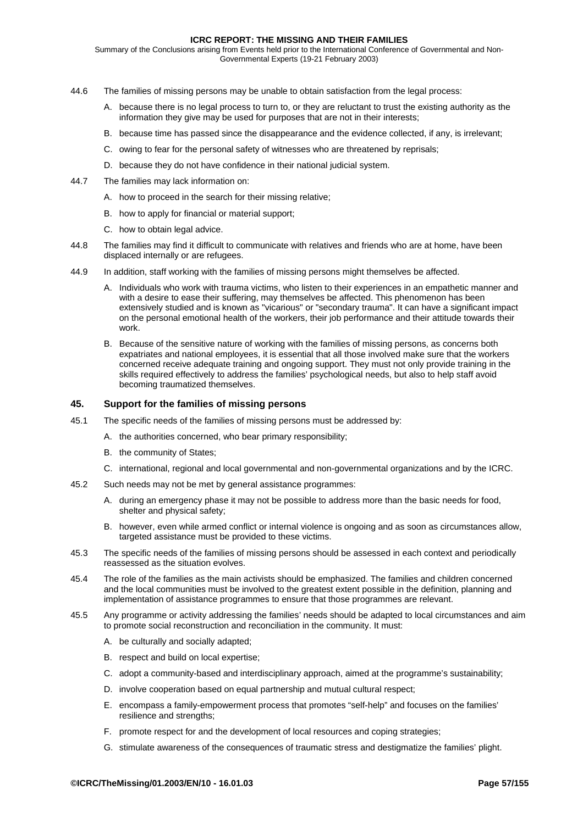Summary of the Conclusions arising from Events held prior to the International Conference of Governmental and Non-Governmental Experts (19-21 February 2003)

- 44.6 The families of missing persons may be unable to obtain satisfaction from the legal process:
	- A. because there is no legal process to turn to, or they are reluctant to trust the existing authority as the information they give may be used for purposes that are not in their interests;
	- B. because time has passed since the disappearance and the evidence collected, if any, is irrelevant;
	- C. owing to fear for the personal safety of witnesses who are threatened by reprisals;
	- D. because they do not have confidence in their national judicial system.
- 44.7 The families may lack information on:
	- A. how to proceed in the search for their missing relative;
	- B. how to apply for financial or material support;
	- C. how to obtain legal advice.
- 44.8 The families may find it difficult to communicate with relatives and friends who are at home, have been displaced internally or are refugees.
- 44.9 In addition, staff working with the families of missing persons might themselves be affected.
	- A. Individuals who work with trauma victims, who listen to their experiences in an empathetic manner and with a desire to ease their suffering, may themselves be affected. This phenomenon has been extensively studied and is known as "vicarious" or "secondary trauma". It can have a significant impact on the personal emotional health of the workers, their job performance and their attitude towards their work.
	- B. Because of the sensitive nature of working with the families of missing persons, as concerns both expatriates and national employees, it is essential that all those involved make sure that the workers concerned receive adequate training and ongoing support. They must not only provide training in the skills required effectively to address the families' psychological needs, but also to help staff avoid becoming traumatized themselves.

### **45. Support for the families of missing persons**

- 45.1 The specific needs of the families of missing persons must be addressed by:
	- A. the authorities concerned, who bear primary responsibility;
	- B. the community of States;
	- C. international, regional and local governmental and non-governmental organizations and by the ICRC.
- 45.2 Such needs may not be met by general assistance programmes:
	- A. during an emergency phase it may not be possible to address more than the basic needs for food, shelter and physical safety;
	- B. however, even while armed conflict or internal violence is ongoing and as soon as circumstances allow, targeted assistance must be provided to these victims.
- 45.3 The specific needs of the families of missing persons should be assessed in each context and periodically reassessed as the situation evolves.
- 45.4 The role of the families as the main activists should be emphasized. The families and children concerned and the local communities must be involved to the greatest extent possible in the definition, planning and implementation of assistance programmes to ensure that those programmes are relevant.
- 45.5 Any programme or activity addressing the families' needs should be adapted to local circumstances and aim to promote social reconstruction and reconciliation in the community. It must:
	- A. be culturally and socially adapted;
	- B. respect and build on local expertise;
	- C. adopt a community-based and interdisciplinary approach, aimed at the programme's sustainability;
	- D. involve cooperation based on equal partnership and mutual cultural respect;
	- E. encompass a family-empowerment process that promotes "self-help" and focuses on the families' resilience and strengths;
	- F. promote respect for and the development of local resources and coping strategies;
	- G. stimulate awareness of the consequences of traumatic stress and destigmatize the families' plight.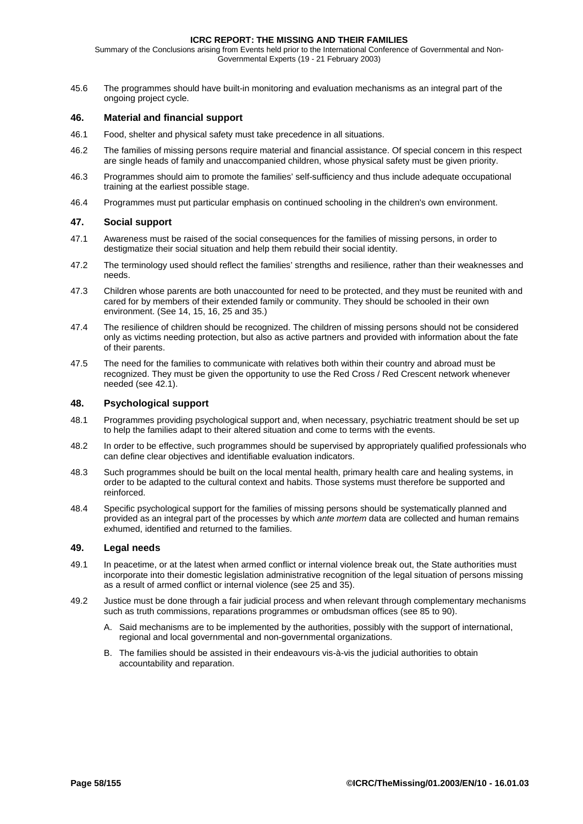<span id="page-57-0"></span>Summary of the Conclusions arising from Events held prior to the International Conference of Governmental and Non-Governmental Experts (19 - 21 February 2003)

45.6 The programmes should have built-in monitoring and evaluation mechanisms as an integral part of the ongoing project cycle.

# **46. Material and financial support**

- 46.1 Food, shelter and physical safety must take precedence in all situations.
- 46.2 The families of missing persons require material and financial assistance. Of special concern in this respect are single heads of family and unaccompanied children, whose physical safety must be given priority.
- 46.3 Programmes should aim to promote the families' self-sufficiency and thus include adequate occupational training at the earliest possible stage.
- 46.4 Programmes must put particular emphasis on continued schooling in the children's own environment.

# **47. Social support**

- 47.1 Awareness must be raised of the social consequences for the families of missing persons, in order to destigmatize their social situation and help them rebuild their social identity.
- 47.2 The terminology used should reflect the families' strengths and resilience, rather than their weaknesses and needs.
- 47.3 Children whose parents are both unaccounted for need to be protected, and they must be reunited with and cared for by members of their extended family or community. They should be schooled in their own environment. (See [14,](#page-24-0) [15,](#page-25-0) [16,](#page-26-0) [25 a](#page-32-0)nd [35.\)](#page-43-0)
- 47.4 The resilience of children should be recognized. The children of missing persons should not be considered only as victims needing protection, but also as active partners and provided with information about the fate of their parents.
- 47.5 The need for the families to communicate with relatives both within their country and abroad must be recognized. They must be given the opportunity to use the Red Cross / Red Crescent network whenever needed (see [42.1\)](#page-52-0).

# **48. Psychological support**

- 48.1 Programmes providing psychological support and, when necessary, psychiatric treatment should be set up to help the families adapt to their altered situation and come to terms with the events.
- 48.2 In order to be effective, such programmes should be supervised by appropriately qualified professionals who can define clear objectives and identifiable evaluation indicators.
- 48.3 Such programmes should be built on the local mental health, primary health care and healing systems, in order to be adapted to the cultural context and habits. Those systems must therefore be supported and reinforced.
- 48.4 Specific psychological support for the families of missing persons should be systematically planned and provided as an integral part of the processes by which *ante mortem* data are collected and human remains exhumed, identified and returned to the families.

# **49. Legal needs**

- 49.1 In peacetime, or at the latest when armed conflict or internal violence break out, the State authorities must incorporate into their domestic legislation administrative recognition of the legal situation of persons missing as a result of armed conflict or internal violence (see [25 a](#page-32-0)nd [35\)](#page-43-0).
- 49.2 Justice must be done through a fair judicial process and when relevant through complementary mechanisms such as truth commissions, reparations programmes or ombudsman offices (see [85 t](#page-84-0)o [90\)](#page-87-0).
	- A. Said mechanisms are to be implemented by the authorities, possibly with the support of international, regional and local governmental and non-governmental organizations.
	- B. The families should be assisted in their endeavours vis-à-vis the judicial authorities to obtain accountability and reparation.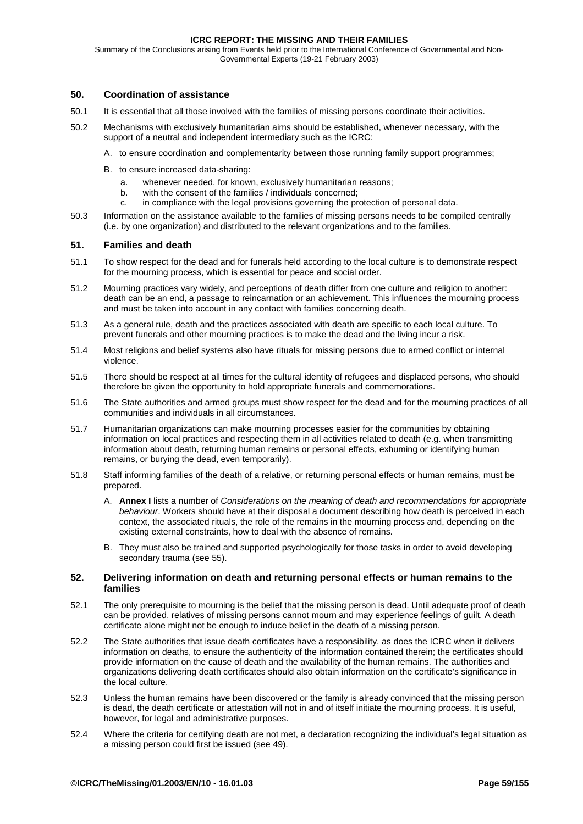<span id="page-58-0"></span>Summary of the Conclusions arising from Events held prior to the International Conference of Governmental and Non-Governmental Experts (19-21 February 2003)

# **50. Coordination of assistance**

- 50.1 It is essential that all those involved with the families of missing persons coordinate their activities.
- 50.2 Mechanisms with exclusively humanitarian aims should be established, whenever necessary, with the support of a neutral and independent intermediary such as the ICRC:
	- A. to ensure coordination and complementarity between those running family support programmes;
	- B. to ensure increased data-sharing:
		- a. whenever needed, for known, exclusively humanitarian reasons;
		- b. with the consent of the families / individuals concerned;
		- c. in compliance with the legal provisions governing the protection of personal data.
- 50.3 Information on the assistance available to the families of missing persons needs to be compiled centrally (i.e. by one organization) and distributed to the relevant organizations and to the families.

# **51. Families and death**

- 51.1 To show respect for the dead and for funerals held according to the local culture is to demonstrate respect for the mourning process, which is essential for peace and social order.
- 51.2 Mourning practices vary widely, and perceptions of death differ from one culture and religion to another: death can be an end, a passage to reincarnation or an achievement. This influences the mourning process and must be taken into account in any contact with families concerning death.
- 51.3 As a general rule, death and the practices associated with death are specific to each local culture. To prevent funerals and other mourning practices is to make the dead and the living incur a risk.
- 51.4 Most religions and belief systems also have rituals for missing persons due to armed conflict or internal violence.
- 51.5 There should be respect at all times for the cultural identity of refugees and displaced persons, who should therefore be given the opportunity to hold appropriate funerals and commemorations.
- 51.6 The State authorities and armed groups must show respect for the dead and for the mourning practices of all communities and individuals in all circumstances.
- 51.7 Humanitarian organizations can make mourning processes easier for the communities by obtaining information on local practices and respecting them in all activities related to death (e.g. when transmitting information about death, returning human remains or personal effects, exhuming or identifying human remains, or burying the dead, even temporarily).
- 51.8 Staff informing families of the death of a relative, or returning personal effects or human remains, must be prepared.
	- A. **[Annex I](#page-112-0)** lists a number of *Considerations on the meaning of death and recommendations for appropriate behaviour*. Workers should have at their disposal a document describing how death is perceived in each context, the associated rituals, the role of the remains in the mourning process and, depending on the existing external constraints, how to deal with the absence of remains.
	- B. They must also be trained and supported psychologically for those tasks in order to avoid developing secondary trauma (see [55\)](#page-62-0).

## **52. Delivering information on death and returning personal effects or human remains to the families**

- 52.1 The only prerequisite to mourning is the belief that the missing person is dead. Until adequate proof of death can be provided, relatives of missing persons cannot mourn and may experience feelings of guilt. A death certificate alone might not be enough to induce belief in the death of a missing person.
- 52.2 The State authorities that issue death certificates have a responsibility, as does the ICRC when it delivers information on deaths, to ensure the authenticity of the information contained therein; the certificates should provide information on the cause of death and the availability of the human remains. The authorities and organizations delivering death certificates should also obtain information on the certificate's significance in the local culture.
- 52.3 Unless the human remains have been discovered or the family is already convinced that the missing person is dead, the death certificate or attestation will not in and of itself initiate the mourning process. It is useful, however, for legal and administrative purposes.
- 52.4 Where the criteria for certifying death are not met, a declaration recognizing the individual's legal situation as a missing person could first be issued (see [49\).](#page-57-0)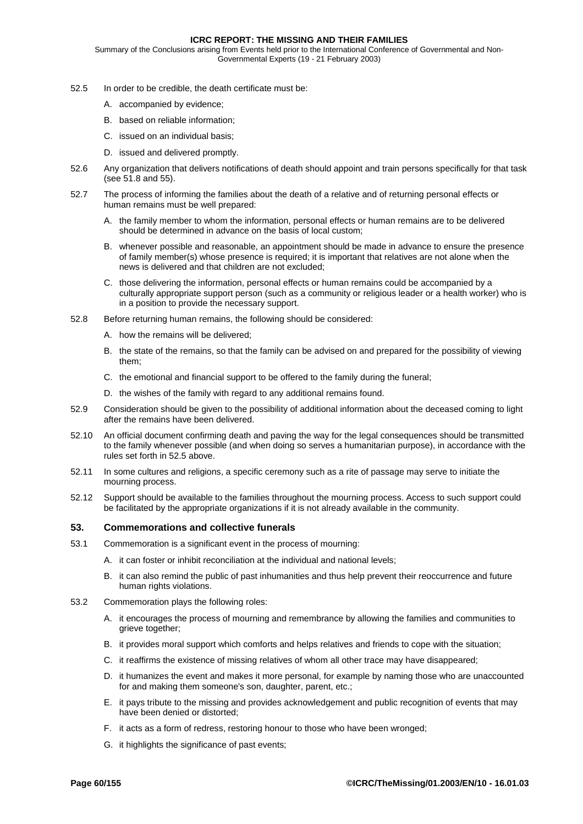Summary of the Conclusions arising from Events held prior to the International Conference of Governmental and Non-Governmental Experts (19 - 21 February 2003)

- 52.5 In order to be credible, the death certificate must be:
	- A. accompanied by evidence;
	- B. based on reliable information;
	- C. issued on an individual basis;
	- D. issued and delivered promptly.
- 52.6 Any organization that delivers notifications of death should appoint and train persons specifically for that task (see [51.8](#page-58-0) and [55\)](#page-62-0).
- 52.7 The process of informing the families about the death of a relative and of returning personal effects or human remains must be well prepared:
	- A. the family member to whom the information, personal effects or human remains are to be delivered should be determined in advance on the basis of local custom;
	- B. whenever possible and reasonable, an appointment should be made in advance to ensure the presence of family member(s) whose presence is required; it is important that relatives are not alone when the news is delivered and that children are not excluded;
	- C. those delivering the information, personal effects or human remains could be accompanied by a culturally appropriate support person (such as a community or religious leader or a health worker) who is in a position to provide the necessary support.
- 52.8 Before returning human remains, the following should be considered:
	- A. how the remains will be delivered;
	- B. the state of the remains, so that the family can be advised on and prepared for the possibility of viewing them;
	- C. the emotional and financial support to be offered to the family during the funeral;
	- D. the wishes of the family with regard to any additional remains found.
- 52.9 Consideration should be given to the possibility of additional information about the deceased coming to light after the remains have been delivered.
- 52.10 An official document confirming death and paving the way for the legal consequences should be transmitted to the family whenever possible (and when doing so serves a humanitarian purpose), in accordance with the rules set forth in 52.5 above.
- 52.11 In some cultures and religions, a specific ceremony such as a rite of passage may serve to initiate the mourning process.
- 52.12 Support should be available to the families throughout the mourning process. Access to such support could be facilitated by the appropriate organizations if it is not already available in the community.

### **53. Commemorations and collective funerals**

- 53.1 Commemoration is a significant event in the process of mourning:
	- A. it can foster or inhibit reconciliation at the individual and national levels;
	- B. it can also remind the public of past inhumanities and thus help prevent their reoccurrence and future human rights violations.
- 53.2 Commemoration plays the following roles:
	- A. it encourages the process of mourning and remembrance by allowing the families and communities to grieve together;
	- B. it provides moral support which comforts and helps relatives and friends to cope with the situation;
	- C. it reaffirms the existence of missing relatives of whom all other trace may have disappeared;
	- D. it humanizes the event and makes it more personal, for example by naming those who are unaccounted for and making them someone's son, daughter, parent, etc.;
	- E. it pays tribute to the missing and provides acknowledgement and public recognition of events that may have been denied or distorted;
	- F. it acts as a form of redress, restoring honour to those who have been wronged;
	- G. it highlights the significance of past events;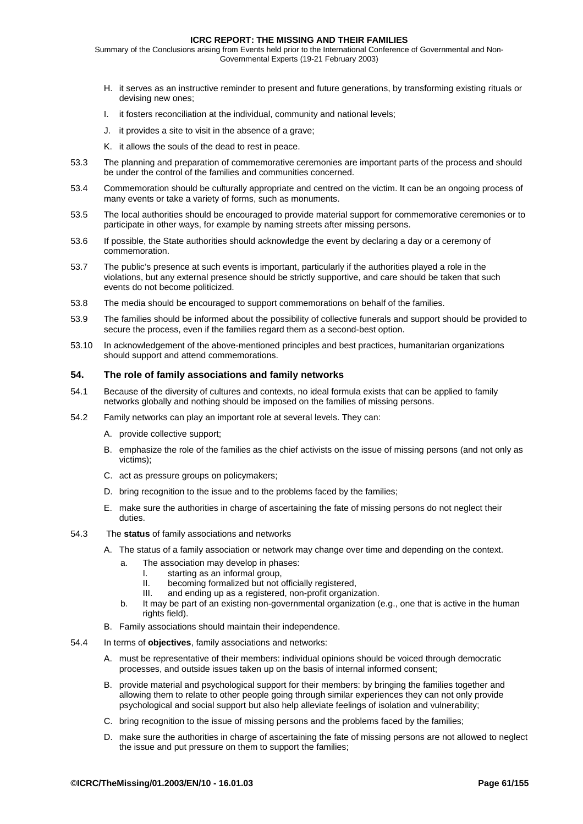Summary of the Conclusions arising from Events held prior to the International Conference of Governmental and Non-Governmental Experts (19-21 February 2003)

- H. it serves as an instructive reminder to present and future generations, by transforming existing rituals or devising new ones;
- I. it fosters reconciliation at the individual, community and national levels;
- J. it provides a site to visit in the absence of a grave;
- K. it allows the souls of the dead to rest in peace.
- 53.3 The planning and preparation of commemorative ceremonies are important parts of the process and should be under the control of the families and communities concerned.
- 53.4 Commemoration should be culturally appropriate and centred on the victim. It can be an ongoing process of many events or take a variety of forms, such as monuments.
- 53.5 The local authorities should be encouraged to provide material support for commemorative ceremonies or to participate in other ways, for example by naming streets after missing persons.
- 53.6 If possible, the State authorities should acknowledge the event by declaring a day or a ceremony of commemoration.
- 53.7 The public's presence at such events is important, particularly if the authorities played a role in the violations, but any external presence should be strictly supportive, and care should be taken that such events do not become politicized.
- 53.8 The media should be encouraged to support commemorations on behalf of the families.
- 53.9 The families should be informed about the possibility of collective funerals and support should be provided to secure the process, even if the families regard them as a second-best option.
- 53.10 In acknowledgement of the above-mentioned principles and best practices, humanitarian organizations should support and attend commemorations.

# **54. The role of family associations and family networks**

- 54.1 Because of the diversity of cultures and contexts, no ideal formula exists that can be applied to family networks globally and nothing should be imposed on the families of missing persons.
- 54.2 Family networks can play an important role at several levels. They can:
	- A. provide collective support;
	- B. emphasize the role of the families as the chief activists on the issue of missing persons (and not only as victims);
	- C. act as pressure groups on policymakers;
	- D. bring recognition to the issue and to the problems faced by the families:
	- E. make sure the authorities in charge of ascertaining the fate of missing persons do not neglect their duties.
- 54.3 The **status** of family associations and networks
	- A. The status of a family association or network may change over time and depending on the context.
		- a. The association may develop in phases:
			-
			- I. starting as an informal group,<br>II. becoming formalized but not of becoming formalized but not officially registered,
			- III. and ending up as a registered, non-profit organization.
		- b. It may be part of an existing non-governmental organization (e.g., one that is active in the human rights field).
	- B. Family associations should maintain their independence.
- 54.4 In terms of **objectives**, family associations and networks:
	- A. must be representative of their members: individual opinions should be voiced through democratic processes, and outside issues taken up on the basis of internal informed consent;
	- B. provide material and psychological support for their members: by bringing the families together and allowing them to relate to other people going through similar experiences they can not only provide psychological and social support but also help alleviate feelings of isolation and vulnerability;
	- C. bring recognition to the issue of missing persons and the problems faced by the families;
	- D. make sure the authorities in charge of ascertaining the fate of missing persons are not allowed to neglect the issue and put pressure on them to support the families;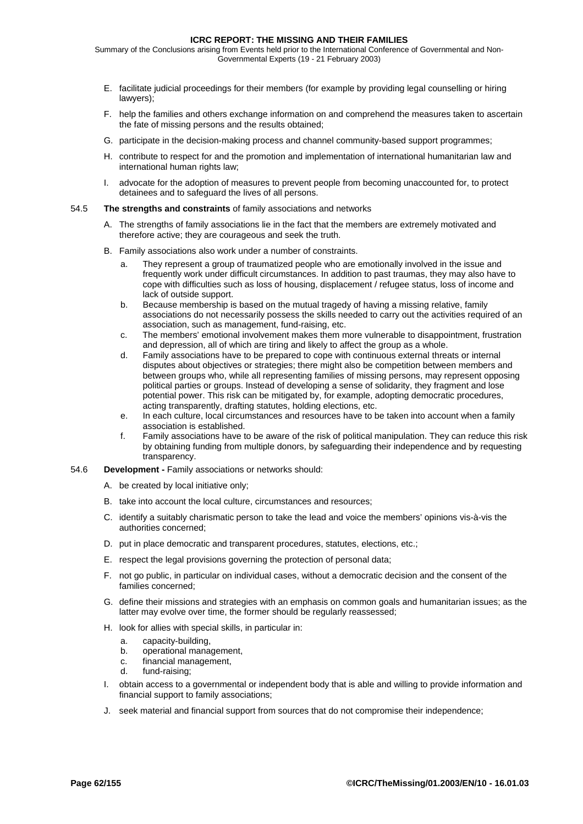Summary of the Conclusions arising from Events held prior to the International Conference of Governmental and Non-Governmental Experts (19 - 21 February 2003)

- E. facilitate judicial proceedings for their members (for example by providing legal counselling or hiring lawyers);
- F. help the families and others exchange information on and comprehend the measures taken to ascertain the fate of missing persons and the results obtained;
- G. participate in the decision-making process and channel community-based support programmes;
- H. contribute to respect for and the promotion and implementation of international humanitarian law and international human rights law;
- I. advocate for the adoption of measures to prevent people from becoming unaccounted for, to protect detainees and to safeguard the lives of all persons.
- 54.5 **The strengths and constraints** of family associations and networks
	- A. The strengths of family associations lie in the fact that the members are extremely motivated and therefore active; they are courageous and seek the truth.
	- B. Family associations also work under a number of constraints.
		- a. They represent a group of traumatized people who are emotionally involved in the issue and frequently work under difficult circumstances. In addition to past traumas, they may also have to cope with difficulties such as loss of housing, displacement / refugee status, loss of income and lack of outside support.
		- b. Because membership is based on the mutual tragedy of having a missing relative, family associations do not necessarily possess the skills needed to carry out the activities required of an association, such as management, fund-raising, etc.
		- c. The members' emotional involvement makes them more vulnerable to disappointment, frustration and depression, all of which are tiring and likely to affect the group as a whole.
		- d. Family associations have to be prepared to cope with continuous external threats or internal disputes about objectives or strategies; there might also be competition between members and between groups who, while all representing families of missing persons, may represent opposing political parties or groups. Instead of developing a sense of solidarity, they fragment and lose potential power. This risk can be mitigated by, for example, adopting democratic procedures, acting transparently, drafting statutes, holding elections, etc.
		- e. In each culture, local circumstances and resources have to be taken into account when a family association is established.
		- f. Family associations have to be aware of the risk of political manipulation. They can reduce this risk by obtaining funding from multiple donors, by safeguarding their independence and by requesting transparency.
- 54.6 **Development** Family associations or networks should:
	- A. be created by local initiative only;
	- B. take into account the local culture, circumstances and resources;
	- C. identify a suitably charismatic person to take the lead and voice the members' opinions vis-à-vis the authorities concerned;
	- D. put in place democratic and transparent procedures, statutes, elections, etc.;
	- E. respect the legal provisions governing the protection of personal data;
	- F. not go public, in particular on individual cases, without a democratic decision and the consent of the families concerned;
	- G. define their missions and strategies with an emphasis on common goals and humanitarian issues; as the latter may evolve over time, the former should be regularly reassessed;
	- H. look for allies with special skills, in particular in:
		- a. capacity-building,
		- b. operational management,
		- c. financial management,
		- d. fund-raising;
	- I. obtain access to a governmental or independent body that is able and willing to provide information and financial support to family associations;
	- J. seek material and financial support from sources that do not compromise their independence;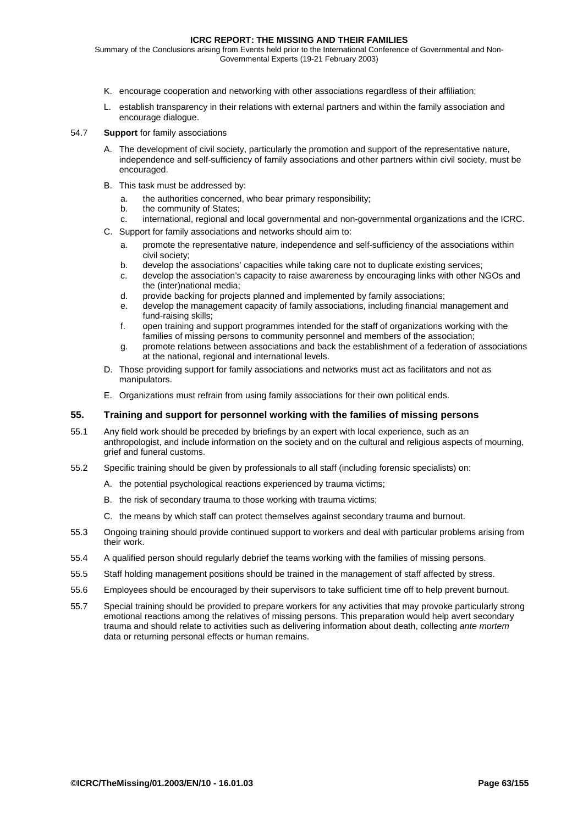<span id="page-62-0"></span>Summary of the Conclusions arising from Events held prior to the International Conference of Governmental and Non-Governmental Experts (19-21 February 2003)

- K. encourage cooperation and networking with other associations regardless of their affiliation;
- L. establish transparency in their relations with external partners and within the family association and encourage dialogue.
- 54.7 **Support** for family associations
	- A. The development of civil society, particularly the promotion and support of the representative nature, independence and self-sufficiency of family associations and other partners within civil society, must be encouraged.
	- B. This task must be addressed by:
		- a. the authorities concerned, who bear primary responsibility;
		- b. the community of States;
		- international, regional and local governmental and non-governmental organizations and the ICRC.
	- C. Support for family associations and networks should aim to:
		- a. promote the representative nature, independence and self-sufficiency of the associations within civil society;
		- b. develop the associations' capacities while taking care not to duplicate existing services;
		- c. develop the association's capacity to raise awareness by encouraging links with other NGOs and the (inter)national media;
		- d. provide backing for projects planned and implemented by family associations;
		- e. develop the management capacity of family associations, including financial management and fund-raising skills;
		- f. open training and support programmes intended for the staff of organizations working with the families of missing persons to community personnel and members of the association;
		- g. promote relations between associations and back the establishment of a federation of associations at the national, regional and international levels.
	- D. Those providing support for family associations and networks must act as facilitators and not as manipulators.
	- E. Organizations must refrain from using family associations for their own political ends.

# **55. Training and support for personnel working with the families of missing persons**

- 55.1 Any field work should be preceded by briefings by an expert with local experience, such as an anthropologist, and include information on the society and on the cultural and religious aspects of mourning, grief and funeral customs.
- 55.2 Specific training should be given by professionals to all staff (including forensic specialists) on:
	- A. the potential psychological reactions experienced by trauma victims;
	- B. the risk of secondary trauma to those working with trauma victims;
	- C. the means by which staff can protect themselves against secondary trauma and burnout.
- 55.3 Ongoing training should provide continued support to workers and deal with particular problems arising from their work.
- 55.4 A qualified person should regularly debrief the teams working with the families of missing persons.
- 55.5 Staff holding management positions should be trained in the management of staff affected by stress.
- 55.6 Employees should be encouraged by their supervisors to take sufficient time off to help prevent burnout.
- 55.7 Special training should be provided to prepare workers for any activities that may provoke particularly strong emotional reactions among the relatives of missing persons. This preparation would help avert secondary trauma and should relate to activities such as delivering information about death, collecting *ante mortem* data or returning personal effects or human remains.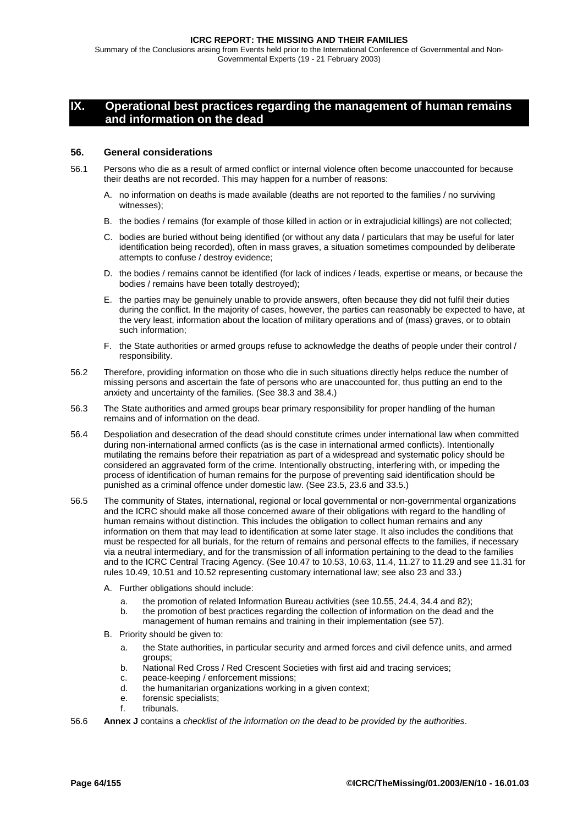Summary of the Conclusions arising from Events held prior to the International Conference of Governmental and Non-Governmental Experts (19 - 21 February 2003)

# **IX. Operational best practices regarding the management of human remains and information on the dead**

## **56. General considerations**

- 56.1 Persons who die as a result of armed conflict or internal violence often become unaccounted for because their deaths are not recorded. This may happen for a number of reasons:
	- A. no information on deaths is made available (deaths are not reported to the families / no surviving witnesses);
	- B. the bodies / remains (for example of those killed in action or in extrajudicial killings) are not collected;
	- C. bodies are buried without being identified (or without any data / particulars that may be useful for later identification being recorded), often in mass graves, a situation sometimes compounded by deliberate attempts to confuse / destroy evidence;
	- D. the bodies / remains cannot be identified (for lack of indices / leads, expertise or means, or because the bodies / remains have been totally destroyed);
	- E. the parties may be genuinely unable to provide answers, often because they did not fulfil their duties during the conflict. In the majority of cases, however, the parties can reasonably be expected to have, at the very least, information about the location of military operations and of (mass) graves, or to obtain such information;
	- F. the State authorities or armed groups refuse to acknowledge the deaths of people under their control / responsibility.
- 56.2 Therefore, providing information on those who die in such situations directly helps reduce the number of missing persons and ascertain the fate of persons who are unaccounted for, thus putting an end to the anxiety and uncertainty of the families. (See [38.3 a](#page-48-0)nd [38.4.\)](#page-48-0)
- 56.3 The State authorities and armed groups bear primary responsibility for proper handling of the human remains and of information on the dead.
- 56.4 Despoliation and desecration of the dead should constitute crimes under international law when committed during non-international armed conflicts (as is the case in international armed conflicts). Intentionally mutilating the remains before their repatriation as part of a widespread and systematic policy should be considered an aggravated form of the crime. Intentionally obstructing, interfering with, or impeding the process of identification of human remains for the purpose of preventing said identification should be punished as a criminal offence under domestic law. (See [23.5, 23.6 a](#page-31-0)nd [33.5.\)](#page-41-0)
- 56.5 The community of States, international, regional or local governmental or non-governmental organizations and the ICRC should make all those concerned aware of their obligations with regard to the handling of human remains without distinction. This includes the obligation to collect human remains and any information on them that may lead to identification at some later stage. It also includes the conditions that must be respected for all burials, for the return of remains and personal effects to the families, if necessary via a neutral intermediary, and for the transmission of all information pertaining to the dead to the families and to the ICRC Central Tracing Agency. (See [10.47 t](#page-19-0)o [10.53,](#page-19-0) [10.63,](#page-21-0) [11.4,](#page-22-0) [11.27](#page-23-0) to [11.29](#page-23-0) and see [11.31 f](#page-23-0)or rules [10.49, 10.51 a](#page-19-0)nd [10.52](#page-19-0) representing customary international law; see also [23 a](#page-30-0)nd [33.\)](#page-40-0)
	- A. Further obligations should include:
		- a. the promotion of related Information Bureau activities (see [10.55,](#page-19-0) [24.4,](#page-32-0) [34.4 a](#page-42-0)nd [82\);](#page-83-0)
		- b. the promotion of best practices regarding the collection of information on the dead and the management of human remains and training in their implementation (see [57\).](#page-64-0)
	- B. Priority should be given to:
		- a. the State authorities, in particular security and armed forces and civil defence units, and armed groups;
		- b. National Red Cross / Red Crescent Societies with first aid and tracing services;
		- c. peace-keeping / enforcement missions;
		- d. the humanitarian organizations working in a given context;
		- e. forensic specialists;
		- f. tribunals.
- 56.6 **[Annex J](#page-115-0)** contains a *checklist of the information on the dead to be provided by the authorities*.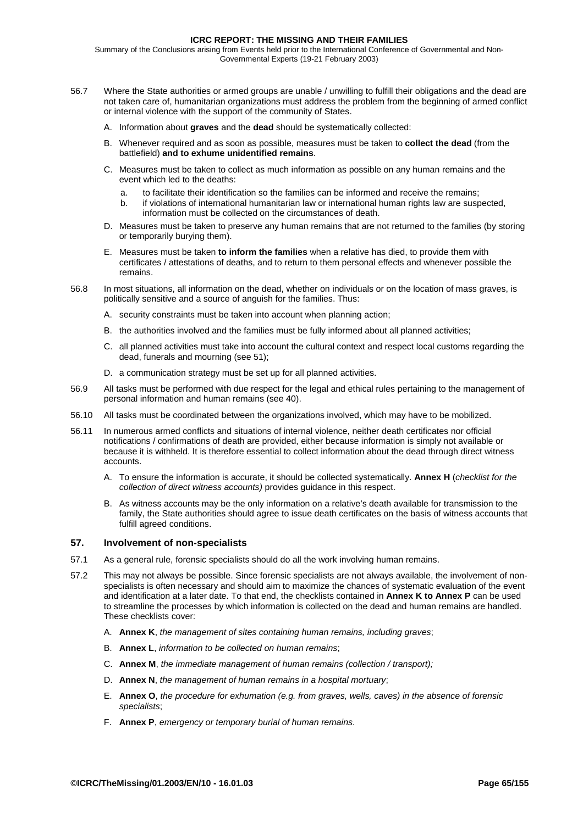<span id="page-64-0"></span>Summary of the Conclusions arising from Events held prior to the International Conference of Governmental and Non-Governmental Experts (19-21 February 2003)

- 56.7 Where the State authorities or armed groups are unable / unwilling to fulfill their obligations and the dead are not taken care of, humanitarian organizations must address the problem from the beginning of armed conflict or internal violence with the support of the community of States.
	- A. Information about **graves** and the **dead** should be systematically collected:
	- B. Whenever required and as soon as possible, measures must be taken to **collect the dead** (from the battlefield) **and to exhume unidentified remains**.
	- C. Measures must be taken to collect as much information as possible on any human remains and the event which led to the deaths:
		- a. to facilitate their identification so the families can be informed and receive the remains;
		- b. if violations of international humanitarian law or international human rights law are suspected, information must be collected on the circumstances of death.
	- D. Measures must be taken to preserve any human remains that are not returned to the families (by storing or temporarily burying them).
	- E. Measures must be taken **to inform the families** when a relative has died, to provide them with certificates / attestations of deaths, and to return to them personal effects and whenever possible the remains.
- 56.8 In most situations, all information on the dead, whether on individuals or on the location of mass graves, is politically sensitive and a source of anguish for the families. Thus:
	- A. security constraints must be taken into account when planning action;
	- B. the authorities involved and the families must be fully informed about all planned activities;
	- C. all planned activities must take into account the cultural context and respect local customs regarding the dead, funerals and mourning (see [51\)](#page-58-0);
	- D. a communication strategy must be set up for all planned activities.
- 56.9 All tasks must be performed with due respect for the legal and ethical rules pertaining to the management of personal information and human remains (see [40\)](#page-50-0).
- 56.10 All tasks must be coordinated between the organizations involved, which may have to be mobilized.
- 56.11 In numerous armed conflicts and situations of internal violence, neither death certificates nor official notifications / confirmations of death are provided, either because information is simply not available or because it is withheld. It is therefore essential to collect information about the dead through direct witness accounts.
	- A. To ensure the information is accurate, it should be collected systematically. **[Annex H](#page-110-0)** (*checklist for the collection of direct witness accounts)* provides guidance in this respect.
	- B. As witness accounts may be the only information on a relative's death available for transmission to the family, the State authorities should agree to issue death certificates on the basis of witness accounts that fulfill agreed conditions.

### **57. Involvement of non-specialists**

- 57.1 As a general rule, forensic specialists should do all the work involving human remains.
- 57.2 This may not always be possible. Since forensic specialists are not always available, the involvement of nonspecialists is often necessary and should aim to maximize the chances of systematic evaluation of the event and identification at a later date. To that end, the checklists contained in **[Annex K](#page-116-0) to [Annex P](#page-126-0)** can be used to streamline the processes by which information is collected on the dead and human remains are handled. These checklists cover:
	- A. **[Annex K](#page-116-0)**, *the management of sites containing human remains, including graves*;
	- B. **[Annex L](#page-118-0)**, *information to be collected on human remains*;
	- C. **[Annex M](#page-120-0)**, *the immediate management of human remains (collection / transport);*
	- D. **[Annex N](#page-122-0)**, *the management of human remains in a hospital mortuary*;
	- E. **[Annex O](#page-124-0)**, *the procedure for exhumation (e.g. from graves, wells, caves) in the absence of forensic specialists*;
	- F. **[Annex P](#page-126-0)**, *emergency or temporary burial of human remains*.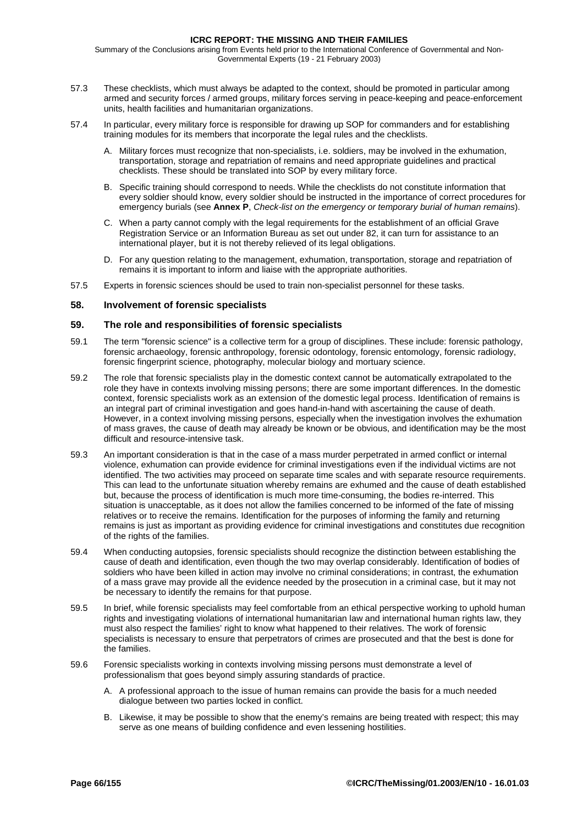<span id="page-65-0"></span>Summary of the Conclusions arising from Events held prior to the International Conference of Governmental and Non-Governmental Experts (19 - 21 February 2003)

- 57.3 These checklists, which must always be adapted to the context, should be promoted in particular among armed and security forces / armed groups, military forces serving in peace-keeping and peace-enforcement units, health facilities and humanitarian organizations.
- 57.4 In particular, every military force is responsible for drawing up SOP for commanders and for establishing training modules for its members that incorporate the legal rules and the checklists.
	- A. Military forces must recognize that non-specialists, i.e. soldiers, may be involved in the exhumation, transportation, storage and repatriation of remains and need appropriate guidelines and practical checklists. These should be translated into SOP by every military force.
	- B. Specific training should correspond to needs. While the checklists do not constitute information that every soldier should know, every soldier should be instructed in the importance of correct procedures for emergency burials (see **[Annex P](#page-126-0)**, *Check-list on the emergency or temporary burial of human remains*).
	- C. When a party cannot comply with the legal requirements for the establishment of an official Grave Registration Service or an Information Bureau as set out under [82,](#page-83-0) it can turn for assistance to an international player, but it is not thereby relieved of its legal obligations.
	- D. For any question relating to the management, exhumation, transportation, storage and repatriation of remains it is important to inform and liaise with the appropriate authorities.
- 57.5 Experts in forensic sciences should be used to train non-specialist personnel for these tasks.

# **58. Involvement of forensic specialists**

### **59. The role and responsibilities of forensic specialists**

- 59.1 The term "forensic science" is a collective term for a group of disciplines. These include: forensic pathology, forensic archaeology, forensic anthropology, forensic odontology, forensic entomology, forensic radiology, forensic fingerprint science, photography, molecular biology and mortuary science.
- 59.2 The role that forensic specialists play in the domestic context cannot be automatically extrapolated to the role they have in contexts involving missing persons; there are some important differences. In the domestic context, forensic specialists work as an extension of the domestic legal process. Identification of remains is an integral part of criminal investigation and goes hand-in-hand with ascertaining the cause of death. However, in a context involving missing persons, especially when the investigation involves the exhumation of mass graves, the cause of death may already be known or be obvious, and identification may be the most difficult and resource-intensive task.
- 59.3 An important consideration is that in the case of a mass murder perpetrated in armed conflict or internal violence, exhumation can provide evidence for criminal investigations even if the individual victims are not identified. The two activities may proceed on separate time scales and with separate resource requirements. This can lead to the unfortunate situation whereby remains are exhumed and the cause of death established but, because the process of identification is much more time-consuming, the bodies re-interred. This situation is unacceptable, as it does not allow the families concerned to be informed of the fate of missing relatives or to receive the remains. Identification for the purposes of informing the family and returning remains is just as important as providing evidence for criminal investigations and constitutes due recognition of the rights of the families.
- 59.4 When conducting autopsies, forensic specialists should recognize the distinction between establishing the cause of death and identification, even though the two may overlap considerably. Identification of bodies of soldiers who have been killed in action may involve no criminal considerations; in contrast, the exhumation of a mass grave may provide all the evidence needed by the prosecution in a criminal case, but it may not be necessary to identify the remains for that purpose.
- 59.5 In brief, while forensic specialists may feel comfortable from an ethical perspective working to uphold human rights and investigating violations of international humanitarian law and international human rights law, they must also respect the families' right to know what happened to their relatives. The work of forensic specialists is necessary to ensure that perpetrators of crimes are prosecuted and that the best is done for the families.
- 59.6 Forensic specialists working in contexts involving missing persons must demonstrate a level of professionalism that goes beyond simply assuring standards of practice.
	- A. A professional approach to the issue of human remains can provide the basis for a much needed dialogue between two parties locked in conflict.
	- B. Likewise, it may be possible to show that the enemy's remains are being treated with respect; this may serve as one means of building confidence and even lessening hostilities.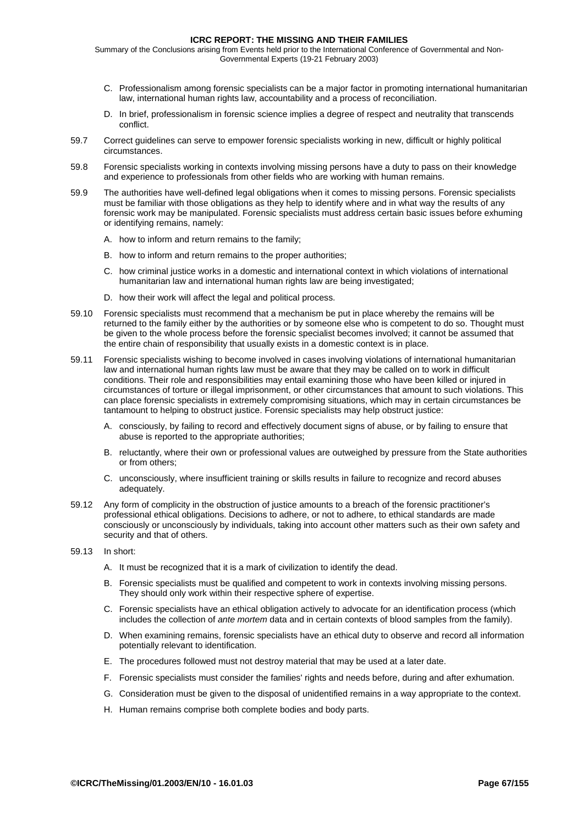Summary of the Conclusions arising from Events held prior to the International Conference of Governmental and Non-Governmental Experts (19-21 February 2003)

- C. Professionalism among forensic specialists can be a major factor in promoting international humanitarian law, international human rights law, accountability and a process of reconciliation.
- D. In brief, professionalism in forensic science implies a degree of respect and neutrality that transcends conflict.
- 59.7 Correct guidelines can serve to empower forensic specialists working in new, difficult or highly political circumstances.
- 59.8 Forensic specialists working in contexts involving missing persons have a duty to pass on their knowledge and experience to professionals from other fields who are working with human remains.
- 59.9 The authorities have well-defined legal obligations when it comes to missing persons. Forensic specialists must be familiar with those obligations as they help to identify where and in what way the results of any forensic work may be manipulated. Forensic specialists must address certain basic issues before exhuming or identifying remains, namely:
	- A. how to inform and return remains to the family;
	- B. how to inform and return remains to the proper authorities;
	- C. how criminal justice works in a domestic and international context in which violations of international humanitarian law and international human rights law are being investigated;
	- D. how their work will affect the legal and political process.
- 59.10 Forensic specialists must recommend that a mechanism be put in place whereby the remains will be returned to the family either by the authorities or by someone else who is competent to do so. Thought must be given to the whole process before the forensic specialist becomes involved; it cannot be assumed that the entire chain of responsibility that usually exists in a domestic context is in place.
- 59.11 Forensic specialists wishing to become involved in cases involving violations of international humanitarian law and international human rights law must be aware that they may be called on to work in difficult conditions. Their role and responsibilities may entail examining those who have been killed or injured in circumstances of torture or illegal imprisonment, or other circumstances that amount to such violations. This can place forensic specialists in extremely compromising situations, which may in certain circumstances be tantamount to helping to obstruct justice. Forensic specialists may help obstruct justice:
	- A. consciously, by failing to record and effectively document signs of abuse, or by failing to ensure that abuse is reported to the appropriate authorities;
	- B. reluctantly, where their own or professional values are outweighed by pressure from the State authorities or from others;
	- C. unconsciously, where insufficient training or skills results in failure to recognize and record abuses adequately.
- 59.12 Any form of complicity in the obstruction of justice amounts to a breach of the forensic practitioner's professional ethical obligations. Decisions to adhere, or not to adhere, to ethical standards are made consciously or unconsciously by individuals, taking into account other matters such as their own safety and security and that of others.
- 59.13 In short:
	- A. It must be recognized that it is a mark of civilization to identify the dead.
	- B. Forensic specialists must be qualified and competent to work in contexts involving missing persons. They should only work within their respective sphere of expertise.
	- C. Forensic specialists have an ethical obligation actively to advocate for an identification process (which includes the collection of *ante mortem* data and in certain contexts of blood samples from the family).
	- D. When examining remains, forensic specialists have an ethical duty to observe and record all information potentially relevant to identification.
	- E. The procedures followed must not destroy material that may be used at a later date.
	- F. Forensic specialists must consider the families' rights and needs before, during and after exhumation.
	- G. Consideration must be given to the disposal of unidentified remains in a way appropriate to the context.
	- H. Human remains comprise both complete bodies and body parts.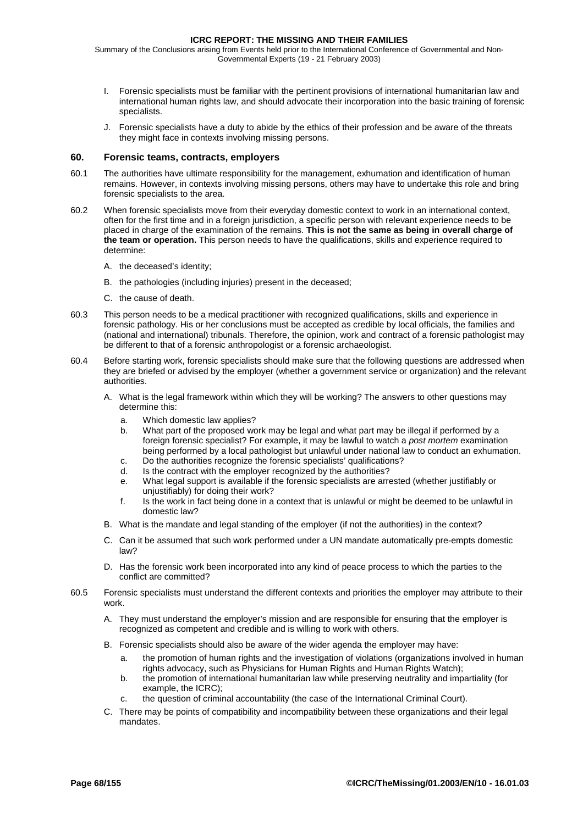<span id="page-67-0"></span>Summary of the Conclusions arising from Events held prior to the International Conference of Governmental and Non-Governmental Experts (19 - 21 February 2003)

- I. Forensic specialists must be familiar with the pertinent provisions of international humanitarian law and international human rights law, and should advocate their incorporation into the basic training of forensic specialists.
- J. Forensic specialists have a duty to abide by the ethics of their profession and be aware of the threats they might face in contexts involving missing persons.

# **60. Forensic teams, contracts, employers**

- 60.1 The authorities have ultimate responsibility for the management, exhumation and identification of human remains. However, in contexts involving missing persons, others may have to undertake this role and bring forensic specialists to the area.
- 60.2 When forensic specialists move from their everyday domestic context to work in an international context, often for the first time and in a foreign jurisdiction, a specific person with relevant experience needs to be placed in charge of the examination of the remains. **This is not the same as being in overall charge of the team or operation.** This person needs to have the qualifications, skills and experience required to determine:
	- A. the deceased's identity;
	- B. the pathologies (including injuries) present in the deceased;
	- C. the cause of death.
- 60.3 This person needs to be a medical practitioner with recognized qualifications, skills and experience in forensic pathology. His or her conclusions must be accepted as credible by local officials, the families and (national and international) tribunals. Therefore, the opinion, work and contract of a forensic pathologist may be different to that of a forensic anthropologist or a forensic archaeologist.
- 60.4 Before starting work, forensic specialists should make sure that the following questions are addressed when they are briefed or advised by the employer (whether a government service or organization) and the relevant authorities.
	- A. What is the legal framework within which they will be working? The answers to other questions may determine this:
		- a. Which domestic law applies?
		- b. What part of the proposed work may be legal and what part may be illegal if performed by a foreign forensic specialist? For example, it may be lawful to watch a *post mortem* examination being performed by a local pathologist but unlawful under national law to conduct an exhumation.
		- c. Do the authorities recognize the forensic specialists' qualifications? d. Is the contract with the employer recognized by the authorities?
		- e. What legal support is available if the forensic specialists are arrested (whether justifiably or unjustifiably) for doing their work?
		- f. Is the work in fact being done in a context that is unlawful or might be deemed to be unlawful in domestic law?
	- B. What is the mandate and legal standing of the employer (if not the authorities) in the context?
	- C. Can it be assumed that such work performed under a UN mandate automatically pre-empts domestic law?
	- D. Has the forensic work been incorporated into any kind of peace process to which the parties to the conflict are committed?
- 60.5 Forensic specialists must understand the different contexts and priorities the employer may attribute to their work.
	- A. They must understand the employer's mission and are responsible for ensuring that the employer is recognized as competent and credible and is willing to work with others.
	- B. Forensic specialists should also be aware of the wider agenda the employer may have:
		- a. the promotion of human rights and the investigation of violations (organizations involved in human rights advocacy, such as Physicians for Human Rights and Human Rights Watch);
		- b. the promotion of international humanitarian law while preserving neutrality and impartiality (for example, the ICRC);
		- c. the question of criminal accountability (the case of the International Criminal Court).
	- C. There may be points of compatibility and incompatibility between these organizations and their legal mandates.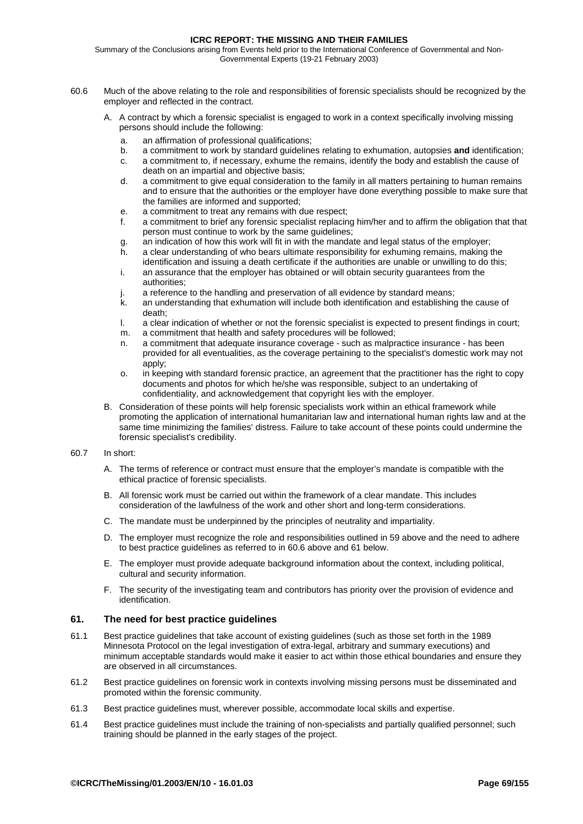Summary of the Conclusions arising from Events held prior to the International Conference of Governmental and Non-Governmental Experts (19-21 February 2003)

- 60.6 Much of the above relating to the role and responsibilities of forensic specialists should be recognized by the employer and reflected in the contract.
	- A. A contract by which a forensic specialist is engaged to work in a context specifically involving missing persons should include the following:
		- a. an affirmation of professional qualifications;
		- b. a commitment to work by standard guidelines relating to exhumation, autopsies **and** identification;
		- c. a commitment to, if necessary, exhume the remains, identify the body and establish the cause of death on an impartial and objective basis;
		- d. a commitment to give equal consideration to the family in all matters pertaining to human remains and to ensure that the authorities or the employer have done everything possible to make sure that the families are informed and supported;
		- e. a commitment to treat any remains with due respect;
		- f. a commitment to brief any forensic specialist replacing him/her and to affirm the obligation that that person must continue to work by the same guidelines;
		- g. an indication of how this work will fit in with the mandate and legal status of the employer;
		- h. a clear understanding of who bears ultimate responsibility for exhuming remains, making the identification and issuing a death certificate if the authorities are unable or unwilling to do this;
		- i. an assurance that the employer has obtained or will obtain security guarantees from the authorities;
		- j. a reference to the handling and preservation of all evidence by standard means;
		- k. an understanding that exhumation will include both identification and establishing the cause of death;
		- l. a clear indication of whether or not the forensic specialist is expected to present findings in court;
		- m. a commitment that health and safety procedures will be followed;
		- n. a commitment that adequate insurance coverage such as malpractice insurance has been provided for all eventualities, as the coverage pertaining to the specialist's domestic work may not apply;
		- o. in keeping with standard forensic practice, an agreement that the practitioner has the right to copy documents and photos for which he/she was responsible, subject to an undertaking of confidentiality, and acknowledgement that copyright lies with the employer.
	- B. Consideration of these points will help forensic specialists work within an ethical framework while promoting the application of international humanitarian law and international human rights law and at the same time minimizing the families' distress. Failure to take account of these points could undermine the forensic specialist's credibility.

### 60.7 In short:

- A. The terms of reference or contract must ensure that the employer's mandate is compatible with the ethical practice of forensic specialists.
- B. All forensic work must be carried out within the framework of a clear mandate. This includes consideration of the lawfulness of the work and other short and long-term considerations.
- C. The mandate must be underpinned by the principles of neutrality and impartiality.
- D. The employer must recognize the role and responsibilities outlined in [59 a](#page-65-0)bove and the need to adhere to best practice guidelines as referred to in 60.6 above and 61 below.
- E. The employer must provide adequate background information about the context, including political, cultural and security information.
- F. The security of the investigating team and contributors has priority over the provision of evidence and identification.

## **61. The need for best practice guidelines**

- 61.1 Best practice guidelines that take account of existing guidelines (such as those set forth in the 1989 Minnesota Protocol on the legal investigation of extra-legal, arbitrary and summary executions) and minimum acceptable standards would make it easier to act within those ethical boundaries and ensure they are observed in all circumstances.
- 61.2 Best practice guidelines on forensic work in contexts involving missing persons must be disseminated and promoted within the forensic community.
- 61.3 Best practice guidelines must, wherever possible, accommodate local skills and expertise.
- 61.4 Best practice guidelines must include the training of non-specialists and partially qualified personnel; such training should be planned in the early stages of the project.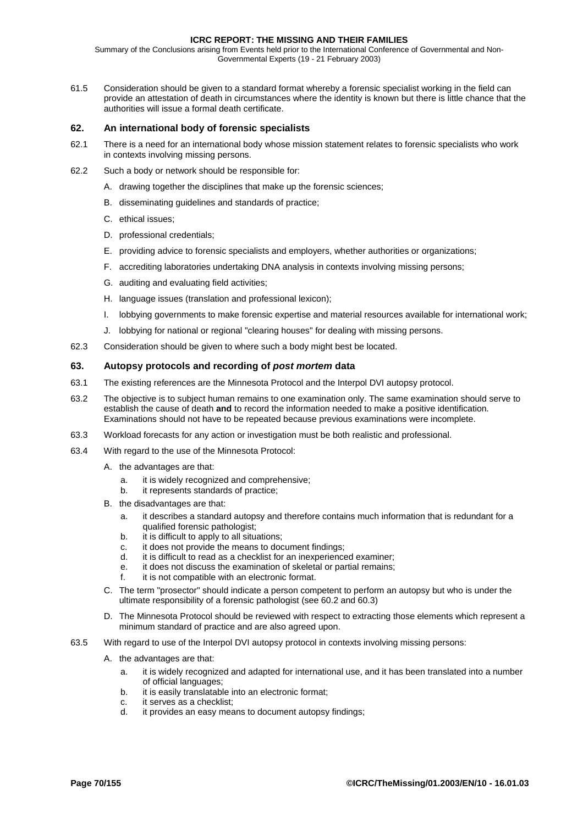Summary of the Conclusions arising from Events held prior to the International Conference of Governmental and Non-Governmental Experts (19 - 21 February 2003)

61.5 Consideration should be given to a standard format whereby a forensic specialist working in the field can provide an attestation of death in circumstances where the identity is known but there is little chance that the authorities will issue a formal death certificate.

# **62. An international body of forensic specialists**

- 62.1 There is a need for an international body whose mission statement relates to forensic specialists who work in contexts involving missing persons.
- 62.2 Such a body or network should be responsible for:
	- A. drawing together the disciplines that make up the forensic sciences;
	- B. disseminating guidelines and standards of practice;
	- C. ethical issues;
	- D. professional credentials;
	- E. providing advice to forensic specialists and employers, whether authorities or organizations;
	- F. accrediting laboratories undertaking DNA analysis in contexts involving missing persons;
	- G. auditing and evaluating field activities;
	- H. language issues (translation and professional lexicon);
	- I. lobbying governments to make forensic expertise and material resources available for international work;
	- J. lobbying for national or regional "clearing houses" for dealing with missing persons.
- 62.3 Consideration should be given to where such a body might best be located.

### **63. Autopsy protocols and recording of** *post mortem* **data**

- 63.1 The existing references are the Minnesota Protocol and the Interpol DVI autopsy protocol.
- 63.2 The objective is to subject human remains to one examination only. The same examination should serve to establish the cause of death **and** to record the information needed to make a positive identification*.* Examinations should not have to be repeated because previous examinations were incomplete.
- 63.3 Workload forecasts for any action or investigation must be both realistic and professional.
- 63.4 With regard to the use of the Minnesota Protocol:
	- A. the advantages are that:
		- a. it is widely recognized and comprehensive;
		- b. it represents standards of practice;
	- B. the disadvantages are that:
		- a. it describes a standard autopsy and therefore contains much information that is redundant for a qualified forensic pathologist;
		- b. it is difficult to apply to all situations;
		- c. it does not provide the means to document findings;
		- d. it is difficult to read as a checklist for an inexperienced examiner;
		- e. it does not discuss the examination of skeletal or partial remains;
		- f. it is not compatible with an electronic format.
	- C. The term "prosector" should indicate a person competent to perform an autopsy but who is under the ultimate responsibility of a forensic pathologist (see [60.2 a](#page-67-0)nd [60.3\)](#page-67-0)
	- D. The Minnesota Protocol should be reviewed with respect to extracting those elements which represent a minimum standard of practice and are also agreed upon.
- 63.5 With regard to use of the Interpol DVI autopsy protocol in contexts involving missing persons:
	- A. the advantages are that:
		- a. it is widely recognized and adapted for international use, and it has been translated into a number of official languages;
		- b. it is easily translatable into an electronic format;
		- c. it serves as a checklist;
		- d. it provides an easy means to document autopsy findings;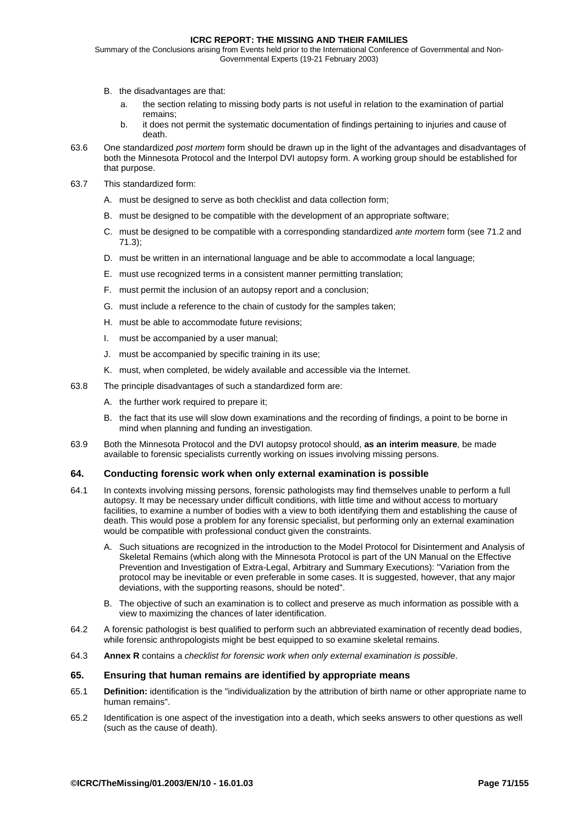Summary of the Conclusions arising from Events held prior to the International Conference of Governmental and Non-Governmental Experts (19-21 February 2003)

- B. the disadvantages are that:
	- a. the section relating to missing body parts is not useful in relation to the examination of partial remains;
	- b. it does not permit the systematic documentation of findings pertaining to injuries and cause of death.
- 63.6 One standardized *post mortem* form should be drawn up in the light of the advantages and disadvantages of both the Minnesota Protocol and the Interpol DVI autopsy form. A working group should be established for that purpose.
- 63.7 This standardized form:
	- A. must be designed to serve as both checklist and data collection form;
	- B. must be designed to be compatible with the development of an appropriate software;
	- C. must be designed to be compatible with a corresponding standardized *ante mortem* form (see [71.2 a](#page-74-0)nd [71.3\)](#page-74-0);
	- D. must be written in an international language and be able to accommodate a local language;
	- E. must use recognized terms in a consistent manner permitting translation;
	- F. must permit the inclusion of an autopsy report and a conclusion;
	- G. must include a reference to the chain of custody for the samples taken;
	- H. must be able to accommodate future revisions;
	- I. must be accompanied by a user manual;
	- J. must be accompanied by specific training in its use;
	- K. must, when completed, be widely available and accessible via the Internet.
- 63.8 The principle disadvantages of such a standardized form are:
	- A. the further work required to prepare it;
	- B. the fact that its use will slow down examinations and the recording of findings, a point to be borne in mind when planning and funding an investigation.
- 63.9 Both the Minnesota Protocol and the DVI autopsy protocol should, **as an interim measure**, be made available to forensic specialists currently working on issues involving missing persons.

## **64. Conducting forensic work when only external examination is possible**

- 64.1 In contexts involving missing persons, forensic pathologists may find themselves unable to perform a full autopsy. It may be necessary under difficult conditions, with little time and without access to mortuary facilities, to examine a number of bodies with a view to both identifying them and establishing the cause of death. This would pose a problem for any forensic specialist, but performing only an external examination would be compatible with professional conduct given the constraints.
	- A. Such situations are recognized in the introduction to the Model Protocol for Disinterment and Analysis of Skeletal Remains (which along with the Minnesota Protocol is part of the UN Manual on the Effective Prevention and Investigation of Extra-Legal, Arbitrary and Summary Executions): "Variation from the protocol may be inevitable or even preferable in some cases. It is suggested, however, that any major deviations, with the supporting reasons, should be noted".
	- B. The objective of such an examination is to collect and preserve as much information as possible with a view to maximizing the chances of later identification.
- 64.2 A forensic pathologist is best qualified to perform such an abbreviated examination of recently dead bodies, while forensic anthropologists might be best equipped to so examine skeletal remains.
- 64.3 **[Annex R](#page-130-0)** contains a *checklist for forensic work when only external examination is possible*.

#### **65. Ensuring that human remains are identified by appropriate means**

- 65.1 **Definition:** identification is the "individualization by the attribution of birth name or other appropriate name to human remains".
- 65.2 Identification is one aspect of the investigation into a death, which seeks answers to other questions as well (such as the cause of death).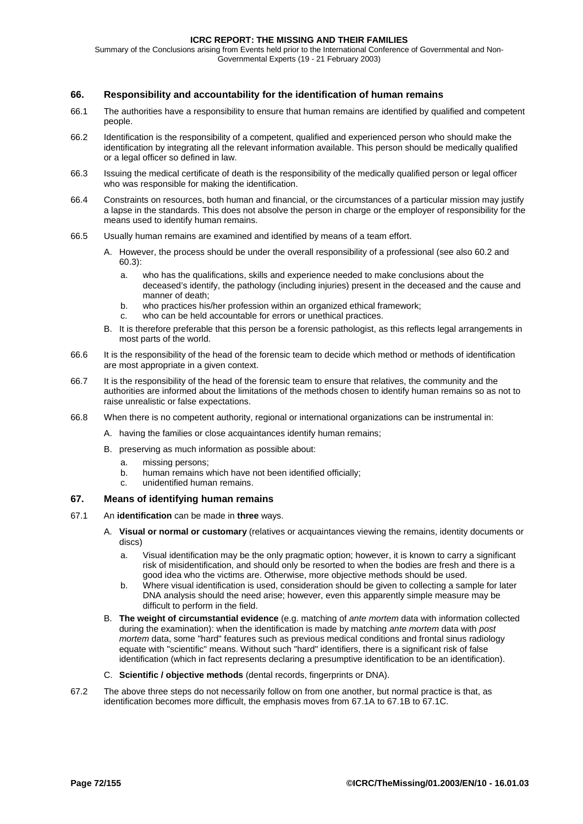Summary of the Conclusions arising from Events held prior to the International Conference of Governmental and Non-Governmental Experts (19 - 21 February 2003)

# **66. Responsibility and accountability for the identification of human remains**

- 66.1 The authorities have a responsibility to ensure that human remains are identified by qualified and competent people.
- 66.2 Identification is the responsibility of a competent, qualified and experienced person who should make the identification by integrating all the relevant information available. This person should be medically qualified or a legal officer so defined in law.
- 66.3 Issuing the medical certificate of death is the responsibility of the medically qualified person or legal officer who was responsible for making the identification.
- 66.4 Constraints on resources, both human and financial, or the circumstances of a particular mission may justify a lapse in the standards. This does not absolve the person in charge or the employer of responsibility for the means used to identify human remains.
- 66.5 Usually human remains are examined and identified by means of a team effort.
	- A. However, the process should be under the overall responsibility of a professional (see also [60.2 a](#page-67-0)nd [60.3\)](#page-67-0):
		- a. who has the qualifications, skills and experience needed to make conclusions about the deceased's identify, the pathology (including injuries) present in the deceased and the cause and manner of death;
		- b. who practices his/her profession within an organized ethical framework;
		- c. who can be held accountable for errors or unethical practices.
	- B. It is therefore preferable that this person be a forensic pathologist, as this reflects legal arrangements in most parts of the world.
- 66.6 It is the responsibility of the head of the forensic team to decide which method or methods of identification are most appropriate in a given context.
- 66.7 It is the responsibility of the head of the forensic team to ensure that relatives, the community and the authorities are informed about the limitations of the methods chosen to identify human remains so as not to raise unrealistic or false expectations.
- 66.8 When there is no competent authority, regional or international organizations can be instrumental in:
	- A. having the families or close acquaintances identify human remains;
	- B. preserving as much information as possible about:
		- a. missing persons;
		- b. human remains which have not been identified officially;
	- c. unidentified human remains.

# **67. Means of identifying human remains**

- 67.1 An **identification** can be made in **three** ways.
	- A. **Visual or normal or customary** (relatives or acquaintances viewing the remains, identity documents or discs)
		- a. Visual identification may be the only pragmatic option; however, it is known to carry a significant risk of misidentification, and should only be resorted to when the bodies are fresh and there is a good idea who the victims are. Otherwise, more objective methods should be used.
		- b. Where visual identification is used, consideration should be given to collecting a sample for later DNA analysis should the need arise; however, even this apparently simple measure may be difficult to perform in the field.
	- B. **The weight of circumstantial evidence** (e.g. matching of *ante mortem* data with information collected during the examination): when the identification is made by matching *ante mortem* data with *post mortem* data, some "hard" features such as previous medical conditions and frontal sinus radiology equate with "scientific" means. Without such "hard" identifiers, there is a significant risk of false identification (which in fact represents declaring a presumptive identification to be an identification).
	- C. **Scientific / objective methods** (dental records, fingerprints or DNA).
- 67.2 The above three steps do not necessarily follow on from one another, but normal practice is that, as identification becomes more difficult, the emphasis moves from 67.1A to 67.1B to 67.1C.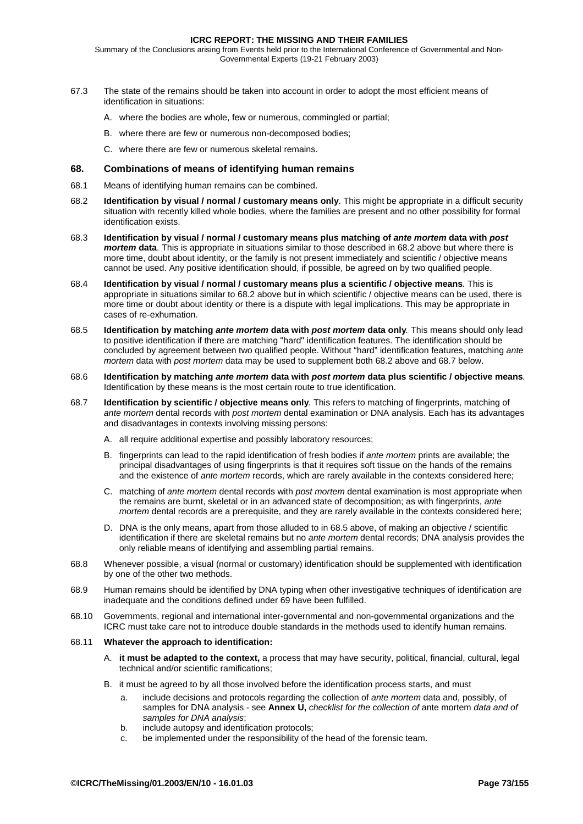<span id="page-72-0"></span>Summary of the Conclusions arising from Events held prior to the International Conference of Governmental and Non-Governmental Experts (19-21 February 2003)

- 67.3 The state of the remains should be taken into account in order to adopt the most efficient means of identification in situations:
	- A. where the bodies are whole, few or numerous, commingled or partial;
	- B. where there are few or numerous non-decomposed bodies;
	- C. where there are few or numerous skeletal remains.

# **68. Combinations of means of identifying human remains**

- 68.1 Means of identifying human remains can be combined.
- 68.2 **Identification by visual / normal / customary means only**. This might be appropriate in a difficult security situation with recently killed whole bodies, where the families are present and no other possibility for formal identification exists.
- 68.3 **Identification by visual / normal / customary means plus matching of** *ante mortem* **data with** *post mortem* **data**. This is appropriate in situations similar to those described in 68.2 above but where there is more time, doubt about identity, or the family is not present immediately and scientific / objective means cannot be used. Any positive identification should, if possible, be agreed on by two qualified people.
- 68.4 **Identification by visual / normal / customary means plus a scientific / objective means***.* This is appropriate in situations similar to 68.2 above but in which scientific / objective means can be used, there is more time or doubt about identity or there is a dispute with legal implications. This may be appropriate in cases of re-exhumation.
- 68.5 **Identification by matching** *ante mortem* **data with** *post mortem* **data only***.* This means should only lead to positive identification if there are matching "hard" identification features. The identification should be concluded by agreement between two qualified people. Without "hard" identification features, matching *ante mortem* data with *post mortem* data may be used to supplement both 68.2 above and 68.7 below.
- 68.6 **Identification by matching** *ante mortem* **data with** *post mortem* **data plus scientific / objective means***.* Identification by these means is the most certain route to true identification.
- 68.7 **Identification by scientific / objective means only***.* This refers to matching of fingerprints, matching of *ante mortem* dental records with *post mortem* dental examination or DNA analysis. Each has its advantages and disadvantages in contexts involving missing persons:
	- A. all require additional expertise and possibly laboratory resources;
	- B. fingerprints can lead to the rapid identification of fresh bodies if *ante mortem* prints are available; the principal disadvantages of using fingerprints is that it requires soft tissue on the hands of the remains and the existence of *ante mortem* records, which are rarely available in the contexts considered here;
	- C. matching of *ante mortem* dental records with *post mortem* dental examination is most appropriate when the remains are burnt, skeletal or in an advanced state of decomposition; as with fingerprints, *ante mortem* dental records are a prerequisite, and they are rarely available in the contexts considered here;
	- D. DNA is the only means, apart from those alluded to in 68.5 above, of making an objective / scientific identification if there are skeletal remains but no *ante mortem* dental records; DNA analysis provides the only reliable means of identifying and assembling partial remains.
- 68.8 Whenever possible, a visual (normal or customary) identification should be supplemented with identification by one of the other two methods.
- 68.9 Human remains should be identified by DNA typing when other investigative techniques of identification are inadequate and the conditions defined under [69 h](#page-73-0)ave been fulfilled.
- 68.10 Governments, regional and international inter-governmental and non-governmental organizations and the ICRC must take care not to introduce double standards in the methods used to identify human remains.

#### 68.11 **Whatever the approach to identification:**

- A. **it must be adapted to the context,** a process that may have security, political, financial, cultural, legal technical and/or scientific ramifications;
- B. it must be agreed to by all those involved before the identification process starts, and must
	- a. include decisions and protocols regarding the collection of *ante mortem* data and, possibly, of samples for DNA analysis - see **[Annex U,](#page-142-0)** *checklist for the collection of* ante mortem *data and of samples for DNA analysis*;
	- b. include autopsy and identification protocols;
	- c. be implemented under the responsibility of the head of the forensic team.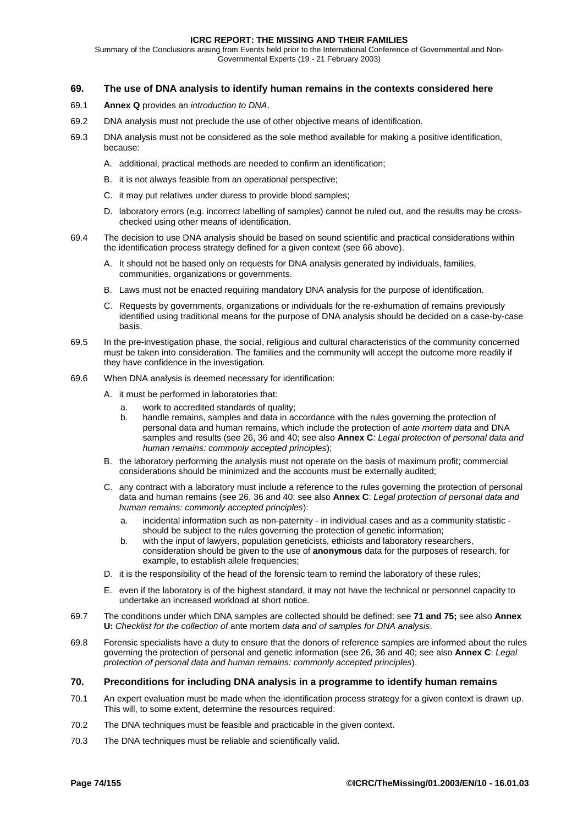<span id="page-73-0"></span>Summary of the Conclusions arising from Events held prior to the International Conference of Governmental and Non-Governmental Experts (19 - 21 February 2003)

# **69. The use of DNA analysis to identify human remains in the contexts considered here**

- 69.1 **[Annex Q](#page-128-0)** provides an *introduction to DNA*.
- 69.2 DNA analysis must not preclude the use of other objective means of identification.
- 69.3 DNA analysis must not be considered as the sole method available for making a positive identification, because:
	- A. additional, practical methods are needed to confirm an identification;
	- B. it is not always feasible from an operational perspective;
	- C. it may put relatives under duress to provide blood samples;
	- D. laboratory errors (e.g. incorrect labelling of samples) cannot be ruled out, and the results may be crosschecked using other means of identification.
- 69.4 The decision to use DNA analysis should be based on sound scientific and practical considerations within the identification process strategy defined for a given context (see [66 a](#page-71-0)bove).
	- A. It should not be based only on requests for DNA analysis generated by individuals, families, communities, organizations or governments.
	- B. Laws must not be enacted requiring mandatory DNA analysis for the purpose of identification.
	- C. Requests by governments, organizations or individuals for the re-exhumation of remains previously identified using traditional means for the purpose of DNA analysis should be decided on a case-by-case basis.
- 69.5 In the pre-investigation phase, the social, religious and cultural characteristics of the community concerned must be taken into consideration. The families and the community will accept the outcome more readily if they have confidence in the investigation.
- 69.6 When DNA analysis is deemed necessary for identification:
	- A. it must be performed in laboratories that:
		- a. work to accredited standards of quality;
		- b. handle remains, samples and data in accordance with the rules governing the protection of personal data and human remains, which include the protection of *ante mortem data* and DNA samples and results (see [26,](#page-33-0) [36 a](#page-45-0)nd [40;](#page-50-0) see also **[Annex C](#page-100-0)**: *Legal protection of personal data and human remains: commonly accepted principles*);
	- B. the laboratory performing the analysis must not operate on the basis of maximum profit; commercial considerations should be minimized and the accounts must be externally audited;
	- C. any contract with a laboratory must include a reference to the rules governing the protection of personal data and human remains (see [26,](#page-33-0) [36](#page-45-0) and [40;](#page-50-0) see also **[Annex C](#page-100-0)**: *Legal protection of personal data and human remains: commonly accepted principles*):
		- a. incidental information such as non-paternity in individual cases and as a community statistic should be subject to the rules governing the protection of genetic information;
		- b. with the input of lawyers, population geneticists, ethicists and laboratory researchers, consideration should be given to the use of **anonymous** data for the purposes of research, for example, to establish allele frequencies;
	- D. it is the responsibility of the head of the forensic team to remind the laboratory of these rules;
	- E. even if the laboratory is of the highest standard, it may not have the technical or personnel capacity to undertake an increased workload at short notice.
- 69.7 The conditions under which DNA samples are collected should be defined: see **[71 a](#page-74-0)nd [75;](#page-77-0)** see also **[Annex](#page-142-0)  [U](#page-142-0):** *Checklist for the collection of* ante mortem *data and of samples for DNA analysis*.
- 69.8 Forensic specialists have a duty to ensure that the donors of reference samples are informed about the rules governing the protection of personal and genetic information (see [26,](#page-33-0) [36 a](#page-45-0)nd [40;](#page-50-0) see also **[Annex C](#page-100-0)**: *Legal protection of personal data and human remains: commonly accepted principles*).

# **70. Preconditions for including DNA analysis in a programme to identify human remains**

- 70.1 An expert evaluation must be made when the identification process strategy for a given context is drawn up. This will, to some extent, determine the resources required.
- 70.2 The DNA techniques must be feasible and practicable in the given context.
- 70.3 The DNA techniques must be reliable and scientifically valid.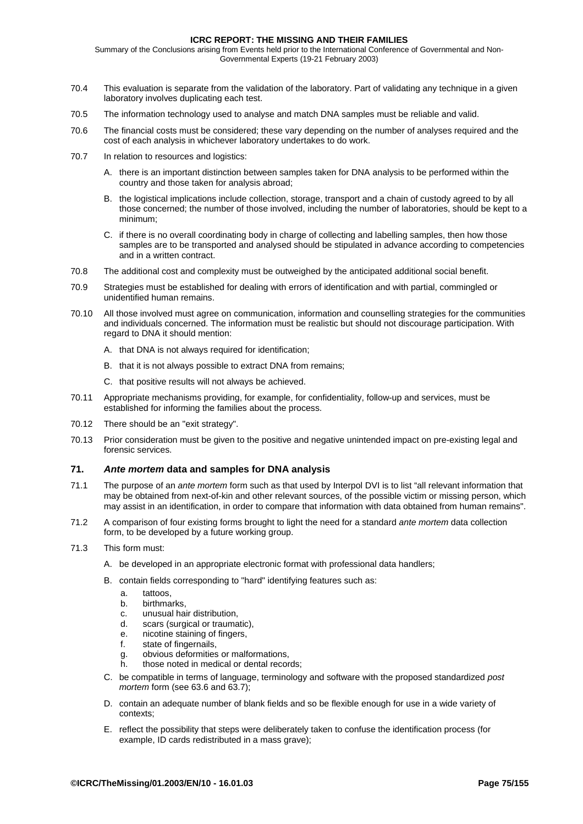<span id="page-74-0"></span>Summary of the Conclusions arising from Events held prior to the International Conference of Governmental and Non-Governmental Experts (19-21 February 2003)

- 70.4 This evaluation is separate from the validation of the laboratory. Part of validating any technique in a given laboratory involves duplicating each test.
- 70.5 The information technology used to analyse and match DNA samples must be reliable and valid.
- 70.6 The financial costs must be considered; these vary depending on the number of analyses required and the cost of each analysis in whichever laboratory undertakes to do work.
- 70.7 In relation to resources and logistics:
	- A. there is an important distinction between samples taken for DNA analysis to be performed within the country and those taken for analysis abroad;
	- B. the logistical implications include collection, storage, transport and a chain of custody agreed to by all those concerned; the number of those involved, including the number of laboratories, should be kept to a minimum;
	- C. if there is no overall coordinating body in charge of collecting and labelling samples, then how those samples are to be transported and analysed should be stipulated in advance according to competencies and in a written contract.
- 70.8 The additional cost and complexity must be outweighed by the anticipated additional social benefit.
- 70.9 Strategies must be established for dealing with errors of identification and with partial, commingled or unidentified human remains.
- 70.10 All those involved must agree on communication, information and counselling strategies for the communities and individuals concerned. The information must be realistic but should not discourage participation. With regard to DNA it should mention:
	- A. that DNA is not always required for identification;
	- B. that it is not always possible to extract DNA from remains;
	- C. that positive results will not always be achieved.
- 70.11 Appropriate mechanisms providing, for example, for confidentiality, follow-up and services, must be established for informing the families about the process.
- 70.12 There should be an "exit strategy".
- 70.13 Prior consideration must be given to the positive and negative unintended impact on pre-existing legal and forensic services.

### **71.** *Ante mortem* **data and samples for DNA analysis**

- 71.1 The purpose of an *ante mortem* form such as that used by Interpol DVI is to list "all relevant information that may be obtained from next-of-kin and other relevant sources, of the possible victim or missing person, which may assist in an identification, in order to compare that information with data obtained from human remains".
- 71.2 A comparison of four existing forms brought to light the need for a standard *ante mortem* data collection form, to be developed by a future working group.
- 71.3 This form must:
	- A. be developed in an appropriate electronic format with professional data handlers;
	- B. contain fields corresponding to "hard" identifying features such as:
		- a. tattoos,
		- b. birthmarks,
		- c. unusual hair distribution,
		- d. scars (surgical or traumatic),
		- e. nicotine staining of fingers,
		- f. state of fingernails,
		- g. obvious deformities or malformations,
		- h. those noted in medical or dental records;
	- C. be compatible in terms of language, terminology and software with the proposed standardized *post mortem* form (see [63.6](#page-70-0) and [63.7\)](#page-70-0);
	- D. contain an adequate number of blank fields and so be flexible enough for use in a wide variety of contexts;
	- E. reflect the possibility that steps were deliberately taken to confuse the identification process (for example, ID cards redistributed in a mass grave);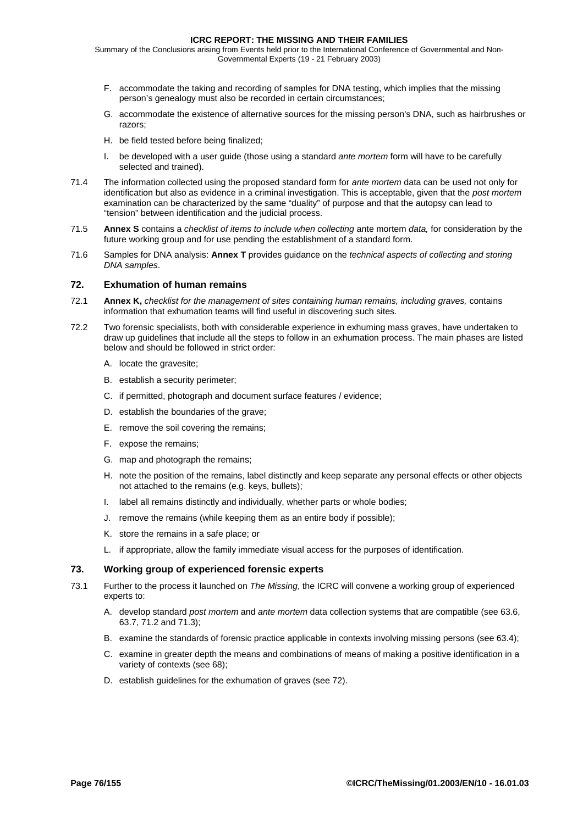Summary of the Conclusions arising from Events held prior to the International Conference of Governmental and Non-Governmental Experts (19 - 21 February 2003)

- F. accommodate the taking and recording of samples for DNA testing, which implies that the missing person's genealogy must also be recorded in certain circumstances;
- G. accommodate the existence of alternative sources for the missing person's DNA, such as hairbrushes or razors;
- H. be field tested before being finalized;
- I. be developed with a user guide (those using a standard *ante mortem* form will have to be carefully selected and trained).
- 71.4 The information collected using the proposed standard form for *ante mortem* data can be used not only for identification but also as evidence in a criminal investigation. This is acceptable, given that the *post mortem* examination can be characterized by the same "duality" of purpose and that the autopsy can lead to "tension" between identification and the judicial process.
- 71.5 **[Annex S](#page-132-0)** contains a *checklist of items to include when collecting* ante mortem *data,* for consideration by the future working group and for use pending the establishment of a standard form.
- 71.6 Samples for DNA analysis: **[Annex T](#page-141-0)** provides guidance on the *technical aspects of collecting and storing DNA samples*.

# **72. Exhumation of human remains**

- 72.1 **[Annex K,](#page-116-0)** *checklist for the management of sites containing human remains, including graves,* contains information that exhumation teams will find useful in discovering such sites.
- 72.2 Two forensic specialists, both with considerable experience in exhuming mass graves, have undertaken to draw up guidelines that include all the steps to follow in an exhumation process. The main phases are listed below and should be followed in strict order:
	- A. locate the gravesite;
	- B. establish a security perimeter;
	- C. if permitted, photograph and document surface features / evidence;
	- D. establish the boundaries of the grave;
	- E. remove the soil covering the remains;
	- F. expose the remains;
	- G. map and photograph the remains;
	- H. note the position of the remains, label distinctly and keep separate any personal effects or other objects not attached to the remains (e.g. keys, bullets);
	- I. label all remains distinctly and individually, whether parts or whole bodies;
	- J. remove the remains (while keeping them as an entire body if possible);
	- K. store the remains in a safe place; or
	- L. if appropriate, allow the family immediate visual access for the purposes of identification.

# **73. Working group of experienced forensic experts**

- 73.1 Further to the process it launched on *The Missing*, the ICRC will convene a working group of experienced experts to:
	- A. develop standard *post mortem* and *ante mortem* data collection systems that are compatible (see [63.6,](#page-70-0)  [63.7,](#page-70-0) [71.2](#page-74-0) and [71.3\)](#page-74-0);
	- B. examine the standards of forensic practice applicable in contexts involving missing persons (see [63.4\)](#page-69-0);
	- C. examine in greater depth the means and combinations of means of making a positive identification in a variety of contexts (see [68\)](#page-72-0);
	- D. establish guidelines for the exhumation of graves (see 72).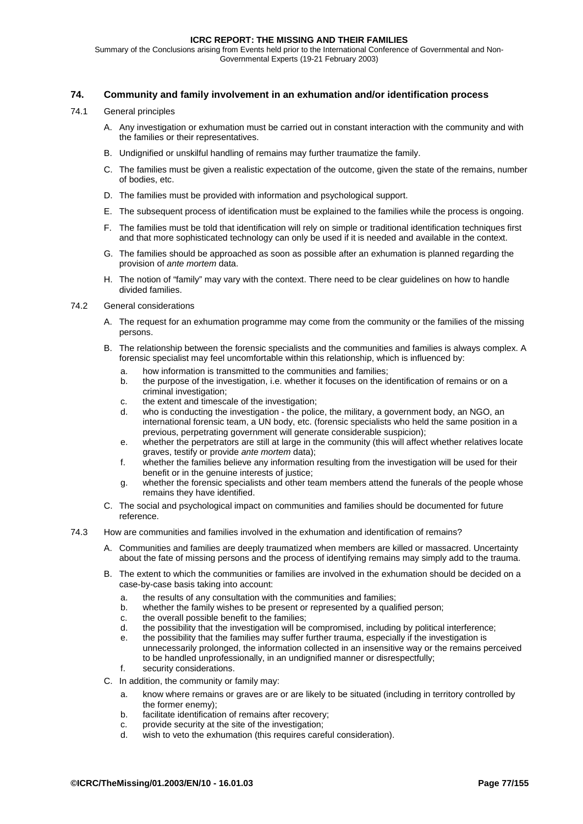<span id="page-76-0"></span>Summary of the Conclusions arising from Events held prior to the International Conference of Governmental and Non-Governmental Experts (19-21 February 2003)

# **74. Community and family involvement in an exhumation and/or identification process**

- 74.1 General principles
	- A. Any investigation or exhumation must be carried out in constant interaction with the community and with the families or their representatives.
	- B. Undignified or unskilful handling of remains may further traumatize the family.
	- C. The families must be given a realistic expectation of the outcome, given the state of the remains, number of bodies, etc.
	- D. The families must be provided with information and psychological support.
	- E. The subsequent process of identification must be explained to the families while the process is ongoing.
	- F. The families must be told that identification will rely on simple or traditional identification techniques first and that more sophisticated technology can only be used if it is needed and available in the context.
	- G. The families should be approached as soon as possible after an exhumation is planned regarding the provision of *ante mortem* data.
	- H. The notion of "family" may vary with the context. There need to be clear guidelines on how to handle divided families.
- 74.2 General considerations
	- A. The request for an exhumation programme may come from the community or the families of the missing persons.
	- B. The relationship between the forensic specialists and the communities and families is always complex. A forensic specialist may feel uncomfortable within this relationship, which is influenced by:
		- a. how information is transmitted to the communities and families;
		- b. the purpose of the investigation, i.e. whether it focuses on the identification of remains or on a criminal investigation;
		- c. the extent and timescale of the investigation;
		- d. who is conducting the investigation the police, the military, a government body, an NGO, an international forensic team, a UN body, etc. (forensic specialists who held the same position in a previous, perpetrating government will generate considerable suspicion);
		- e. whether the perpetrators are still at large in the community (this will affect whether relatives locate graves, testify or provide *ante mortem* data);
		- f. whether the families believe any information resulting from the investigation will be used for their benefit or in the genuine interests of justice;
		- g. whether the forensic specialists and other team members attend the funerals of the people whose remains they have identified.
	- C. The social and psychological impact on communities and families should be documented for future reference.
- 74.3 How are communities and families involved in the exhumation and identification of remains?
	- A. Communities and families are deeply traumatized when members are killed or massacred. Uncertainty about the fate of missing persons and the process of identifying remains may simply add to the trauma.
	- B. The extent to which the communities or families are involved in the exhumation should be decided on a case-by-case basis taking into account:
		- a. the results of any consultation with the communities and families;
		- b. whether the family wishes to be present or represented by a qualified person;
		- c. the overall possible benefit to the families;
		- d. the possibility that the investigation will be compromised, including by political interference;
		- e. the possibility that the families may suffer further trauma, especially if the investigation is unnecessarily prolonged, the information collected in an insensitive way or the remains perceived to be handled unprofessionally, in an undignified manner or disrespectfully; f. security considerations.
		-
	- C. In addition, the community or family may:
		- a. know where remains or graves are or are likely to be situated (including in territory controlled by the former enemy);
		- b. facilitate identification of remains after recovery;
		- c. provide security at the site of the investigation;
		- d. wish to veto the exhumation (this requires careful consideration).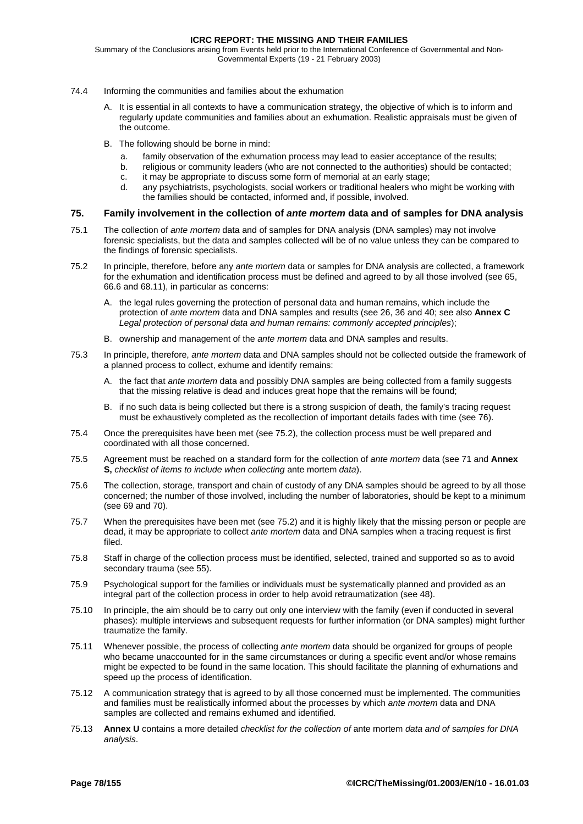<span id="page-77-0"></span>Summary of the Conclusions arising from Events held prior to the International Conference of Governmental and Non-Governmental Experts (19 - 21 February 2003)

- 74.4 Informing the communities and families about the exhumation
	- A. It is essential in all contexts to have a communication strategy, the objective of which is to inform and regularly update communities and families about an exhumation. Realistic appraisals must be given of the outcome.
	- B. The following should be borne in mind:
		- a. family observation of the exhumation process may lead to easier acceptance of the results;
		- b. religious or community leaders (who are not connected to the authorities) should be contacted; c. it may be appropriate to discuss some form of memorial at an early stage;
		- d. any psychiatrists, psychologists, social workers or traditional healers who might be working with the families should be contacted, informed and, if possible, involved.

# **75. Family involvement in the collection of** *ante mortem* **data and of samples for DNA analysis**

- 75.1 The collection of *ante mortem* data and of samples for DNA analysis (DNA samples) may not involve forensic specialists, but the data and samples collected will be of no value unless they can be compared to the findings of forensic specialists.
- 75.2 In principle, therefore, before any *ante mortem* data or samples for DNA analysis are collected, a framework for the exhumation and identification process must be defined and agreed to by all those involved (see [65,](#page-70-0)  [66.6](#page-71-0) and [68.11\)](#page-72-0), in particular as concerns:
	- A. the legal rules governing the protection of personal data and human remains, which include the protection of *ante mortem* data and DNA samples and results (see [26,](#page-33-0) [36 a](#page-45-0)nd [40;](#page-50-0) see also **[Annex C](#page-100-0)** *Legal protection of personal data and human remains: commonly accepted principles*);
	- B. ownership and management of the *ante mortem* data and DNA samples and results.
- 75.3 In principle, therefore, *ante mortem* data and DNA samples should not be collected outside the framework of a planned process to collect, exhume and identify remains:
	- A. the fact that *ante mortem* data and possibly DNA samples are being collected from a family suggests that the missing relative is dead and induces great hope that the remains will be found;
	- B. if no such data is being collected but there is a strong suspicion of death, the family's tracing request must be exhaustively completed as the recollection of important details fades with time (see [76\)](#page-78-0).
- 75.4 Once the prerequisites have been met (see 75.2), the collection process must be well prepared and coordinated with all those concerned.
- 75.5 Agreement must be reached on a standard form for the collection of *ante mortem* data (see [71 a](#page-74-0)nd **[Annex](#page-132-0)  [S](#page-132-0),** *checklist of items to include when collecting* ante mortem *data*).
- 75.6 The collection, storage, transport and chain of custody of any DNA samples should be agreed to by all those concerned; the number of those involved, including the number of laboratories, should be kept to a minimum (see [69 a](#page-73-0)nd [70\)](#page-73-0).
- 75.7 When the prerequisites have been met (see 75.2) and it is highly likely that the missing person or people are dead, it may be appropriate to collect *ante mortem* data and DNA samples when a tracing request is first filed.
- 75.8 Staff in charge of the collection process must be identified, selected, trained and supported so as to avoid secondary trauma (see [55\)](#page-62-0).
- 75.9 Psychological support for the families or individuals must be systematically planned and provided as an integral part of the collection process in order to help avoid retraumatization (see [48\).](#page-57-0)
- 75.10 In principle, the aim should be to carry out only one interview with the family (even if conducted in several phases): multiple interviews and subsequent requests for further information (or DNA samples) might further traumatize the family.
- 75.11 Whenever possible, the process of collecting *ante mortem* data should be organized for groups of people who became unaccounted for in the same circumstances or during a specific event and/or whose remains might be expected to be found in the same location. This should facilitate the planning of exhumations and speed up the process of identification.
- 75.12 A communication strategy that is agreed to by all those concerned must be implemented. The communities and families must be realistically informed about the processes by which *ante mortem* data and DNA samples are collected and remains exhumed and identified*.*
- 75.13 **[Annex U](#page-142-0)** contains a more detailed *checklist for the collection of* ante mortem *data and of samples for DNA analysis*.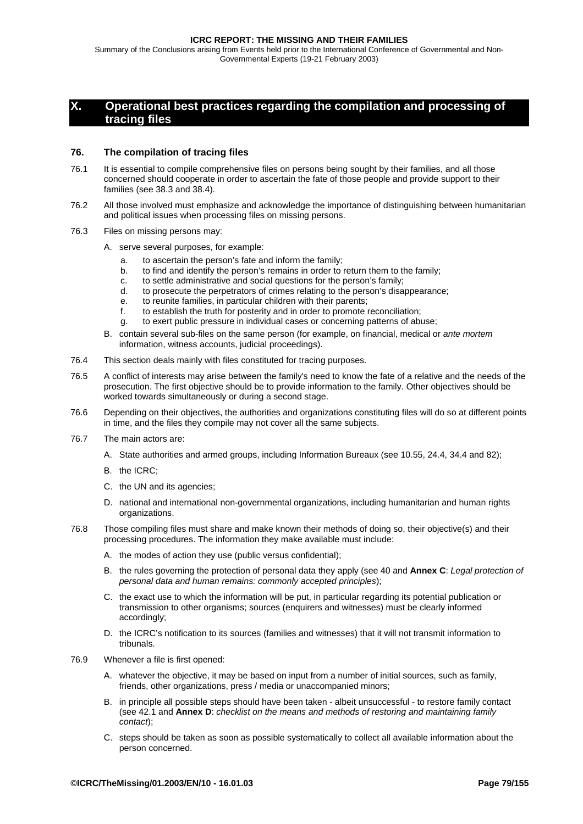<span id="page-78-0"></span>Summary of the Conclusions arising from Events held prior to the International Conference of Governmental and Non-Governmental Experts (19-21 February 2003)

# **X. Operational best practices regarding the compilation and processing of tracing files**

# **76. The compilation of tracing files**

- 76.1 It is essential to compile comprehensive files on persons being sought by their families, and all those concerned should cooperate in order to ascertain the fate of those people and provide support to their families (see [38.3](#page-48-0) and [38.4\)](#page-48-0).
- 76.2 All those involved must emphasize and acknowledge the importance of distinguishing between humanitarian and political issues when processing files on missing persons.
- 76.3 Files on missing persons may:
	- A. serve several purposes, for example:
		- a. to ascertain the person's fate and inform the family;
		- b. to find and identify the person's remains in order to return them to the family;
		- c. to settle administrative and social questions for the person's family;
		- d. to prosecute the perpetrators of crimes relating to the person's disappearance;
		- e. to reunite families, in particular children with their parents;
		- f. to establish the truth for posterity and in order to promote reconciliation;
		- g. to exert public pressure in individual cases or concerning patterns of abuse;
	- B. contain several sub-files on the same person (for example, on financial, medical or *ante mortem*  information, witness accounts, judicial proceedings).
- 76.4 This section deals mainly with files constituted for tracing purposes.
- 76.5 A conflict of interests may arise between the family's need to know the fate of a relative and the needs of the prosecution. The first objective should be to provide information to the family. Other objectives should be worked towards simultaneously or during a second stage.
- 76.6 Depending on their objectives, the authorities and organizations constituting files will do so at different points in time, and the files they compile may not cover all the same subjects.
- 76.7 The main actors are:
	- A. State authorities and armed groups, including Information Bureaux (see [10.55,](#page-19-0) [24.4,](#page-32-0) [34.4](#page-42-0) and [82\)](#page-83-0);
	- B. the ICRC;
	- C. the UN and its agencies;
	- D. national and international non-governmental organizations, including humanitarian and human rights organizations.
- 76.8 Those compiling files must share and make known their methods of doing so, their objective(s) and their processing procedures. The information they make available must include:
	- A. the modes of action they use (public versus confidential);
	- B. the rules governing the protection of personal data they apply (see [40](#page-50-0) and **[Annex C](#page-100-0)**: *Legal protection of personal data and human remains: commonly accepted principles*);
	- C. the exact use to which the information will be put, in particular regarding its potential publication or transmission to other organisms; sources (enquirers and witnesses) must be clearly informed accordingly;
	- D. the ICRC's notification to its sources (families and witnesses) that it will not transmit information to tribunals.
- 76.9 Whenever a file is first opened:
	- A. whatever the objective, it may be based on input from a number of initial sources, such as family, friends, other organizations, press / media or unaccompanied minors;
	- B. in principle all possible steps should have been taken albeit unsuccessful to restore family contact (see [42.1 a](#page-52-0)nd **[Annex D](#page-102-0)**: *checklist on the means and methods of restoring and maintaining family contact*);
	- C. steps should be taken as soon as possible systematically to collect all available information about the person concerned.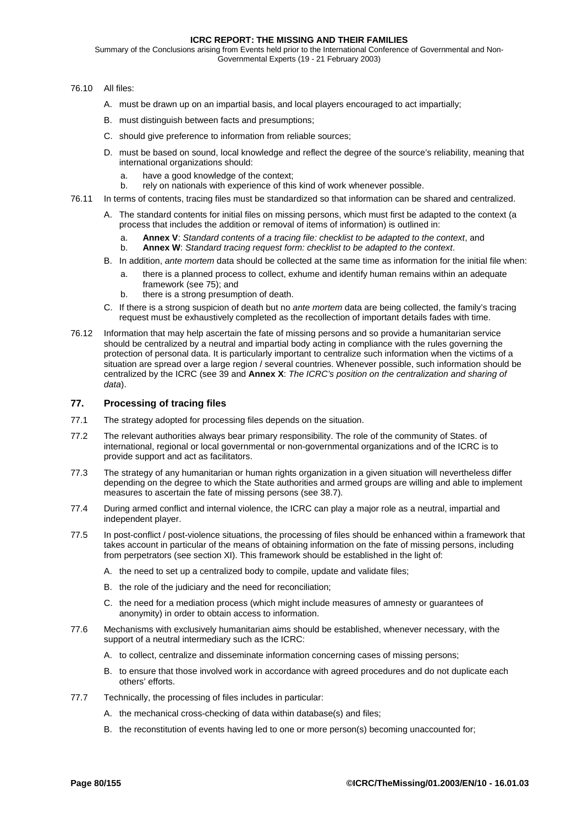<span id="page-79-0"></span>Summary of the Conclusions arising from Events held prior to the International Conference of Governmental and Non-Governmental Experts (19 - 21 February 2003)

- 76.10 All files:
	- A. must be drawn up on an impartial basis, and local players encouraged to act impartially;
	- B. must distinguish between facts and presumptions;
	- C. should give preference to information from reliable sources;
	- D. must be based on sound, local knowledge and reflect the degree of the source's reliability, meaning that international organizations should:
		- a. have a good knowledge of the context;
	- b. rely on nationals with experience of this kind of work whenever possible.
- 76.11 In terms of contents, tracing files must be standardized so that information can be shared and centralized.
	- A. The standard contents for initial files on missing persons, which must first be adapted to the context (a process that includes the addition or removal of items of information) is outlined in:
		- a. **[Annex V](#page-144-0)**: *Standard contents of a tracing file: checklist to be adapted to the context*, and
		- b. **[Annex W](#page-147-0)**: *Standard tracing request form: checklist to be adapted to the context*.
	- B. In addition, *ante mortem* data should be collected at the same time as information for the initial file when:
		- a. there is a planned process to collect, exhume and identify human remains within an adequate framework (see [75\)](#page-77-0); and
		- b. there is a strong presumption of death.
	- C. If there is a strong suspicion of death but no *ante mortem* data are being collected, the family's tracing request must be exhaustively completed as the recollection of important details fades with time.
- 76.12 Information that may help ascertain the fate of missing persons and so provide a humanitarian service should be centralized by a neutral and impartial body acting in compliance with the rules governing the protection of personal data. It is particularly important to centralize such information when the victims of a situation are spread over a large region / several countries. Whenever possible, such information should be centralized by the ICRC (see [39](#page-49-0) and **[Annex X](#page-150-0)**: *The ICRC's position on the centralization and sharing of data*).

## **77. Processing of tracing files**

- 77.1 The strategy adopted for processing files depends on the situation.
- 77.2 The relevant authorities always bear primary responsibility. The role of the community of States. of international, regional or local governmental or non-governmental organizations and of the ICRC is to provide support and act as facilitators.
- 77.3 The strategy of any humanitarian or human rights organization in a given situation will nevertheless differ depending on the degree to which the State authorities and armed groups are willing and able to implement measures to ascertain the fate of missing persons (see [38.7\)](#page-49-0).
- 77.4 During armed conflict and internal violence, the ICRC can play a major role as a neutral, impartial and independent player.
- 77.5 In post-conflict / post-violence situations, the processing of files should be enhanced within a framework that takes account in particular of the means of obtaining information on the fate of missing persons, including from perpetrators (see section XI). This framework should be established in the light of:
	- A. the need to set up a centralized body to compile, update and validate files;
	- B. the role of the judiciary and the need for reconciliation;
	- C. the need for a mediation process (which might include measures of amnesty or guarantees of anonymity) in order to obtain access to information.
- 77.6 Mechanisms with exclusively humanitarian aims should be established, whenever necessary, with the support of a neutral intermediary such as the ICRC:
	- A. to collect, centralize and disseminate information concerning cases of missing persons;
	- B. to ensure that those involved work in accordance with agreed procedures and do not duplicate each others' efforts.
- 77.7 Technically, the processing of files includes in particular:
	- A. the mechanical cross-checking of data within database(s) and files;
	- B. the reconstitution of events having led to one or more person(s) becoming unaccounted for;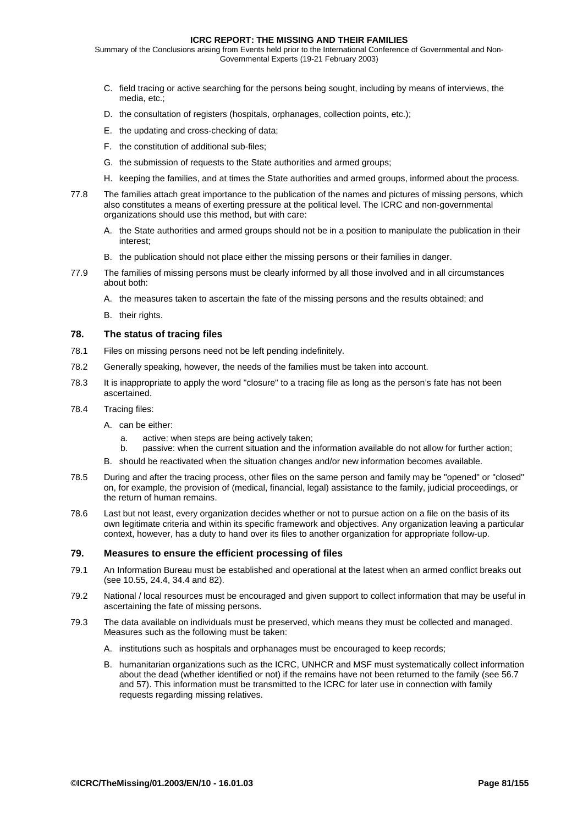Summary of the Conclusions arising from Events held prior to the International Conference of Governmental and Non-Governmental Experts (19-21 February 2003)

- C. field tracing or active searching for the persons being sought, including by means of interviews, the media, etc.;
- D. the consultation of registers (hospitals, orphanages, collection points, etc.);
- E. the updating and cross-checking of data;
- F. the constitution of additional sub-files;
- G. the submission of requests to the State authorities and armed groups;
- H. keeping the families, and at times the State authorities and armed groups, informed about the process.
- 77.8 The families attach great importance to the publication of the names and pictures of missing persons, which also constitutes a means of exerting pressure at the political level. The ICRC and non-governmental organizations should use this method, but with care:
	- A. the State authorities and armed groups should not be in a position to manipulate the publication in their interest;
	- B. the publication should not place either the missing persons or their families in danger.
- 77.9 The families of missing persons must be clearly informed by all those involved and in all circumstances about both:
	- A. the measures taken to ascertain the fate of the missing persons and the results obtained; and
	- B. their rights.

### **78. The status of tracing files**

- 78.1 Files on missing persons need not be left pending indefinitely.
- 78.2 Generally speaking, however, the needs of the families must be taken into account.
- 78.3 It is inappropriate to apply the word "closure" to a tracing file as long as the person's fate has not been ascertained.

#### 78.4 Tracing files:

- A. can be either:
	- a. active: when steps are being actively taken;
	- b. passive: when the current situation and the information available do not allow for further action;
- B. should be reactivated when the situation changes and/or new information becomes available.
- 78.5 During and after the tracing process, other files on the same person and family may be "opened" or "closed" on, for example, the provision of (medical, financial, legal) assistance to the family, judicial proceedings, or the return of human remains.
- 78.6 Last but not least, every organization decides whether or not to pursue action on a file on the basis of its own legitimate criteria and within its specific framework and objectives. Any organization leaving a particular context, however, has a duty to hand over its files to another organization for appropriate follow-up.

# **79. Measures to ensure the efficient processing of files**

- 79.1 An Information Bureau must be established and operational at the latest when an armed conflict breaks out (see [10.55,](#page-19-0) [24.4,](#page-32-0) [34.4](#page-42-0) and [82\)](#page-83-0).
- 79.2 National / local resources must be encouraged and given support to collect information that may be useful in ascertaining the fate of missing persons.
- 79.3 The data available on individuals must be preserved, which means they must be collected and managed. Measures such as the following must be taken:
	- A. institutions such as hospitals and orphanages must be encouraged to keep records;
	- B. humanitarian organizations such as the ICRC, UNHCR and MSF must systematically collect information about the dead (whether identified or not) if the remains have not been returned to the family (see [56.7](#page-64-0)  and [57\)](#page-64-0). This information must be transmitted to the ICRC for later use in connection with family requests regarding missing relatives.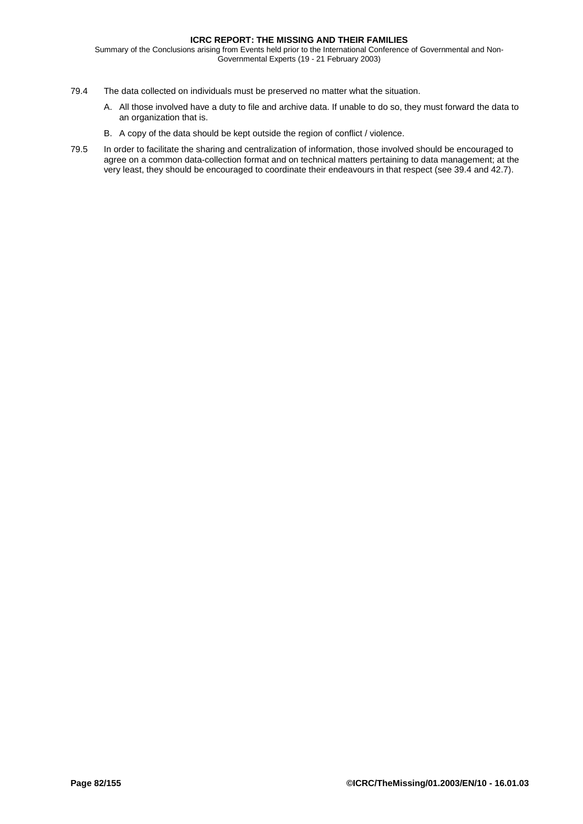Summary of the Conclusions arising from Events held prior to the International Conference of Governmental and Non-Governmental Experts (19 - 21 February 2003)

- 79.4 The data collected on individuals must be preserved no matter what the situation.
	- A. All those involved have a duty to file and archive data. If unable to do so, they must forward the data to an organization that is.
	- B. A copy of the data should be kept outside the region of conflict / violence.
- 79.5 In order to facilitate the sharing and centralization of information, those involved should be encouraged to agree on a common data-collection format and on technical matters pertaining to data management; at the very least, they should be encouraged to coordinate their endeavours in that respect (see [39.4 a](#page-50-0)nd [42.7\).](#page-54-0)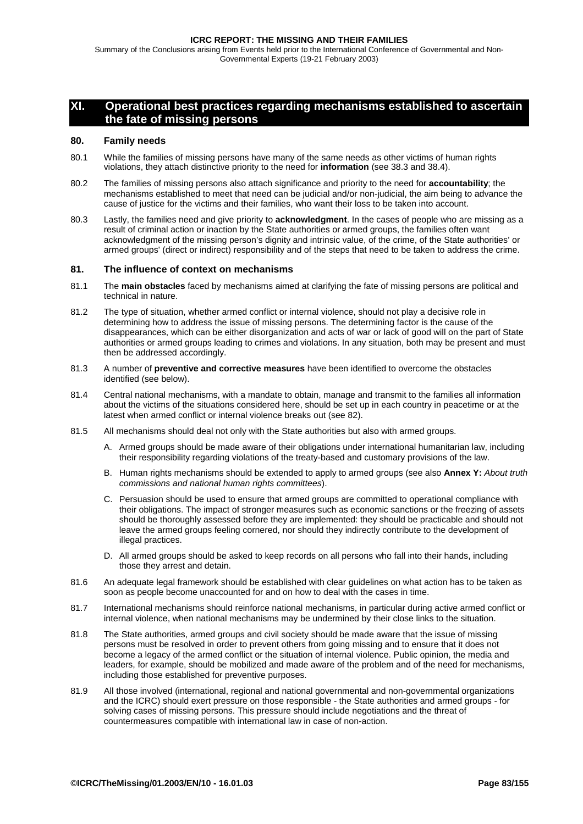Summary of the Conclusions arising from Events held prior to the International Conference of Governmental and Non-Governmental Experts (19-21 February 2003)

# **XI. Operational best practices regarding mechanisms established to ascertain the fate of missing persons**

### **80. Family needs**

- 80.1 While the families of missing persons have many of the same needs as other victims of human rights violations, they attach distinctive priority to the need for **information** (see [38.3](#page-48-0) and [38.4\)](#page-48-0).
- 80.2 The families of missing persons also attach significance and priority to the need for **accountability**; the mechanisms established to meet that need can be judicial and/or non-judicial, the aim being to advance the cause of justice for the victims and their families, who want their loss to be taken into account.
- 80.3 Lastly, the families need and give priority to **acknowledgment**. In the cases of people who are missing as a result of criminal action or inaction by the State authorities or armed groups, the families often want acknowledgment of the missing person's dignity and intrinsic value, of the crime, of the State authorities' or armed groups' (direct or indirect) responsibility and of the steps that need to be taken to address the crime.

### **81. The influence of context on mechanisms**

- 81.1 The **main obstacles** faced by mechanisms aimed at clarifying the fate of missing persons are political and technical in nature.
- 81.2 The type of situation, whether armed conflict or internal violence, should not play a decisive role in determining how to address the issue of missing persons. The determining factor is the cause of the disappearances, which can be either disorganization and acts of war or lack of good will on the part of State authorities or armed groups leading to crimes and violations. In any situation, both may be present and must then be addressed accordingly.
- 81.3 A number of **preventive and corrective measures** have been identified to overcome the obstacles identified (see below).
- 81.4 Central national mechanisms, with a mandate to obtain, manage and transmit to the families all information about the victims of the situations considered here, should be set up in each country in peacetime or at the latest when armed conflict or internal violence breaks out (see [82\)](#page-83-0).
- 81.5 All mechanisms should deal not only with the State authorities but also with armed groups.
	- A. Armed groups should be made aware of their obligations under international humanitarian law, including their responsibility regarding violations of the treaty-based and customary provisions of the law.
	- B. Human rights mechanisms should be extended to apply to armed groups (see also **[Annex Y:](#page-151-0)** *About truth commissions and national human rights committees*).
	- C. Persuasion should be used to ensure that armed groups are committed to operational compliance with their obligations. The impact of stronger measures such as economic sanctions or the freezing of assets should be thoroughly assessed before they are implemented: they should be practicable and should not leave the armed groups feeling cornered, nor should they indirectly contribute to the development of illegal practices.
	- D. All armed groups should be asked to keep records on all persons who fall into their hands, including those they arrest and detain.
- 81.6 An adequate legal framework should be established with clear guidelines on what action has to be taken as soon as people become unaccounted for and on how to deal with the cases in time.
- 81.7 International mechanisms should reinforce national mechanisms, in particular during active armed conflict or internal violence, when national mechanisms may be undermined by their close links to the situation.
- 81.8 The State authorities, armed groups and civil society should be made aware that the issue of missing persons must be resolved in order to prevent others from going missing and to ensure that it does not become a legacy of the armed conflict or the situation of internal violence. Public opinion, the media and leaders, for example, should be mobilized and made aware of the problem and of the need for mechanisms, including those established for preventive purposes.
- 81.9 All those involved (international, regional and national governmental and non-governmental organizations and the ICRC) should exert pressure on those responsible - the State authorities and armed groups - for solving cases of missing persons. This pressure should include negotiations and the threat of countermeasures compatible with international law in case of non-action.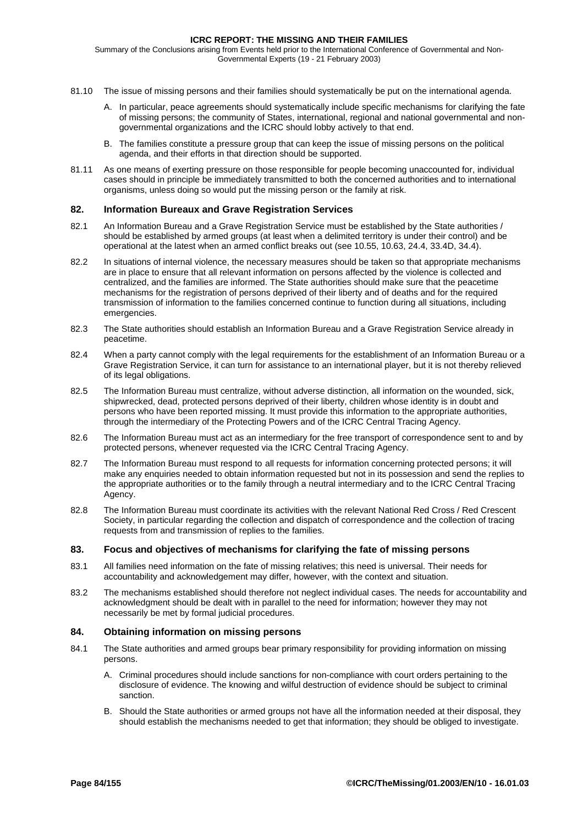<span id="page-83-0"></span>Summary of the Conclusions arising from Events held prior to the International Conference of Governmental and Non-Governmental Experts (19 - 21 February 2003)

- 81.10 The issue of missing persons and their families should systematically be put on the international agenda.
	- A. In particular, peace agreements should systematically include specific mechanisms for clarifying the fate of missing persons; the community of States, international, regional and national governmental and nongovernmental organizations and the ICRC should lobby actively to that end.
	- B. The families constitute a pressure group that can keep the issue of missing persons on the political agenda, and their efforts in that direction should be supported.
- 81.11 As one means of exerting pressure on those responsible for people becoming unaccounted for, individual cases should in principle be immediately transmitted to both the concerned authorities and to international organisms, unless doing so would put the missing person or the family at risk.

# **82. Information Bureaux and Grave Registration Services**

- 82.1 An Information Bureau and a Grave Registration Service must be established by the State authorities / should be established by armed groups (at least when a delimited territory is under their control) and be operational at the latest when an armed conflict breaks out (see [10.55,](#page-19-0) [10.63,](#page-21-0) [24.4,](#page-32-0) [33.4D,](#page-41-0) [34.4\).](#page-42-0)
- 82.2 In situations of internal violence, the necessary measures should be taken so that appropriate mechanisms are in place to ensure that all relevant information on persons affected by the violence is collected and centralized, and the families are informed. The State authorities should make sure that the peacetime mechanisms for the registration of persons deprived of their liberty and of deaths and for the required transmission of information to the families concerned continue to function during all situations, including emergencies.
- 82.3 The State authorities should establish an Information Bureau and a Grave Registration Service already in peacetime.
- 82.4 When a party cannot comply with the legal requirements for the establishment of an Information Bureau or a Grave Registration Service, it can turn for assistance to an international player, but it is not thereby relieved of its legal obligations.
- 82.5 The Information Bureau must centralize, without adverse distinction, all information on the wounded, sick, shipwrecked, dead, protected persons deprived of their liberty, children whose identity is in doubt and persons who have been reported missing. It must provide this information to the appropriate authorities, through the intermediary of the Protecting Powers and of the ICRC Central Tracing Agency.
- 82.6 The Information Bureau must act as an intermediary for the free transport of correspondence sent to and by protected persons, whenever requested via the ICRC Central Tracing Agency.
- 82.7 The Information Bureau must respond to all requests for information concerning protected persons; it will make any enquiries needed to obtain information requested but not in its possession and send the replies to the appropriate authorities or to the family through a neutral intermediary and to the ICRC Central Tracing Agency.
- 82.8 The Information Bureau must coordinate its activities with the relevant National Red Cross / Red Crescent Society, in particular regarding the collection and dispatch of correspondence and the collection of tracing requests from and transmission of replies to the families.

# **83. Focus and objectives of mechanisms for clarifying the fate of missing persons**

- 83.1 All families need information on the fate of missing relatives; this need is universal. Their needs for accountability and acknowledgement may differ, however, with the context and situation.
- 83.2 The mechanisms established should therefore not neglect individual cases. The needs for accountability and acknowledgment should be dealt with in parallel to the need for information; however they may not necessarily be met by formal judicial procedures.

# **84. Obtaining information on missing persons**

- 84.1 The State authorities and armed groups bear primary responsibility for providing information on missing persons.
	- A. Criminal procedures should include sanctions for non-compliance with court orders pertaining to the disclosure of evidence. The knowing and wilful destruction of evidence should be subject to criminal sanction.
	- B. Should the State authorities or armed groups not have all the information needed at their disposal, they should establish the mechanisms needed to get that information; they should be obliged to investigate.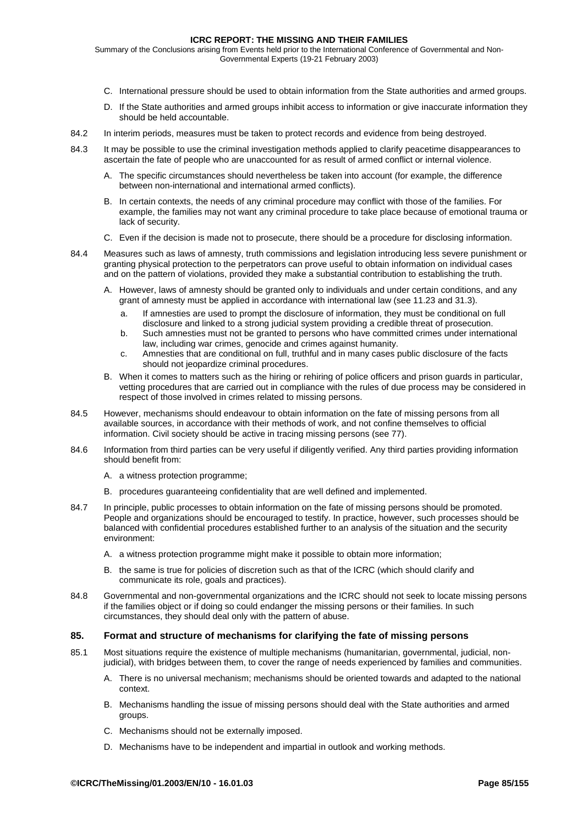Summary of the Conclusions arising from Events held prior to the International Conference of Governmental and Non-Governmental Experts (19-21 February 2003)

- C. International pressure should be used to obtain information from the State authorities and armed groups.
- D. If the State authorities and armed groups inhibit access to information or give inaccurate information they should be held accountable.
- 84.2 In interim periods, measures must be taken to protect records and evidence from being destroyed.
- 84.3 It may be possible to use the criminal investigation methods applied to clarify peacetime disappearances to ascertain the fate of people who are unaccounted for as result of armed conflict or internal violence.
	- A. The specific circumstances should nevertheless be taken into account (for example, the difference between non-international and international armed conflicts).
	- B. In certain contexts, the needs of any criminal procedure may conflict with those of the families. For example, the families may not want any criminal procedure to take place because of emotional trauma or lack of security.
	- C. Even if the decision is made not to prosecute, there should be a procedure for disclosing information.
- 84.4 Measures such as laws of amnesty, truth commissions and legislation introducing less severe punishment or granting physical protection to the perpetrators can prove useful to obtain information on individual cases and on the pattern of violations, provided they make a substantial contribution to establishing the truth.
	- A. However, laws of amnesty should be granted only to individuals and under certain conditions, and any grant of amnesty must be applied in accordance with international law (see [11.23 a](#page-22-0)nd [31.3\).](#page-39-0)
		- a. If amnesties are used to prompt the disclosure of information, they must be conditional on full disclosure and linked to a strong judicial system providing a credible threat of prosecution.
		- b. Such amnesties must not be granted to persons who have committed crimes under international law, including war crimes, genocide and crimes against humanity.
		- c. Amnesties that are conditional on full, truthful and in many cases public disclosure of the facts should not jeopardize criminal procedures.
	- B. When it comes to matters such as the hiring or rehiring of police officers and prison guards in particular, vetting procedures that are carried out in compliance with the rules of due process may be considered in respect of those involved in crimes related to missing persons.
- 84.5 However, mechanisms should endeavour to obtain information on the fate of missing persons from all available sources, in accordance with their methods of work, and not confine themselves to official information. Civil society should be active in tracing missing persons (see [77\)](#page-79-0).
- 84.6 Information from third parties can be very useful if diligently verified. Any third parties providing information should benefit from:
	- A. a witness protection programme;
	- B. procedures guaranteeing confidentiality that are well defined and implemented.
- 84.7 In principle, public processes to obtain information on the fate of missing persons should be promoted. People and organizations should be encouraged to testify. In practice, however, such processes should be balanced with confidential procedures established further to an analysis of the situation and the security environment:
	- A. a witness protection programme might make it possible to obtain more information;
	- B. the same is true for policies of discretion such as that of the ICRC (which should clarify and communicate its role, goals and practices).
- 84.8 Governmental and non-governmental organizations and the ICRC should not seek to locate missing persons if the families object or if doing so could endanger the missing persons or their families. In such circumstances, they should deal only with the pattern of abuse.

# **85. Format and structure of mechanisms for clarifying the fate of missing persons**

- 85.1 Most situations require the existence of multiple mechanisms (humanitarian, governmental, judicial, nonjudicial), with bridges between them, to cover the range of needs experienced by families and communities.
	- A. There is no universal mechanism; mechanisms should be oriented towards and adapted to the national context.
	- B. Mechanisms handling the issue of missing persons should deal with the State authorities and armed groups.
	- C. Mechanisms should not be externally imposed.
	- D. Mechanisms have to be independent and impartial in outlook and working methods.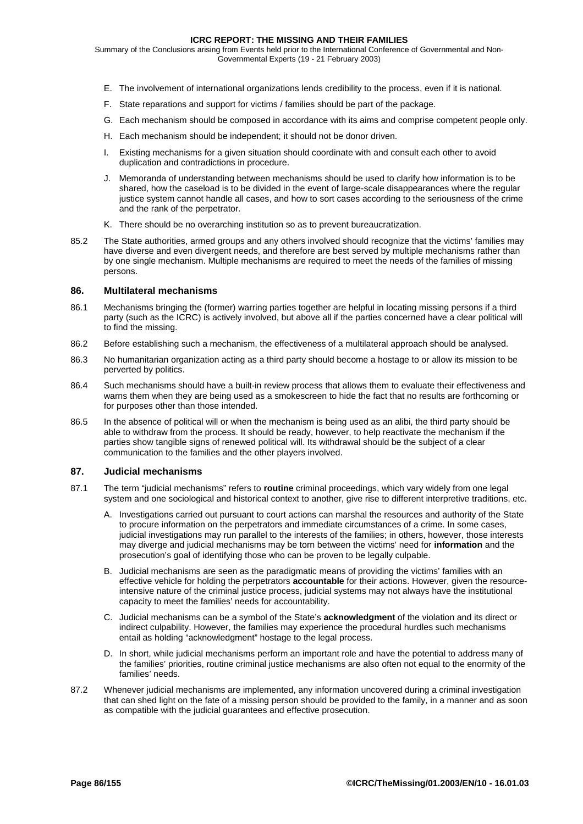Summary of the Conclusions arising from Events held prior to the International Conference of Governmental and Non-Governmental Experts (19 - 21 February 2003)

- E. The involvement of international organizations lends credibility to the process, even if it is national.
- F. State reparations and support for victims / families should be part of the package.
- G. Each mechanism should be composed in accordance with its aims and comprise competent people only.
- H. Each mechanism should be independent; it should not be donor driven.
- I. Existing mechanisms for a given situation should coordinate with and consult each other to avoid duplication and contradictions in procedure.
- J. Memoranda of understanding between mechanisms should be used to clarify how information is to be shared, how the caseload is to be divided in the event of large-scale disappearances where the regular justice system cannot handle all cases, and how to sort cases according to the seriousness of the crime and the rank of the perpetrator.
- K. There should be no overarching institution so as to prevent bureaucratization.
- 85.2 The State authorities, armed groups and any others involved should recognize that the victims' families may have diverse and even divergent needs, and therefore are best served by multiple mechanisms rather than by one single mechanism. Multiple mechanisms are required to meet the needs of the families of missing persons.

# **86. Multilateral mechanisms**

- 86.1 Mechanisms bringing the (former) warring parties together are helpful in locating missing persons if a third party (such as the ICRC) is actively involved, but above all if the parties concerned have a clear political will to find the missing.
- 86.2 Before establishing such a mechanism, the effectiveness of a multilateral approach should be analysed.
- 86.3 No humanitarian organization acting as a third party should become a hostage to or allow its mission to be perverted by politics.
- 86.4 Such mechanisms should have a built-in review process that allows them to evaluate their effectiveness and warns them when they are being used as a smokescreen to hide the fact that no results are forthcoming or for purposes other than those intended.
- 86.5 In the absence of political will or when the mechanism is being used as an alibi, the third party should be able to withdraw from the process. It should be ready, however, to help reactivate the mechanism if the parties show tangible signs of renewed political will. Its withdrawal should be the subject of a clear communication to the families and the other players involved.

# **87. Judicial mechanisms**

- 87.1 The term "judicial mechanisms" refers to **routine** criminal proceedings, which vary widely from one legal system and one sociological and historical context to another, give rise to different interpretive traditions, etc.
	- A. Investigations carried out pursuant to court actions can marshal the resources and authority of the State to procure information on the perpetrators and immediate circumstances of a crime. In some cases, judicial investigations may run parallel to the interests of the families; in others, however, those interests may diverge and judicial mechanisms may be torn between the victims' need for **information** and the prosecution's goal of identifying those who can be proven to be legally culpable.
	- B. Judicial mechanisms are seen as the paradigmatic means of providing the victims' families with an effective vehicle for holding the perpetrators **accountable** for their actions. However, given the resourceintensive nature of the criminal justice process, judicial systems may not always have the institutional capacity to meet the families' needs for accountability.
	- C. Judicial mechanisms can be a symbol of the State's **acknowledgment** of the violation and its direct or indirect culpability. However, the families may experience the procedural hurdles such mechanisms entail as holding "acknowledgment" hostage to the legal process.
	- D. In short, while judicial mechanisms perform an important role and have the potential to address many of the families' priorities, routine criminal justice mechanisms are also often not equal to the enormity of the families' needs.
- 87.2 Whenever judicial mechanisms are implemented, any information uncovered during a criminal investigation that can shed light on the fate of a missing person should be provided to the family, in a manner and as soon as compatible with the judicial guarantees and effective prosecution.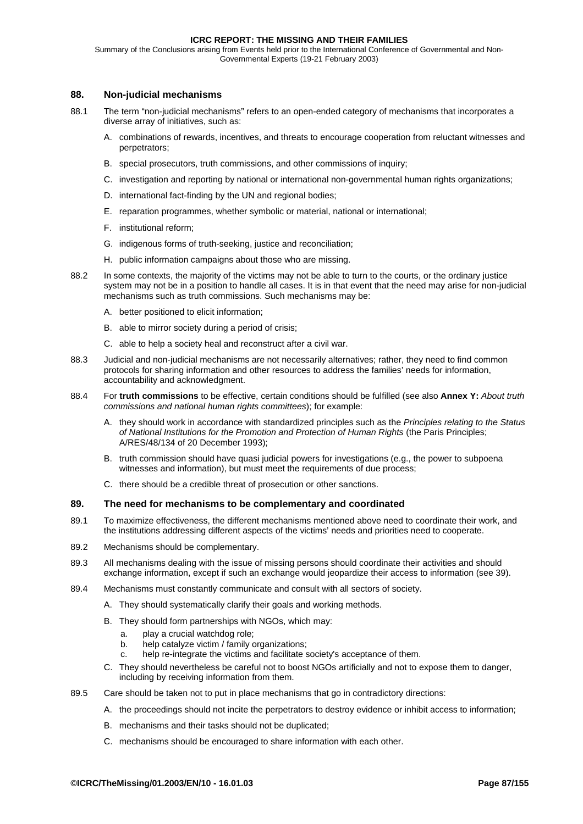Summary of the Conclusions arising from Events held prior to the International Conference of Governmental and Non-Governmental Experts (19-21 February 2003)

# **88. Non-judicial mechanisms**

- 88.1 The term "non-judicial mechanisms" refers to an open-ended category of mechanisms that incorporates a diverse array of initiatives, such as:
	- A. combinations of rewards, incentives, and threats to encourage cooperation from reluctant witnesses and perpetrators;
	- B. special prosecutors, truth commissions, and other commissions of inquiry;
	- C. investigation and reporting by national or international non-governmental human rights organizations;
	- D. international fact-finding by the UN and regional bodies;
	- E. reparation programmes, whether symbolic or material, national or international;
	- F. institutional reform;
	- G. indigenous forms of truth-seeking, justice and reconciliation;
	- H. public information campaigns about those who are missing.
- 88.2 In some contexts, the majority of the victims may not be able to turn to the courts, or the ordinary justice system may not be in a position to handle all cases. It is in that event that the need may arise for non-judicial mechanisms such as truth commissions. Such mechanisms may be:
	- A. better positioned to elicit information;
	- B. able to mirror society during a period of crisis;
	- C. able to help a society heal and reconstruct after a civil war.
- 88.3 Judicial and non-judicial mechanisms are not necessarily alternatives; rather, they need to find common protocols for sharing information and other resources to address the families' needs for information, accountability and acknowledgment.
- 88.4 For **truth commissions** to be effective, certain conditions should be fulfilled (see also **[Annex Y:](#page-151-0)** *About truth commissions and national human rights committees*); for example:
	- A. they should work in accordance with standardized principles such as the *Principles relating to the Status of National Institutions for the Promotion and Protection of Human Rights* (the Paris Principles; A/RES/48/134 of 20 December 1993);
	- B. truth commission should have quasi judicial powers for investigations (e.g., the power to subpoena witnesses and information), but must meet the requirements of due process;
	- C. there should be a credible threat of prosecution or other sanctions.

# **89. The need for mechanisms to be complementary and coordinated**

- 89.1 To maximize effectiveness, the different mechanisms mentioned above need to coordinate their work, and the institutions addressing different aspects of the victims' needs and priorities need to cooperate.
- 89.2 Mechanisms should be complementary.
- 89.3 All mechanisms dealing with the issue of missing persons should coordinate their activities and should exchange information, except if such an exchange would jeopardize their access to information (see [39\)](#page-49-0).
- 89.4 Mechanisms must constantly communicate and consult with all sectors of society.
	- A. They should systematically clarify their goals and working methods.
	- B. They should form partnerships with NGOs, which may:
		- a. play a crucial watchdog role;
		- b. help catalyze victim / family organizations;
		- c. help re-integrate the victims and facilitate society's acceptance of them.
	- C. They should nevertheless be careful not to boost NGOs artificially and not to expose them to danger, including by receiving information from them.
- 89.5 Care should be taken not to put in place mechanisms that go in contradictory directions:
	- A. the proceedings should not incite the perpetrators to destroy evidence or inhibit access to information;
	- B. mechanisms and their tasks should not be duplicated;
	- C. mechanisms should be encouraged to share information with each other.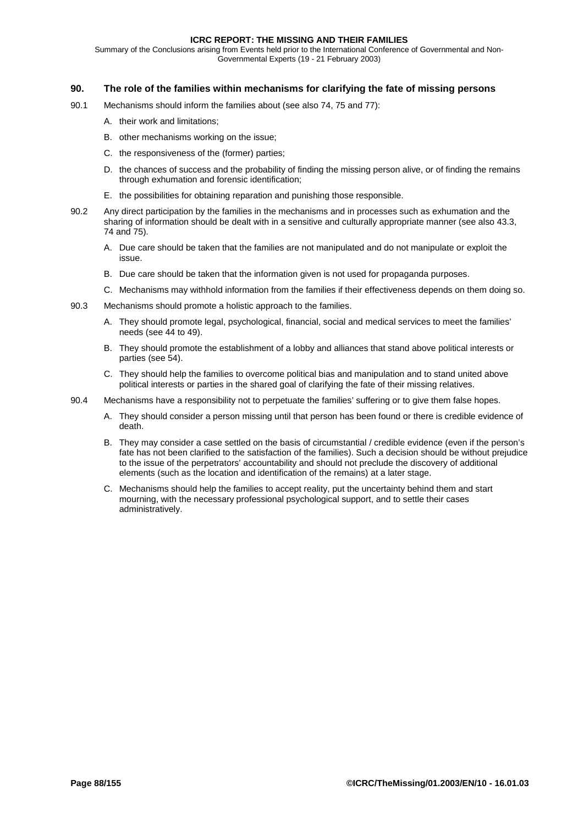Summary of the Conclusions arising from Events held prior to the International Conference of Governmental and Non-Governmental Experts (19 - 21 February 2003)

# **90. The role of the families within mechanisms for clarifying the fate of missing persons**

- 90.1 Mechanisms should inform the families about (see also [74,](#page-76-0) [75 a](#page-77-0)nd [77\)](#page-79-0):
	- A. their work and limitations;
	- B. other mechanisms working on the issue;
	- C. the responsiveness of the (former) parties;
	- D. the chances of success and the probability of finding the missing person alive, or of finding the remains through exhumation and forensic identification;
	- E. the possibilities for obtaining reparation and punishing those responsible.
- 90.2 Any direct participation by the families in the mechanisms and in processes such as exhumation and the sharing of information should be dealt with in a sensitive and culturally appropriate manner (see also [43.3,](#page-55-0)  [74](#page-76-0) and [75\)](#page-77-0).
	- A. Due care should be taken that the families are not manipulated and do not manipulate or exploit the issue.
	- B. Due care should be taken that the information given is not used for propaganda purposes.
	- C. Mechanisms may withhold information from the families if their effectiveness depends on them doing so.
- 90.3 Mechanisms should promote a holistic approach to the families.
	- A. They should promote legal, psychological, financial, social and medical services to meet the families' needs (see [44](#page-55-0) to [49\)](#page-57-0).
	- B. They should promote the establishment of a lobby and alliances that stand above political interests or parties (see [54\)](#page-60-0).
	- C. They should help the families to overcome political bias and manipulation and to stand united above political interests or parties in the shared goal of clarifying the fate of their missing relatives.
- 90.4 Mechanisms have a responsibility not to perpetuate the families' suffering or to give them false hopes.
	- A. They should consider a person missing until that person has been found or there is credible evidence of death.
	- B. They may consider a case settled on the basis of circumstantial / credible evidence (even if the person's fate has not been clarified to the satisfaction of the families). Such a decision should be without prejudice to the issue of the perpetrators' accountability and should not preclude the discovery of additional elements (such as the location and identification of the remains) at a later stage.
	- C. Mechanisms should help the families to accept reality, put the uncertainty behind them and start mourning, with the necessary professional psychological support, and to settle their cases administratively.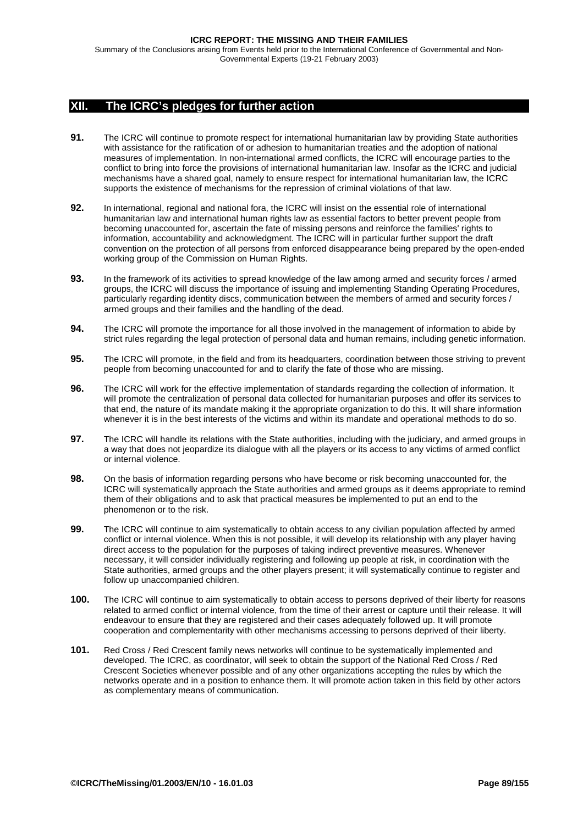Summary of the Conclusions arising from Events held prior to the International Conference of Governmental and Non-Governmental Experts (19-21 February 2003)

# **XII. The ICRC's pledges for further action**

- **91.** The ICRC will continue to promote respect for international humanitarian law by providing State authorities with assistance for the ratification of or adhesion to humanitarian treaties and the adoption of national measures of implementation. In non-international armed conflicts, the ICRC will encourage parties to the conflict to bring into force the provisions of international humanitarian law. Insofar as the ICRC and judicial mechanisms have a shared goal, namely to ensure respect for international humanitarian law, the ICRC supports the existence of mechanisms for the repression of criminal violations of that law.
- **92.** In international, regional and national fora, the ICRC will insist on the essential role of international humanitarian law and international human rights law as essential factors to better prevent people from becoming unaccounted for, ascertain the fate of missing persons and reinforce the families' rights to information, accountability and acknowledgment. The ICRC will in particular further support the draft convention on the protection of all persons from enforced disappearance being prepared by the open-ended working group of the Commission on Human Rights.
- **93.** In the framework of its activities to spread knowledge of the law among armed and security forces / armed groups, the ICRC will discuss the importance of issuing and implementing Standing Operating Procedures, particularly regarding identity discs, communication between the members of armed and security forces / armed groups and their families and the handling of the dead.
- **94.** The ICRC will promote the importance for all those involved in the management of information to abide by strict rules regarding the legal protection of personal data and human remains, including genetic information.
- **95.** The ICRC will promote, in the field and from its headquarters, coordination between those striving to prevent people from becoming unaccounted for and to clarify the fate of those who are missing.
- **96.** The ICRC will work for the effective implementation of standards regarding the collection of information. It will promote the centralization of personal data collected for humanitarian purposes and offer its services to that end, the nature of its mandate making it the appropriate organization to do this. It will share information whenever it is in the best interests of the victims and within its mandate and operational methods to do so.
- **97.** The ICRC will handle its relations with the State authorities, including with the judiciary, and armed groups in a way that does not jeopardize its dialogue with all the players or its access to any victims of armed conflict or internal violence.
- **98.** On the basis of information regarding persons who have become or risk becoming unaccounted for, the ICRC will systematically approach the State authorities and armed groups as it deems appropriate to remind them of their obligations and to ask that practical measures be implemented to put an end to the phenomenon or to the risk.
- **99.** The ICRC will continue to aim systematically to obtain access to any civilian population affected by armed conflict or internal violence. When this is not possible, it will develop its relationship with any player having direct access to the population for the purposes of taking indirect preventive measures. Whenever necessary, it will consider individually registering and following up people at risk, in coordination with the State authorities, armed groups and the other players present; it will systematically continue to register and follow up unaccompanied children.
- **100.** The ICRC will continue to aim systematically to obtain access to persons deprived of their liberty for reasons related to armed conflict or internal violence, from the time of their arrest or capture until their release. It will endeavour to ensure that they are registered and their cases adequately followed up. It will promote cooperation and complementarity with other mechanisms accessing to persons deprived of their liberty.
- **101.** Red Cross / Red Crescent family news networks will continue to be systematically implemented and developed. The ICRC, as coordinator, will seek to obtain the support of the National Red Cross / Red Crescent Societies whenever possible and of any other organizations accepting the rules by which the networks operate and in a position to enhance them. It will promote action taken in this field by other actors as complementary means of communication.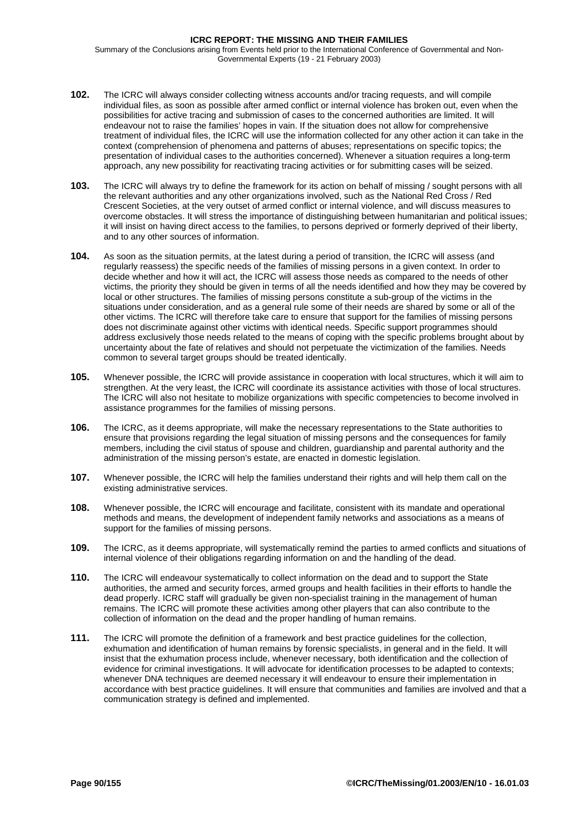Summary of the Conclusions arising from Events held prior to the International Conference of Governmental and Non-Governmental Experts (19 - 21 February 2003)

- **102.** The ICRC will always consider collecting witness accounts and/or tracing requests, and will compile individual files, as soon as possible after armed conflict or internal violence has broken out, even when the possibilities for active tracing and submission of cases to the concerned authorities are limited. It will endeavour not to raise the families' hopes in vain. If the situation does not allow for comprehensive treatment of individual files, the ICRC will use the information collected for any other action it can take in the context (comprehension of phenomena and patterns of abuses; representations on specific topics; the presentation of individual cases to the authorities concerned). Whenever a situation requires a long-term approach, any new possibility for reactivating tracing activities or for submitting cases will be seized.
- **103.** The ICRC will always try to define the framework for its action on behalf of missing / sought persons with all the relevant authorities and any other organizations involved, such as the National Red Cross / Red Crescent Societies, at the very outset of armed conflict or internal violence, and will discuss measures to overcome obstacles. It will stress the importance of distinguishing between humanitarian and political issues; it will insist on having direct access to the families, to persons deprived or formerly deprived of their liberty, and to any other sources of information.
- **104.** As soon as the situation permits, at the latest during a period of transition, the ICRC will assess (and regularly reassess) the specific needs of the families of missing persons in a given context. In order to decide whether and how it will act, the ICRC will assess those needs as compared to the needs of other victims, the priority they should be given in terms of all the needs identified and how they may be covered by local or other structures. The families of missing persons constitute a sub-group of the victims in the situations under consideration, and as a general rule some of their needs are shared by some or all of the other victims. The ICRC will therefore take care to ensure that support for the families of missing persons does not discriminate against other victims with identical needs. Specific support programmes should address exclusively those needs related to the means of coping with the specific problems brought about by uncertainty about the fate of relatives and should not perpetuate the victimization of the families. Needs common to several target groups should be treated identically.
- **105.** Whenever possible, the ICRC will provide assistance in cooperation with local structures, which it will aim to strengthen. At the very least, the ICRC will coordinate its assistance activities with those of local structures. The ICRC will also not hesitate to mobilize organizations with specific competencies to become involved in assistance programmes for the families of missing persons.
- **106.** The ICRC, as it deems appropriate, will make the necessary representations to the State authorities to ensure that provisions regarding the legal situation of missing persons and the consequences for family members, including the civil status of spouse and children, guardianship and parental authority and the administration of the missing person's estate, are enacted in domestic legislation.
- **107.** Whenever possible, the ICRC will help the families understand their rights and will help them call on the existing administrative services.
- **108.** Whenever possible, the ICRC will encourage and facilitate, consistent with its mandate and operational methods and means, the development of independent family networks and associations as a means of support for the families of missing persons.
- **109.** The ICRC, as it deems appropriate, will systematically remind the parties to armed conflicts and situations of internal violence of their obligations regarding information on and the handling of the dead.
- **110.** The ICRC will endeavour systematically to collect information on the dead and to support the State authorities, the armed and security forces, armed groups and health facilities in their efforts to handle the dead properly. ICRC staff will gradually be given non-specialist training in the management of human remains. The ICRC will promote these activities among other players that can also contribute to the collection of information on the dead and the proper handling of human remains.
- **111.** The ICRC will promote the definition of a framework and best practice guidelines for the collection, exhumation and identification of human remains by forensic specialists, in general and in the field. It will insist that the exhumation process include, whenever necessary, both identification and the collection of evidence for criminal investigations. It will advocate for identification processes to be adapted to contexts; whenever DNA techniques are deemed necessary it will endeavour to ensure their implementation in accordance with best practice guidelines. It will ensure that communities and families are involved and that a communication strategy is defined and implemented.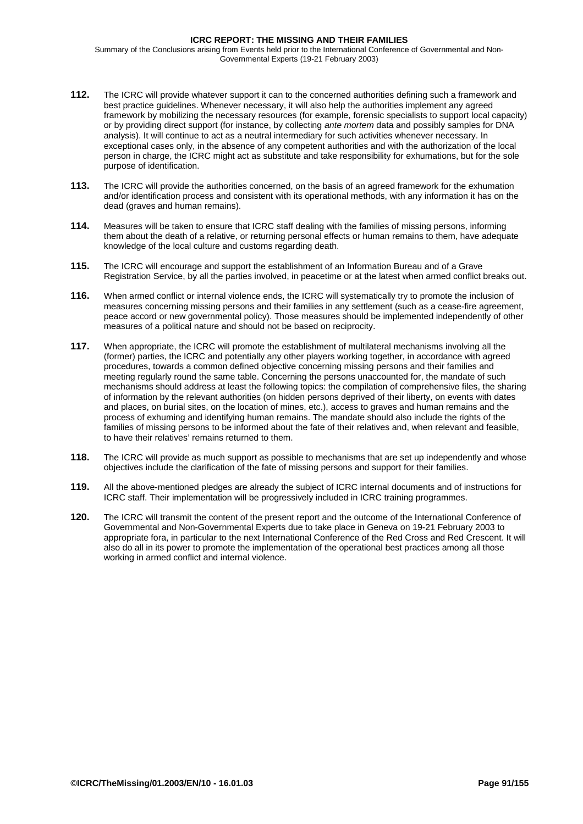Summary of the Conclusions arising from Events held prior to the International Conference of Governmental and Non-Governmental Experts (19-21 February 2003)

- **112.** The ICRC will provide whatever support it can to the concerned authorities defining such a framework and best practice guidelines. Whenever necessary, it will also help the authorities implement any agreed framework by mobilizing the necessary resources (for example, forensic specialists to support local capacity) or by providing direct support (for instance, by collecting *ante mortem* data and possibly samples for DNA analysis). It will continue to act as a neutral intermediary for such activities whenever necessary. In exceptional cases only, in the absence of any competent authorities and with the authorization of the local person in charge, the ICRC might act as substitute and take responsibility for exhumations, but for the sole purpose of identification.
- **113.** The ICRC will provide the authorities concerned, on the basis of an agreed framework for the exhumation and/or identification process and consistent with its operational methods, with any information it has on the dead (graves and human remains).
- **114.** Measures will be taken to ensure that ICRC staff dealing with the families of missing persons, informing them about the death of a relative, or returning personal effects or human remains to them, have adequate knowledge of the local culture and customs regarding death.
- **115.** The ICRC will encourage and support the establishment of an Information Bureau and of a Grave Registration Service, by all the parties involved, in peacetime or at the latest when armed conflict breaks out.
- **116.** When armed conflict or internal violence ends, the ICRC will systematically try to promote the inclusion of measures concerning missing persons and their families in any settlement (such as a cease-fire agreement, peace accord or new governmental policy). Those measures should be implemented independently of other measures of a political nature and should not be based on reciprocity.
- **117.** When appropriate, the ICRC will promote the establishment of multilateral mechanisms involving all the (former) parties, the ICRC and potentially any other players working together, in accordance with agreed procedures, towards a common defined objective concerning missing persons and their families and meeting regularly round the same table. Concerning the persons unaccounted for, the mandate of such mechanisms should address at least the following topics: the compilation of comprehensive files, the sharing of information by the relevant authorities (on hidden persons deprived of their liberty, on events with dates and places, on burial sites, on the location of mines, etc.), access to graves and human remains and the process of exhuming and identifying human remains. The mandate should also include the rights of the families of missing persons to be informed about the fate of their relatives and, when relevant and feasible, to have their relatives' remains returned to them.
- **118.** The ICRC will provide as much support as possible to mechanisms that are set up independently and whose objectives include the clarification of the fate of missing persons and support for their families.
- **119.** All the above-mentioned pledges are already the subject of ICRC internal documents and of instructions for ICRC staff. Their implementation will be progressively included in ICRC training programmes.
- **120.** The ICRC will transmit the content of the present report and the outcome of the International Conference of Governmental and Non-Governmental Experts due to take place in Geneva on 19-21 February 2003 to appropriate fora, in particular to the next International Conference of the Red Cross and Red Crescent. It will also do all in its power to promote the implementation of the operational best practices among all those working in armed conflict and internal violence.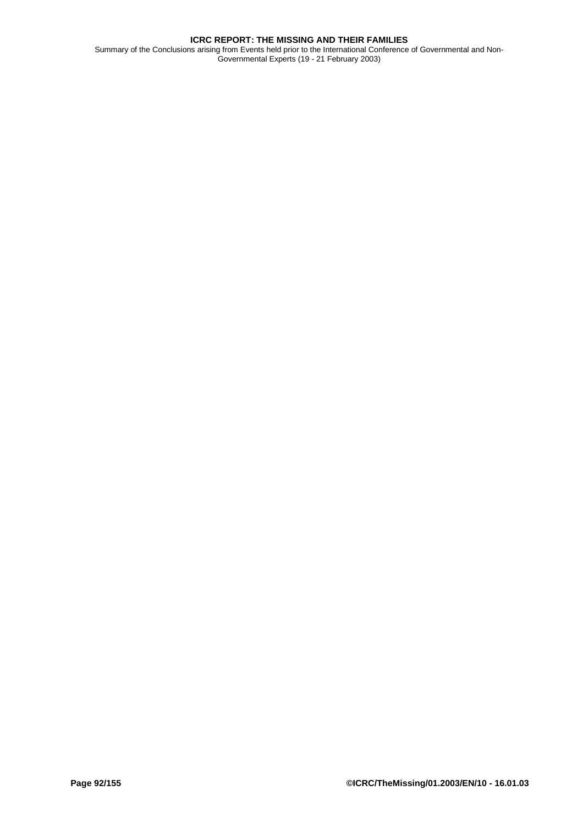Summary of the Conclusions arising from Events held prior to the International Conference of Governmental and Non-Governmental Experts (19 - 21 February 2003)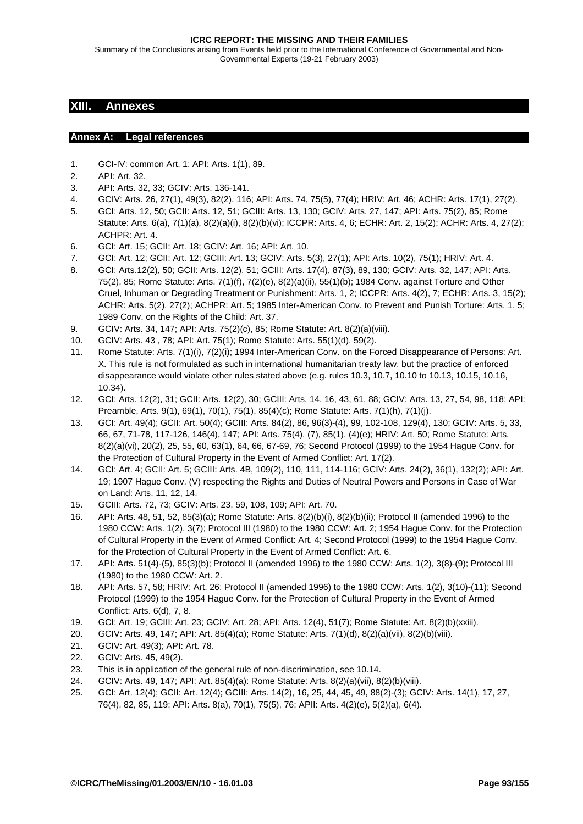Summary of the Conclusions arising from Events held prior to the International Conference of Governmental and Non-Governmental Experts (19-21 February 2003)

# **XIII. Annexes**

# **Annex A: Legal references**

- 1. GCI-IV: common Art. 1; API: Arts. 1(1), 89.
- 2. API: Art. 32.
- 3. API: Arts. 32, 33; GCIV: Arts. 136-141.
- 4. GCIV: Arts. 26, 27(1), 49(3), 82(2), 116; API: Arts. 74, 75(5), 77(4); HRIV: Art. 46; ACHR: Arts. 17(1), 27(2).
- 5. GCI: Arts. 12, 50; GCII: Arts. 12, 51; GCIII: Arts. 13, 130; GCIV: Arts. 27, 147; API: Arts. 75(2), 85; Rome Statute: Arts. 6(a), 7(1)(a), 8(2)(a)(i), 8(2)(b)(vi); ICCPR: Arts. 4, 6; ECHR: Art. 2, 15(2); ACHR: Arts. 4, 27(2); ACHPR: Art. 4.
- 6. GCI: Art. 15; GCII: Art. 18; GCIV: Art. 16; API: Art. 10.
- 7. GCI: Art. 12; GCII: Art. 12; GCIII: Art. 13; GCIV: Arts. 5(3), 27(1); API: Arts. 10(2), 75(1); HRIV: Art. 4.
- 8. GCI: Arts.12(2), 50; GCII: Arts. 12(2), 51; GCIII: Arts. 17(4), 87(3), 89, 130; GCIV: Arts. 32, 147; API: Arts. 75(2), 85; Rome Statute: Arts. 7(1)(f), 7(2)(e), 8(2)(a)(ii), 55(1)(b); 1984 Conv. against Torture and Other Cruel, Inhuman or Degrading Treatment or Punishment: Arts. 1, 2; ICCPR: Arts. 4(2), 7; ECHR: Arts. 3, 15(2); ACHR: Arts. 5(2), 27(2); ACHPR: Art. 5; 1985 Inter-American Conv. to Prevent and Punish Torture: Arts. 1, 5; 1989 Conv. on the Rights of the Child: Art. 37.
- 9. GCIV: Arts. 34, 147; API: Arts. 75(2)(c), 85; Rome Statute: Art. 8(2)(a)(viii).
- 10. GCIV: Arts. 43 , 78; API: Art. 75(1); Rome Statute: Arts. 55(1)(d), 59(2).
- 11. Rome Statute: Arts. 7(1)(i), 7(2)(i); 1994 Inter-American Conv. on the Forced Disappearance of Persons: Art. X. This rule is not formulated as such in international humanitarian treaty law, but the practice of enforced disappearance would violate other rules stated above (e.g. rules [10.3, 10.7, 10.10 t](#page-17-0)o [10.13, 10.15, 10.16,](#page-17-0)  [10.34\).](#page-18-0)
- 12. GCI: Arts. 12(2), 31; GCII: Arts. 12(2), 30; GCIII: Arts. 14, 16, 43, 61, 88; GCIV: Arts. 13, 27, 54, 98, 118; API: Preamble, Arts. 9(1), 69(1), 70(1), 75(1), 85(4)(c); Rome Statute: Arts. 7(1)(h), 7(1)(j).
- 13. GCI: Art. 49(4); GCII: Art. 50(4); GCIII: Arts. 84(2), 86, 96(3)-(4), 99, 102-108, 129(4), 130; GCIV: Arts. 5, 33, 66, 67, 71-78, 117-126, 146(4), 147; API: Arts. 75(4), (7), 85(1), (4)(e); HRIV: Art. 50; Rome Statute: Arts. 8(2)(a)(vi), 20(2), 25, 55, 60, 63(1), 64, 66, 67-69, 76; Second Protocol (1999) to the 1954 Hague Conv. for the Protection of Cultural Property in the Event of Armed Conflict: Art. 17(2).
- 14. GCI: Art. 4; GCII: Art. 5; GCIII: Arts. 4B, 109(2), 110, 111, 114-116; GCIV: Arts. 24(2), 36(1), 132(2); API: Art. 19; 1907 Hague Conv. (V) respecting the Rights and Duties of Neutral Powers and Persons in Case of War on Land: Arts. 11, 12, 14.
- 15. GCIII: Arts. 72, 73; GCIV: Arts. 23, 59, 108, 109; API: Art. 70.
- 16. API: Arts. 48, 51, 52, 85(3)(a); Rome Statute: Arts. 8(2)(b)(i), 8(2)(b)(ii); Protocol II (amended 1996) to the 1980 CCW: Arts. 1(2), 3(7); Protocol III (1980) to the 1980 CCW: Art. 2; 1954 Hague Conv. for the Protection of Cultural Property in the Event of Armed Conflict: Art. 4; Second Protocol (1999) to the 1954 Hague Conv. for the Protection of Cultural Property in the Event of Armed Conflict: Art. 6.
- 17. API: Arts. 51(4)-(5), 85(3)(b); Protocol II (amended 1996) to the 1980 CCW: Arts. 1(2), 3(8)-(9); Protocol III (1980) to the 1980 CCW: Art. 2.
- 18. API: Arts. 57, 58; HRIV: Art. 26; Protocol II (amended 1996) to the 1980 CCW: Arts. 1(2), 3(10)-(11); Second Protocol (1999) to the 1954 Hague Conv. for the Protection of Cultural Property in the Event of Armed Conflict: Arts. 6(d), 7, 8.
- 19. GCI: Art. 19; GCIII: Art. 23; GCIV: Art. 28; API: Arts. 12(4), 51(7); Rome Statute: Art. 8(2)(b)(xxiii).
- 20. GCIV: Arts. 49, 147; API: Art. 85(4)(a); Rome Statute: Arts. 7(1)(d), 8(2)(a)(vii), 8(2)(b)(viii).
- 21. GCIV: Art. 49(3); API: Art. 78.
- 22. GCIV: Arts. 45, 49(2).
- 23. This is in application of the general rule of non-discrimination, see [10.14.](#page-17-0)
- 24. GCIV: Arts. 49, 147; API: Art. 85(4)(a): Rome Statute: Arts. 8(2)(a)(vii), 8(2)(b)(viii).
- 25. GCI: Art. 12(4); GCII: Art. 12(4); GCIII: Arts. 14(2), 16, 25, 44, 45, 49, 88(2)-(3); GCIV: Arts. 14(1), 17, 27, 76(4), 82, 85, 119; API: Arts. 8(a), 70(1), 75(5), 76; APII: Arts. 4(2)(e), 5(2)(a), 6(4).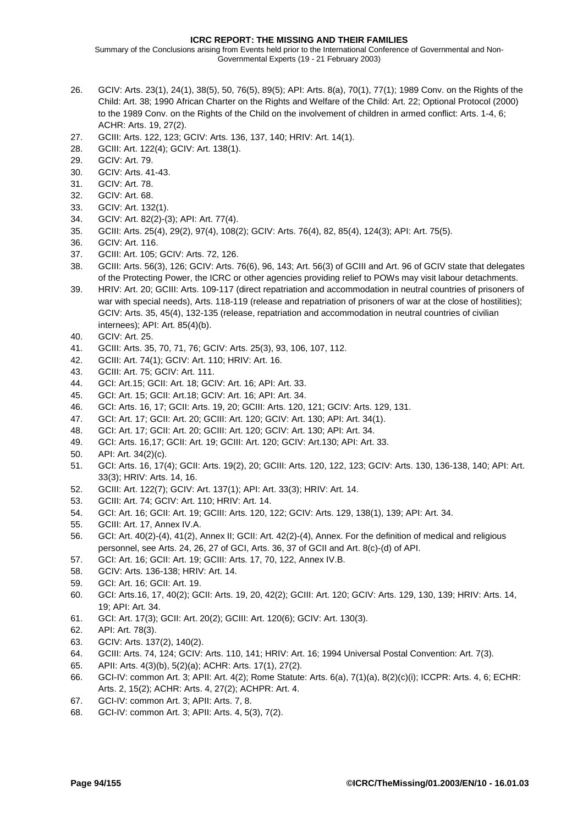Summary of the Conclusions arising from Events held prior to the International Conference of Governmental and Non-Governmental Experts (19 - 21 February 2003)

- 26. GCIV: Arts. 23(1), 24(1), 38(5), 50, 76(5), 89(5); API: Arts. 8(a), 70(1), 77(1); 1989 Conv. on the Rights of the Child: Art. 38; 1990 African Charter on the Rights and Welfare of the Child: Art. 22; Optional Protocol (2000) to the 1989 Conv. on the Rights of the Child on the involvement of children in armed conflict: Arts. 1-4, 6; ACHR: Arts. 19, 27(2).
- 27. GCIII: Arts. 122, 123; GCIV: Arts. 136, 137, 140; HRIV: Art. 14(1).
- 28. GCIII: Art. 122(4); GCIV: Art. 138(1).
- 29. GCIV: Art. 79.
- 30. GCIV: Arts. 41-43.
- 31. GCIV: Art. 78.
- 32. GCIV: Art. 68.
- 33. GCIV: Art. 132(1).
- 34. GCIV: Art. 82(2)-(3); API: Art. 77(4).
- 35. GCIII: Arts. 25(4), 29(2), 97(4), 108(2); GCIV: Arts. 76(4), 82, 85(4), 124(3); API: Art. 75(5).
- 36. GCIV: Art. 116.
- 37. GCIII: Art. 105; GCIV: Arts. 72, 126.
- 38. GCIII: Arts. 56(3), 126; GCIV: Arts. 76(6), 96, 143; Art. 56(3) of GCIII and Art. 96 of GCIV state that delegates of the Protecting Power, the ICRC or other agencies providing relief to POWs may visit labour detachments.
- 39. HRIV: Art. 20; GCIII: Arts. 109-117 (direct repatriation and accommodation in neutral countries of prisoners of war with special needs), Arts. 118-119 (release and repatriation of prisoners of war at the close of hostilities); GCIV: Arts. 35, 45(4), 132-135 (release, repatriation and accommodation in neutral countries of civilian internees); API: Art. 85(4)(b).
- 40. GCIV: Art. 25.
- 41. GCIII: Arts. 35, 70, 71, 76; GCIV: Arts. 25(3), 93, 106, 107, 112.
- 42. GCIII: Art. 74(1); GCIV: Art. 110; HRIV: Art. 16.
- 43. GCIII: Art. 75; GCIV: Art. 111.
- 44. GCI: Art.15; GCII: Art. 18; GCIV: Art. 16; API: Art. 33.
- 45. GCI: Art. 15; GCII: Art.18; GCIV: Art. 16; API: Art. 34.
- 46. GCI: Arts. 16, 17; GCII: Arts. 19, 20; GCIII: Arts. 120, 121; GCIV: Arts. 129, 131.
- 47. GCI: Art. 17; GCII: Art. 20; GCIII: Art. 120; GCIV: Art. 130; API: Art. 34(1).
- 48. GCI: Art. 17; GCII: Art. 20; GCIII: Art. 120; GCIV: Art. 130; API: Art. 34.
- 49. GCI: Arts. 16,17; GCII: Art. 19; GCIII: Art. 120; GCIV: Art.130; API: Art. 33.
- 50. API: Art. 34(2)(c).
- 51. GCI: Arts. 16, 17(4); GCII: Arts. 19(2), 20; GCIII: Arts. 120, 122, 123; GCIV: Arts. 130, 136-138, 140; API: Art. 33(3); HRIV: Arts. 14, 16.
- 52. GCIII: Art. 122(7); GCIV: Art. 137(1); API: Art. 33(3); HRIV: Art. 14.
- 53. GCIII: Art. 74; GCIV: Art. 110; HRIV: Art. 14.
- 54. GCI: Art. 16; GCII: Art. 19; GCIII: Arts. 120, 122; GCIV: Arts. 129, 138(1), 139; API: Art. 34.
- 55. GCIII: Art. 17, Annex IV.A.
- 56. GCI: Art. 40(2)-(4), 41(2), Annex II; GCII: Art. 42(2)-(4), Annex. For the definition of medical and religious personnel, see Arts. 24, 26, 27 of GCI, Arts. 36, 37 of GCII and Art. 8(c)-(d) of API.
- 57. GCI: Art. 16; GCII: Art. 19; GCIII: Arts. 17, 70, 122, Annex IV.B.
- 58. GCIV: Arts. 136-138; HRIV: Art. 14.
- 59. GCI: Art. 16; GCII: Art. 19.
- 60. GCI: Arts.16, 17, 40(2); GCII: Arts. 19, 20, 42(2); GCIII: Art. 120; GCIV: Arts. 129, 130, 139; HRIV: Arts. 14, 19; API: Art. 34.
- 61. GCI: Art. 17(3); GCII: Art. 20(2); GCIII: Art. 120(6); GCIV: Art. 130(3).
- 62. API: Art. 78(3).
- 63. GCIV: Arts. 137(2), 140(2).
- 64. GCIII: Arts. 74, 124; GCIV: Arts. 110, 141; HRIV: Art. 16; 1994 Universal Postal Convention: Art. 7(3).
- 65. APII: Arts. 4(3)(b), 5(2)(a); ACHR: Arts. 17(1), 27(2).
- 66. GCI-IV: common Art. 3; APII: Art. 4(2); Rome Statute: Arts. 6(a), 7(1)(a), 8(2)(c)(i); ICCPR: Arts. 4, 6; ECHR: Arts. 2, 15(2); ACHR: Arts. 4, 27(2); ACHPR: Art. 4.
- 67. GCI-IV: common Art. 3; APII: Arts. 7, 8.
- 68. GCI-IV: common Art. 3; APII: Arts. 4, 5(3), 7(2).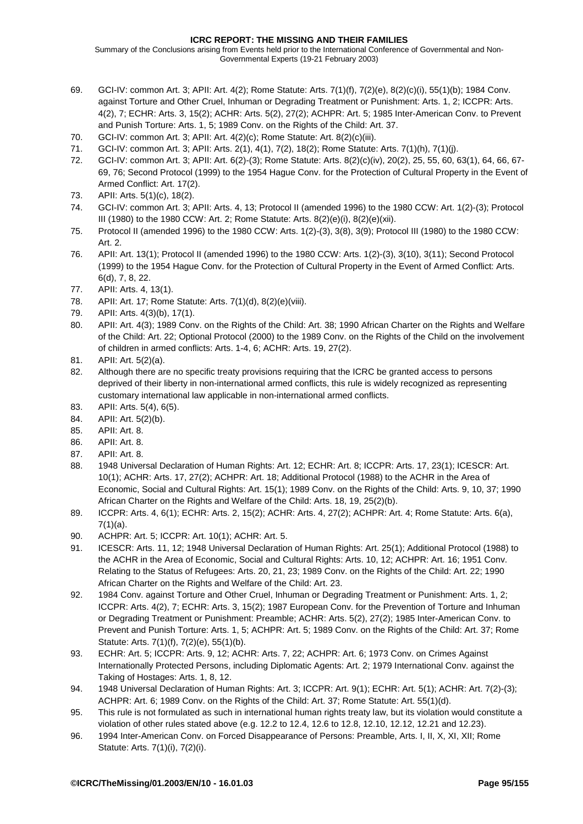Summary of the Conclusions arising from Events held prior to the International Conference of Governmental and Non-Governmental Experts (19-21 February 2003)

- 69. GCI-IV: common Art. 3; APII: Art. 4(2); Rome Statute: Arts. 7(1)(f), 7(2)(e), 8(2)(c)(i), 55(1)(b); 1984 Conv. against Torture and Other Cruel, Inhuman or Degrading Treatment or Punishment: Arts. 1, 2; ICCPR: Arts. 4(2), 7; ECHR: Arts. 3, 15(2); ACHR: Arts. 5(2), 27(2); ACHPR: Art. 5; 1985 Inter-American Conv. to Prevent and Punish Torture: Arts. 1, 5; 1989 Conv. on the Rights of the Child: Art. 37.
- 70. GCI-IV: common Art. 3; APII: Art. 4(2)(c); Rome Statute: Art. 8(2)(c)(iii).
- 71. GCI-IV: common Art. 3; APII: Arts. 2(1), 4(1), 7(2), 18(2); Rome Statute: Arts. 7(1)(h), 7(1)(j).
- 72. GCI-IV: common Art. 3; APII: Art. 6(2)-(3); Rome Statute: Arts. 8(2)(c)(iv), 20(2), 25, 55, 60, 63(1), 64, 66, 67- 69, 76; Second Protocol (1999) to the 1954 Hague Conv. for the Protection of Cultural Property in the Event of Armed Conflict: Art. 17(2).
- 73. APII: Arts. 5(1)(c), 18(2).
- 74. GCI-IV: common Art. 3; APII: Arts. 4, 13; Protocol II (amended 1996) to the 1980 CCW: Art. 1(2)-(3); Protocol III (1980) to the 1980 CCW: Art. 2; Rome Statute: Arts. 8(2)(e)(i), 8(2)(e)(xii).
- 75. Protocol II (amended 1996) to the 1980 CCW: Arts. 1(2)-(3), 3(8), 3(9); Protocol III (1980) to the 1980 CCW: Art. 2.
- 76. APII: Art. 13(1); Protocol II (amended 1996) to the 1980 CCW: Arts. 1(2)-(3), 3(10), 3(11); Second Protocol (1999) to the 1954 Hague Conv. for the Protection of Cultural Property in the Event of Armed Conflict: Arts. 6(d), 7, 8, 22.
- 77. APII: Arts. 4, 13(1).
- 78. APII: Art. 17; Rome Statute: Arts. 7(1)(d), 8(2)(e)(viii).
- 79. APII: Arts. 4(3)(b), 17(1).
- 80. APII: Art. 4(3); 1989 Conv. on the Rights of the Child: Art. 38; 1990 African Charter on the Rights and Welfare of the Child: Art. 22; Optional Protocol (2000) to the 1989 Conv. on the Rights of the Child on the involvement of children in armed conflicts: Arts. 1-4, 6; ACHR: Arts. 19, 27(2).
- 81. APII: Art. 5(2)(a).
- 82. Although there are no specific treaty provisions requiring that the ICRC be granted access to persons deprived of their liberty in non-international armed conflicts, this rule is widely recognized as representing customary international law applicable in non-international armed conflicts.
- 83. APII: Arts. 5(4), 6(5).
- 84. APII: Art. 5(2)(b).
- 85. APII: Art. 8.
- 86. APII: Art. 8.
- 87. APII: Art. 8.
- 88. 1948 Universal Declaration of Human Rights: Art. 12; ECHR: Art. 8; ICCPR: Arts. 17, 23(1); ICESCR: Art. 10(1); ACHR: Arts. 17, 27(2); ACHPR: Art. 18; Additional Protocol (1988) to the ACHR in the Area of Economic, Social and Cultural Rights: Art. 15(1); 1989 Conv. on the Rights of the Child: Arts. 9, 10, 37; 1990 African Charter on the Rights and Welfare of the Child: Arts. 18, 19, 25(2)(b).
- 89. ICCPR: Arts. 4, 6(1); ECHR: Arts. 2, 15(2); ACHR: Arts. 4, 27(2); ACHPR: Art. 4; Rome Statute: Arts. 6(a), 7(1)(a).
- 90. ACHPR: Art. 5; ICCPR: Art. 10(1); ACHR: Art. 5.
- 91. ICESCR: Arts. 11, 12; 1948 Universal Declaration of Human Rights: Art. 25(1); Additional Protocol (1988) to the ACHR in the Area of Economic, Social and Cultural Rights: Arts. 10, 12; ACHPR: Art. 16; 1951 Conv. Relating to the Status of Refugees: Arts. 20, 21, 23; 1989 Conv. on the Rights of the Child: Art. 22; 1990 African Charter on the Rights and Welfare of the Child: Art. 23.
- 92. 1984 Conv. against Torture and Other Cruel, Inhuman or Degrading Treatment or Punishment: Arts. 1, 2; ICCPR: Arts. 4(2), 7; ECHR: Arts. 3, 15(2); 1987 European Conv. for the Prevention of Torture and Inhuman or Degrading Treatment or Punishment: Preamble; ACHR: Arts. 5(2), 27(2); 1985 Inter-American Conv. to Prevent and Punish Torture: Arts. 1, 5; ACHPR: Art. 5; 1989 Conv. on the Rights of the Child: Art. 37; Rome Statute: Arts. 7(1)(f), 7(2)(e), 55(1)(b).
- 93. ECHR: Art. 5; ICCPR: Arts. 9, 12; ACHR: Arts. 7, 22; ACHPR: Art. 6; 1973 Conv. on Crimes Against Internationally Protected Persons, including Diplomatic Agents: Art. 2; 1979 International Conv. against the Taking of Hostages: Arts. 1, 8, 12.
- 94. 1948 Universal Declaration of Human Rights: Art. 3; ICCPR: Art. 9(1); ECHR: Art. 5(1); ACHR: Art. 7(2)-(3); ACHPR: Art. 6; 1989 Conv. on the Rights of the Child: Art. 37; Rome Statute: Art. 55(1)(d).
- 95. This rule is not formulated as such in international human rights treaty law, but its violation would constitute a violation of other rules stated above (e.g. [12.2 t](#page-23-0)o [12.4, 12.6](#page-23-0) to [12.8,](#page-23-0) [12.10, 12.12, 12.21 a](#page-23-0)nd [12.23\).](#page-23-0)
- 96. 1994 Inter-American Conv. on Forced Disappearance of Persons: Preamble, Arts. I, II, X, XI, XII; Rome Statute: Arts. 7(1)(i), 7(2)(i).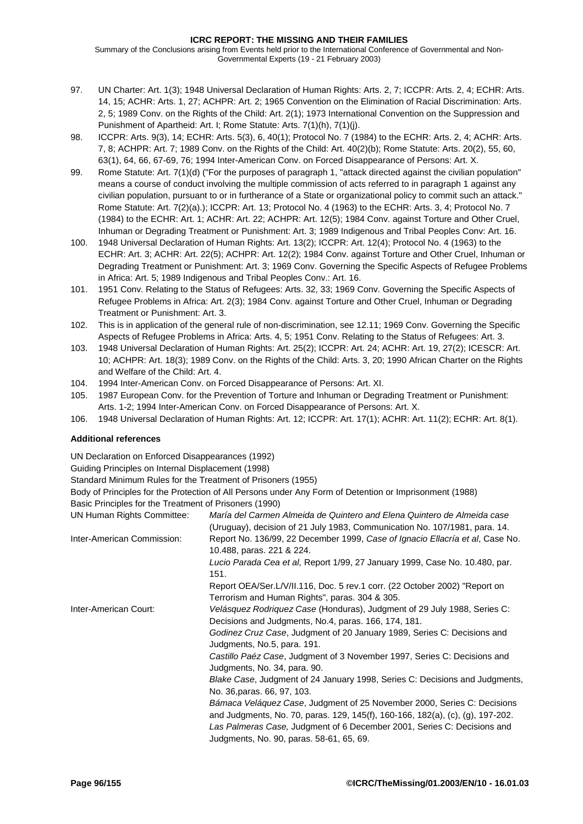Summary of the Conclusions arising from Events held prior to the International Conference of Governmental and Non-Governmental Experts (19 - 21 February 2003)

- 97. UN Charter: Art. 1(3); 1948 Universal Declaration of Human Rights: Arts. 2, 7; ICCPR: Arts. 2, 4; ECHR: Arts. 14, 15; ACHR: Arts. 1, 27; ACHPR: Art. 2; 1965 Convention on the Elimination of Racial Discrimination: Arts. 2, 5; 1989 Conv. on the Rights of the Child: Art. 2(1); 1973 International Convention on the Suppression and Punishment of Apartheid: Art. I; Rome Statute: Arts. 7(1)(h), 7(1)(j).
- 98. ICCPR: Arts. 9(3), 14; ECHR: Arts. 5(3), 6, 40(1); Protocol No. 7 (1984) to the ECHR: Arts. 2, 4; ACHR: Arts. 7, 8; ACHPR: Art. 7; 1989 Conv. on the Rights of the Child: Art. 40(2)(b); Rome Statute: Arts. 20(2), 55, 60, 63(1), 64, 66, 67-69, 76; 1994 Inter-American Conv. on Forced Disappearance of Persons: Art. X.
- 99. Rome Statute: Art. 7(1)(d) ("For the purposes of paragraph 1, "attack directed against the civilian population" means a course of conduct involving the multiple commission of acts referred to in paragraph 1 against any civilian population, pursuant to or in furtherance of a State or organizational policy to commit such an attack." Rome Statute: Art. 7(2)(a).); ICCPR: Art. 13; Protocol No. 4 (1963) to the ECHR: Arts. 3, 4; Protocol No. 7 (1984) to the ECHR: Art. 1; ACHR: Art. 22; ACHPR: Art. 12(5); 1984 Conv. against Torture and Other Cruel, Inhuman or Degrading Treatment or Punishment: Art. 3; 1989 Indigenous and Tribal Peoples Conv: Art. 16.
- 100. 1948 Universal Declaration of Human Rights: Art. 13(2); ICCPR: Art. 12(4); Protocol No. 4 (1963) to the ECHR: Art. 3; ACHR: Art. 22(5); ACHPR: Art. 12(2); 1984 Conv. against Torture and Other Cruel, Inhuman or Degrading Treatment or Punishment: Art. 3; 1969 Conv. Governing the Specific Aspects of Refugee Problems in Africa: Art. 5; 1989 Indigenous and Tribal Peoples Conv.: Art. 16.
- 101. 1951 Conv. Relating to the Status of Refugees: Arts. 32, 33; 1969 Conv. Governing the Specific Aspects of Refugee Problems in Africa: Art. 2(3); 1984 Conv. against Torture and Other Cruel, Inhuman or Degrading Treatment or Punishment: Art. 3.
- 102. This is in application of the general rule of non-discrimination, see [12.11;](#page-23-0) 1969 Conv. Governing the Specific Aspects of Refugee Problems in Africa: Arts. 4, 5; 1951 Conv. Relating to the Status of Refugees: Art. 3.
- 103. 1948 Universal Declaration of Human Rights: Art. 25(2); ICCPR: Art. 24; ACHR: Art. 19, 27(2); ICESCR: Art. 10; ACHPR: Art. 18(3); 1989 Conv. on the Rights of the Child: Arts. 3, 20; 1990 African Charter on the Rights and Welfare of the Child: Art. 4.
- 104. 1994 Inter-American Conv. on Forced Disappearance of Persons: Art. XI.
- 105. 1987 European Conv. for the Prevention of Torture and Inhuman or Degrading Treatment or Punishment: Arts. 1-2; 1994 Inter-American Conv. on Forced Disappearance of Persons: Art. X.
- 106. 1948 Universal Declaration of Human Rights: Art. 12; ICCPR: Art. 17(1); ACHR: Art. 11(2); ECHR: Art. 8(1).

# **Additional references**

UN Declaration on Enforced Disappearances (1992)

Guiding Principles on Internal Displacement (1998)

Standard Minimum Rules for the Treatment of Prisoners (1955)

Body of Principles for the Protection of All Persons under Any Form of Detention or Imprisonment (1988) Basic Principles for the Treatment of Prisoners (1990)

| María del Carmen Almeida de Quintero and Elena Quintero de Almeida case<br>(Uruguay), decision of 21 July 1983, Communication No. 107/1981, para. 14.                                                                                                                            |
|----------------------------------------------------------------------------------------------------------------------------------------------------------------------------------------------------------------------------------------------------------------------------------|
| Report No. 136/99, 22 December 1999, Case of Ignacio Ellacría et al, Case No.<br>10.488, paras. 221 & 224.                                                                                                                                                                       |
| Lucio Parada Cea et al, Report 1/99, 27 January 1999, Case No. 10.480, par.<br>151.                                                                                                                                                                                              |
| Report OEA/Ser.L/V/II.116, Doc. 5 rev.1 corr. (22 October 2002) "Report on<br>Terrorism and Human Rights", paras. 304 & 305.                                                                                                                                                     |
| Velásquez Rodriquez Case (Honduras), Judgment of 29 July 1988, Series C:<br>Decisions and Judgments, No.4, paras. 166, 174, 181.                                                                                                                                                 |
| Godinez Cruz Case, Judgment of 20 January 1989, Series C: Decisions and<br>Judgments, No.5, para. 191.                                                                                                                                                                           |
| Castillo Paéz Case, Judgment of 3 November 1997, Series C: Decisions and<br>Judgments, No. 34, para. 90.                                                                                                                                                                         |
| Blake Case, Judgment of 24 January 1998, Series C: Decisions and Judgments,<br>No. 36, paras. 66, 97, 103.                                                                                                                                                                       |
| Bámaca Veláquez Case, Judgment of 25 November 2000, Series C: Decisions<br>and Judgments, No. 70, paras. 129, 145(f), 160-166, 182(a), (c), (g), 197-202.<br>Las Palmeras Case, Judgment of 6 December 2001, Series C: Decisions and<br>Judgments, No. 90, paras. 58-61, 65, 69. |
|                                                                                                                                                                                                                                                                                  |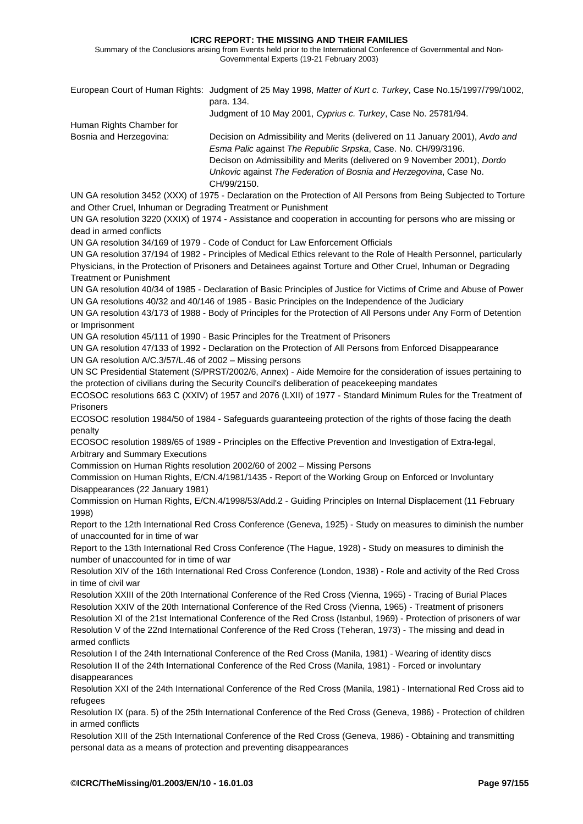Summary of the Conclusions arising from Events held prior to the International Conference of Governmental and Non-Governmental Experts (19-21 February 2003)

|                                                                                          | European Court of Human Rights: Judgment of 25 May 1998, Matter of Kurt c. Turkey, Case No.15/1997/799/1002,<br>para. 134.                                                                                                                                                                                                                                                                                                                                                 |
|------------------------------------------------------------------------------------------|----------------------------------------------------------------------------------------------------------------------------------------------------------------------------------------------------------------------------------------------------------------------------------------------------------------------------------------------------------------------------------------------------------------------------------------------------------------------------|
|                                                                                          | Judgment of 10 May 2001, Cyprius c. Turkey, Case No. 25781/94.                                                                                                                                                                                                                                                                                                                                                                                                             |
| Human Rights Chamber for<br>Bosnia and Herzegovina:                                      | Decision on Admissibility and Merits (delivered on 11 January 2001), Avdo and<br>Esma Palic against The Republic Srpska, Case. No. CH/99/3196.<br>Decison on Admissibility and Merits (delivered on 9 November 2001), Dordo<br>Unkovic against The Federation of Bosnia and Herzegovina, Case No.<br>CH/99/2150.                                                                                                                                                           |
| and Other Cruel, Inhuman or Degrading Treatment or Punishment<br>dead in armed conflicts | UN GA resolution 3452 (XXX) of 1975 - Declaration on the Protection of All Persons from Being Subjected to Torture<br>UN GA resolution 3220 (XXIX) of 1974 - Assistance and cooperation in accounting for persons who are missing or                                                                                                                                                                                                                                       |
| <b>Treatment or Punishment</b>                                                           | UN GA resolution 34/169 of 1979 - Code of Conduct for Law Enforcement Officials<br>UN GA resolution 37/194 of 1982 - Principles of Medical Ethics relevant to the Role of Health Personnel, particularly<br>Physicians, in the Protection of Prisoners and Detainees against Torture and Other Cruel, Inhuman or Degrading                                                                                                                                                 |
| or Imprisonment                                                                          | UN GA resolution 40/34 of 1985 - Declaration of Basic Principles of Justice for Victims of Crime and Abuse of Power<br>UN GA resolutions 40/32 and 40/146 of 1985 - Basic Principles on the Independence of the Judiciary<br>UN GA resolution 43/173 of 1988 - Body of Principles for the Protection of All Persons under Any Form of Detention                                                                                                                            |
| UN GA resolution A/C.3/57/L.46 of 2002 - Missing persons                                 | UN GA resolution 45/111 of 1990 - Basic Principles for the Treatment of Prisoners<br>UN GA resolution 47/133 of 1992 - Declaration on the Protection of All Persons from Enforced Disappearance                                                                                                                                                                                                                                                                            |
|                                                                                          | UN SC Presidential Statement (S/PRST/2002/6, Annex) - Aide Memoire for the consideration of issues pertaining to<br>the protection of civilians during the Security Council's deliberation of peacekeeping mandates<br>ECOSOC resolutions 663 C (XXIV) of 1957 and 2076 (LXII) of 1977 - Standard Minimum Rules for the Treatment of                                                                                                                                       |
| Prisoners<br>penalty                                                                     | ECOSOC resolution 1984/50 of 1984 - Safeguards guaranteeing protection of the rights of those facing the death                                                                                                                                                                                                                                                                                                                                                             |
| Arbitrary and Summary Executions                                                         | ECOSOC resolution 1989/65 of 1989 - Principles on the Effective Prevention and Investigation of Extra-legal,                                                                                                                                                                                                                                                                                                                                                               |
| Disappearances (22 January 1981)                                                         | Commission on Human Rights resolution 2002/60 of 2002 - Missing Persons<br>Commission on Human Rights, E/CN.4/1981/1435 - Report of the Working Group on Enforced or Involuntary                                                                                                                                                                                                                                                                                           |
| 1998)                                                                                    | Commission on Human Rights, E/CN.4/1998/53/Add.2 - Guiding Principles on Internal Displacement (11 February                                                                                                                                                                                                                                                                                                                                                                |
| of unaccounted for in time of war                                                        | Report to the 12th International Red Cross Conference (Geneva, 1925) - Study on measures to diminish the number                                                                                                                                                                                                                                                                                                                                                            |
| number of unaccounted for in time of war                                                 | Report to the 13th International Red Cross Conference (The Hague, 1928) - Study on measures to diminish the                                                                                                                                                                                                                                                                                                                                                                |
| in time of civil war                                                                     | Resolution XIV of the 16th International Red Cross Conference (London, 1938) - Role and activity of the Red Cross                                                                                                                                                                                                                                                                                                                                                          |
|                                                                                          | Resolution XXIII of the 20th International Conference of the Red Cross (Vienna, 1965) - Tracing of Burial Places<br>Resolution XXIV of the 20th International Conference of the Red Cross (Vienna, 1965) - Treatment of prisoners<br>Resolution XI of the 21st International Conference of the Red Cross (Istanbul, 1969) - Protection of prisoners of war<br>Resolution V of the 22nd International Conference of the Red Cross (Teheran, 1973) - The missing and dead in |
| armed conflicts                                                                          | Resolution I of the 24th International Conference of the Red Cross (Manila, 1981) - Wearing of identity discs<br>Resolution II of the 24th International Conference of the Red Cross (Manila, 1981) - Forced or involuntary                                                                                                                                                                                                                                                |
| disappearances<br>refugees                                                               | Resolution XXI of the 24th International Conference of the Red Cross (Manila, 1981) - International Red Cross aid to                                                                                                                                                                                                                                                                                                                                                       |
| in armed conflicts                                                                       | Resolution IX (para. 5) of the 25th International Conference of the Red Cross (Geneva, 1986) - Protection of children                                                                                                                                                                                                                                                                                                                                                      |
|                                                                                          | Resolution XIII of the 25th International Conference of the Red Cross (Geneva, 1986) - Obtaining and transmitting<br>personal data as a means of protection and preventing disappearances                                                                                                                                                                                                                                                                                  |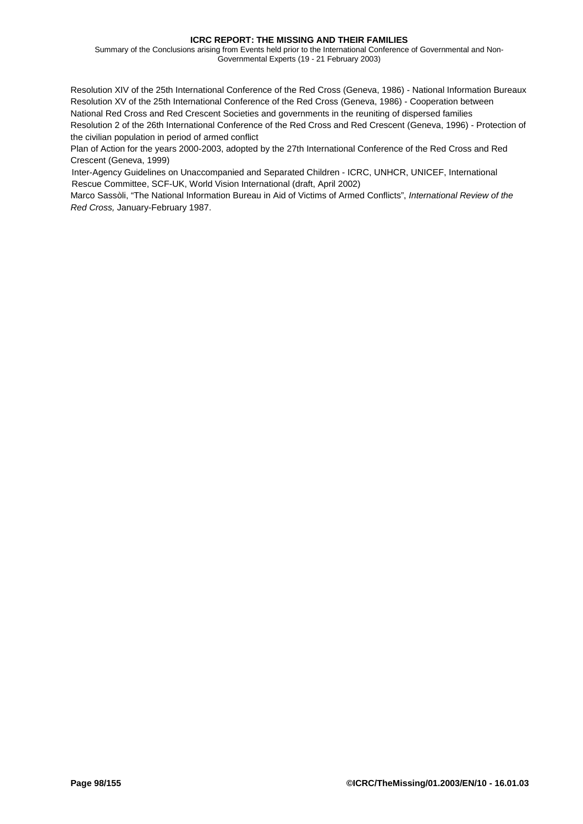Summary of the Conclusions arising from Events held prior to the International Conference of Governmental and Non-Governmental Experts (19 - 21 February 2003)

Resolution XIV of the 25th International Conference of the Red Cross (Geneva, 1986) - National Information Bureaux Resolution XV of the 25th International Conference of the Red Cross (Geneva, 1986) - Cooperation between National Red Cross and Red Crescent Societies and governments in the reuniting of dispersed families Resolution 2 of the 26th International Conference of the Red Cross and Red Crescent (Geneva, 1996) - Protection of the civilian population in period of armed conflict

Plan of Action for the years 2000-2003, adopted by the 27th International Conference of the Red Cross and Red Crescent (Geneva, 1999)

Inter-Agency Guidelines on Unaccompanied and Separated Children - ICRC, UNHCR, UNICEF, International Rescue Committee, SCF-UK, World Vision International (draft, April 2002)

Marco Sassòli, "The National Information Bureau in Aid of Victims of Armed Conflicts", *International Review of the Red Cross,* January-February 1987.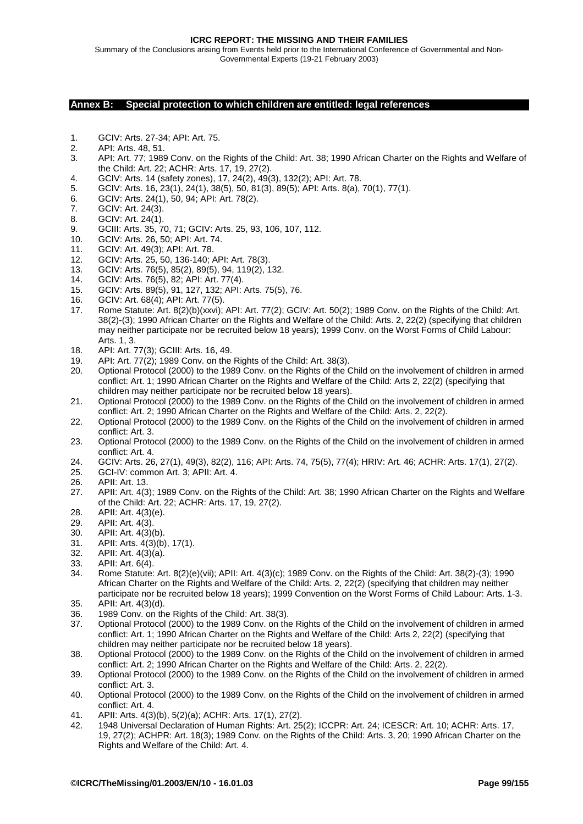Summary of the Conclusions arising from Events held prior to the International Conference of Governmental and Non-Governmental Experts (19-21 February 2003)

## **Annex B: Special protection to which children are entitled: legal references**

- 1. GCIV: Arts. 27-34; API: Art. 75.
- 2. API: Arts. 48, 51.
- 3. API: Art. 77; 1989 Conv. on the Rights of the Child: Art. 38; 1990 African Charter on the Rights and Welfare of the Child: Art. 22; ACHR: Arts. 17, 19, 27(2).
- 4. GCIV: Arts. 14 (safety zones), 17, 24(2), 49(3), 132(2); API: Art. 78.
- 5. GCIV: Arts. 16, 23(1), 24(1), 38(5), 50, 81(3), 89(5); API: Arts. 8(a), 70(1), 77(1).
- 6. GCIV: Arts. 24(1), 50, 94; API: Art. 78(2).
- 7. GCIV: Art. 24(3).
- 8. GCIV: Art. 24(1).
- 9. GCIII: Arts. 35, 70, 71; GCIV: Arts. 25, 93, 106, 107, 112.
- 10. GCIV: Arts. 26, 50; API: Art. 74.
- 11. GCIV: Art. 49(3); API: Art. 78.
- 12. GCIV: Arts. 25, 50, 136-140; API: Art. 78(3).
- 13. GCIV: Arts. 76(5), 85(2), 89(5), 94, 119(2), 132.
- 14. GCIV: Arts. 76(5), 82; API: Art. 77(4).
- 15. GCIV: Arts. 89(5), 91, 127, 132; API: Arts. 75(5), 76.
- 16. GCIV: Art. 68(4); API: Art. 77(5).
- 17. Rome Statute: Art. 8(2)(b)(xxvi); API: Art. 77(2); GCIV: Art. 50(2); 1989 Conv. on the Rights of the Child: Art. 38(2)-(3); 1990 African Charter on the Rights and Welfare of the Child: Arts. 2, 22(2) (specifying that children may neither participate nor be recruited below 18 years); 1999 Conv. on the Worst Forms of Child Labour: Arts. 1, 3.
- 18. API: Art. 77(3); GCIII: Arts. 16, 49.
- 19. API: Art. 77(2); 1989 Conv. on the Rights of the Child: Art. 38(3).
- 20. Optional Protocol (2000) to the 1989 Conv. on the Rights of the Child on the involvement of children in armed conflict: Art. 1; 1990 African Charter on the Rights and Welfare of the Child: Arts 2, 22(2) (specifying that children may neither participate nor be recruited below 18 years).
- 21. Optional Protocol (2000) to the 1989 Conv. on the Rights of the Child on the involvement of children in armed conflict: Art. 2; 1990 African Charter on the Rights and Welfare of the Child: Arts. 2, 22(2).
- 22. Optional Protocol (2000) to the 1989 Conv. on the Rights of the Child on the involvement of children in armed conflict: Art. 3.
- 23. Optional Protocol (2000) to the 1989 Conv. on the Rights of the Child on the involvement of children in armed conflict: Art. 4.
- 24. GCIV: Arts. 26, 27(1), 49(3), 82(2), 116; API: Arts. 74, 75(5), 77(4); HRIV: Art. 46; ACHR: Arts. 17(1), 27(2).
- 25. GCI-IV: common Art. 3; APII: Art. 4.
- 26. APII: Art. 13.
- 27. APII: Art. 4(3); 1989 Conv. on the Rights of the Child: Art. 38; 1990 African Charter on the Rights and Welfare of the Child: Art. 22; ACHR: Arts. 17, 19, 27(2).
- 28. APII: Art. 4(3)(e).<br>29. APII: Art. 4(3).
- APII: Art. 4(3).
- 30. APII: Art. 4(3)(b).
- 31. APII: Arts. 4(3)(b), 17(1).
- 32. APII: Art. 4(3)(a).
- 33. APII: Art. 6(4).
- 34. Rome Statute: Art. 8(2)(e)(vii); APII: Art. 4(3)(c); 1989 Conv. on the Rights of the Child: Art. 38(2)-(3); 1990 African Charter on the Rights and Welfare of the Child: Arts. 2, 22(2) (specifying that children may neither participate nor be recruited below 18 years); 1999 Convention on the Worst Forms of Child Labour: Arts. 1-3.
- 35. APII: Art. 4(3)(d).
- 36. 1989 Conv. on the Rights of the Child: Art. 38(3).
- 37. Optional Protocol (2000) to the 1989 Conv. on the Rights of the Child on the involvement of children in armed conflict: Art. 1; 1990 African Charter on the Rights and Welfare of the Child: Arts 2, 22(2) (specifying that children may neither participate nor be recruited below 18 years).
- 38. Optional Protocol (2000) to the 1989 Conv. on the Rights of the Child on the involvement of children in armed conflict: Art. 2; 1990 African Charter on the Rights and Welfare of the Child: Arts. 2, 22(2).
- 39. Optional Protocol (2000) to the 1989 Conv. on the Rights of the Child on the involvement of children in armed conflict: Art. 3.
- 40. Optional Protocol (2000) to the 1989 Conv. on the Rights of the Child on the involvement of children in armed conflict: Art. 4.
- 41. APII: Arts. 4(3)(b), 5(2)(a); ACHR: Arts. 17(1), 27(2).
- 42. 1948 Universal Declaration of Human Rights: Art. 25(2); ICCPR: Art. 24; ICESCR: Art. 10; ACHR: Arts. 17, 19, 27(2); ACHPR: Art. 18(3); 1989 Conv. on the Rights of the Child: Arts. 3, 20; 1990 African Charter on the Rights and Welfare of the Child: Art. 4.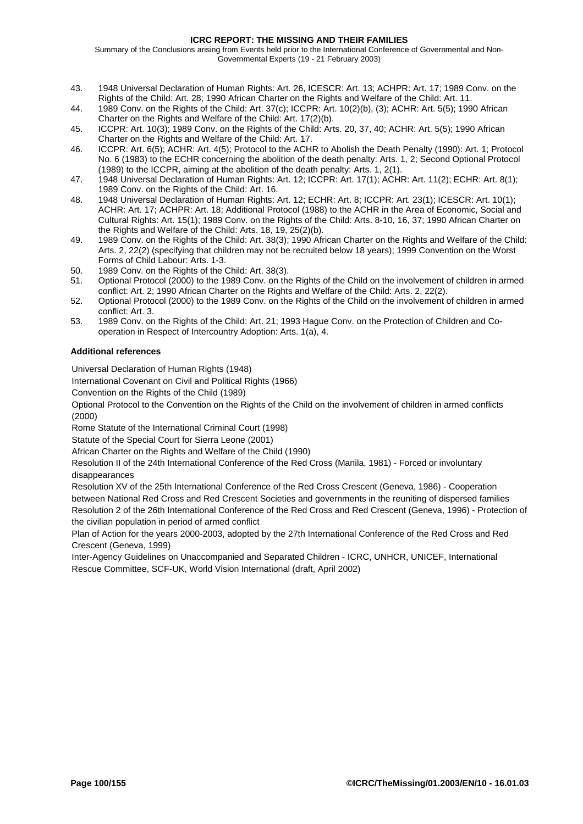Summary of the Conclusions arising from Events held prior to the International Conference of Governmental and Non-Governmental Experts (19 - 21 February 2003)

- 43. 1948 Universal Declaration of Human Rights: Art. 26, ICESCR: Art. 13; ACHPR: Art. 17; 1989 Conv. on the Rights of the Child: Art. 28; 1990 African Charter on the Rights and Welfare of the Child: Art. 11.
- 44. 1989 Conv. on the Rights of the Child: Art. 37(c); ICCPR: Art. 10(2)(b), (3); ACHR: Art. 5(5); 1990 African Charter on the Rights and Welfare of the Child: Art. 17(2)(b).
- 45. ICCPR: Art. 10(3); 1989 Conv. on the Rights of the Child: Arts. 20, 37, 40; ACHR: Art. 5(5); 1990 African Charter on the Rights and Welfare of the Child: Art. 17.
- 46. ICCPR: Art. 6(5); ACHR: Art. 4(5); Protocol to the ACHR to Abolish the Death Penalty (1990): Art. 1; Protocol No. 6 (1983) to the ECHR concerning the abolition of the death penalty: Arts. 1, 2; Second Optional Protocol (1989) to the ICCPR, aiming at the abolition of the death penalty: Arts. 1, 2(1).
- 47. 1948 Universal Declaration of Human Rights: Art. 12; ICCPR: Art. 17(1); ACHR: Art. 11(2); ECHR: Art. 8(1); 1989 Conv. on the Rights of the Child: Art. 16.
- 48. 1948 Universal Declaration of Human Rights: Art. 12; ECHR: Art. 8; ICCPR: Art. 23(1); ICESCR: Art. 10(1); ACHR: Art. 17; ACHPR: Art. 18; Additional Protocol (1988) to the ACHR in the Area of Economic, Social and Cultural Rights: Art. 15(1); 1989 Conv. on the Rights of the Child: Arts. 8-10, 16, 37; 1990 African Charter on the Rights and Welfare of the Child: Arts. 18, 19, 25(2)(b).
- 49. 1989 Conv. on the Rights of the Child: Art. 38(3); 1990 African Charter on the Rights and Welfare of the Child: Arts. 2, 22(2) (specifying that children may not be recruited below 18 years); 1999 Convention on the Worst Forms of Child Labour: Arts. 1-3.
- 50. 1989 Conv. on the Rights of the Child: Art. 38(3).
- 51. Optional Protocol (2000) to the 1989 Conv. on the Rights of the Child on the involvement of children in armed conflict: Art. 2; 1990 African Charter on the Rights and Welfare of the Child: Arts. 2, 22(2).
- 52. Optional Protocol (2000) to the 1989 Conv. on the Rights of the Child on the involvement of children in armed conflict: Art. 3.
- 53. 1989 Conv. on the Rights of the Child: Art. 21; 1993 Hague Conv. on the Protection of Children and Cooperation in Respect of Intercountry Adoption: Arts. 1(a), 4.

# **Additional references**

Universal Declaration of Human Rights (1948)

International Covenant on Civil and Political Rights (1966)

Convention on the Rights of the Child (1989)

Optional Protocol to the Convention on the Rights of the Child on the involvement of children in armed conflicts (2000)

Rome Statute of the International Criminal Court (1998)

Statute of the Special Court for Sierra Leone (2001)

African Charter on the Rights and Welfare of the Child (1990)

Resolution II of the 24th International Conference of the Red Cross (Manila, 1981) - Forced or involuntary disappearances

Resolution XV of the 25th International Conference of the Red Cross Crescent (Geneva, 1986) - Cooperation between National Red Cross and Red Crescent Societies and governments in the reuniting of dispersed families Resolution 2 of the 26th International Conference of the Red Cross and Red Crescent (Geneva, 1996) - Protection of the civilian population in period of armed conflict

Plan of Action for the years 2000-2003, adopted by the 27th International Conference of the Red Cross and Red Crescent (Geneva, 1999)

Inter-Agency Guidelines on Unaccompanied and Separated Children - ICRC, UNHCR, UNICEF, International Rescue Committee, SCF-UK, World Vision International (draft, April 2002)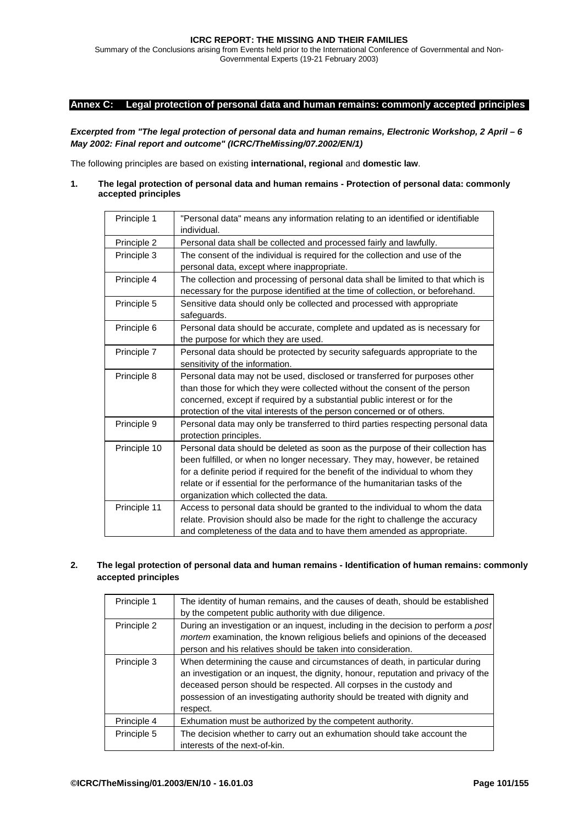<span id="page-100-0"></span>Summary of the Conclusions arising from Events held prior to the International Conference of Governmental and Non-Governmental Experts (19-21 February 2003)

# **Annex C: Legal protection of personal data and human remains: commonly accepted principles**

*Excerpted from "The legal protection of personal data and human remains, Electronic Workshop, 2 April – 6 May 2002: Final report and outcome" (ICRC/TheMissing/07.2002/EN/1)* 

The following principles are based on existing **international, regional** and **domestic law**.

### **1. The legal protection of personal data and human remains - Protection of personal data: commonly accepted principles**

| Principle 1  | "Personal data" means any information relating to an identified or identifiable<br>individual.                                                                     |
|--------------|--------------------------------------------------------------------------------------------------------------------------------------------------------------------|
| Principle 2  | Personal data shall be collected and processed fairly and lawfully.                                                                                                |
| Principle 3  | The consent of the individual is required for the collection and use of the                                                                                        |
|              | personal data, except where inappropriate.                                                                                                                         |
| Principle 4  | The collection and processing of personal data shall be limited to that which is<br>necessary for the purpose identified at the time of collection, or beforehand. |
| Principle 5  | Sensitive data should only be collected and processed with appropriate                                                                                             |
|              | safeguards.                                                                                                                                                        |
| Principle 6  | Personal data should be accurate, complete and updated as is necessary for<br>the purpose for which they are used.                                                 |
| Principle 7  | Personal data should be protected by security safeguards appropriate to the                                                                                        |
|              | sensitivity of the information.                                                                                                                                    |
| Principle 8  | Personal data may not be used, disclosed or transferred for purposes other                                                                                         |
|              | than those for which they were collected without the consent of the person                                                                                         |
|              | concerned, except if required by a substantial public interest or for the                                                                                          |
|              | protection of the vital interests of the person concerned or of others.                                                                                            |
| Principle 9  | Personal data may only be transferred to third parties respecting personal data<br>protection principles.                                                          |
| Principle 10 | Personal data should be deleted as soon as the purpose of their collection has                                                                                     |
|              | been fulfilled, or when no longer necessary. They may, however, be retained                                                                                        |
|              | for a definite period if required for the benefit of the individual to whom they                                                                                   |
|              | relate or if essential for the performance of the humanitarian tasks of the                                                                                        |
|              | organization which collected the data.                                                                                                                             |
| Principle 11 | Access to personal data should be granted to the individual to whom the data                                                                                       |
|              | relate. Provision should also be made for the right to challenge the accuracy                                                                                      |
|              | and completeness of the data and to have them amended as appropriate.                                                                                              |

# **2. The legal protection of personal data and human remains - Identification of human remains: commonly accepted principles**

| Principle 1 | The identity of human remains, and the causes of death, should be established<br>by the competent public authority with due diligence.                                                                                                                                                                                              |
|-------------|-------------------------------------------------------------------------------------------------------------------------------------------------------------------------------------------------------------------------------------------------------------------------------------------------------------------------------------|
| Principle 2 | During an investigation or an inquest, including in the decision to perform a post<br>mortem examination, the known religious beliefs and opinions of the deceased<br>person and his relatives should be taken into consideration.                                                                                                  |
| Principle 3 | When determining the cause and circumstances of death, in particular during<br>an investigation or an inquest, the dignity, honour, reputation and privacy of the<br>deceased person should be respected. All corpses in the custody and<br>possession of an investigating authority should be treated with dignity and<br>respect. |
| Principle 4 | Exhumation must be authorized by the competent authority.                                                                                                                                                                                                                                                                           |
| Principle 5 | The decision whether to carry out an exhumation should take account the<br>interests of the next-of-kin.                                                                                                                                                                                                                            |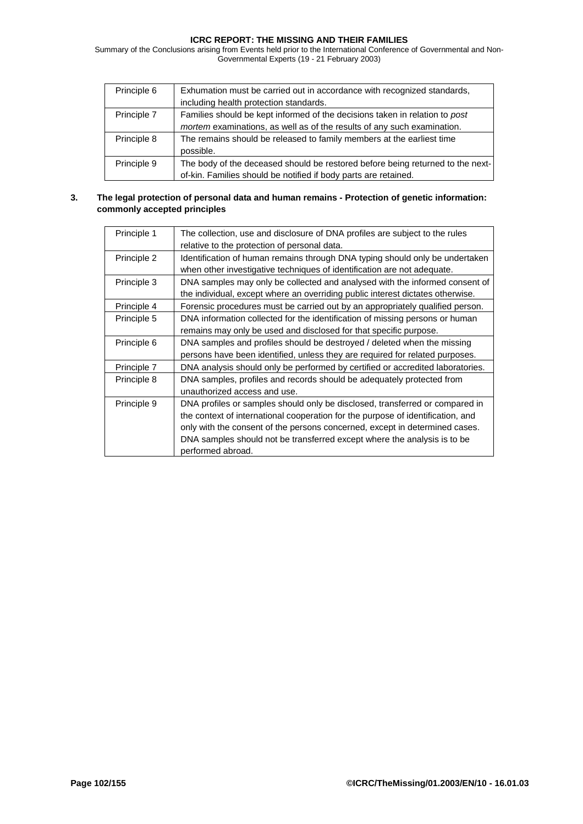Summary of the Conclusions arising from Events held prior to the International Conference of Governmental and Non-Governmental Experts (19 - 21 February 2003)

| Principle 6 | Exhumation must be carried out in accordance with recognized standards,<br>including health protection standards.                                      |
|-------------|--------------------------------------------------------------------------------------------------------------------------------------------------------|
| Principle 7 | Families should be kept informed of the decisions taken in relation to post<br>mortem examinations, as well as of the results of any such examination. |
| Principle 8 | The remains should be released to family members at the earliest time<br>possible.                                                                     |
| Principle 9 | The body of the deceased should be restored before being returned to the next-<br>of-kin. Families should be notified if body parts are retained.      |

# **3. The legal protection of personal data and human remains - Protection of genetic information: commonly accepted principles**

| Principle 1 | The collection, use and disclosure of DNA profiles are subject to the rules     |
|-------------|---------------------------------------------------------------------------------|
|             | relative to the protection of personal data.                                    |
| Principle 2 | Identification of human remains through DNA typing should only be undertaken    |
|             | when other investigative techniques of identification are not adequate.         |
| Principle 3 | DNA samples may only be collected and analysed with the informed consent of     |
|             | the individual, except where an overriding public interest dictates otherwise.  |
| Principle 4 | Forensic procedures must be carried out by an appropriately qualified person.   |
| Principle 5 | DNA information collected for the identification of missing persons or human    |
|             | remains may only be used and disclosed for that specific purpose.               |
| Principle 6 | DNA samples and profiles should be destroyed / deleted when the missing         |
|             | persons have been identified, unless they are required for related purposes.    |
| Principle 7 | DNA analysis should only be performed by certified or accredited laboratories.  |
| Principle 8 | DNA samples, profiles and records should be adequately protected from           |
|             | unauthorized access and use.                                                    |
| Principle 9 | DNA profiles or samples should only be disclosed, transferred or compared in    |
|             | the context of international cooperation for the purpose of identification, and |
|             | only with the consent of the persons concerned, except in determined cases.     |
|             | DNA samples should not be transferred except where the analysis is to be        |
|             | performed abroad.                                                               |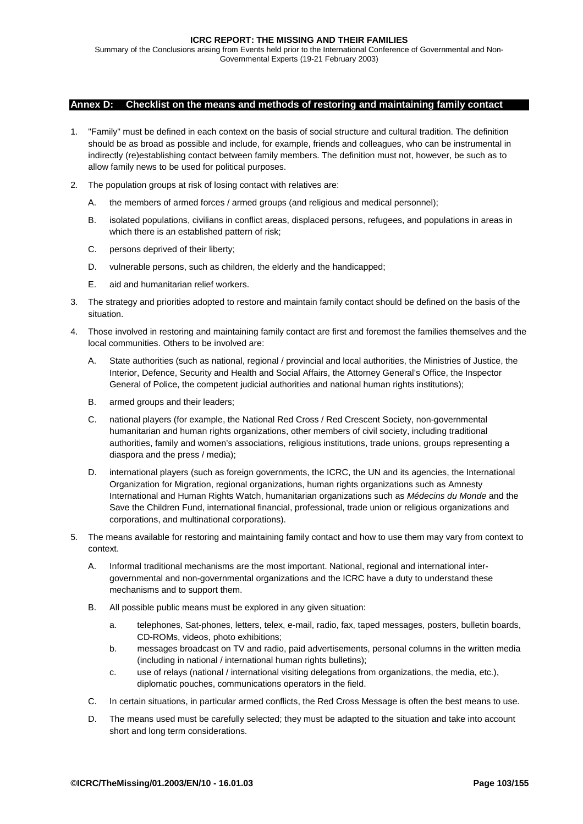<span id="page-102-0"></span>Summary of the Conclusions arising from Events held prior to the International Conference of Governmental and Non-Governmental Experts (19-21 February 2003)

### **Annex D: Checklist on the means and methods of restoring and maintaining family contact**

- 1. "Family" must be defined in each context on the basis of social structure and cultural tradition. The definition should be as broad as possible and include, for example, friends and colleagues, who can be instrumental in indirectly (re)establishing contact between family members. The definition must not, however, be such as to allow family news to be used for political purposes.
- 2. The population groups at risk of losing contact with relatives are:
	- A. the members of armed forces / armed groups (and religious and medical personnel);
	- B. isolated populations, civilians in conflict areas, displaced persons, refugees, and populations in areas in which there is an established pattern of risk;
	- C. persons deprived of their liberty;
	- D. vulnerable persons, such as children, the elderly and the handicapped;
	- E. aid and humanitarian relief workers.
- 3. The strategy and priorities adopted to restore and maintain family contact should be defined on the basis of the situation.
- 4. Those involved in restoring and maintaining family contact are first and foremost the families themselves and the local communities. Others to be involved are:
	- A. State authorities (such as national, regional / provincial and local authorities, the Ministries of Justice, the Interior, Defence, Security and Health and Social Affairs, the Attorney General's Office, the Inspector General of Police, the competent judicial authorities and national human rights institutions);
	- B. armed groups and their leaders;
	- C. national players (for example, the National Red Cross / Red Crescent Society, non-governmental humanitarian and human rights organizations, other members of civil society, including traditional authorities, family and women's associations, religious institutions, trade unions, groups representing a diaspora and the press / media);
	- D. international players (such as foreign governments, the ICRC, the UN and its agencies, the International Organization for Migration, regional organizations, human rights organizations such as Amnesty International and Human Rights Watch, humanitarian organizations such as *Médecins du Monde* and the Save the Children Fund, international financial, professional, trade union or religious organizations and corporations, and multinational corporations).
- 5. The means available for restoring and maintaining family contact and how to use them may vary from context to context.
	- A. Informal traditional mechanisms are the most important. National, regional and international intergovernmental and non-governmental organizations and the ICRC have a duty to understand these mechanisms and to support them.
	- B. All possible public means must be explored in any given situation:
		- a. telephones, Sat-phones, letters, telex, e-mail, radio, fax, taped messages, posters, bulletin boards, CD-ROMs, videos, photo exhibitions;
		- b. messages broadcast on TV and radio, paid advertisements, personal columns in the written media (including in national / international human rights bulletins);
		- c. use of relays (national / international visiting delegations from organizations, the media, etc.), diplomatic pouches, communications operators in the field.
	- C. In certain situations, in particular armed conflicts, the Red Cross Message is often the best means to use.
	- D. The means used must be carefully selected; they must be adapted to the situation and take into account short and long term considerations.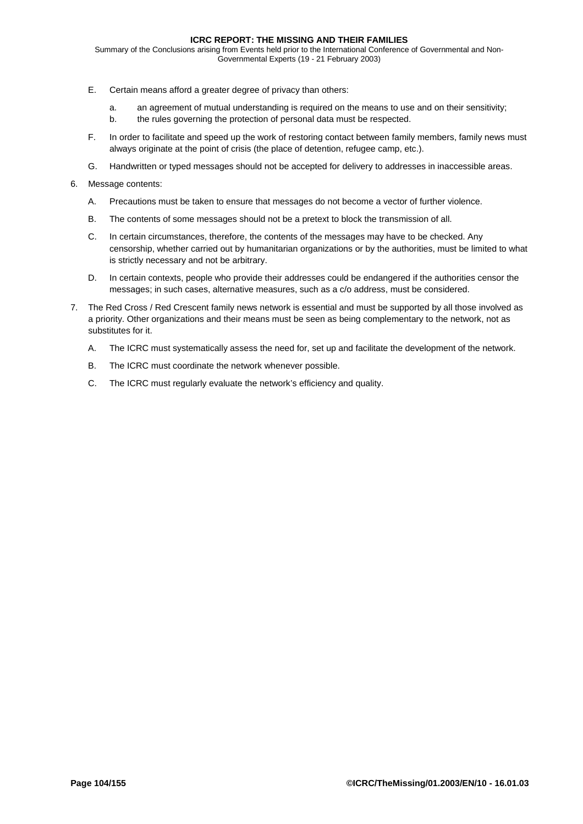Summary of the Conclusions arising from Events held prior to the International Conference of Governmental and Non-Governmental Experts (19 - 21 February 2003)

- E. Certain means afford a greater degree of privacy than others:
	- a. an agreement of mutual understanding is required on the means to use and on their sensitivity;
	- b. the rules governing the protection of personal data must be respected.
- F. In order to facilitate and speed up the work of restoring contact between family members, family news must always originate at the point of crisis (the place of detention, refugee camp, etc.).
- G. Handwritten or typed messages should not be accepted for delivery to addresses in inaccessible areas.
- 6. Message contents:
	- A. Precautions must be taken to ensure that messages do not become a vector of further violence.
	- B. The contents of some messages should not be a pretext to block the transmission of all.
	- C. In certain circumstances, therefore, the contents of the messages may have to be checked. Any censorship, whether carried out by humanitarian organizations or by the authorities, must be limited to what is strictly necessary and not be arbitrary.
	- D. In certain contexts, people who provide their addresses could be endangered if the authorities censor the messages; in such cases, alternative measures, such as a c/o address, must be considered.
- 7. The Red Cross / Red Crescent family news network is essential and must be supported by all those involved as a priority. Other organizations and their means must be seen as being complementary to the network, not as substitutes for it.
	- A. The ICRC must systematically assess the need for, set up and facilitate the development of the network.
	- B. The ICRC must coordinate the network whenever possible.
	- C. The ICRC must regularly evaluate the network's efficiency and quality.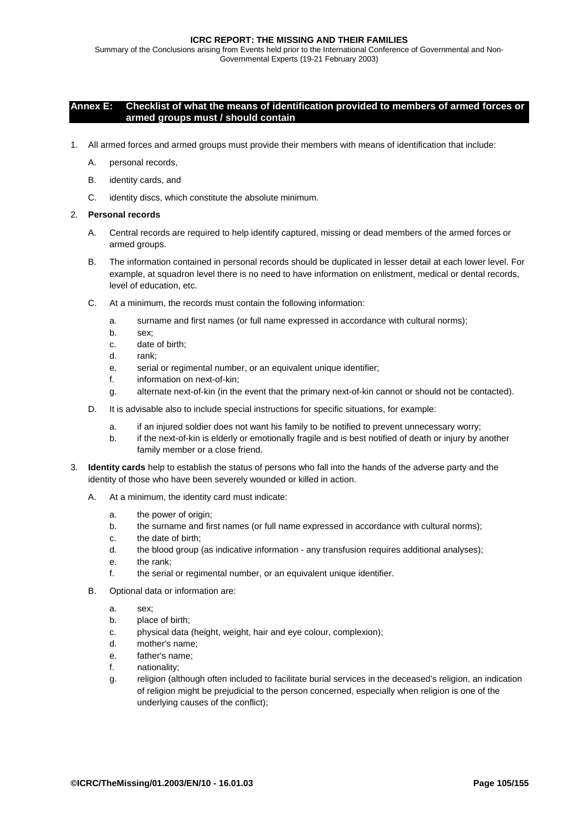Summary of the Conclusions arising from Events held prior to the International Conference of Governmental and Non-Governmental Experts (19-21 February 2003)

# **Annex E: Checklist of what the means of identification provided to members of armed forces or armed groups must / should contain**

- 1. All armed forces and armed groups must provide their members with means of identification that include:
	- A. personal records,
	- B. identity cards, and
	- C. identity discs, which constitute the absolute minimum.

### 2. **Personal records**

- A. Central records are required to help identify captured, missing or dead members of the armed forces or armed groups.
- B. The information contained in personal records should be duplicated in lesser detail at each lower level. For example, at squadron level there is no need to have information on enlistment, medical or dental records, level of education, etc.
- C. At a minimum, the records must contain the following information:
	- a. surname and first names (or full name expressed in accordance with cultural norms);
	- b. sex;
	- c. date of birth;
	- d. rank;
	- e. serial or regimental number, or an equivalent unique identifier;
	- f. information on next-of-kin;
	- g. alternate next-of-kin (in the event that the primary next-of-kin cannot or should not be contacted).
- D. It is advisable also to include special instructions for specific situations, for example:
	- a. if an injured soldier does not want his family to be notified to prevent unnecessary worry;
	- b. if the next-of-kin is elderly or emotionally fragile and is best notified of death or injury by another family member or a close friend.
- 3. **Identity cards** help to establish the status of persons who fall into the hands of the adverse party and the identity of those who have been severely wounded or killed in action.
	- A. At a minimum, the identity card must indicate:
		- a. the power of origin;
		- b. the surname and first names (or full name expressed in accordance with cultural norms);
		- c. the date of birth;
		- d. the blood group (as indicative information any transfusion requires additional analyses);
		- e. the rank;
		- f. the serial or regimental number, or an equivalent unique identifier.
	- B. Optional data or information are:
		- a. sex;
		- b. place of birth;
		- c. physical data (height, weight, hair and eye colour, complexion);
		- d. mother's name;
		- e. father's name;
		- f. nationality;
		- g. religion (although often included to facilitate burial services in the deceased's religion, an indication of religion might be prejudicial to the person concerned, especially when religion is one of the underlying causes of the conflict);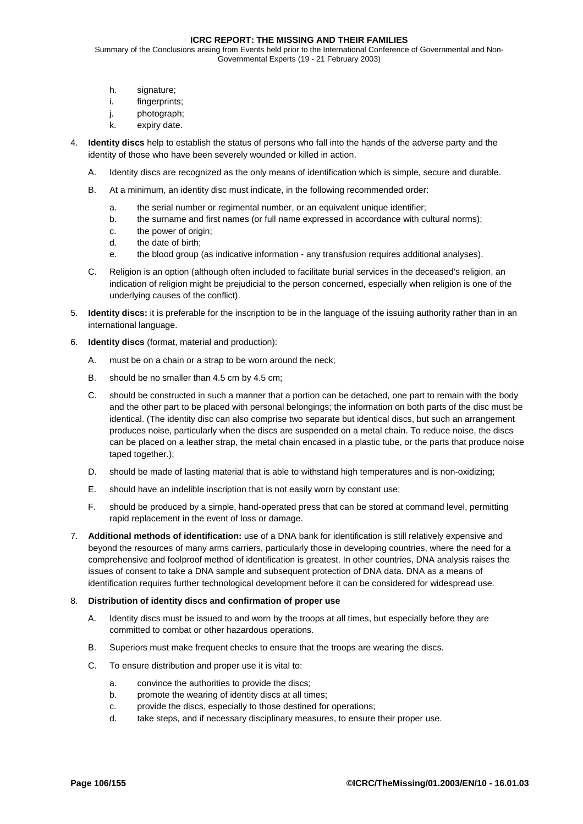Summary of the Conclusions arising from Events held prior to the International Conference of Governmental and Non-Governmental Experts (19 - 21 February 2003)

- h. signature;
- i. fingerprints;
- j. photograph;
- k. expiry date.
- 4. **Identity discs** help to establish the status of persons who fall into the hands of the adverse party and the identity of those who have been severely wounded or killed in action.
	- A. Identity discs are recognized as the only means of identification which is simple, secure and durable.
	- B. At a minimum, an identity disc must indicate, in the following recommended order:
		- a. the serial number or regimental number, or an equivalent unique identifier;
		- b. the surname and first names (or full name expressed in accordance with cultural norms);
		- c. the power of origin;
		- d. the date of birth;
		- e. the blood group (as indicative information any transfusion requires additional analyses).
	- C. Religion is an option (although often included to facilitate burial services in the deceased's religion, an indication of religion might be prejudicial to the person concerned, especially when religion is one of the underlying causes of the conflict).
- 5. **Identity discs:** it is preferable for the inscription to be in the language of the issuing authority rather than in an international language.
- 6. **Identity discs** (format, material and production):
	- A. must be on a chain or a strap to be worn around the neck;
	- B. should be no smaller than 4.5 cm by 4.5 cm;
	- C. should be constructed in such a manner that a portion can be detached, one part to remain with the body and the other part to be placed with personal belongings; the information on both parts of the disc must be identical. (The identity disc can also comprise two separate but identical discs, but such an arrangement produces noise, particularly when the discs are suspended on a metal chain. To reduce noise, the discs can be placed on a leather strap, the metal chain encased in a plastic tube, or the parts that produce noise taped together.);
	- D. should be made of lasting material that is able to withstand high temperatures and is non-oxidizing;
	- E. should have an indelible inscription that is not easily worn by constant use;
	- F. should be produced by a simple, hand-operated press that can be stored at command level, permitting rapid replacement in the event of loss or damage.
- 7. **Additional methods of identification:** use of a DNA bank for identification is still relatively expensive and beyond the resources of many arms carriers, particularly those in developing countries, where the need for a comprehensive and foolproof method of identification is greatest. In other countries, DNA analysis raises the issues of consent to take a DNA sample and subsequent protection of DNA data. DNA as a means of identification requires further technological development before it can be considered for widespread use.
- 8. **Distribution of identity discs and confirmation of proper use** 
	- A. Identity discs must be issued to and worn by the troops at all times, but especially before they are committed to combat or other hazardous operations.
	- B. Superiors must make frequent checks to ensure that the troops are wearing the discs.
	- C. To ensure distribution and proper use it is vital to:
		- a. convince the authorities to provide the discs;
		- b. promote the wearing of identity discs at all times;
		- c. provide the discs, especially to those destined for operations;
		- d. take steps, and if necessary disciplinary measures, to ensure their proper use.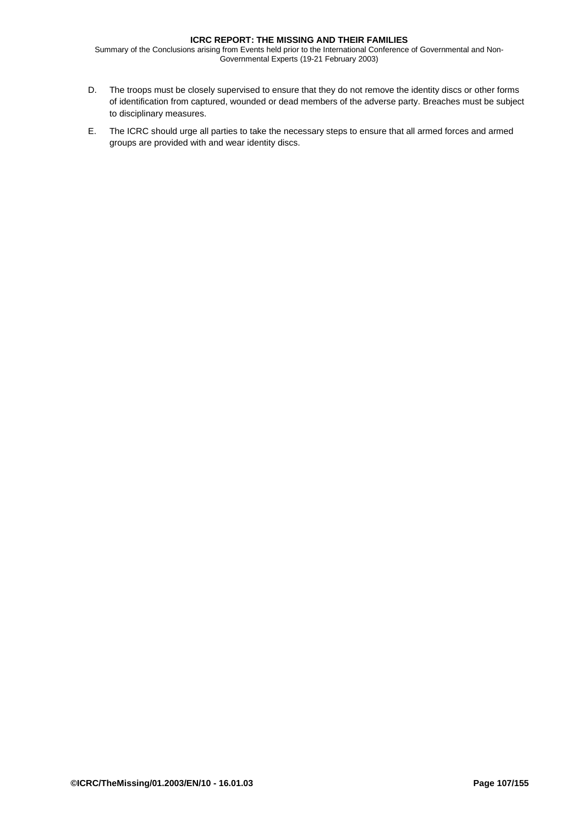Summary of the Conclusions arising from Events held prior to the International Conference of Governmental and Non-Governmental Experts (19-21 February 2003)

- D. The troops must be closely supervised to ensure that they do not remove the identity discs or other forms of identification from captured, wounded or dead members of the adverse party. Breaches must be subject to disciplinary measures.
- E. The ICRC should urge all parties to take the necessary steps to ensure that all armed forces and armed groups are provided with and wear identity discs.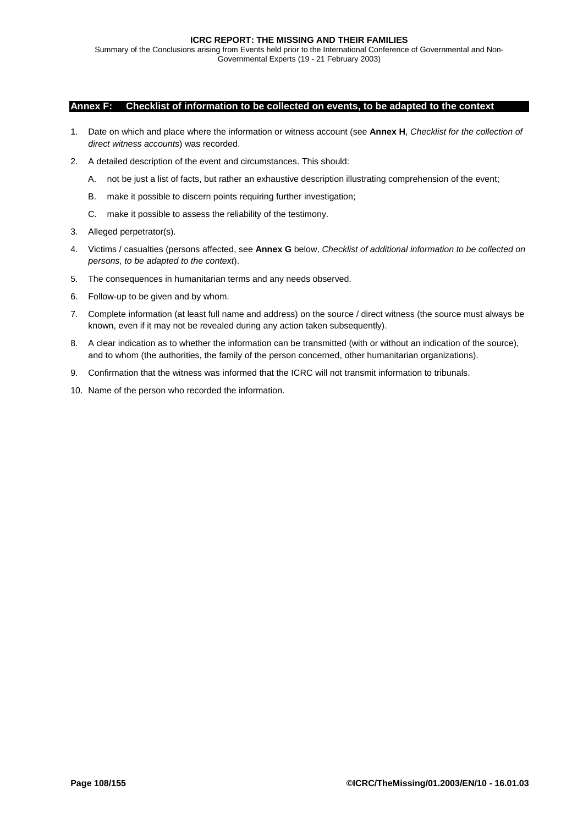# **Annex F: Checklist of information to be collected on events, to be adapted to the context**

- 1. Date on which and place where the information or witness account (see **[Annex H](#page-110-0)**, *Checklist for the collection of direct witness accounts*) was recorded.
- 2. A detailed description of the event and circumstances. This should:
	- A. not be just a list of facts, but rather an exhaustive description illustrating comprehension of the event;
	- B. make it possible to discern points requiring further investigation;
	- C. make it possible to assess the reliability of the testimony.
- 3. Alleged perpetrator(s).
- 4. Victims / casualties (persons affected, see **[Annex G](#page-108-0)** below, *Checklist of additional information to be collected on persons, to be adapted to the context*).
- 5. The consequences in humanitarian terms and any needs observed.
- 6. Follow-up to be given and by whom.
- 7. Complete information (at least full name and address) on the source / direct witness (the source must always be known, even if it may not be revealed during any action taken subsequently).
- 8. A clear indication as to whether the information can be transmitted (with or without an indication of the source), and to whom (the authorities, the family of the person concerned, other humanitarian organizations).
- 9. Confirmation that the witness was informed that the ICRC will not transmit information to tribunals.
- 10. Name of the person who recorded the information.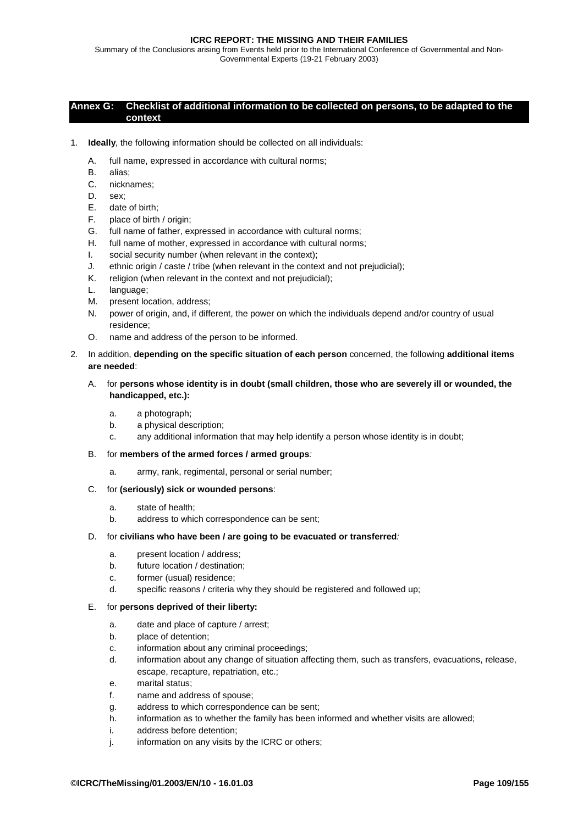<span id="page-108-0"></span>Summary of the Conclusions arising from Events held prior to the International Conference of Governmental and Non-Governmental Experts (19-21 February 2003)

# **Annex G: Checklist of additional information to be collected on persons, to be adapted to the context**

- 1. **Ideally**, the following information should be collected on all individuals:
	- A. full name, expressed in accordance with cultural norms;
	- B. alias;
	- C. nicknames;
	- D. sex;
	- E. date of birth;
	- F. place of birth / origin;
	- G. full name of father, expressed in accordance with cultural norms;
	- H. full name of mother, expressed in accordance with cultural norms;
	- I. social security number (when relevant in the context);
	- J. ethnic origin / caste / tribe (when relevant in the context and not prejudicial);
	- K. religion (when relevant in the context and not prejudicial);
	- L. language;
	- M. present location, address;
	- N. power of origin, and, if different, the power on which the individuals depend and/or country of usual residence;
	- O. name and address of the person to be informed.
- 2. In addition, **depending on the specific situation of each person** concerned, the following **additional items are needed**:
	- A. for **persons whose identity is in doubt (small children, those who are severely ill or wounded, the handicapped, etc.):**
		- a. a photograph;
		- b. a physical description;
		- c. any additional information that may help identify a person whose identity is in doubt;
	- B. for **members of the armed forces / armed groups***:* 
		- a. army, rank, regimental, personal or serial number;
	- C. for **(seriously) sick or wounded persons**:
		- a. state of health;
		- b. address to which correspondence can be sent;

#### D. for **civilians who have been / are going to be evacuated or transferred***:*

- a. present location / address;
- b. future location / destination;
- c. former (usual) residence;
- d. specific reasons / criteria why they should be registered and followed up;

## E. for **persons deprived of their liberty:**

- a. date and place of capture / arrest;
- b. place of detention;
- c. information about any criminal proceedings;
- d. information about any change of situation affecting them, such as transfers, evacuations, release, escape, recapture, repatriation, etc.;
- e. marital status;
- f. name and address of spouse;
- g. address to which correspondence can be sent;
- h. information as to whether the family has been informed and whether visits are allowed;
- i. address before detention;
- j. information on any visits by the ICRC or others;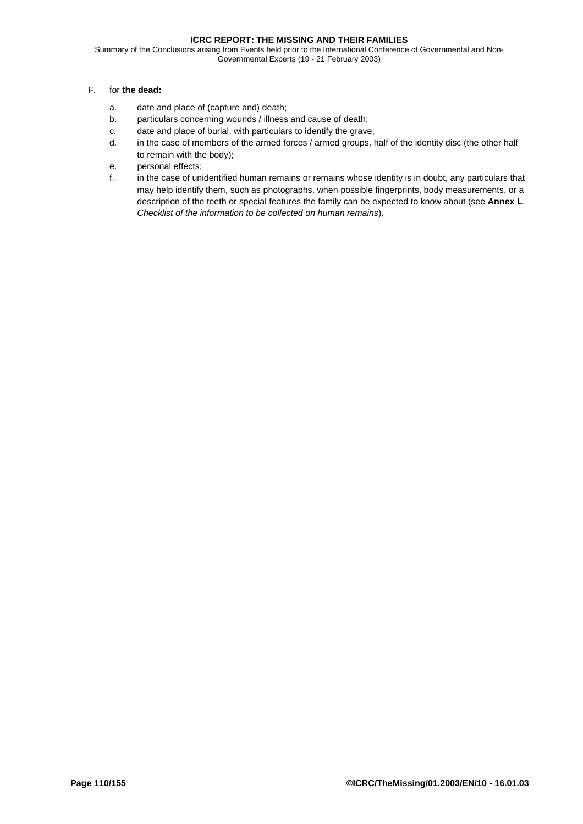Summary of the Conclusions arising from Events held prior to the International Conference of Governmental and Non-Governmental Experts (19 - 21 February 2003)

# F. for **the dead:**

- a. date and place of (capture and) death;
- b. particulars concerning wounds / illness and cause of death;
- c. date and place of burial, with particulars to identify the grave;
- d. in the case of members of the armed forces / armed groups, half of the identity disc (the other half to remain with the body);
- e. personal effects;
- f. in the case of unidentified human remains or remains whose identity is in doubt, any particulars that may help identify them, such as photographs, when possible fingerprints, body measurements, or a description of the teeth or special features the family can be expected to know about (see **[Annex L](#page-118-0)**, *Checklist of the information to be collected on human remains*).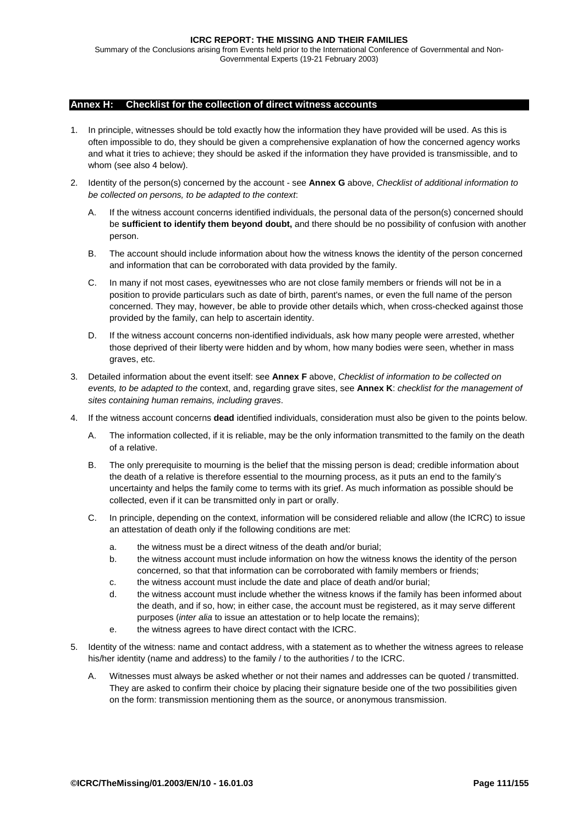<span id="page-110-0"></span>Summary of the Conclusions arising from Events held prior to the International Conference of Governmental and Non-Governmental Experts (19-21 February 2003)

#### **Annex H: Checklist for the collection of direct witness accounts**

- 1. In principle, witnesses should be told exactly how the information they have provided will be used. As this is often impossible to do, they should be given a comprehensive explanation of how the concerned agency works and what it tries to achieve; they should be asked if the information they have provided is transmissible, and to whom (see also 4 below).
- 2. Identity of the person(s) concerned by the account see **[Annex G](#page-108-0)** above, *Checklist of additional information to be collected on persons, to be adapted to the context*:
	- A. If the witness account concerns identified individuals, the personal data of the person(s) concerned should be **sufficient to identify them beyond doubt,** and there should be no possibility of confusion with another person.
	- B. The account should include information about how the witness knows the identity of the person concerned and information that can be corroborated with data provided by the family.
	- C. In many if not most cases, eyewitnesses who are not close family members or friends will not be in a position to provide particulars such as date of birth, parent's names, or even the full name of the person concerned. They may, however, be able to provide other details which, when cross-checked against those provided by the family, can help to ascertain identity.
	- D. If the witness account concerns non-identified individuals, ask how many people were arrested, whether those deprived of their liberty were hidden and by whom, how many bodies were seen, whether in mass graves, etc.
- 3. Detailed information about the event itself: see **[Annex F](#page-107-0)** above, *Checklist of information to be collected on events, to be adapted to the* context, and, regarding grave sites, see **[Annex K](#page-116-0)**: *checklist for the management of sites containing human remains, including graves*.
- 4. If the witness account concerns **dead** identified individuals, consideration must also be given to the points below.
	- A. The information collected, if it is reliable, may be the only information transmitted to the family on the death of a relative.
	- B. The only prerequisite to mourning is the belief that the missing person is dead; credible information about the death of a relative is therefore essential to the mourning process, as it puts an end to the family's uncertainty and helps the family come to terms with its grief. As much information as possible should be collected, even if it can be transmitted only in part or orally.
	- C. In principle, depending on the context, information will be considered reliable and allow (the ICRC) to issue an attestation of death only if the following conditions are met:
		- a. the witness must be a direct witness of the death and/or burial;
		- b. the witness account must include information on how the witness knows the identity of the person concerned, so that that information can be corroborated with family members or friends;
		- c. the witness account must include the date and place of death and/or burial;
		- d. the witness account must include whether the witness knows if the family has been informed about the death, and if so, how; in either case, the account must be registered, as it may serve different purposes (*inter alia* to issue an attestation or to help locate the remains);
		- e. the witness agrees to have direct contact with the ICRC.
- 5. Identity of the witness: name and contact address, with a statement as to whether the witness agrees to release his/her identity (name and address) to the family / to the authorities / to the ICRC.
	- A. Witnesses must always be asked whether or not their names and addresses can be quoted / transmitted. They are asked to confirm their choice by placing their signature beside one of the two possibilities given on the form: transmission mentioning them as the source, or anonymous transmission.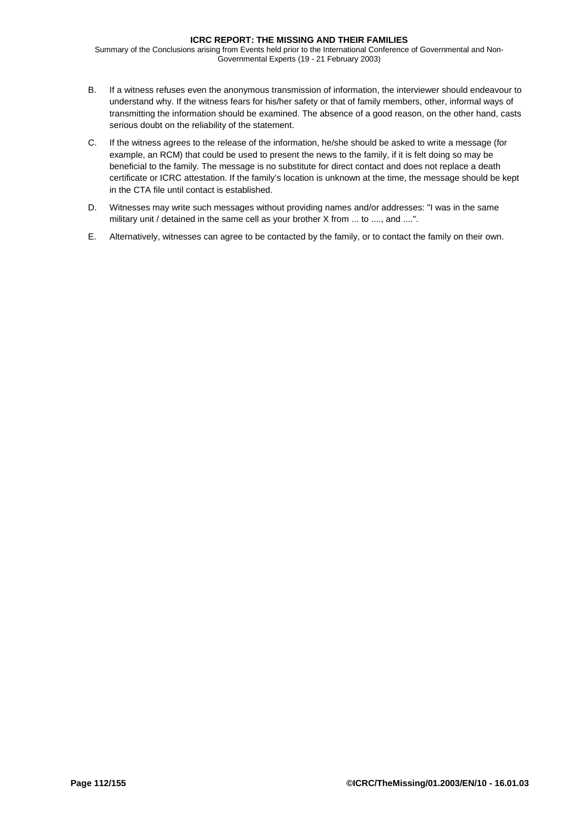- B. If a witness refuses even the anonymous transmission of information, the interviewer should endeavour to understand why. If the witness fears for his/her safety or that of family members, other, informal ways of transmitting the information should be examined. The absence of a good reason, on the other hand, casts serious doubt on the reliability of the statement.
- C. If the witness agrees to the release of the information, he/she should be asked to write a message (for example, an RCM) that could be used to present the news to the family, if it is felt doing so may be beneficial to the family. The message is no substitute for direct contact and does not replace a death certificate or ICRC attestation. If the family's location is unknown at the time, the message should be kept in the CTA file until contact is established.
- D. Witnesses may write such messages without providing names and/or addresses: "I was in the same military unit / detained in the same cell as your brother X from ... to ...., and ....".
- E. Alternatively, witnesses can agree to be contacted by the family, or to contact the family on their own.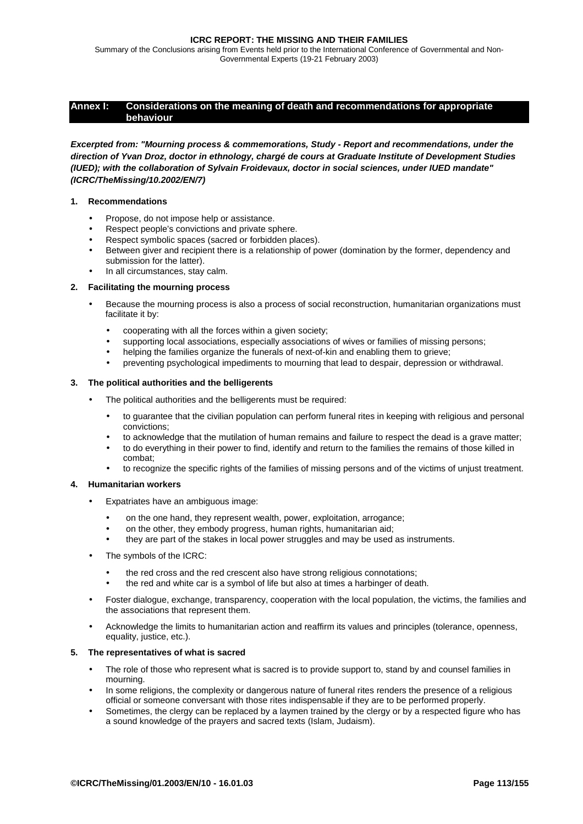<span id="page-112-0"></span>Summary of the Conclusions arising from Events held prior to the International Conference of Governmental and Non-Governmental Experts (19-21 February 2003)

## **Annex I: Considerations on the meaning of death and recommendations for appropriate behaviour**

*Excerpted from: "Mourning process & commemorations, Study - Report and recommendations, under the direction of Yvan Droz, doctor in ethnology, chargé de cours at Graduate Institute of Development Studies (IUED); with the collaboration of Sylvain Froidevaux, doctor in social sciences, under IUED mandate" (ICRC/TheMissing/10.2002/EN/7)* 

## **1. Recommendations**

- Propose, do not impose help or assistance.
- Respect people's convictions and private sphere.
- Respect symbolic spaces (sacred or forbidden places).
- Between giver and recipient there is a relationship of power (domination by the former, dependency and submission for the latter).
- In all circumstances, stay calm.

# **2. Facilitating the mourning process**

- Because the mourning process is also a process of social reconstruction, humanitarian organizations must facilitate it by:
	- cooperating with all the forces within a given society;
	- supporting local associations, especially associations of wives or families of missing persons;
	- helping the families organize the funerals of next-of-kin and enabling them to grieve;
	- preventing psychological impediments to mourning that lead to despair, depression or withdrawal.

# **3. The political authorities and the belligerents**

- The political authorities and the belligerents must be required:
	- to guarantee that the civilian population can perform funeral rites in keeping with religious and personal convictions;
	- to acknowledge that the mutilation of human remains and failure to respect the dead is a grave matter;
	- to do everything in their power to find, identify and return to the families the remains of those killed in combat;
	- to recognize the specific rights of the families of missing persons and of the victims of unjust treatment.

#### **4. Humanitarian workers**

- Expatriates have an ambiguous image:
	- on the one hand, they represent wealth, power, exploitation, arrogance;
	- on the other, they embody progress, human rights, humanitarian aid;
	- they are part of the stakes in local power struggles and may be used as instruments.
- The symbols of the ICRC:
	- the red cross and the red crescent also have strong religious connotations;
	- the red and white car is a symbol of life but also at times a harbinger of death.
- Foster dialogue, exchange, transparency, cooperation with the local population, the victims, the families and the associations that represent them.
- Acknowledge the limits to humanitarian action and reaffirm its values and principles (tolerance, openness, equality, justice, etc.).

#### **5. The representatives of what is sacred**

- The role of those who represent what is sacred is to provide support to, stand by and counsel families in mourning.
- In some religions, the complexity or dangerous nature of funeral rites renders the presence of a religious official or someone conversant with those rites indispensable if they are to be performed properly.
- Sometimes, the clergy can be replaced by a laymen trained by the clergy or by a respected figure who has a sound knowledge of the prayers and sacred texts (Islam, Judaism).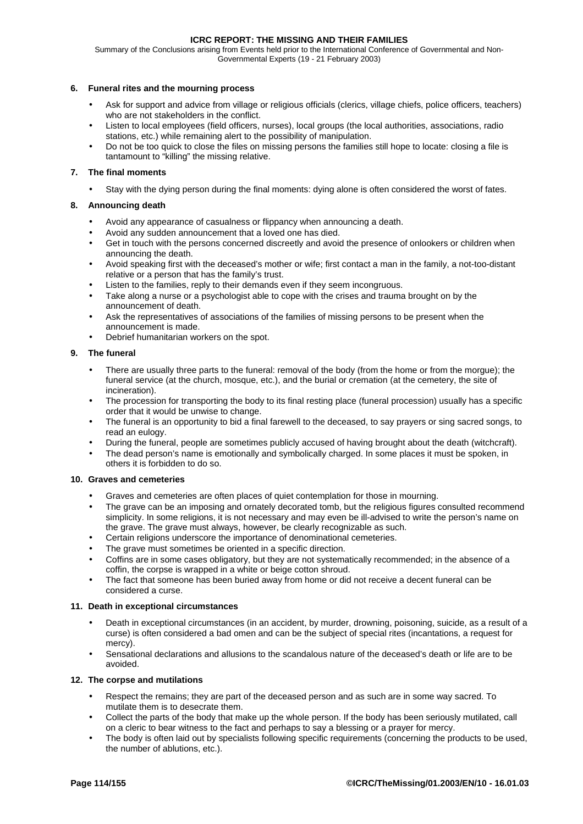Summary of the Conclusions arising from Events held prior to the International Conference of Governmental and Non-Governmental Experts (19 - 21 February 2003)

# **6. Funeral rites and the mourning process**

- Ask for support and advice from village or religious officials (clerics, village chiefs, police officers, teachers) who are not stakeholders in the conflict.
- Listen to local employees (field officers, nurses), local groups (the local authorities, associations, radio stations, etc.) while remaining alert to the possibility of manipulation.
- Do not be too quick to close the files on missing persons the families still hope to locate: closing a file is tantamount to "killing" the missing relative.

# **7. The final moments**

• Stay with the dying person during the final moments: dying alone is often considered the worst of fates.

# **8. Announcing death**

- Avoid any appearance of casualness or flippancy when announcing a death.
- Avoid any sudden announcement that a loved one has died.
- Get in touch with the persons concerned discreetly and avoid the presence of onlookers or children when announcing the death.
- Avoid speaking first with the deceased's mother or wife; first contact a man in the family, a not-too-distant relative or a person that has the family's trust.
- Listen to the families, reply to their demands even if they seem incongruous.
- Take along a nurse or a psychologist able to cope with the crises and trauma brought on by the announcement of death.
- Ask the representatives of associations of the families of missing persons to be present when the announcement is made.
- Debrief humanitarian workers on the spot.

# **9. The funeral**

- There are usually three parts to the funeral: removal of the body (from the home or from the morgue); the funeral service (at the church, mosque, etc.), and the burial or cremation (at the cemetery, the site of incineration).
- The procession for transporting the body to its final resting place (funeral procession) usually has a specific order that it would be unwise to change.
- The funeral is an opportunity to bid a final farewell to the deceased, to say prayers or sing sacred songs, to read an eulogy.
- During the funeral, people are sometimes publicly accused of having brought about the death (witchcraft).
- The dead person's name is emotionally and symbolically charged. In some places it must be spoken, in others it is forbidden to do so.

#### **10. Graves and cemeteries**

- Graves and cemeteries are often places of quiet contemplation for those in mourning.
- The grave can be an imposing and ornately decorated tomb, but the religious figures consulted recommend simplicity. In some religions, it is not necessary and may even be ill-advised to write the person's name on the grave. The grave must always, however, be clearly recognizable as such.
- Certain religions underscore the importance of denominational cemeteries.
- The grave must sometimes be oriented in a specific direction.
- Coffins are in some cases obligatory, but they are not systematically recommended; in the absence of a coffin, the corpse is wrapped in a white or beige cotton shroud.
- The fact that someone has been buried away from home or did not receive a decent funeral can be considered a curse.

# **11. Death in exceptional circumstances**

- Death in exceptional circumstances (in an accident, by murder, drowning, poisoning, suicide, as a result of a curse) is often considered a bad omen and can be the subject of special rites (incantations, a request for mercy).
- Sensational declarations and allusions to the scandalous nature of the deceased's death or life are to be avoided.

# **12. The corpse and mutilations**

- Respect the remains; they are part of the deceased person and as such are in some way sacred. To mutilate them is to desecrate them.
- Collect the parts of the body that make up the whole person. If the body has been seriously mutilated, call on a cleric to bear witness to the fact and perhaps to say a blessing or a prayer for mercy.
- The body is often laid out by specialists following specific requirements (concerning the products to be used, the number of ablutions, etc.).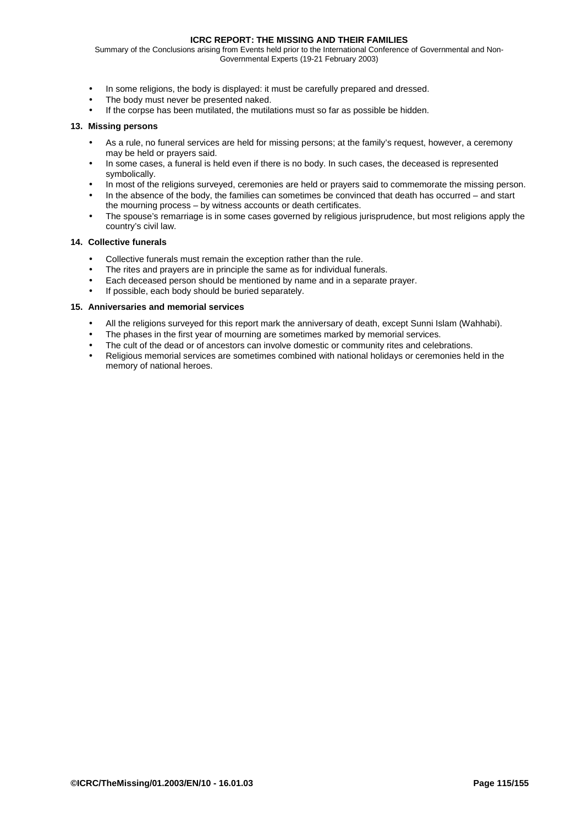Summary of the Conclusions arising from Events held prior to the International Conference of Governmental and Non-Governmental Experts (19-21 February 2003)

- In some religions, the body is displayed: it must be carefully prepared and dressed.
- The body must never be presented naked.
- If the corpse has been mutilated, the mutilations must so far as possible be hidden.

## **13. Missing persons**

- As a rule, no funeral services are held for missing persons; at the family's request, however, a ceremony may be held or prayers said.
- In some cases, a funeral is held even if there is no body. In such cases, the deceased is represented symbolically.
- In most of the religions surveyed, ceremonies are held or prayers said to commemorate the missing person.
- In the absence of the body, the families can sometimes be convinced that death has occurred and start the mourning process – by witness accounts or death certificates.
- The spouse's remarriage is in some cases governed by religious jurisprudence, but most religions apply the country's civil law.

# **14. Collective funerals**

- Collective funerals must remain the exception rather than the rule.
- The rites and prayers are in principle the same as for individual funerals.
- Each deceased person should be mentioned by name and in a separate prayer.
- If possible, each body should be buried separately.

#### **15. Anniversaries and memorial services**

- All the religions surveyed for this report mark the anniversary of death, except Sunni Islam (Wahhabi).
- The phases in the first year of mourning are sometimes marked by memorial services.
- The cult of the dead or of ancestors can involve domestic or community rites and celebrations.
- Religious memorial services are sometimes combined with national holidays or ceremonies held in the memory of national heroes.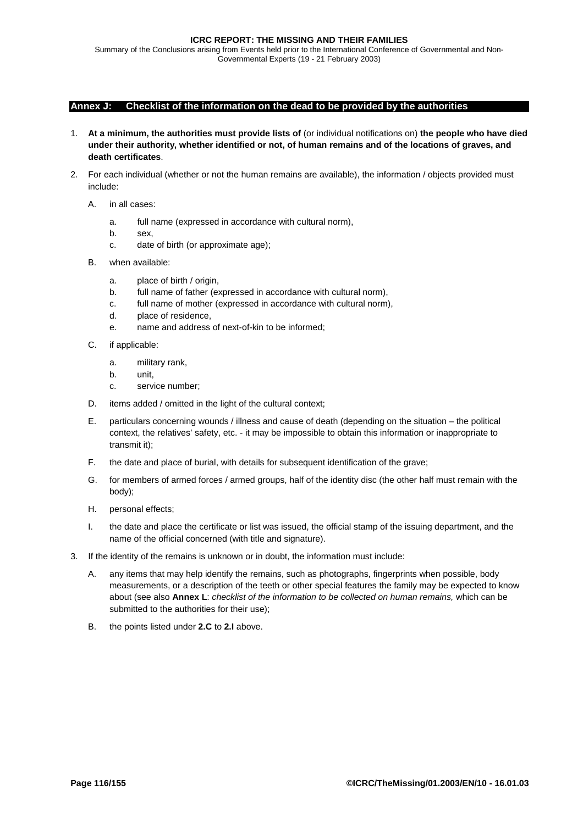## <span id="page-115-0"></span>**Annex J: Checklist of the information on the dead to be provided by the authorities**

- 1. **At a minimum, the authorities must provide lists of** (or individual notifications on) **the people who have died under their authority, whether identified or not, of human remains and of the locations of graves, and death certificates**.
- 2. For each individual (whether or not the human remains are available), the information / objects provided must include:
	- A. in all cases:
		- a. full name (expressed in accordance with cultural norm),
		- b. sex,
		- c. date of birth (or approximate age);
	- B. when available:
		- a. place of birth / origin.
		- b. full name of father (expressed in accordance with cultural norm),
		- c. full name of mother (expressed in accordance with cultural norm),
		- d. place of residence,
		- e. name and address of next-of-kin to be informed;
	- C. if applicable:
		- a. military rank,
		- b. unit,
		- c. service number;
	- D. items added / omitted in the light of the cultural context;
	- E. particulars concerning wounds / illness and cause of death (depending on the situation the political context, the relatives' safety, etc. - it may be impossible to obtain this information or inappropriate to transmit it);
	- F. the date and place of burial, with details for subsequent identification of the grave;
	- G. for members of armed forces / armed groups, half of the identity disc (the other half must remain with the body);
	- H. personal effects;
	- I. the date and place the certificate or list was issued, the official stamp of the issuing department, and the name of the official concerned (with title and signature).
- 3. If the identity of the remains is unknown or in doubt, the information must include:
	- A. any items that may help identify the remains, such as photographs, fingerprints when possible, body measurements, or a description of the teeth or other special features the family may be expected to know about (see also **[Annex L](#page-118-0)**: *checklist of the information to be collected on human remains,* which can be submitted to the authorities for their use);
	- B. the points listed under **2.C** to **2.I** above.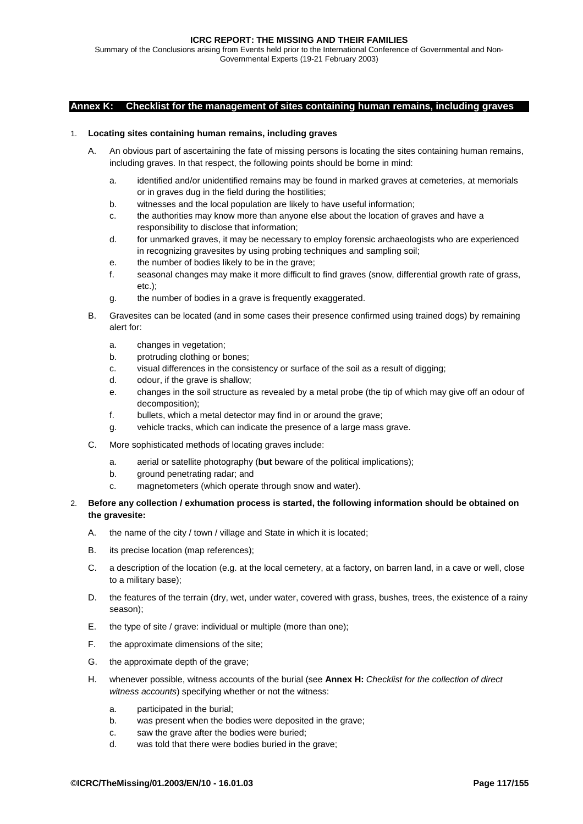#### <span id="page-116-0"></span>**Annex K: Checklist for the management of sites containing human remains, including graves**

#### 1. **Locating sites containing human remains, including graves**

- A. An obvious part of ascertaining the fate of missing persons is locating the sites containing human remains, including graves. In that respect, the following points should be borne in mind:
	- a. identified and/or unidentified remains may be found in marked graves at cemeteries, at memorials or in graves dug in the field during the hostilities;
	- b. witnesses and the local population are likely to have useful information;
	- c. the authorities may know more than anyone else about the location of graves and have a responsibility to disclose that information;
	- d. for unmarked graves, it may be necessary to employ forensic archaeologists who are experienced in recognizing gravesites by using probing techniques and sampling soil;
	- e. the number of bodies likely to be in the grave;
	- f. seasonal changes may make it more difficult to find graves (snow, differential growth rate of grass, etc.);
	- g. the number of bodies in a grave is frequently exaggerated.
- B. Gravesites can be located (and in some cases their presence confirmed using trained dogs) by remaining alert for:
	- a. changes in vegetation;
	- b. protruding clothing or bones:
	- c. visual differences in the consistency or surface of the soil as a result of digging;
	- d. odour, if the grave is shallow;
	- e. changes in the soil structure as revealed by a metal probe (the tip of which may give off an odour of decomposition);
	- f. bullets, which a metal detector may find in or around the grave;
	- g. vehicle tracks, which can indicate the presence of a large mass grave.
- C. More sophisticated methods of locating graves include:
	- a. aerial or satellite photography (**but** beware of the political implications);
	- b. ground penetrating radar; and
	- c. magnetometers (which operate through snow and water).
- 2. **Before any collection / exhumation process is started, the following information should be obtained on the gravesite:** 
	- A. the name of the city / town / village and State in which it is located;
	- B. its precise location (map references);
	- C. a description of the location (e.g. at the local cemetery, at a factory, on barren land, in a cave or well, close to a military base);
	- D. the features of the terrain (dry, wet, under water, covered with grass, bushes, trees, the existence of a rainy season);
	- E. the type of site / grave: individual or multiple (more than one);
	- F. the approximate dimensions of the site;
	- G. the approximate depth of the grave;
	- H. whenever possible, witness accounts of the burial (see **[Annex H:](#page-110-0)** *Checklist for the collection of direct witness accounts*) specifying whether or not the witness:
		- a. participated in the burial;
		- b. was present when the bodies were deposited in the grave;
		- c. saw the grave after the bodies were buried;
		- d. was told that there were bodies buried in the grave;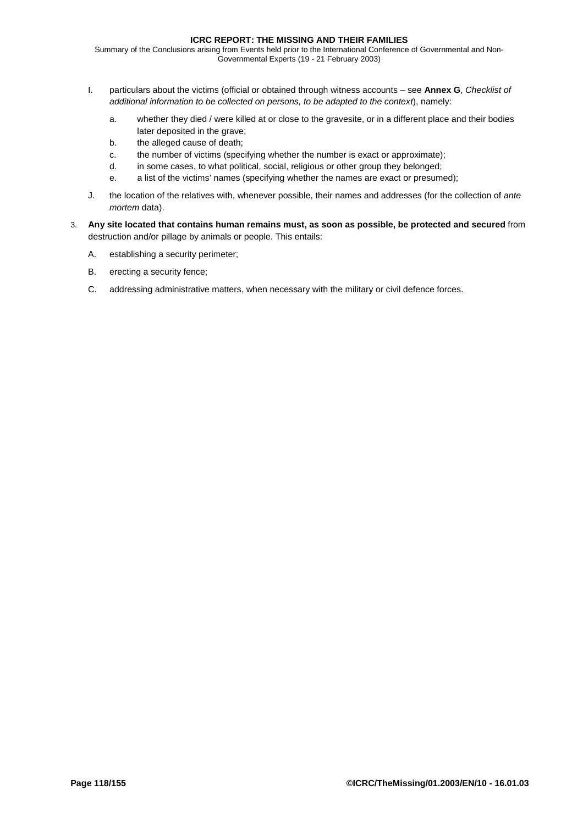- I. particulars about the victims (official or obtained through witness accounts see **[Annex G](#page-108-0)**, *Checklist of additional information to be collected on persons, to be adapted to the context*), namely:
	- a. whether they died / were killed at or close to the gravesite, or in a different place and their bodies later deposited in the grave;
	- b. the alleged cause of death;
	- c. the number of victims (specifying whether the number is exact or approximate);
	- d. in some cases, to what political, social, religious or other group they belonged;
	- e. a list of the victims' names (specifying whether the names are exact or presumed);
- J. the location of the relatives with, whenever possible, their names and addresses (for the collection of *ante mortem* data).
- 3. **Any site located that contains human remains must, as soon as possible, be protected and secured** from destruction and/or pillage by animals or people. This entails:
	- A. establishing a security perimeter;
	- B. erecting a security fence;
	- C. addressing administrative matters, when necessary with the military or civil defence forces.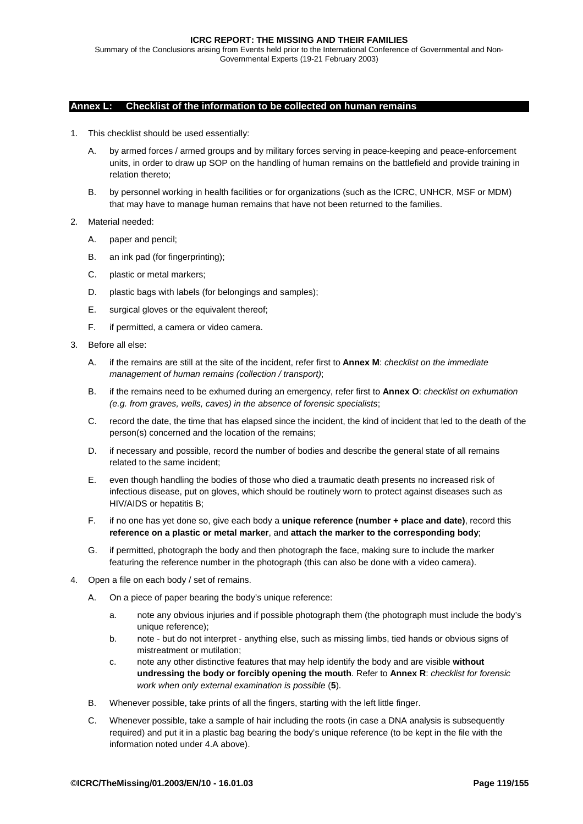# <span id="page-118-0"></span>**Annex L: Checklist of the information to be collected on human remains**

- 1. This checklist should be used essentially:
	- A. by armed forces / armed groups and by military forces serving in peace-keeping and peace-enforcement units, in order to draw up SOP on the handling of human remains on the battlefield and provide training in relation thereto;
	- B. by personnel working in health facilities or for organizations (such as the ICRC, UNHCR, MSF or MDM) that may have to manage human remains that have not been returned to the families.
- 2. Material needed:
	- A. paper and pencil;
	- B. an ink pad (for fingerprinting);
	- C. plastic or metal markers;
	- D. plastic bags with labels (for belongings and samples);
	- E. surgical gloves or the equivalent thereof;
	- F. if permitted, a camera or video camera.
- 3. Before all else:
	- A. if the remains are still at the site of the incident, refer first to **[Annex M](#page-120-0)**: *checklist on the immediate management of human remains (collection / transport)*;
	- B. if the remains need to be exhumed during an emergency, refer first to **[Annex O](#page-124-0)**: *checklist on exhumation (e.g. from graves, wells, caves) in the absence of forensic specialists*;
	- C. record the date, the time that has elapsed since the incident, the kind of incident that led to the death of the person(s) concerned and the location of the remains;
	- D. if necessary and possible, record the number of bodies and describe the general state of all remains related to the same incident;
	- E. even though handling the bodies of those who died a traumatic death presents no increased risk of infectious disease, put on gloves, which should be routinely worn to protect against diseases such as HIV/AIDS or hepatitis B;
	- F. if no one has yet done so, give each body a **unique reference (number + place and date)**, record this **reference on a plastic or metal marker**, and **attach the marker to the corresponding body**;
	- G. if permitted, photograph the body and then photograph the face, making sure to include the marker featuring the reference number in the photograph (this can also be done with a video camera).
- 4. Open a file on each body / set of remains.
	- A. On a piece of paper bearing the body's unique reference:
		- a. note any obvious injuries and if possible photograph them (the photograph must include the body's unique reference);
		- b. note but do not interpret anything else, such as missing limbs, tied hands or obvious signs of mistreatment or mutilation;
		- c. note any other distinctive features that may help identify the body and are visible **without undressing the body or forcibly opening the mouth**. Refer to **[Annex R](#page-130-0)**: *checklist for forensic work when only external examination is possible* (**5**).
	- B. Whenever possible, take prints of all the fingers, starting with the left little finger.
	- C. Whenever possible, take a sample of hair including the roots (in case a DNA analysis is subsequently required) and put it in a plastic bag bearing the body's unique reference (to be kept in the file with the information noted under 4.A above).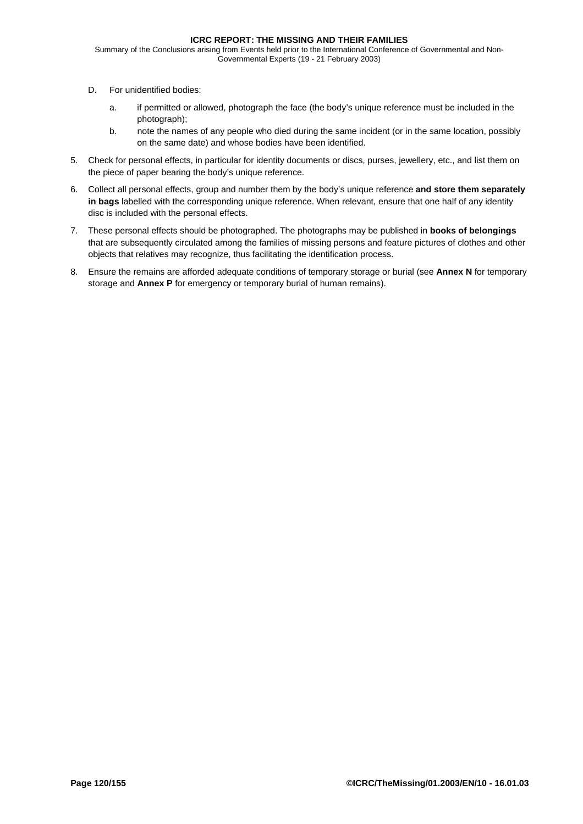- D. For unidentified bodies:
	- a. if permitted or allowed, photograph the face (the body's unique reference must be included in the photograph);
	- b. note the names of any people who died during the same incident (or in the same location, possibly on the same date) and whose bodies have been identified.
- 5. Check for personal effects, in particular for identity documents or discs, purses, jewellery, etc., and list them on the piece of paper bearing the body's unique reference.
- 6. Collect all personal effects, group and number them by the body's unique reference **and store them separately in bags** labelled with the corresponding unique reference. When relevant, ensure that one half of any identity disc is included with the personal effects.
- 7. These personal effects should be photographed. The photographs may be published in **books of belongings** that are subsequently circulated among the families of missing persons and feature pictures of clothes and other objects that relatives may recognize, thus facilitating the identification process.
- 8. Ensure the remains are afforded adequate conditions of temporary storage or burial (see **[Annex N](#page-122-0)** for temporary storage and **[Annex P](#page-126-0)** for emergency or temporary burial of human remains).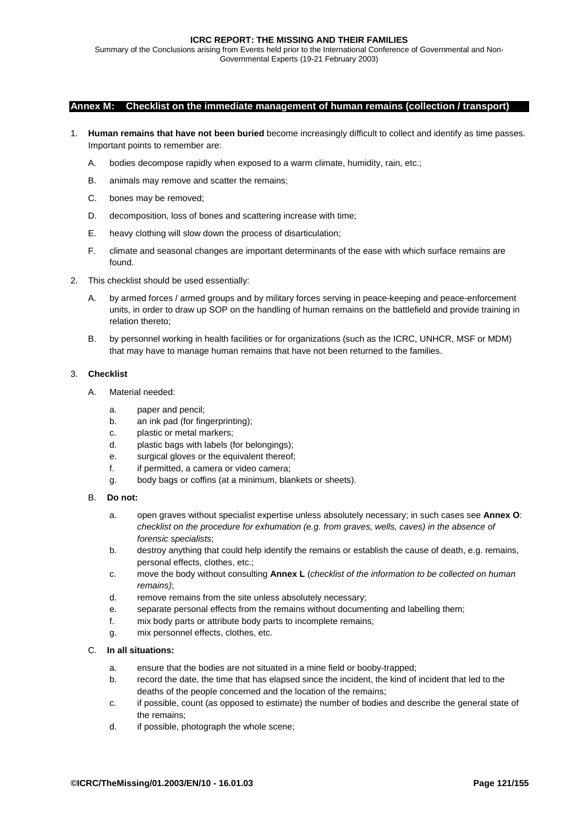<span id="page-120-0"></span>Summary of the Conclusions arising from Events held prior to the International Conference of Governmental and Non-Governmental Experts (19-21 February 2003)

## **Annex M: Checklist on the immediate management of human remains (collection / transport)**

- 1. **Human remains that have not been buried** become increasingly difficult to collect and identify as time passes. Important points to remember are:
	- A. bodies decompose rapidly when exposed to a warm climate, humidity, rain, etc.;
	- B. animals may remove and scatter the remains;
	- C. bones may be removed;
	- D. decomposition, loss of bones and scattering increase with time;
	- E. heavy clothing will slow down the process of disarticulation;
	- F. climate and seasonal changes are important determinants of the ease with which surface remains are found.
- 2. This checklist should be used essentially:
	- A. by armed forces / armed groups and by military forces serving in peace-keeping and peace-enforcement units, in order to draw up SOP on the handling of human remains on the battlefield and provide training in relation thereto;
	- B. by personnel working in health facilities or for organizations (such as the ICRC, UNHCR, MSF or MDM) that may have to manage human remains that have not been returned to the families.

# 3. **Checklist**

- A. Material needed:
	- a. paper and pencil;
	- b. an ink pad (for fingerprinting);
	- c. plastic or metal markers;
	- d. plastic bags with labels (for belongings);
	- e. surgical gloves or the equivalent thereof;
	- f. if permitted, a camera or video camera;
	- g. body bags or coffins (at a minimum, blankets or sheets).
- B. **Do not:** 
	- a. open graves without specialist expertise unless absolutely necessary; in such cases see **[Annex O](#page-124-0)**: *checklist on the procedure for exhumation (e.g. from graves, wells, caves) in the absence of forensic specialists*;
	- b. destroy anything that could help identify the remains or establish the cause of death, e.g. remains, personal effects, clothes, etc.;
	- c. move the body without consulting **[Annex L](#page-118-0)** (*checklist of the information to be collected on human remains)*;
	- d. remove remains from the site unless absolutely necessary;
	- e. separate personal effects from the remains without documenting and labelling them;
	- f. mix body parts or attribute body parts to incomplete remains;
	- g. mix personnel effects, clothes, etc.

#### C. **In all situations:**

- a. ensure that the bodies are not situated in a mine field or booby-trapped;
- b. record the date, the time that has elapsed since the incident, the kind of incident that led to the deaths of the people concerned and the location of the remains;
- c. if possible, count (as opposed to estimate) the number of bodies and describe the general state of the remains;
- d. if possible, photograph the whole scene;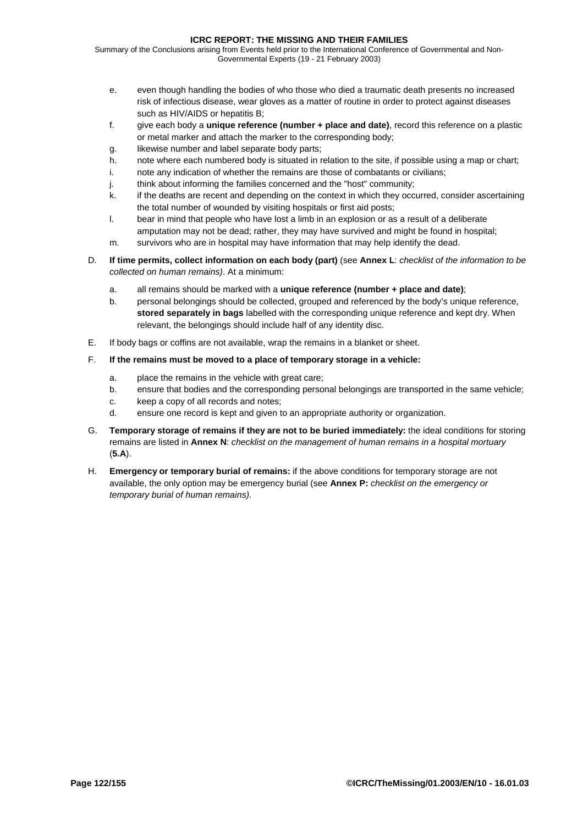- e. even though handling the bodies of who those who died a traumatic death presents no increased risk of infectious disease, wear gloves as a matter of routine in order to protect against diseases such as HIV/AIDS or hepatitis B;
- f. give each body a **unique reference (number + place and date)**, record this reference on a plastic or metal marker and attach the marker to the corresponding body;
- g. likewise number and label separate body parts;
- h. note where each numbered body is situated in relation to the site, if possible using a map or chart;
- i. note any indication of whether the remains are those of combatants or civilians;
- j. think about informing the families concerned and the "host" community;
- k. if the deaths are recent and depending on the context in which they occurred, consider ascertaining the total number of wounded by visiting hospitals or first aid posts;
- l. bear in mind that people who have lost a limb in an explosion or as a result of a deliberate amputation may not be dead; rather, they may have survived and might be found in hospital;
- m. survivors who are in hospital may have information that may help identify the dead.
- D. **If time permits, collect information on each body (part)** (see **[Annex L](#page-118-0)**: *checklist of the information to be collected on human remains)*. At a minimum:
	- a. all remains should be marked with a **unique reference (number + place and date)**;
	- b. personal belongings should be collected, grouped and referenced by the body's unique reference, **stored separately in bags** labelled with the corresponding unique reference and kept dry. When relevant, the belongings should include half of any identity disc.
- E. If body bags or coffins are not available, wrap the remains in a blanket or sheet.
- F. **If the remains must be moved to a place of temporary storage in a vehicle:** 
	- a. place the remains in the vehicle with great care;
	- b. ensure that bodies and the corresponding personal belongings are transported in the same vehicle;
	- c. keep a copy of all records and notes;
	- d. ensure one record is kept and given to an appropriate authority or organization.
- G. **Temporary storage of remains if they are not to be buried immediately:** the ideal conditions for storing remains are listed in **[Annex N](#page-122-0)**: *checklist on the management of human remains in a hospital mortuary* (**5.A**).
- H. **Emergency or temporary burial of remains:** if the above conditions for temporary storage are not available, the only option may be emergency burial (see **[Annex P:](#page-126-0)** *checklist on the emergency or temporary burial of human remains)*.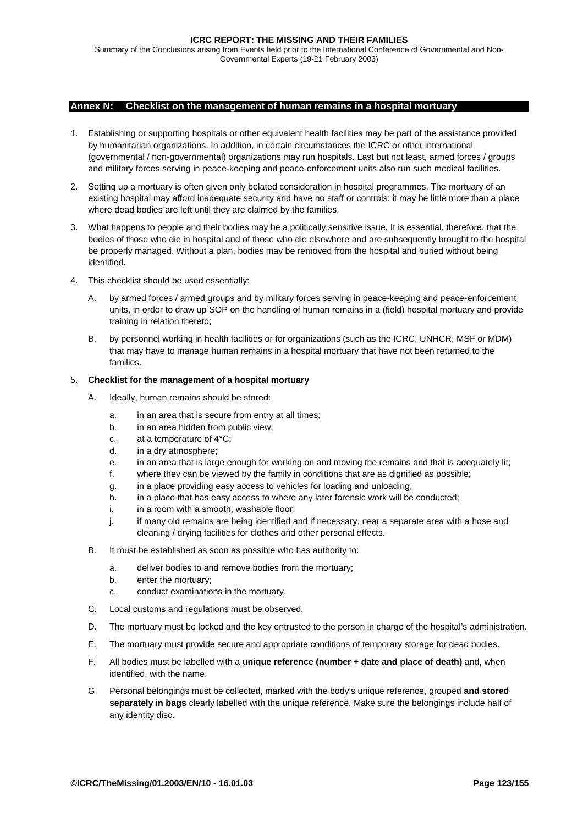<span id="page-122-0"></span>Summary of the Conclusions arising from Events held prior to the International Conference of Governmental and Non-Governmental Experts (19-21 February 2003)

## **Annex N: Checklist on the management of human remains in a hospital mortuary**

- 1. Establishing or supporting hospitals or other equivalent health facilities may be part of the assistance provided by humanitarian organizations. In addition, in certain circumstances the ICRC or other international (governmental / non-governmental) organizations may run hospitals. Last but not least, armed forces / groups and military forces serving in peace-keeping and peace-enforcement units also run such medical facilities.
- 2. Setting up a mortuary is often given only belated consideration in hospital programmes. The mortuary of an existing hospital may afford inadequate security and have no staff or controls; it may be little more than a place where dead bodies are left until they are claimed by the families.
- 3. What happens to people and their bodies may be a politically sensitive issue. It is essential, therefore, that the bodies of those who die in hospital and of those who die elsewhere and are subsequently brought to the hospital be properly managed. Without a plan, bodies may be removed from the hospital and buried without being identified.
- 4. This checklist should be used essentially:
	- A. by armed forces / armed groups and by military forces serving in peace-keeping and peace-enforcement units, in order to draw up SOP on the handling of human remains in a (field) hospital mortuary and provide training in relation thereto;
	- B. by personnel working in health facilities or for organizations (such as the ICRC, UNHCR, MSF or MDM) that may have to manage human remains in a hospital mortuary that have not been returned to the families.

# 5. **Checklist for the management of a hospital mortuary**

- A. Ideally, human remains should be stored:
	- a. in an area that is secure from entry at all times;
	- b. in an area hidden from public view;
	- c. at a temperature of 4°C;
	- d. in a dry atmosphere;
	- e. in an area that is large enough for working on and moving the remains and that is adequately lit:
	- f. where they can be viewed by the family in conditions that are as dignified as possible;
	- g. in a place providing easy access to vehicles for loading and unloading;
	- h. in a place that has easy access to where any later forensic work will be conducted;
	- i. in a room with a smooth, washable floor;
	- j. if many old remains are being identified and if necessary, near a separate area with a hose and cleaning / drying facilities for clothes and other personal effects.
- B. It must be established as soon as possible who has authority to:
	- a. deliver bodies to and remove bodies from the mortuary;
	- b. enter the mortuary;
	- c. conduct examinations in the mortuary.
- C. Local customs and regulations must be observed.
- D. The mortuary must be locked and the key entrusted to the person in charge of the hospital's administration.
- E. The mortuary must provide secure and appropriate conditions of temporary storage for dead bodies.
- F. All bodies must be labelled with a **unique reference (number + date and place of death)** and, when identified, with the name.
- G. Personal belongings must be collected, marked with the body's unique reference, grouped **and stored separately in bags** clearly labelled with the unique reference. Make sure the belongings include half of any identity disc.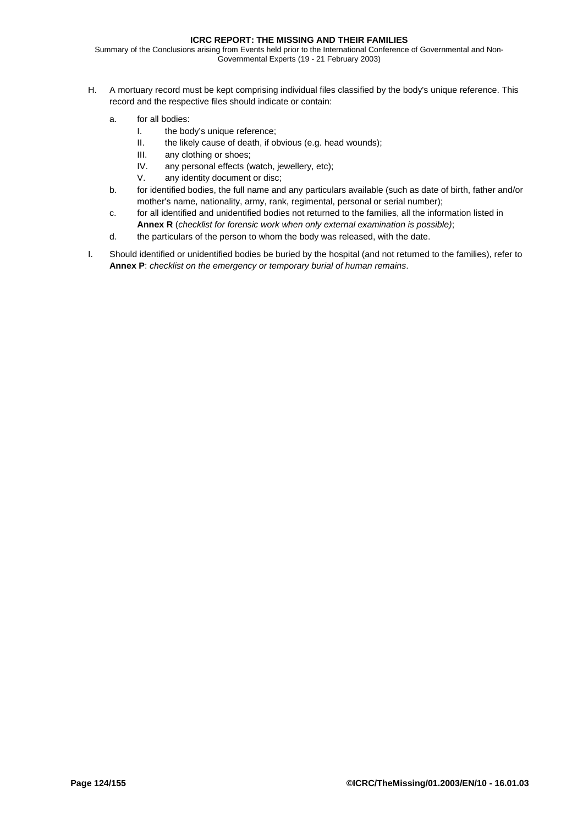- H. A mortuary record must be kept comprising individual files classified by the body's unique reference. This record and the respective files should indicate or contain:
	- a. for all bodies:
		- I. the body's unique reference;
		- II. the likely cause of death, if obvious (e.g. head wounds);
		- III. any clothing or shoes;
		- IV. any personal effects (watch, jewellery, etc);
		- V. any identity document or disc;
	- b. for identified bodies, the full name and any particulars available (such as date of birth, father and/or mother's name, nationality, army, rank, regimental, personal or serial number);
	- c. for all identified and unidentified bodies not returned to the families, all the information listed in **[Annex R](#page-130-0)** (*checklist for forensic work when only external examination is possible)*;
	- d. the particulars of the person to whom the body was released, with the date.
- I. Should identified or unidentified bodies be buried by the hospital (and not returned to the families), refer to **[Annex P](#page-126-0)**: *checklist on the emergency or temporary burial of human remains*.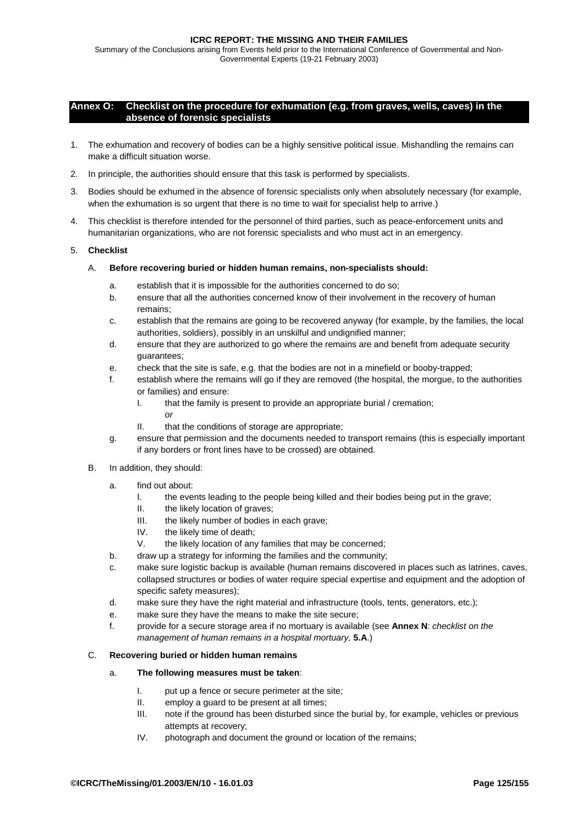<span id="page-124-0"></span>Summary of the Conclusions arising from Events held prior to the International Conference of Governmental and Non-Governmental Experts (19-21 February 2003)

## **Annex O: Checklist on the procedure for exhumation (e.g. from graves, wells, caves) in the absence of forensic specialists**

- 1. The exhumation and recovery of bodies can be a highly sensitive political issue. Mishandling the remains can make a difficult situation worse.
- 2. In principle, the authorities should ensure that this task is performed by specialists.
- 3. Bodies should be exhumed in the absence of forensic specialists only when absolutely necessary (for example, when the exhumation is so urgent that there is no time to wait for specialist help to arrive.)
- 4. This checklist is therefore intended for the personnel of third parties, such as peace-enforcement units and humanitarian organizations, who are not forensic specialists and who must act in an emergency.

#### 5. **Checklist**

# A. **Before recovering buried or hidden human remains, non-specialists should:**

- a. establish that it is impossible for the authorities concerned to do so;
- b. ensure that all the authorities concerned know of their involvement in the recovery of human remains;
- c. establish that the remains are going to be recovered anyway (for example, by the families, the local authorities, soldiers), possibly in an unskilful and undignified manner;
- d. ensure that they are authorized to go where the remains are and benefit from adequate security guarantees;
- e. check that the site is safe, e.g. that the bodies are not in a minefield or booby-trapped;
- f. establish where the remains will go if they are removed (the hospital, the morgue, to the authorities or families) and ensure:
	- I. that the family is present to provide an appropriate burial / cremation; *or*
	- II. that the conditions of storage are appropriate;
- g. ensure that permission and the documents needed to transport remains (this is especially important if any borders or front lines have to be crossed) are obtained.
- B. In addition, they should:
	- a. find out about:
		- I. the events leading to the people being killed and their bodies being put in the grave;
		- II. the likely location of graves;
		- III. the likely number of bodies in each grave;
		- IV. the likely time of death;
		- V. the likely location of any families that may be concerned;
	- b. draw up a strategy for informing the families and the community;
	- c. make sure logistic backup is available (human remains discovered in places such as latrines, caves, collapsed structures or bodies of water require special expertise and equipment and the adoption of specific safety measures);
	- d. make sure they have the right material and infrastructure (tools, tents, generators, etc.);
	- e. make sure they have the means to make the site secure;
	- f. provide for a secure storage area if no mortuary is available (see **[Annex N](#page-122-0)**: *checklist on the management of human remains in a hospital mortuary,* **5.A**.)

# C. **Recovering buried or hidden human remains**

## a. **The following measures must be taken**:

- I. put up a fence or secure perimeter at the site;
- II. employ a guard to be present at all times;
- III. note if the ground has been disturbed since the burial by, for example, vehicles or previous attempts at recovery;
- IV. photograph and document the ground or location of the remains;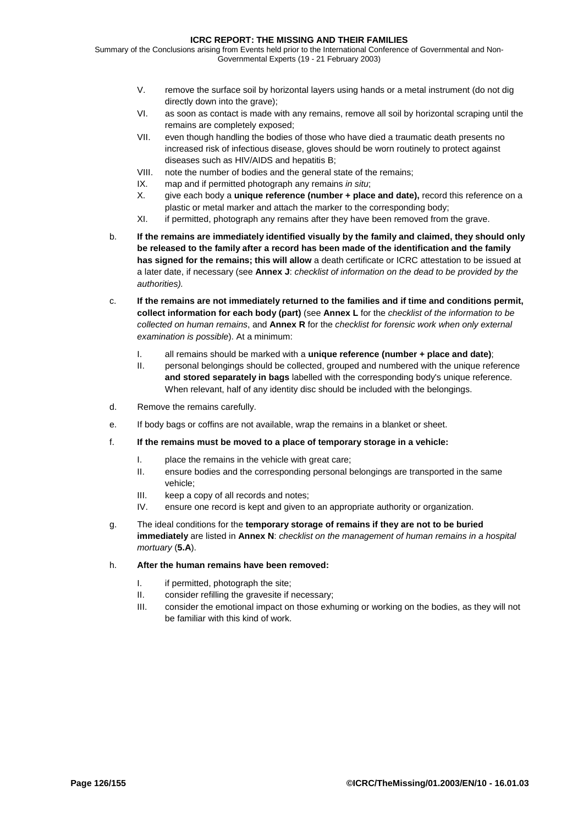- V. remove the surface soil by horizontal layers using hands or a metal instrument (do not dig directly down into the grave);
- VI. as soon as contact is made with any remains, remove all soil by horizontal scraping until the remains are completely exposed;
- VII. even though handling the bodies of those who have died a traumatic death presents no increased risk of infectious disease, gloves should be worn routinely to protect against diseases such as HIV/AIDS and hepatitis B;
- VIII. note the number of bodies and the general state of the remains;
- IX. map and if permitted photograph any remains *in situ*;
- X. give each body a **unique reference (number + place and date),** record this reference on a plastic or metal marker and attach the marker to the corresponding body;
- XI. if permitted, photograph any remains after they have been removed from the grave.
- b. **If the remains are immediately identified visually by the family and claimed, they should only be released to the family after a record has been made of the identification and the family has signed for the remains; this will allow** a death certificate or ICRC attestation to be issued at a later date, if necessary (see **[Annex J](#page-115-0)**: *checklist of information on the dead to be provided by the authorities).*
- c. **If the remains are not immediately returned to the families and if time and conditions permit, collect information for each body (part)** (see **[Annex L](#page-118-0)** for the *checklist of the information to be collected on human remains*, and **[Annex R](#page-130-0)** for the *checklist for forensic work when only external examination is possible*). At a minimum:
	- I. all remains should be marked with a **unique reference (number + place and date)**;
	- II. personal belongings should be collected, grouped and numbered with the unique reference **and stored separately in bags** labelled with the corresponding body's unique reference. When relevant, half of any identity disc should be included with the belongings.
- d. Remove the remains carefully.
- e. If body bags or coffins are not available, wrap the remains in a blanket or sheet.
- f. **If the remains must be moved to a place of temporary storage in a vehicle:** 
	- I. place the remains in the vehicle with great care;
	- II. ensure bodies and the corresponding personal belongings are transported in the same vehicle;
	- III. keep a copy of all records and notes;
	- IV. ensure one record is kept and given to an appropriate authority or organization.
- g. The ideal conditions for the **temporary storage of remains if they are not to be buried immediately** are listed in **[Annex N](#page-122-0)**: *checklist on the management of human remains in a hospital mortuary* (**5.A**).
- h. **After the human remains have been removed:** 
	- I. if permitted, photograph the site;
	- II. consider refilling the gravesite if necessary;
	- III. consider the emotional impact on those exhuming or working on the bodies, as they will not be familiar with this kind of work.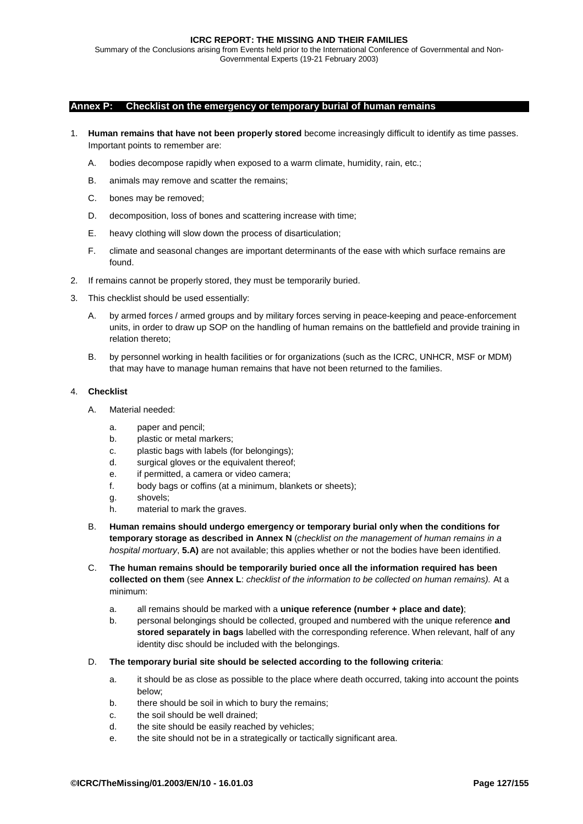<span id="page-126-0"></span>Summary of the Conclusions arising from Events held prior to the International Conference of Governmental and Non-Governmental Experts (19-21 February 2003)

## **Annex P: Checklist on the emergency or temporary burial of human remains**

- 1. **Human remains that have not been properly stored** become increasingly difficult to identify as time passes. Important points to remember are:
	- A. bodies decompose rapidly when exposed to a warm climate, humidity, rain, etc.;
	- B. animals may remove and scatter the remains;
	- C. bones may be removed;
	- D. decomposition, loss of bones and scattering increase with time;
	- E. heavy clothing will slow down the process of disarticulation;
	- F. climate and seasonal changes are important determinants of the ease with which surface remains are found.
- 2. If remains cannot be properly stored, they must be temporarily buried.
- 3. This checklist should be used essentially:
	- A. by armed forces / armed groups and by military forces serving in peace-keeping and peace-enforcement units, in order to draw up SOP on the handling of human remains on the battlefield and provide training in relation thereto;
	- B. by personnel working in health facilities or for organizations (such as the ICRC, UNHCR, MSF or MDM) that may have to manage human remains that have not been returned to the families.

# 4. **Checklist**

- A. Material needed:
	- a. paper and pencil;
	- b. plastic or metal markers;
	- c. plastic bags with labels (for belongings);
	- d. surgical gloves or the equivalent thereof;
	- e. if permitted, a camera or video camera;
	- f. body bags or coffins (at a minimum, blankets or sheets);
	- g. shovels;
	- h. material to mark the graves.
- B. **Human remains should undergo emergency or temporary burial only when the conditions for temporary storage as described in [Annex N](#page-122-0)** (*checklist on the management of human remains in a hospital mortuary*, **5.A)** are not available; this applies whether or not the bodies have been identified.
- C. **The human remains should be temporarily buried once all the information required has been collected on them** (see **[Annex L](#page-118-0)**: *checklist of the information to be collected on human remains).* At a minimum:
	- a. all remains should be marked with a **unique reference (number + place and date)**;
	- b. personal belongings should be collected, grouped and numbered with the unique reference **and stored separately in bags** labelled with the corresponding reference. When relevant, half of any identity disc should be included with the belongings.
- D. **The temporary burial site should be selected according to the following criteria**:
	- a. it should be as close as possible to the place where death occurred, taking into account the points below;
	- b. there should be soil in which to bury the remains:
	- c. the soil should be well drained;
	- d. the site should be easily reached by vehicles;
	- e. the site should not be in a strategically or tactically significant area.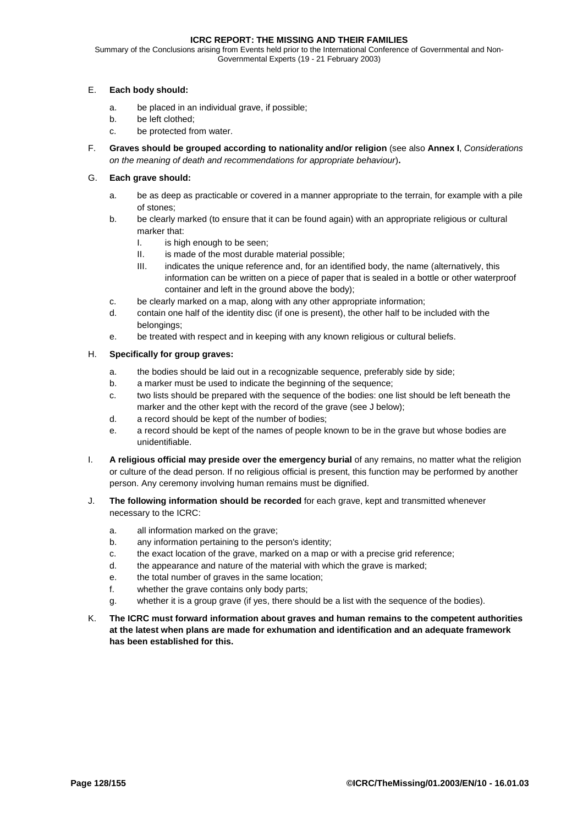Summary of the Conclusions arising from Events held prior to the International Conference of Governmental and Non-Governmental Experts (19 - 21 February 2003)

# E. **Each body should:**

- a. be placed in an individual grave, if possible;
- b. be left clothed;
- c. be protected from water.
- F. **Graves should be grouped according to nationality and/or religion** (see also **[Annex I](#page-112-0)**, *Considerations on the meaning of death and recommendations for appropriate behaviour*)**.**

# G. **Each grave should:**

- a. be as deep as practicable or covered in a manner appropriate to the terrain, for example with a pile of stones;
- b. be clearly marked (to ensure that it can be found again) with an appropriate religious or cultural marker that:
	- I. is high enough to be seen;
	- II. is made of the most durable material possible;
	- III. indicates the unique reference and, for an identified body, the name (alternatively, this information can be written on a piece of paper that is sealed in a bottle or other waterproof container and left in the ground above the body);
- c. be clearly marked on a map, along with any other appropriate information;
- d. contain one half of the identity disc (if one is present), the other half to be included with the belongings;
- e. be treated with respect and in keeping with any known religious or cultural beliefs.

# H. **Specifically for group graves:**

- a. the bodies should be laid out in a recognizable sequence, preferably side by side;
- b. a marker must be used to indicate the beginning of the sequence;
- c. two lists should be prepared with the sequence of the bodies: one list should be left beneath the marker and the other kept with the record of the grave (see J below);
- d. a record should be kept of the number of bodies;
- e. a record should be kept of the names of people known to be in the grave but whose bodies are unidentifiable.
- I. **A religious official may preside over the emergency burial** of any remains, no matter what the religion or culture of the dead person. If no religious official is present, this function may be performed by another person. Any ceremony involving human remains must be dignified.
- J. **The following information should be recorded** for each grave, kept and transmitted whenever necessary to the ICRC:
	- a. all information marked on the grave;
	- b. any information pertaining to the person's identity;
	- c. the exact location of the grave, marked on a map or with a precise grid reference;
	- d. the appearance and nature of the material with which the grave is marked;
	- e. the total number of graves in the same location;
	- f. whether the grave contains only body parts;
	- g. whether it is a group grave (if yes, there should be a list with the sequence of the bodies).
- K. **The ICRC must forward information about graves and human remains to the competent authorities at the latest when plans are made for exhumation and identification and an adequate framework has been established for this.**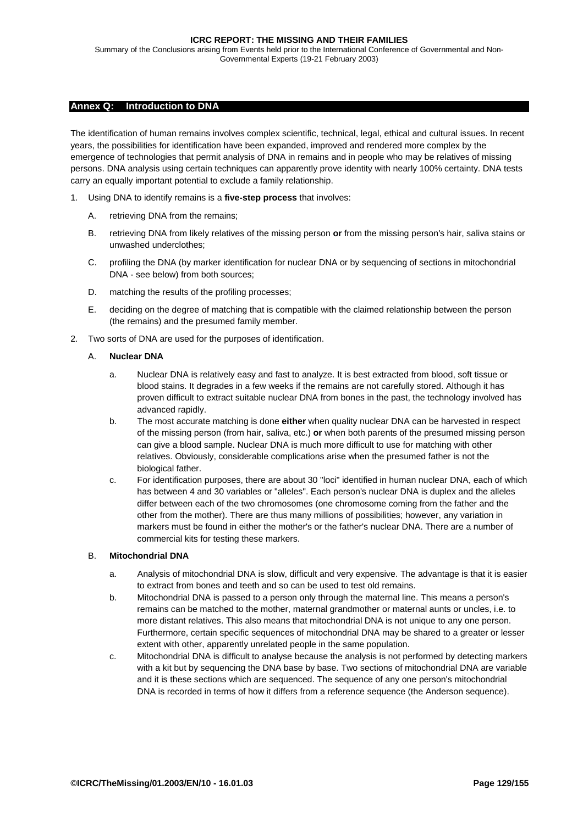Summary of the Conclusions arising from Events held prior to the International Conference of Governmental and Non-Governmental Experts (19-21 February 2003)

# **Annex Q: Introduction to DNA**

The identification of human remains involves complex scientific, technical, legal, ethical and cultural issues. In recent years, the possibilities for identification have been expanded, improved and rendered more complex by the emergence of technologies that permit analysis of DNA in remains and in people who may be relatives of missing persons. DNA analysis using certain techniques can apparently prove identity with nearly 100% certainty. DNA tests carry an equally important potential to exclude a family relationship.

- 1. Using DNA to identify remains is a **five-step process** that involves:
	- A. retrieving DNA from the remains;
	- B. retrieving DNA from likely relatives of the missing person **or** from the missing person's hair, saliva stains or unwashed underclothes;
	- C. profiling the DNA (by marker identification for nuclear DNA or by sequencing of sections in mitochondrial DNA - see below) from both sources;
	- D. matching the results of the profiling processes;
	- E. deciding on the degree of matching that is compatible with the claimed relationship between the person (the remains) and the presumed family member.
- 2. Two sorts of DNA are used for the purposes of identification.

#### A. **Nuclear DNA**

- a. Nuclear DNA is relatively easy and fast to analyze. It is best extracted from blood, soft tissue or blood stains. It degrades in a few weeks if the remains are not carefully stored. Although it has proven difficult to extract suitable nuclear DNA from bones in the past, the technology involved has advanced rapidly.
- b. The most accurate matching is done **either** when quality nuclear DNA can be harvested in respect of the missing person (from hair, saliva, etc.) **or** when both parents of the presumed missing person can give a blood sample. Nuclear DNA is much more difficult to use for matching with other relatives. Obviously, considerable complications arise when the presumed father is not the biological father.
- c. For identification purposes, there are about 30 "loci" identified in human nuclear DNA, each of which has between 4 and 30 variables or "alleles". Each person's nuclear DNA is duplex and the alleles differ between each of the two chromosomes (one chromosome coming from the father and the other from the mother). There are thus many millions of possibilities; however, any variation in markers must be found in either the mother's or the father's nuclear DNA. There are a number of commercial kits for testing these markers.

## B. **Mitochondrial DNA**

- a. Analysis of mitochondrial DNA is slow, difficult and very expensive. The advantage is that it is easier to extract from bones and teeth and so can be used to test old remains.
- b. Mitochondrial DNA is passed to a person only through the maternal line. This means a person's remains can be matched to the mother, maternal grandmother or maternal aunts or uncles, i.e. to more distant relatives. This also means that mitochondrial DNA is not unique to any one person. Furthermore, certain specific sequences of mitochondrial DNA may be shared to a greater or lesser extent with other, apparently unrelated people in the same population.
- c. Mitochondrial DNA is difficult to analyse because the analysis is not performed by detecting markers with a kit but by sequencing the DNA base by base. Two sections of mitochondrial DNA are variable and it is these sections which are sequenced. The sequence of any one person's mitochondrial DNA is recorded in terms of how it differs from a reference sequence (the Anderson sequence).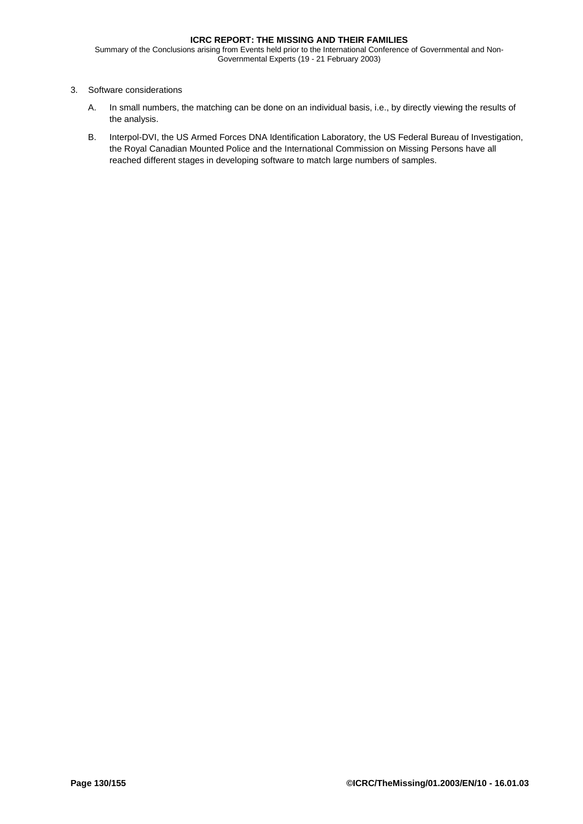Summary of the Conclusions arising from Events held prior to the International Conference of Governmental and Non-Governmental Experts (19 - 21 February 2003)

# 3. Software considerations

- A. In small numbers, the matching can be done on an individual basis, i.e., by directly viewing the results of the analysis.
- B. Interpol-DVI, the US Armed Forces DNA Identification Laboratory, the US Federal Bureau of Investigation, the Royal Canadian Mounted Police and the International Commission on Missing Persons have all reached different stages in developing software to match large numbers of samples.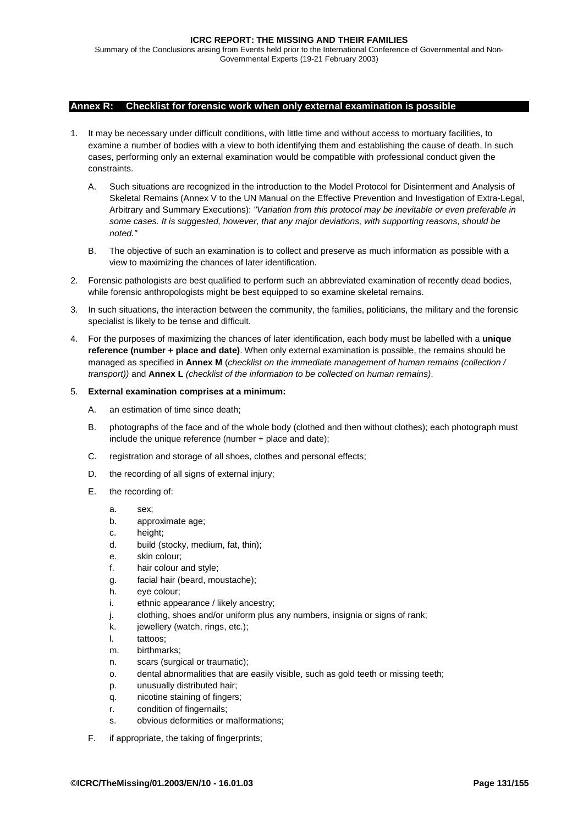<span id="page-130-0"></span>Summary of the Conclusions arising from Events held prior to the International Conference of Governmental and Non-Governmental Experts (19-21 February 2003)

#### **Annex R: Checklist for forensic work when only external examination is possible**

- 1. It may be necessary under difficult conditions, with little time and without access to mortuary facilities, to examine a number of bodies with a view to both identifying them and establishing the cause of death. In such cases, performing only an external examination would be compatible with professional conduct given the constraints.
	- A. Such situations are recognized in the introduction to the Model Protocol for Disinterment and Analysis of Skeletal Remains (Annex V to the UN Manual on the Effective Prevention and Investigation of Extra-Legal, Arbitrary and Summary Executions): *"Variation from this protocol may be inevitable or even preferable in some cases. It is suggested, however, that any major deviations, with supporting reasons, should be noted."*
	- B. The objective of such an examination is to collect and preserve as much information as possible with a view to maximizing the chances of later identification.
- 2. Forensic pathologists are best qualified to perform such an abbreviated examination of recently dead bodies, while forensic anthropologists might be best equipped to so examine skeletal remains.
- 3. In such situations, the interaction between the community, the families, politicians, the military and the forensic specialist is likely to be tense and difficult.
- 4. For the purposes of maximizing the chances of later identification, each body must be labelled with a **unique reference (number + place and date)**. When only external examination is possible, the remains should be managed as specified in **[Annex M](#page-120-0)** (*checklist on the immediate management of human remains (collection / transport))* and **[Annex L](#page-118-0)** *(checklist of the information to be collected on human remains)*.

#### 5. **External examination comprises at a minimum:**

- A. an estimation of time since death;
- B. photographs of the face and of the whole body (clothed and then without clothes); each photograph must include the unique reference (number + place and date);
- C. registration and storage of all shoes, clothes and personal effects;
- D. the recording of all signs of external injury;
- E. the recording of:
	- a. sex;
	- b. approximate age;
	- c. height;
	- d. build (stocky, medium, fat, thin);
	- e. skin colour;
	- f. hair colour and style;
	- g. facial hair (beard, moustache);
	- h. eye colour;
	- i. ethnic appearance / likely ancestry;
	- j. clothing, shoes and/or uniform plus any numbers, insignia or signs of rank;
	- k. jewellery (watch, rings, etc.);
	- l. tattoos;
	- m. birthmarks;
	- n. scars (surgical or traumatic);
	- o. dental abnormalities that are easily visible, such as gold teeth or missing teeth;
	- p. unusually distributed hair;
	- q. nicotine staining of fingers;
	- r. condition of fingernails;
	- s. obvious deformities or malformations;
- F. if appropriate, the taking of fingerprints;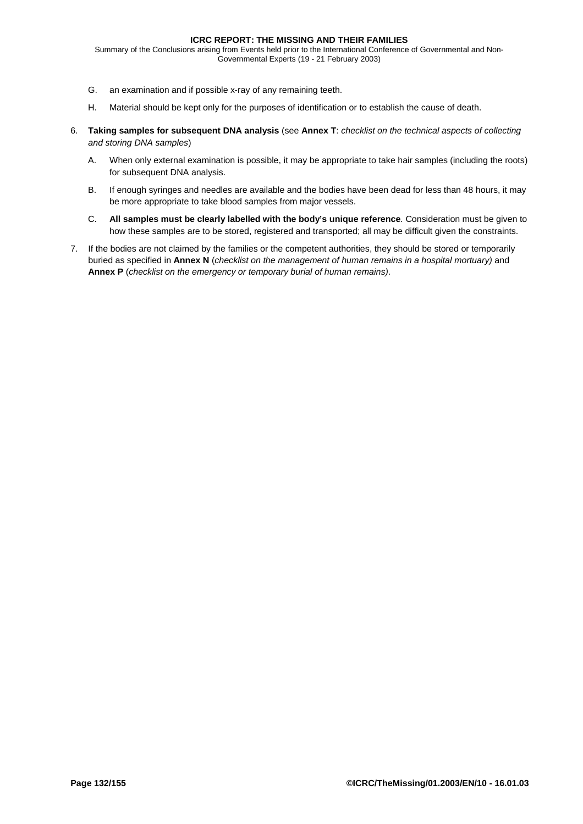- G. an examination and if possible x-ray of any remaining teeth.
- H. Material should be kept only for the purposes of identification or to establish the cause of death.
- 6. **Taking samples for subsequent DNA analysis** (see **[Annex T](#page-141-0)**: *checklist on the technical aspects of collecting and storing DNA samples*)
	- A. When only external examination is possible, it may be appropriate to take hair samples (including the roots) for subsequent DNA analysis.
	- B. If enough syringes and needles are available and the bodies have been dead for less than 48 hours, it may be more appropriate to take blood samples from major vessels.
	- C. **All samples must be clearly labelled with the body's unique reference***.* Consideration must be given to how these samples are to be stored, registered and transported; all may be difficult given the constraints.
- 7. If the bodies are not claimed by the families or the competent authorities, they should be stored or temporarily buried as specified in **[Annex N](#page-122-0)** (*checklist on the management of human remains in a hospital mortuary)* and **[Annex P](#page-126-0)** (*checklist on the emergency or temporary burial of human remains)*.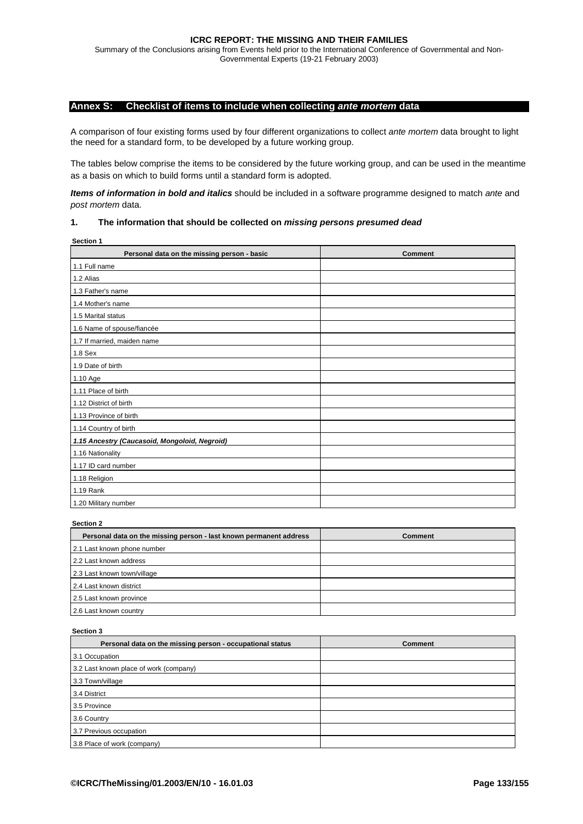<span id="page-132-0"></span>Summary of the Conclusions arising from Events held prior to the International Conference of Governmental and Non-Governmental Experts (19-21 February 2003)

## **Annex S: Checklist of items to include when collecting** *ante mortem* **data**

A comparison of four existing forms used by four different organizations to collect *ante mortem* data brought to light the need for a standard form, to be developed by a future working group.

The tables below comprise the items to be considered by the future working group, and can be used in the meantime as a basis on which to build forms until a standard form is adopted.

*Items of information in bold and italics* should be included in a software programme designed to match *ante* and *post mortem* data.

#### **1. The information that should be collected on** *missing persons presumed dead*

| Section 1                                     |                |
|-----------------------------------------------|----------------|
| Personal data on the missing person - basic   | <b>Comment</b> |
| 1.1 Full name                                 |                |
| 1.2 Alias                                     |                |
| 1.3 Father's name                             |                |
| 1.4 Mother's name                             |                |
| 1.5 Marital status                            |                |
| 1.6 Name of spouse/fiancée                    |                |
| 1.7 If married, maiden name                   |                |
| 1.8 Sex                                       |                |
| 1.9 Date of birth                             |                |
| 1.10 Age                                      |                |
| 1.11 Place of birth                           |                |
| 1.12 District of birth                        |                |
| 1.13 Province of birth                        |                |
| 1.14 Country of birth                         |                |
| 1.15 Ancestry (Caucasoid, Mongoloid, Negroid) |                |
| 1.16 Nationality                              |                |
| 1.17 ID card number                           |                |
| 1.18 Religion                                 |                |
| 1.19 Rank                                     |                |
| 1.20 Military number                          |                |

#### **Section 2**

| Personal data on the missing person - last known permanent address | <b>Comment</b> |
|--------------------------------------------------------------------|----------------|
| 2.1 Last known phone number                                        |                |
| 2.2 Last known address                                             |                |
| 2.3 Last known town/village                                        |                |
| 2.4 Last known district                                            |                |
| 2.5 Last known province                                            |                |
| 2.6 Last known country                                             |                |

| Personal data on the missing person - occupational status | <b>Comment</b> |
|-----------------------------------------------------------|----------------|
| 3.1 Occupation                                            |                |
| 3.2 Last known place of work (company)                    |                |
| 3.3 Town/village                                          |                |
| 3.4 District                                              |                |
| 3.5 Province                                              |                |
| 3.6 Country                                               |                |
| 3.7 Previous occupation                                   |                |
| 3.8 Place of work (company)                               |                |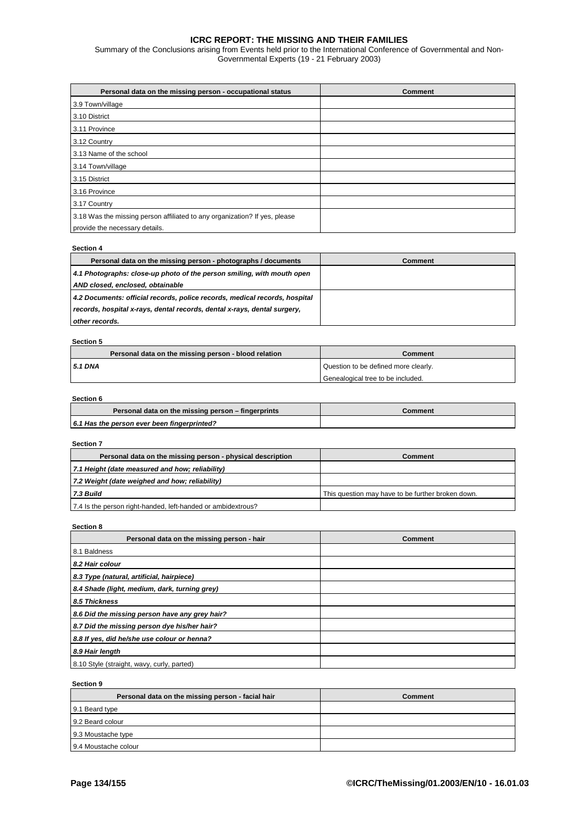Summary of the Conclusions arising from Events held prior to the International Conference of Governmental and Non-Governmental Experts (19 - 21 February 2003)

| Personal data on the missing person - occupational status                  | <b>Comment</b> |
|----------------------------------------------------------------------------|----------------|
| 3.9 Town/village                                                           |                |
| 3.10 District                                                              |                |
| 3.11 Province                                                              |                |
| 3.12 Country                                                               |                |
| 3.13 Name of the school                                                    |                |
| 3.14 Town/village                                                          |                |
| 3.15 District                                                              |                |
| 3.16 Province                                                              |                |
| 3.17 Country                                                               |                |
| 3.18 Was the missing person affiliated to any organization? If yes, please |                |
| provide the necessary details.                                             |                |

#### **Section 4**

| Personal data on the missing person - photographs / documents              | <b>Comment</b> |
|----------------------------------------------------------------------------|----------------|
| 4.1 Photographs: close-up photo of the person smiling, with mouth open     |                |
| AND closed, enclosed, obtainable                                           |                |
| 4.2 Documents: official records, police records, medical records, hospital |                |
| records, hospital x-rays, dental records, dental x-rays, dental surgery,   |                |
| other records.                                                             |                |

# **Section 5**  Personal data on the missing person - blood relation **Comment Comment 5.1 DNA** Question to be defined more clearly. Genealogical tree to be included.

#### **Section 6**

| Personal data on the missing person – fingerprints | Comment |
|----------------------------------------------------|---------|
| 6.1 Has the person ever been fingerprinted?        |         |

# **Section 7**

| Personal data on the missing person - physical description   | Comment                                           |
|--------------------------------------------------------------|---------------------------------------------------|
| 7.1 Height (date measured and how; reliability)              |                                                   |
| 7.2 Weight (date weighed and how; reliability)               |                                                   |
| 7.3 Build                                                    | This question may have to be further broken down. |
| 7.4 Is the person right-handed, left-handed or ambidextrous? |                                                   |

#### **Section 8**

| Personal data on the missing person - hair     | <b>Comment</b> |
|------------------------------------------------|----------------|
| 8.1 Baldness                                   |                |
| 8.2 Hair colour                                |                |
| 8.3 Type (natural, artificial, hairpiece)      |                |
| 8.4 Shade (light, medium, dark, turning grey)  |                |
| 8.5 Thickness                                  |                |
| 8.6 Did the missing person have any grey hair? |                |
| 8.7 Did the missing person dye his/her hair?   |                |
| 8.8 If yes, did he/she use colour or henna?    |                |
| 8.9 Hair length                                |                |
| 8.10 Style (straight, wavy, curly, parted)     |                |

| Personal data on the missing person - facial hair | Comment |
|---------------------------------------------------|---------|
| 9.1 Beard type                                    |         |
| 9.2 Beard colour                                  |         |
| 9.3 Moustache type                                |         |
| 9.4 Moustache colour                              |         |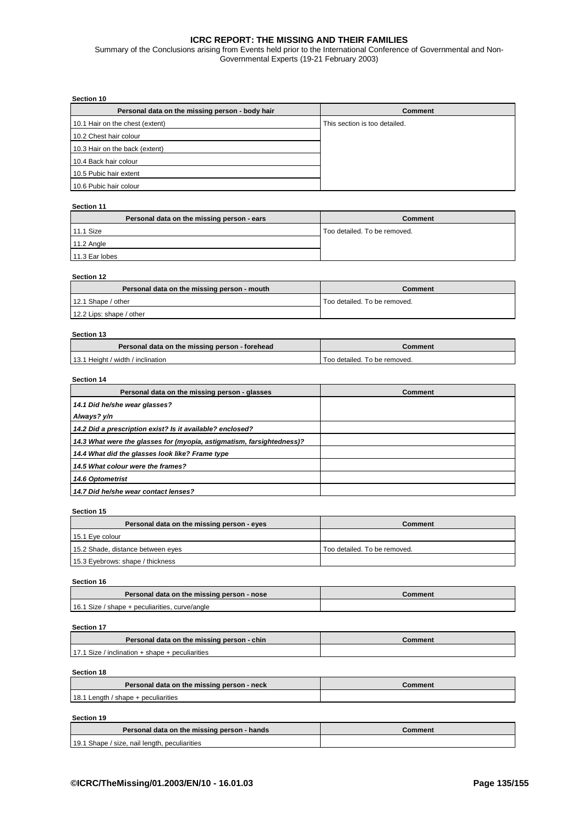Summary of the Conclusions arising from Events held prior to the International Conference of Governmental and Non-Governmental Experts (19-21 February 2003)

#### **Section 10**

| Personal data on the missing person - body hair | <b>Comment</b>                |
|-------------------------------------------------|-------------------------------|
| 10.1 Hair on the chest (extent)                 | This section is too detailed. |
| 10.2 Chest hair colour                          |                               |
| 10.3 Hair on the back (extent)                  |                               |
| 10.4 Back hair colour                           |                               |
| 10.5 Pubic hair extent                          |                               |
| 10.6 Pubic hair colour                          |                               |

#### **Section 11**

| Personal data on the missing person - ears | <b>Comment</b>               |
|--------------------------------------------|------------------------------|
| 11.1 Size                                  | Too detailed. To be removed. |
| $11.2$ Angle                               |                              |
| 11.3 Ear lobes                             |                              |

#### **Section 12**

| Personal data on the missing person - mouth | Comment                      |
|---------------------------------------------|------------------------------|
| 12.1 Shape / other                          | Too detailed. To be removed. |
| 12.2 Lips: shape / other                    |                              |

#### **Section 13**

| Personal data on the missing person - forehead | Comment                      |
|------------------------------------------------|------------------------------|
| 13.1 Height / width / inclination              | Too detailed. To be removed. |

## **Section 14**

| Personal data on the missing person - glasses                         | Comment |
|-----------------------------------------------------------------------|---------|
| 14.1 Did he/she wear glasses?                                         |         |
| Always? y/n                                                           |         |
| 14.2 Did a prescription exist? Is it available? enclosed?             |         |
| 14.3 What were the glasses for (myopia, astigmatism, farsightedness)? |         |
| 14.4 What did the glasses look like? Frame type                       |         |
| 14.5 What colour were the frames?                                     |         |
| 14.6 Optometrist                                                      |         |
| 14.7 Did he/she wear contact lenses?                                  |         |

#### **Section 15**

| Personal data on the missing person - eyes | <b>Comment</b>               |
|--------------------------------------------|------------------------------|
| 15.1 Eye colour                            |                              |
| 15.2 Shade, distance between eyes          | Too detailed. To be removed. |
| 15.3 Eyebrows: shape / thickness           |                              |

#### **Section 16**

| Personal data on the missing person - nose     | Comment |
|------------------------------------------------|---------|
| 16.1 Size / shape + peculiarities, curve/angle |         |

#### **Section 17**

| Personal data on the missing person - chin      | Comment |
|-------------------------------------------------|---------|
| 17.1 Size / inclination + shape + peculiarities |         |

#### **Section 18**

| Personal data on the missing person - neck | Comment |
|--------------------------------------------|---------|
| 18.1 Length / shape + peculiarities        |         |

| Personal data on the missing person - hands   | Comment |
|-----------------------------------------------|---------|
| 19.1 Shape / size, nail length, peculiarities |         |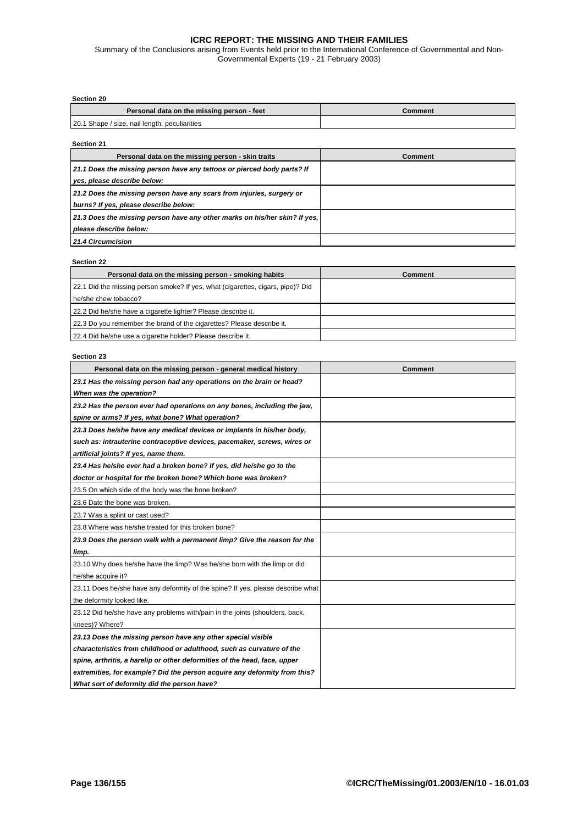Summary of the Conclusions arising from Events held prior to the International Conference of Governmental and Non-Governmental Experts (19 - 21 February 2003)

| Section 20 |  |
|------------|--|
|------------|--|

| Personal data on the missing person - feet    | Comment |
|-----------------------------------------------|---------|
| 20.1 Shape / size, nail length, peculiarities |         |

| Personal data on the missing person - skin traits                          | Comment |
|----------------------------------------------------------------------------|---------|
| 21.1 Does the missing person have any tattoos or pierced body parts? If    |         |
| yes, please describe below:                                                |         |
| 21.2 Does the missing person have any scars from injuries, surgery or      |         |
| burns? If yes, please describe below:                                      |         |
| 21.3 Does the missing person have any other marks on his/her skin? If yes, |         |
| please describe below:                                                     |         |
| <b>21.4 Circumcision</b>                                                   |         |

#### **Section 22**

| <b>UUULIVII LL</b>                                                              |                |
|---------------------------------------------------------------------------------|----------------|
| Personal data on the missing person - smoking habits                            | <b>Comment</b> |
| 22.1 Did the missing person smoke? If yes, what (cigarettes, cigars, pipe)? Did |                |
| he/she chew tobacco?                                                            |                |
| 22.2 Did he/she have a cigarette lighter? Please describe it.                   |                |
| 22.3 Do you remember the brand of the cigarettes? Please describe it.           |                |
| 22.4 Did he/she use a cigarette holder? Please describe it.                     |                |

| Personal data on the missing person - general medical history                   | <b>Comment</b> |
|---------------------------------------------------------------------------------|----------------|
| 23.1 Has the missing person had any operations on the brain or head?            |                |
| When was the operation?                                                         |                |
| 23.2 Has the person ever had operations on any bones, including the jaw,        |                |
| spine or arms? If yes, what bone? What operation?                               |                |
| 23.3 Does he/she have any medical devices or implants in his/her body,          |                |
| such as: intrauterine contraceptive devices, pacemaker, screws, wires or        |                |
| artificial joints? If yes, name them.                                           |                |
| 23.4 Has he/she ever had a broken bone? If yes, did he/she go to the            |                |
| doctor or hospital for the broken bone? Which bone was broken?                  |                |
| 23.5 On which side of the body was the bone broken?                             |                |
| 23.6 Date the bone was broken.                                                  |                |
| 23.7 Was a splint or cast used?                                                 |                |
| 23.8 Where was he/she treated for this broken bone?                             |                |
| 23.9 Does the person walk with a permanent limp? Give the reason for the        |                |
| limp.                                                                           |                |
| 23.10 Why does he/she have the limp? Was he/she born with the limp or did       |                |
| he/she acquire it?                                                              |                |
| 23.11 Does he/she have any deformity of the spine? If yes, please describe what |                |
| the deformity looked like.                                                      |                |
| 23.12 Did he/she have any problems with/pain in the joints (shoulders, back,    |                |
| knees)? Where?                                                                  |                |
| 23.13 Does the missing person have any other special visible                    |                |
| characteristics from childhood or adulthood, such as curvature of the           |                |
| spine, arthritis, a harelip or other deformities of the head, face, upper       |                |
| extremities, for example? Did the person acquire any deformity from this?       |                |
| What sort of deformity did the person have?                                     |                |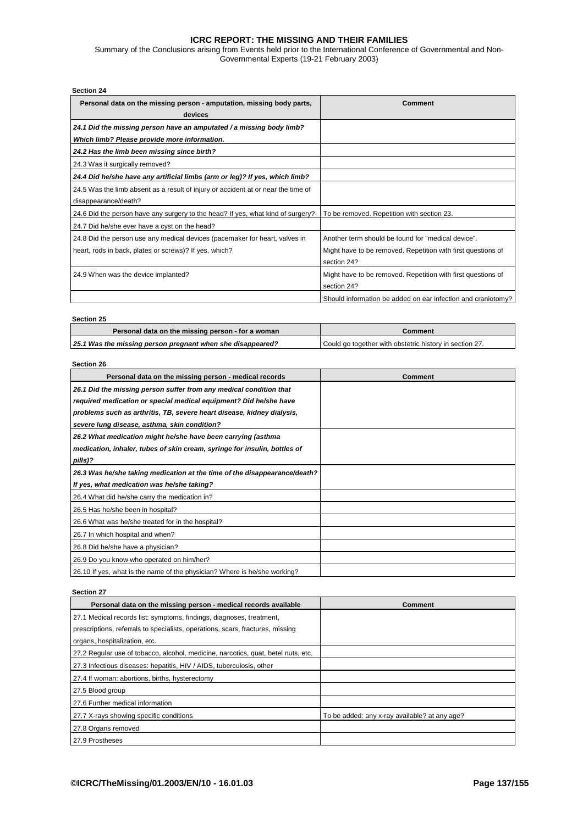Summary of the Conclusions arising from Events held prior to the International Conference of Governmental and Non-Governmental Experts (19-21 February 2003)

| <b>Section 24</b>                                                                                                                     |                                                                                                                                   |
|---------------------------------------------------------------------------------------------------------------------------------------|-----------------------------------------------------------------------------------------------------------------------------------|
| Personal data on the missing person - amputation, missing body parts,<br>devices                                                      | Comment                                                                                                                           |
| 24.1 Did the missing person have an amputated / a missing body limb?<br>Which limb? Please provide more information.                  |                                                                                                                                   |
| 24.2 Has the limb been missing since birth?                                                                                           |                                                                                                                                   |
| 24.3 Was it surgically removed?                                                                                                       |                                                                                                                                   |
| 24.4 Did he/she have any artificial limbs (arm or leg)? If yes, which limb?                                                           |                                                                                                                                   |
| 24.5 Was the limb absent as a result of injury or accident at or near the time of<br>disappearance/death?                             |                                                                                                                                   |
| 24.6 Did the person have any surgery to the head? If yes, what kind of surgery?                                                       | To be removed. Repetition with section 23.                                                                                        |
| 24.7 Did he/she ever have a cyst on the head?                                                                                         |                                                                                                                                   |
| 24.8 Did the person use any medical devices (pacemaker for heart, valves in<br>heart, rods in back, plates or screws)? If yes, which? | Another term should be found for "medical device".<br>Might have to be removed. Repetition with first questions of<br>section 24? |
| 24.9 When was the device implanted?                                                                                                   | Might have to be removed. Repetition with first questions of<br>section 24?                                                       |
|                                                                                                                                       | Should information be added on ear infection and craniotomy?                                                                      |

#### **Section 25**

| Personal data on the missing person - for a woman          | Comment                                                 |
|------------------------------------------------------------|---------------------------------------------------------|
| 25.1 Was the missing person pregnant when she disappeared? | Could go together with obstetric history in section 27. |

| <b>Section 26</b>                                                         |         |
|---------------------------------------------------------------------------|---------|
| Personal data on the missing person - medical records                     | Comment |
| 26.1 Did the missing person suffer from any medical condition that        |         |
| required medication or special medical equipment? Did he/she have         |         |
| problems such as arthritis, TB, severe heart disease, kidney dialysis,    |         |
| severe lung disease, asthma, skin condition?                              |         |
| 26.2 What medication might he/she have been carrying (asthma              |         |
| medication, inhaler, tubes of skin cream, syringe for insulin, bottles of |         |
| pills)?                                                                   |         |
| 26.3 Was he/she taking medication at the time of the disappearance/death? |         |
| If yes, what medication was he/she taking?                                |         |
| 26.4 What did he/she carry the medication in?                             |         |
| 26.5 Has he/she been in hospital?                                         |         |
| 26.6 What was he/she treated for in the hospital?                         |         |
| 26.7 In which hospital and when?                                          |         |
| 26.8 Did he/she have a physician?                                         |         |
| 26.9 Do you know who operated on him/her?                                 |         |
| 26.10 If yes, what is the name of the physician? Where is he/she working? |         |

# **Section 27 Personal data on the missing person - medical records available Comment Comment** 27.1 Medical records list: symptoms, findings, diagnoses, treatment, prescriptions, referrals to specialists, operations, scars, fractures, missing organs, hospitalization, etc. 27.2 Regular use of tobacco, alcohol, medicine, narcotics, quat, betel nuts, etc. 27.3 Infectious diseases: hepatitis, HIV / AIDS, tuberculosis, other 27.4 If woman: abortions, births, hysterectomy 27.5 Blood group 27.6 Further medical information 27.7 X-rays showing specific conditions To be added: any x-ray available? at any age? 27.8 Organs removed 27.9 Prostheses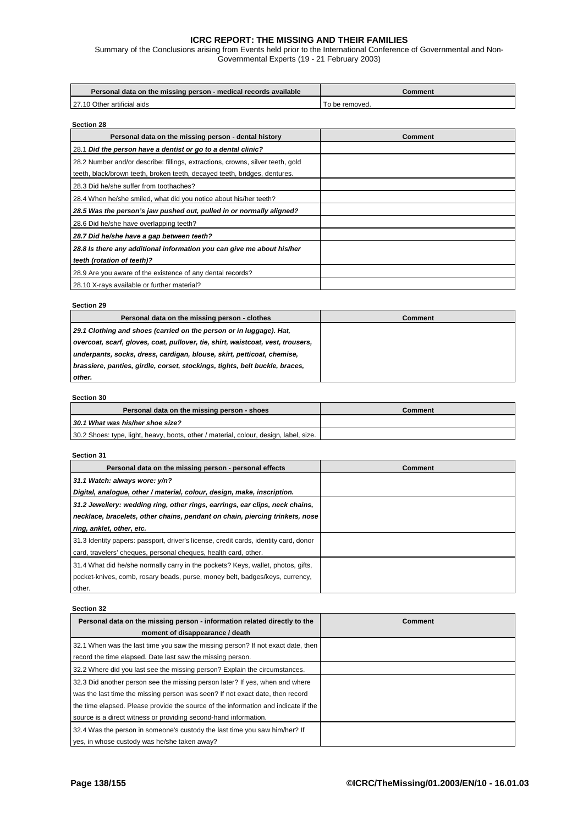Summary of the Conclusions arising from Events held prior to the International Conference of Governmental and Non-Governmental Experts (19 - 21 February 2003)

| Personal data on the missing person - medical records available | Comment        |
|-----------------------------------------------------------------|----------------|
| 27.10 Other artificial aids                                     | To be removed. |

| Section 28                                                                     |         |
|--------------------------------------------------------------------------------|---------|
| Personal data on the missing person - dental history                           | Comment |
| 28.1 Did the person have a dentist or go to a dental clinic?                   |         |
| 28.2 Number and/or describe: fillings, extractions, crowns, silver teeth, gold |         |
| teeth, black/brown teeth, broken teeth, decayed teeth, bridges, dentures.      |         |
| 28.3 Did he/she suffer from toothaches?                                        |         |
| 28.4 When he/she smiled, what did you notice about his/her teeth?              |         |
| 28.5 Was the person's jaw pushed out, pulled in or normally aligned?           |         |
| 28.6 Did he/she have overlapping teeth?                                        |         |
| 28.7 Did he/she have a gap between teeth?                                      |         |
| 28.8 Is there any additional information you can give me about his/her         |         |
| teeth (rotation of teeth)?                                                     |         |
| 28.9 Are you aware of the existence of any dental records?                     |         |
| 28.10 X-rays available or further material?                                    |         |

#### **Section 29**

| Personal data on the missing person - clothes                                   | Comment |
|---------------------------------------------------------------------------------|---------|
| 29.1 Clothing and shoes (carried on the person or in luggage). Hat,             |         |
| overcoat, scarf, gloves, coat, pullover, tie, shirt, waistcoat, vest, trousers, |         |
| underpants, socks, dress, cardigan, blouse, skirt, petticoat, chemise,          |         |
| brassiere, panties, girdle, corset, stockings, tights, belt buckle, braces,     |         |
| other.                                                                          |         |

#### **Section 30**

| Personal data on the missing person - shoes                                           | Comment |
|---------------------------------------------------------------------------------------|---------|
| 30.1 What was his/her shoe size?                                                      |         |
| 30.2 Shoes: type, light, heavy, boots, other / material, colour, design, label, size. |         |

#### **Section 31**

| Personal data on the missing person - personal effects                               | <b>Comment</b> |
|--------------------------------------------------------------------------------------|----------------|
| 31.1 Watch: always wore: y/n?                                                        |                |
| Digital, analogue, other / material, colour, design, make, inscription.              |                |
| 31.2 Jewellery: wedding ring, other rings, earrings, ear clips, neck chains,         |                |
| necklace, bracelets, other chains, pendant on chain, piercing trinkets, nose         |                |
| ring, anklet, other, etc.                                                            |                |
| 31.3 Identity papers: passport, driver's license, credit cards, identity card, donor |                |
| card, travelers' cheques, personal cheques, health card, other.                      |                |
| 31.4 What did he/she normally carry in the pockets? Keys, wallet, photos, gifts,     |                |
| pocket-knives, comb, rosary beads, purse, money belt, badges/keys, currency,         |                |
| other.                                                                               |                |

| Personal data on the missing person - information related directly to the<br>moment of disappearance / death                                  | <b>Comment</b> |
|-----------------------------------------------------------------------------------------------------------------------------------------------|----------------|
| 32.1 When was the last time you saw the missing person? If not exact date, then<br>record the time elapsed. Date last saw the missing person. |                |
| 32.2 Where did you last see the missing person? Explain the circumstances.                                                                    |                |
| 32.3 Did another person see the missing person later? If yes, when and where                                                                  |                |
| was the last time the missing person was seen? If not exact date, then record                                                                 |                |
| the time elapsed. Please provide the source of the information and indicate if the                                                            |                |
| source is a direct witness or providing second-hand information.                                                                              |                |
| 32.4 Was the person in someone's custody the last time you saw him/her? If                                                                    |                |
| yes, in whose custody was he/she taken away?                                                                                                  |                |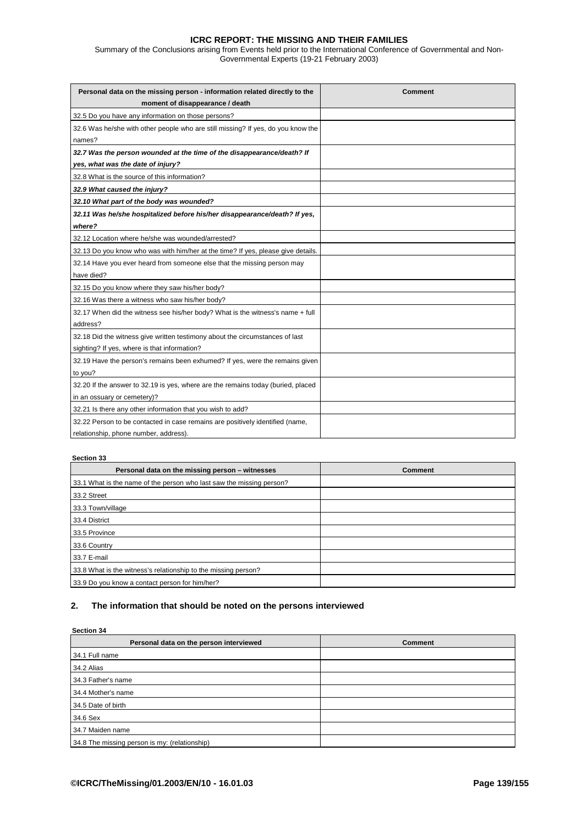| Summary of the Conclusions arising from Events held prior to the International Conference of Governmental and Non- |
|--------------------------------------------------------------------------------------------------------------------|
| Governmental Experts (19-21 February 2003)                                                                         |

| Personal data on the missing person - information related directly to the        | Comment |
|----------------------------------------------------------------------------------|---------|
| moment of disappearance / death                                                  |         |
| 32.5 Do you have any information on those persons?                               |         |
| 32.6 Was he/she with other people who are still missing? If yes, do you know the |         |
| names?                                                                           |         |
| 32.7 Was the person wounded at the time of the disappearance/death? If           |         |
| yes, what was the date of injury?                                                |         |
| 32.8 What is the source of this information?                                     |         |
| 32.9 What caused the injury?                                                     |         |
| 32.10 What part of the body was wounded?                                         |         |
| 32.11 Was he/she hospitalized before his/her disappearance/death? If yes,        |         |
| where?                                                                           |         |
| 32.12 Location where he/she was wounded/arrested?                                |         |
| 32.13 Do you know who was with him/her at the time? If yes, please give details. |         |
| 32.14 Have you ever heard from someone else that the missing person may          |         |
| have died?                                                                       |         |
| 32.15 Do you know where they saw his/her body?                                   |         |
| 32.16 Was there a witness who saw his/her body?                                  |         |
| 32.17 When did the witness see his/her body? What is the witness's name + full   |         |
| address?                                                                         |         |
| 32.18 Did the witness give written testimony about the circumstances of last     |         |
| sighting? If yes, where is that information?                                     |         |
| 32.19 Have the person's remains been exhumed? If yes, were the remains given     |         |
| to you?                                                                          |         |
| 32.20 If the answer to 32.19 is yes, where are the remains today (buried, placed |         |
| in an ossuary or cemetery)?                                                      |         |
| 32.21 Is there any other information that you wish to add?                       |         |
| 32.22 Person to be contacted in case remains are positively identified (name,    |         |
| relationship, phone number, address).                                            |         |

# **Section 33**

| Personal data on the missing person - witnesses                      | <b>Comment</b> |
|----------------------------------------------------------------------|----------------|
| 33.1 What is the name of the person who last saw the missing person? |                |
| 33.2 Street                                                          |                |
| 33.3 Town/village                                                    |                |
| 33.4 District                                                        |                |
| 33.5 Province                                                        |                |
| 33.6 Country                                                         |                |
| 33.7 E-mail                                                          |                |
| 33.8 What is the witness's relationship to the missing person?       |                |
| 33.9 Do you know a contact person for him/her?                       |                |

# **2. The information that should be noted on the persons interviewed**

| <b>Section 34</b> |  |
|-------------------|--|
|                   |  |

| Personal data on the person interviewed       | Comment |
|-----------------------------------------------|---------|
| 34.1 Full name                                |         |
| 34.2 Alias                                    |         |
| 34.3 Father's name                            |         |
| 34.4 Mother's name                            |         |
| 34.5 Date of birth                            |         |
| 34.6 Sex                                      |         |
| 34.7 Maiden name                              |         |
| 34.8 The missing person is my: (relationship) |         |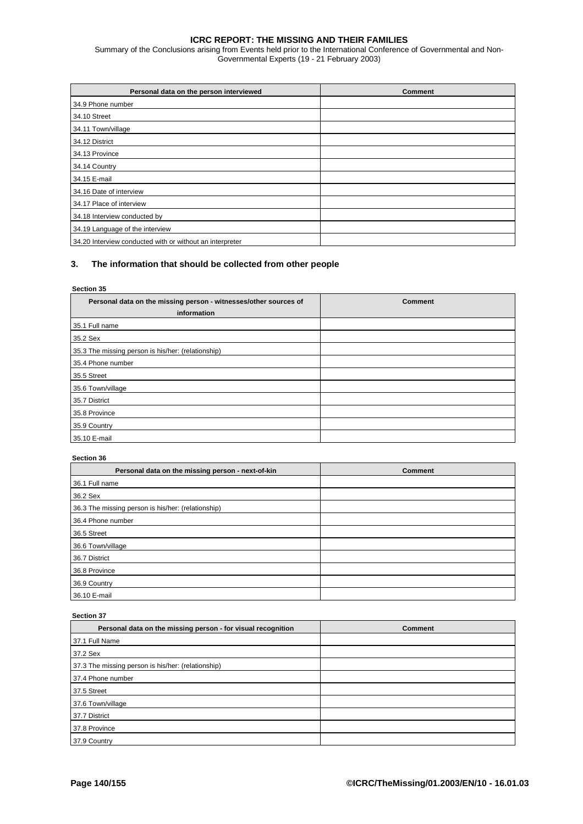Summary of the Conclusions arising from Events held prior to the International Conference of Governmental and Non-Governmental Experts (19 - 21 February 2003)

| Personal data on the person interviewed                  | <b>Comment</b> |
|----------------------------------------------------------|----------------|
| 34.9 Phone number                                        |                |
| 34.10 Street                                             |                |
| 34.11 Town/village                                       |                |
| 34.12 District                                           |                |
| 34.13 Province                                           |                |
| 34.14 Country                                            |                |
| 34.15 E-mail                                             |                |
| 34.16 Date of interview                                  |                |
| 34.17 Place of interview                                 |                |
| 34.18 Interview conducted by                             |                |
| 34.19 Language of the interview                          |                |
| 34.20 Interview conducted with or without an interpreter |                |

# **3. The information that should be collected from other people**

#### **Section 35**

| Personal data on the missing person - witnesses/other sources of<br>information | Comment |
|---------------------------------------------------------------------------------|---------|
| 35.1 Full name                                                                  |         |
| 35.2 Sex                                                                        |         |
| 35.3 The missing person is his/her: (relationship)                              |         |
| 35.4 Phone number                                                               |         |
| 35.5 Street                                                                     |         |
| 35.6 Town/village                                                               |         |
| 35.7 District                                                                   |         |
| 35.8 Province                                                                   |         |
| 35.9 Country                                                                    |         |
| 35.10 E-mail                                                                    |         |

#### **Section 36**

| Personal data on the missing person - next-of-kin  | <b>Comment</b> |
|----------------------------------------------------|----------------|
| 36.1 Full name                                     |                |
| 36.2 Sex                                           |                |
| 36.3 The missing person is his/her: (relationship) |                |
| 36.4 Phone number                                  |                |
| 36.5 Street                                        |                |
| 36.6 Town/village                                  |                |
| 36.7 District                                      |                |
| 36.8 Province                                      |                |
| 36.9 Country                                       |                |
| 36.10 E-mail                                       |                |

| Personal data on the missing person - for visual recognition | <b>Comment</b> |
|--------------------------------------------------------------|----------------|
| 37.1 Full Name                                               |                |
| 37.2 Sex                                                     |                |
| 37.3 The missing person is his/her: (relationship)           |                |
| 37.4 Phone number                                            |                |
| 37.5 Street                                                  |                |
| 37.6 Town/village                                            |                |
| 37.7 District                                                |                |
| 37.8 Province                                                |                |
| 37.9 Country                                                 |                |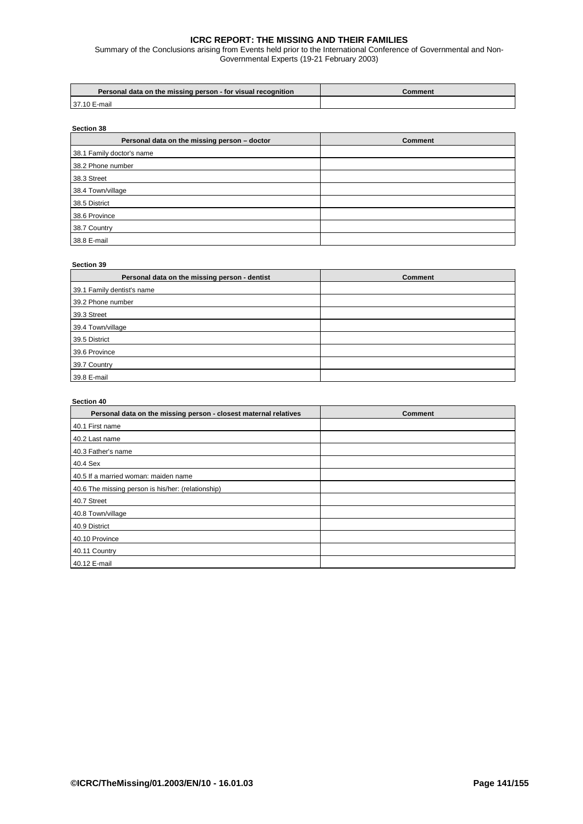Summary of the Conclusions arising from Events held prior to the International Conference of Governmental and Non-Governmental Experts (19-21 February 2003)

| Personal data on the missing person - for visual recognition | Comment |
|--------------------------------------------------------------|---------|
| 37.10 E-mail                                                 |         |

#### **Section 38**

| Personal data on the missing person - doctor | <b>Comment</b> |
|----------------------------------------------|----------------|
| 38.1 Family doctor's name                    |                |
| 38.2 Phone number                            |                |
| 38.3 Street                                  |                |
| 38.4 Town/village                            |                |
| 38.5 District                                |                |
| 38.6 Province                                |                |
| 38.7 Country                                 |                |
| 38.8 E-mail                                  |                |

| Section 39                                    |                |
|-----------------------------------------------|----------------|
| Personal data on the missing person - dentist | <b>Comment</b> |
| 39.1 Family dentist's name                    |                |
| 39.2 Phone number                             |                |
| 39.3 Street                                   |                |
| 39.4 Town/village                             |                |
| 39.5 District                                 |                |
| 39.6 Province                                 |                |
| 39.7 Country                                  |                |
| 39.8 E-mail                                   |                |

# **Section 40 Personal data on the missing person - closest maternal relatives and all comment Comment** 40.1 First name 40.2 Last name 40.3 Father's name 40.4 Sex 40.5 If a married woman: maiden name 40.6 The missing person is his/her: (relationship) 40.7 Street 40.8 Town/village 40.9 District 40.10 Province 40.11 Country 40.12 E-mail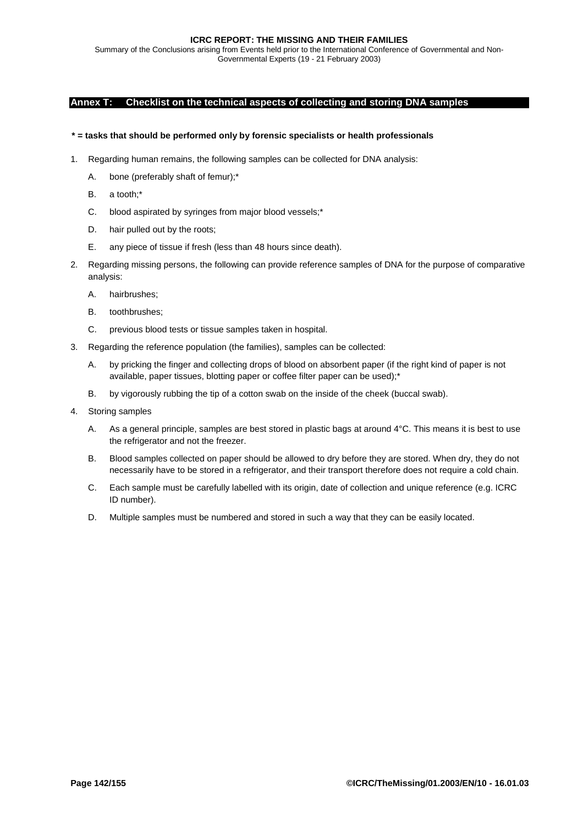<span id="page-141-0"></span>Summary of the Conclusions arising from Events held prior to the International Conference of Governmental and Non-Governmental Experts (19 - 21 February 2003)

# **Annex T: Checklist on the technical aspects of collecting and storing DNA samples**

## **\* = tasks that should be performed only by forensic specialists or health professionals**

- 1. Regarding human remains, the following samples can be collected for DNA analysis:
	- A. bone (preferably shaft of femur);\*
	- B. a tooth;\*
	- C. blood aspirated by syringes from major blood vessels;\*
	- D. hair pulled out by the roots;
	- E. any piece of tissue if fresh (less than 48 hours since death).
- 2. Regarding missing persons, the following can provide reference samples of DNA for the purpose of comparative analysis:
	- A. hairbrushes;
	- B. toothbrushes;
	- C. previous blood tests or tissue samples taken in hospital.
- 3. Regarding the reference population (the families), samples can be collected:
	- A. by pricking the finger and collecting drops of blood on absorbent paper (if the right kind of paper is not available, paper tissues, blotting paper or coffee filter paper can be used);\*
	- B. by vigorously rubbing the tip of a cotton swab on the inside of the cheek (buccal swab).
- 4. Storing samples
	- A. As a general principle, samples are best stored in plastic bags at around 4°C. This means it is best to use the refrigerator and not the freezer.
	- B. Blood samples collected on paper should be allowed to dry before they are stored. When dry, they do not necessarily have to be stored in a refrigerator, and their transport therefore does not require a cold chain.
	- C. Each sample must be carefully labelled with its origin, date of collection and unique reference (e.g. ICRC ID number).
	- D. Multiple samples must be numbered and stored in such a way that they can be easily located.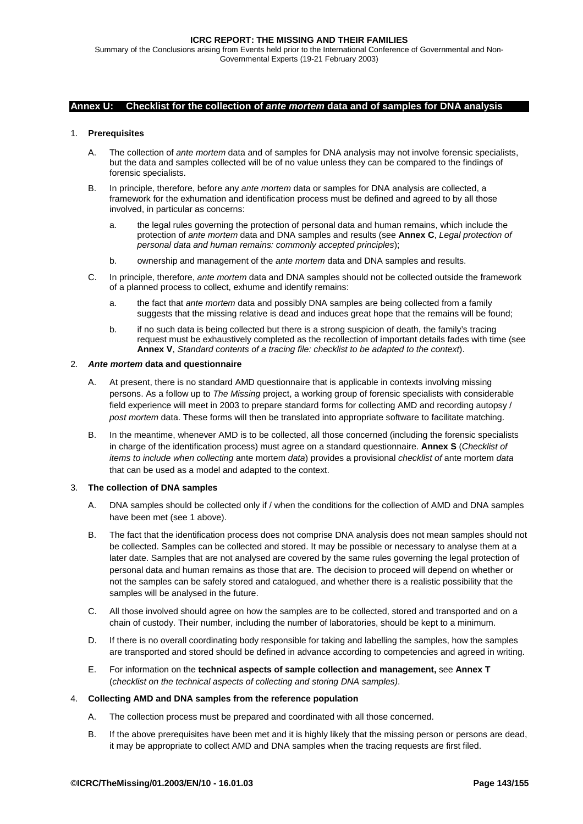## **Annex U: Checklist for the collection of** *ante mortem* **data and of samples for DNA analysis**

#### 1. **Prerequisites**

- A. The collection of *ante mortem* data and of samples for DNA analysis may not involve forensic specialists, but the data and samples collected will be of no value unless they can be compared to the findings of forensic specialists.
- B. In principle, therefore, before any *ante mortem* data or samples for DNA analysis are collected, a framework for the exhumation and identification process must be defined and agreed to by all those involved, in particular as concerns:
	- a. the legal rules governing the protection of personal data and human remains, which include the protection of *ante mortem* data and DNA samples and results (see **[Annex C](#page-100-0)**, *Legal protection of personal data and human remains: commonly accepted principles*);
	- b. ownership and management of the *ante mortem* data and DNA samples and results.
- C. In principle, therefore, *ante mortem* data and DNA samples should not be collected outside the framework of a planned process to collect, exhume and identify remains:
	- a. the fact that *ante mortem* data and possibly DNA samples are being collected from a family suggests that the missing relative is dead and induces great hope that the remains will be found:
	- b. if no such data is being collected but there is a strong suspicion of death, the family's tracing request must be exhaustively completed as the recollection of important details fades with time (see **[Annex V](#page-144-0)**, *Standard contents of a tracing file: checklist to be adapted to the context*).

# 2. *Ante mortem* **data and questionnaire**

- A. At present, there is no standard AMD questionnaire that is applicable in contexts involving missing persons. As a follow up to *The Missing* project, a working group of forensic specialists with considerable field experience will meet in 2003 to prepare standard forms for collecting AMD and recording autopsy / *post mortem* data. These forms will then be translated into appropriate software to facilitate matching.
- B. In the meantime, whenever AMD is to be collected, all those concerned (including the forensic specialists in charge of the identification process) must agree on a standard questionnaire. **[Annex S](#page-132-0)** (*Checklist of items to include when collecting* ante mortem *data*) provides a provisional *checklist of* ante mortem *data* that can be used as a model and adapted to the context.

#### 3. **The collection of DNA samples**

- A. DNA samples should be collected only if / when the conditions for the collection of AMD and DNA samples have been met (see 1 above).
- B. The fact that the identification process does not comprise DNA analysis does not mean samples should not be collected. Samples can be collected and stored. It may be possible or necessary to analyse them at a later date. Samples that are not analysed are covered by the same rules governing the legal protection of personal data and human remains as those that are. The decision to proceed will depend on whether or not the samples can be safely stored and catalogued, and whether there is a realistic possibility that the samples will be analysed in the future.
- C. All those involved should agree on how the samples are to be collected, stored and transported and on a chain of custody. Their number, including the number of laboratories, should be kept to a minimum.
- D. If there is no overall coordinating body responsible for taking and labelling the samples, how the samples are transported and stored should be defined in advance according to competencies and agreed in writing.
- E. For information on the **technical aspects of sample collection and management,** see **[Annex T](#page-141-0)** (*checklist on the technical aspects of collecting and storing DNA samples)*.

#### 4. **Collecting AMD and DNA samples from the reference population**

- A. The collection process must be prepared and coordinated with all those concerned.
- B. If the above prerequisites have been met and it is highly likely that the missing person or persons are dead, it may be appropriate to collect AMD and DNA samples when the tracing requests are first filed.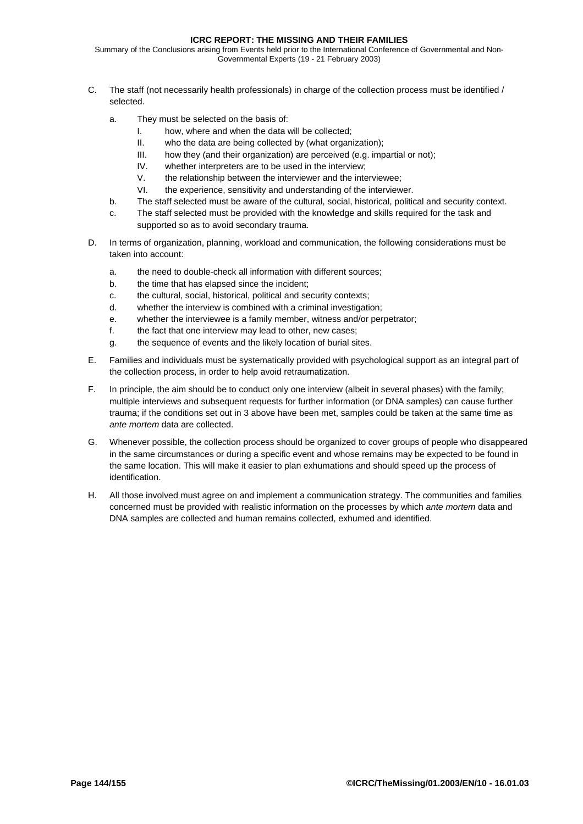- C. The staff (not necessarily health professionals) in charge of the collection process must be identified / selected.
	- a. They must be selected on the basis of:
		- I. how, where and when the data will be collected;
		- II. who the data are being collected by (what organization);
		- III. how they (and their organization) are perceived (e.g. impartial or not);
		- IV. whether interpreters are to be used in the interview;
		- V. the relationship between the interviewer and the interviewee;
		- VI. the experience, sensitivity and understanding of the interviewer.
	- b. The staff selected must be aware of the cultural, social, historical, political and security context.
	- c. The staff selected must be provided with the knowledge and skills required for the task and supported so as to avoid secondary trauma.
- D. In terms of organization, planning, workload and communication, the following considerations must be taken into account:
	- a. the need to double-check all information with different sources;
	- b. the time that has elapsed since the incident;
	- c. the cultural, social, historical, political and security contexts;
	- d. whether the interview is combined with a criminal investigation;
	- e. whether the interviewee is a family member, witness and/or perpetrator;
	- f. the fact that one interview may lead to other, new cases;
	- g. the sequence of events and the likely location of burial sites.
- E. Families and individuals must be systematically provided with psychological support as an integral part of the collection process, in order to help avoid retraumatization.
- F. In principle, the aim should be to conduct only one interview (albeit in several phases) with the family; multiple interviews and subsequent requests for further information (or DNA samples) can cause further trauma; if the conditions set out in 3 above have been met, samples could be taken at the same time as *ante mortem* data are collected.
- G. Whenever possible, the collection process should be organized to cover groups of people who disappeared in the same circumstances or during a specific event and whose remains may be expected to be found in the same location. This will make it easier to plan exhumations and should speed up the process of identification.
- H. All those involved must agree on and implement a communication strategy. The communities and families concerned must be provided with realistic information on the processes by which *ante mortem* data and DNA samples are collected and human remains collected, exhumed and identified.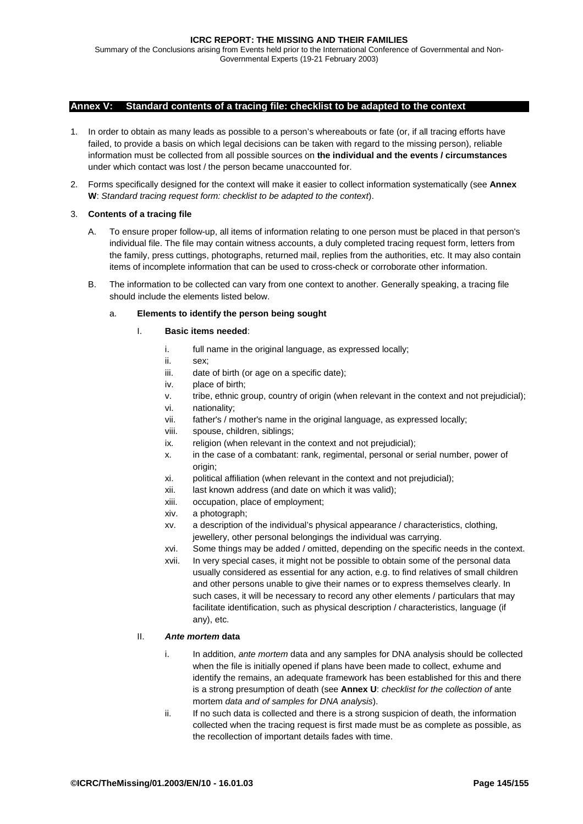Summary of the Conclusions arising from Events held prior to the International Conference of Governmental and Non-Governmental Experts (19-21 February 2003)

## **Annex V: Standard contents of a tracing file: checklist to be adapted to the context**

- 1. In order to obtain as many leads as possible to a person's whereabouts or fate (or, if all tracing efforts have failed, to provide a basis on which legal decisions can be taken with regard to the missing person), reliable information must be collected from all possible sources on **the individual and the events / circumstances**  under which contact was lost / the person became unaccounted for.
- 2. Forms specifically designed for the context will make it easier to collect information systematically (see **[Annex](#page-147-0)  [W](#page-147-0)**: *Standard tracing request form: checklist to be adapted to the context*).

### 3. **Contents of a tracing file**

- A. To ensure proper follow-up, all items of information relating to one person must be placed in that person's individual file. The file may contain witness accounts, a duly completed tracing request form, letters from the family, press cuttings, photographs, returned mail, replies from the authorities, etc. It may also contain items of incomplete information that can be used to cross-check or corroborate other information.
- B. The information to be collected can vary from one context to another. Generally speaking, a tracing file should include the elements listed below.

## a. **Elements to identify the person being sought**

## I. **Basic items needed**:

- i. full name in the original language, as expressed locally;
- ii. sex;
- iii. date of birth (or age on a specific date);
- iv. place of birth;
- v. tribe, ethnic group, country of origin (when relevant in the context and not prejudicial);
- vi. nationality;
- vii. father's / mother's name in the original language, as expressed locally;
- viii. spouse, children, siblings;
- ix. religion (when relevant in the context and not prejudicial);
- x. in the case of a combatant: rank, regimental, personal or serial number, power of origin;
- xi. political affiliation (when relevant in the context and not prejudicial);
- xii. last known address (and date on which it was valid);
- xiii. occupation, place of employment;
- xiv. a photograph;
- xv. a description of the individual's physical appearance / characteristics, clothing, jewellery, other personal belongings the individual was carrying.
- xvi. Some things may be added / omitted, depending on the specific needs in the context.
- xvii. In very special cases, it might not be possible to obtain some of the personal data usually considered as essential for any action, e.g. to find relatives of small children and other persons unable to give their names or to express themselves clearly. In such cases, it will be necessary to record any other elements / particulars that may facilitate identification, such as physical description / characteristics, language (if any), etc.

### II. *Ante mortem* **data**

- i. In addition, *ante mortem* data and any samples for DNA analysis should be collected when the file is initially opened if plans have been made to collect, exhume and identify the remains, an adequate framework has been established for this and there is a strong presumption of death (see **[Annex U](#page-142-0)**: *checklist for the collection of* ante mortem *data and of samples for DNA analysis*).
- ii. If no such data is collected and there is a strong suspicion of death, the information collected when the tracing request is first made must be as complete as possible, as the recollection of important details fades with time.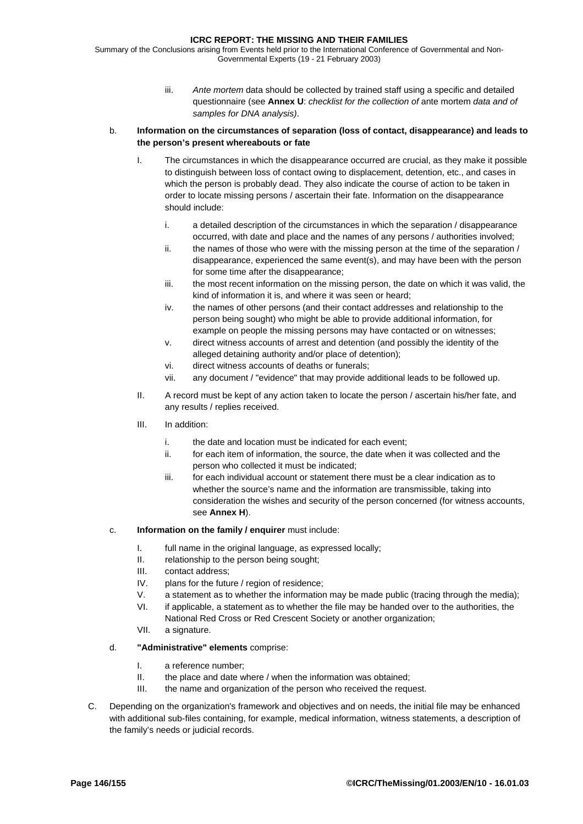Summary of the Conclusions arising from Events held prior to the International Conference of Governmental and Non-Governmental Experts (19 - 21 February 2003)

> iii. *Ante mortem* data should be collected by trained staff using a specific and detailed questionnaire (see **[Annex U](#page-142-0)**: *checklist for the collection of* ante mortem *data and of samples for DNA analysis)*.

## b. **Information on the circumstances of separation (loss of contact, disappearance) and leads to the person's present whereabouts or fate**

- I. The circumstances in which the disappearance occurred are crucial, as they make it possible to distinguish between loss of contact owing to displacement, detention, etc., and cases in which the person is probably dead. They also indicate the course of action to be taken in order to locate missing persons / ascertain their fate. Information on the disappearance should include:
	- i. a detailed description of the circumstances in which the separation / disappearance occurred, with date and place and the names of any persons / authorities involved;
	- ii. the names of those who were with the missing person at the time of the separation / disappearance, experienced the same event(s), and may have been with the person for some time after the disappearance;
	- iii. the most recent information on the missing person, the date on which it was valid, the kind of information it is, and where it was seen or heard;
	- iv. the names of other persons (and their contact addresses and relationship to the person being sought) who might be able to provide additional information, for example on people the missing persons may have contacted or on witnesses;
	- v. direct witness accounts of arrest and detention (and possibly the identity of the alleged detaining authority and/or place of detention);
	- vi. direct witness accounts of deaths or funerals;
	- vii. any document / "evidence" that may provide additional leads to be followed up.
- II. A record must be kept of any action taken to locate the person / ascertain his/her fate, and any results / replies received.
- III. In addition:
	- i. the date and location must be indicated for each event;
	- ii. for each item of information, the source, the date when it was collected and the person who collected it must be indicated;
	- iii. for each individual account or statement there must be a clear indication as to whether the source's name and the information are transmissible, taking into consideration the wishes and security of the person concerned (for witness accounts, see **[Annex H](#page-110-0)**).

### c. **Information on the family / enquirer** must include:

- I. full name in the original language, as expressed locally;
- II. relationship to the person being sought;
- III. contact address;
- IV. plans for the future / region of residence;
- V. a statement as to whether the information may be made public (tracing through the media);
- VI. if applicable, a statement as to whether the file may be handed over to the authorities, the National Red Cross or Red Crescent Society or another organization;
- VII. a signature.

### d. **"Administrative" elements** comprise:

- I. a reference number;
- II. the place and date where / when the information was obtained;
- III. the name and organization of the person who received the request.
- C. Depending on the organization's framework and objectives and on needs, the initial file may be enhanced with additional sub-files containing, for example, medical information, witness statements, a description of the family's needs or judicial records.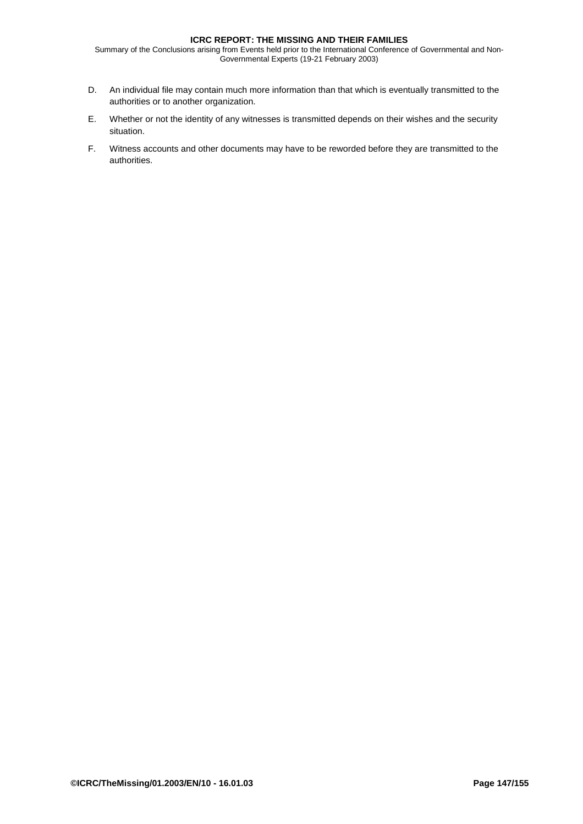Summary of the Conclusions arising from Events held prior to the International Conference of Governmental and Non-Governmental Experts (19-21 February 2003)

- D. An individual file may contain much more information than that which is eventually transmitted to the authorities or to another organization.
- E. Whether or not the identity of any witnesses is transmitted depends on their wishes and the security situation.
- F. Witness accounts and other documents may have to be reworded before they are transmitted to the authorities.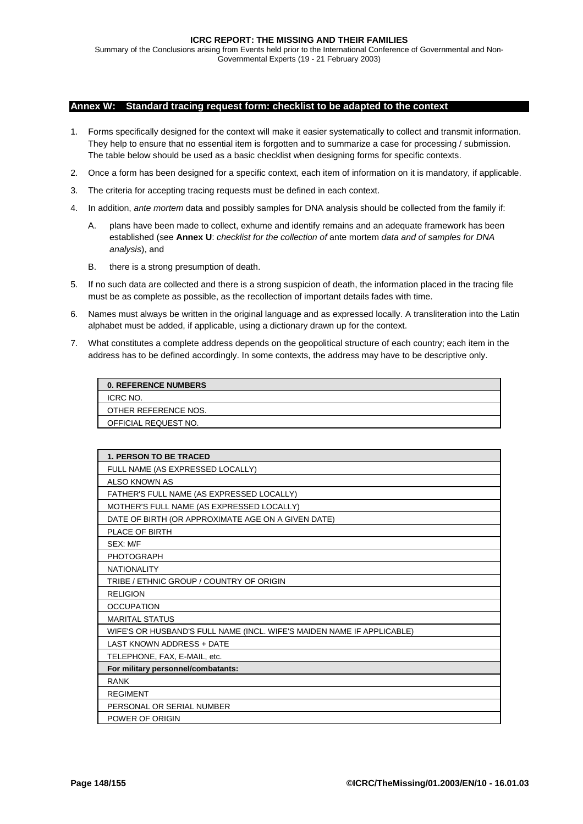<span id="page-147-0"></span>Summary of the Conclusions arising from Events held prior to the International Conference of Governmental and Non-Governmental Experts (19 - 21 February 2003)

### **Annex W: Standard tracing request form: checklist to be adapted to the context**

- 1. Forms specifically designed for the context will make it easier systematically to collect and transmit information. They help to ensure that no essential item is forgotten and to summarize a case for processing / submission. The table below should be used as a basic checklist when designing forms for specific contexts.
- 2. Once a form has been designed for a specific context, each item of information on it is mandatory, if applicable.
- 3. The criteria for accepting tracing requests must be defined in each context.
- 4. In addition, *ante mortem* data and possibly samples for DNA analysis should be collected from the family if:
	- A. plans have been made to collect, exhume and identify remains and an adequate framework has been established (see **[Annex U](#page-142-0)**: *checklist for the collection of* ante mortem *data and of samples for DNA analysis*), and
	- B. there is a strong presumption of death.
- 5. If no such data are collected and there is a strong suspicion of death, the information placed in the tracing file must be as complete as possible, as the recollection of important details fades with time.
- 6. Names must always be written in the original language and as expressed locally. A transliteration into the Latin alphabet must be added, if applicable, using a dictionary drawn up for the context.
- 7. What constitutes a complete address depends on the geopolitical structure of each country; each item in the address has to be defined accordingly. In some contexts, the address may have to be descriptive only.

| <b>0. REFERENCE NUMBERS</b> |
|-----------------------------|
| ICRC NO.                    |
| OTHER REFERENCE NOS.        |
| OFFICIAL REQUEST NO.        |
|                             |

| <b>1. PERSON TO BE TRACED</b>                                          |
|------------------------------------------------------------------------|
| FULL NAME (AS EXPRESSED LOCALLY)                                       |
| ALSO KNOWN AS                                                          |
| FATHER'S FULL NAME (AS EXPRESSED LOCALLY)                              |
| MOTHER'S FULL NAME (AS EXPRESSED LOCALLY)                              |
| DATE OF BIRTH (OR APPROXIMATE AGE ON A GIVEN DATE)                     |
| PLACE OF BIRTH                                                         |
| SEX: M/F                                                               |
| <b>PHOTOGRAPH</b>                                                      |
| <b>NATIONALITY</b>                                                     |
| TRIBE / ETHNIC GROUP / COUNTRY OF ORIGIN                               |
| <b>RELIGION</b>                                                        |
| <b>OCCUPATION</b>                                                      |
| <b>MARITAL STATUS</b>                                                  |
| WIFE'S OR HUSBAND'S FULL NAME (INCL. WIFE'S MAIDEN NAME IF APPLICABLE) |
| <b>LAST KNOWN ADDRESS + DATE</b>                                       |
| TELEPHONE, FAX, E-MAIL, etc.                                           |
| For military personnel/combatants:                                     |
| <b>RANK</b>                                                            |
| <b>REGIMENT</b>                                                        |
| PERSONAL OR SERIAL NUMBER                                              |
| POWER OF ORIGIN                                                        |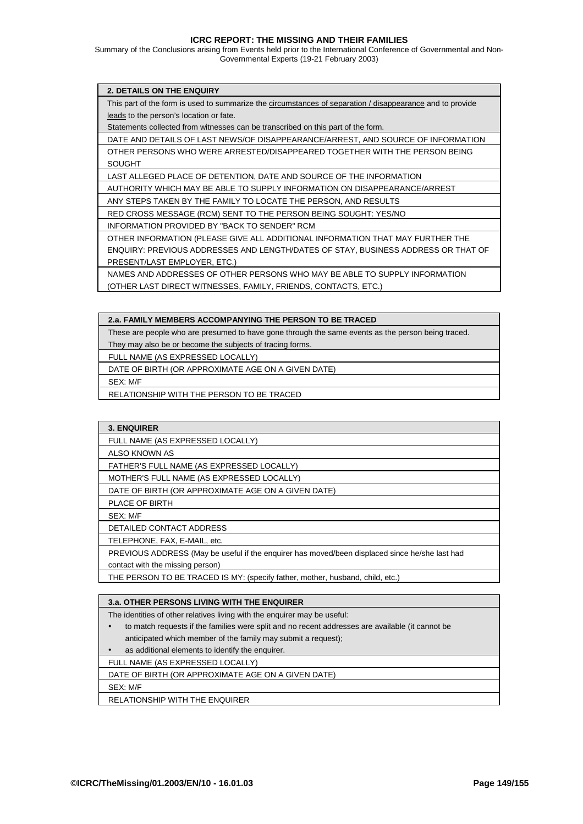Summary of the Conclusions arising from Events held prior to the International Conference of Governmental and Non-Governmental Experts (19-21 February 2003)

### **2. DETAILS ON THE ENQUIRY**

This part of the form is used to summarize the circumstances of separation / disappearance and to provide leads to the person's location or fate.

Statements collected from witnesses can be transcribed on this part of the form.

DATE AND DETAILS OF LAST NEWS/OF DISAPPEARANCE/ARREST, AND SOURCE OF INFORMATION OTHER PERSONS WHO WERE ARRESTED/DISAPPEARED TOGETHER WITH THE PERSON BEING SOUGHT

LAST ALLEGED PLACE OF DETENTION, DATE AND SOURCE OF THE INFORMATION

AUTHORITY WHICH MAY BE ABLE TO SUPPLY INFORMATION ON DISAPPEARANCE/ARREST

ANY STEPS TAKEN BY THE FAMILY TO LOCATE THE PERSON, AND RESULTS

RED CROSS MESSAGE (RCM) SENT TO THE PERSON BEING SOUGHT: YES/NO

INFORMATION PROVIDED BY "BACK TO SENDER" RCM

OTHER INFORMATION (PLEASE GIVE ALL ADDITIONAL INFORMATION THAT MAY FURTHER THE ENQUIRY: PREVIOUS ADDRESSES AND LENGTH/DATES OF STAY, BUSINESS ADDRESS OR THAT OF PRESENT/LAST EMPLOYER, ETC.)

NAMES AND ADDRESSES OF OTHER PERSONS WHO MAY BE ABLE TO SUPPLY INFORMATION (OTHER LAST DIRECT WITNESSES, FAMILY, FRIENDS, CONTACTS, ETC.)

### **2.a. FAMILY MEMBERS ACCOMPANYING THE PERSON TO BE TRACED**

These are people who are presumed to have gone through the same events as the person being traced. They may also be or become the subjects of tracing forms.

FULL NAME (AS EXPRESSED LOCALLY)

DATE OF BIRTH (OR APPROXIMATE AGE ON A GIVEN DATE)

SEX: M/F

RELATIONSHIP WITH THE PERSON TO BE TRACED

## **3. ENQUIRER**

FULL NAME (AS EXPRESSED LOCALLY)

ALSO KNOWN AS

FATHER'S FULL NAME (AS EXPRESSED LOCALLY)

MOTHER'S FULL NAME (AS EXPRESSED LOCALLY)

DATE OF BIRTH (OR APPROXIMATE AGE ON A GIVEN DATE)

PLACE OF BIRTH SEX: M/F

DETAILED CONTACT ADDRESS

TELEPHONE, FAX, E-MAIL, etc.

PREVIOUS ADDRESS (May be useful if the enquirer has moved/been displaced since he/she last had contact with the missing person)

THE PERSON TO BE TRACED IS MY: (specify father, mother, husband, child, etc.)

| 3.a. OTHER PERSONS LIVING WITH THE ENQUIRER |  |
|---------------------------------------------|--|
|---------------------------------------------|--|

The identities of other relatives living with the enquirer may be useful:

• to match requests if the families were split and no recent addresses are available (it cannot be anticipated which member of the family may submit a request);

as additional elements to identify the enquirer.

FULL NAME (AS EXPRESSED LOCALLY)

DATE OF BIRTH (OR APPROXIMATE AGE ON A GIVEN DATE)

SEX: M/F

RELATIONSHIP WITH THE ENQUIRER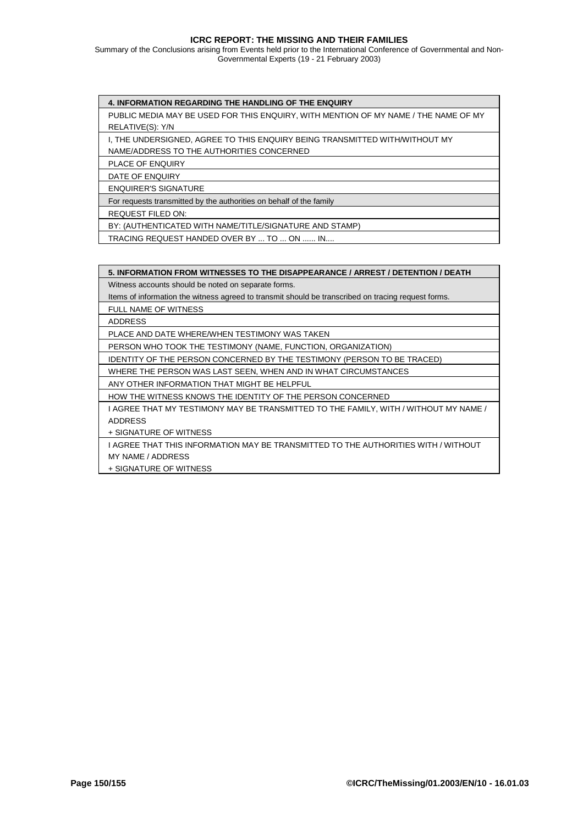Summary of the Conclusions arising from Events held prior to the International Conference of Governmental and Non-Governmental Experts (19 - 21 February 2003)

#### **4. INFORMATION REGARDING THE HANDLING OF THE ENQUIRY**

PUBLIC MEDIA MAY BE USED FOR THIS ENQUIRY, WITH MENTION OF MY NAME / THE NAME OF MY RELATIVE(S): Y/N

I, THE UNDERSIGNED, AGREE TO THIS ENQUIRY BEING TRANSMITTED WITH/WITHOUT MY NAME/ADDRESS TO THE AUTHORITIES CONCERNED

PLACE OF ENQUIRY

DATE OF ENQUIRY

ENQUIRER'S SIGNATURE

For requests transmitted by the authorities on behalf of the family

REQUEST FILED ON:

BY: (AUTHENTICATED WITH NAME/TITLE/SIGNATURE AND STAMP)

TRACING REQUEST HANDED OVER BY ... TO ... ON ...... IN....

### **5. INFORMATION FROM WITNESSES TO THE DISAPPEARANCE / ARREST / DETENTION / DEATH**

Witness accounts should be noted on separate forms.

Items of information the witness agreed to transmit should be transcribed on tracing request forms.

FULL NAME OF WITNESS

ADDRESS

PLACE AND DATE WHERE/WHEN TESTIMONY WAS TAKEN

PERSON WHO TOOK THE TESTIMONY (NAME, FUNCTION, ORGANIZATION)

IDENTITY OF THE PERSON CONCERNED BY THE TESTIMONY (PERSON TO BE TRACED)

WHERE THE PERSON WAS LAST SEEN, WHEN AND IN WHAT CIRCUMSTANCES

ANY OTHER INFORMATION THAT MIGHT BE HELPFUL

HOW THE WITNESS KNOWS THE IDENTITY OF THE PERSON CONCERNED

I AGREE THAT MY TESTIMONY MAY BE TRANSMITTED TO THE FAMILY, WITH / WITHOUT MY NAME / ADDRESS

+ SIGNATURE OF WITNESS

I AGREE THAT THIS INFORMATION MAY BE TRANSMITTED TO THE AUTHORITIES WITH / WITHOUT MY NAME / ADDRESS

+ SIGNATURE OF WITNESS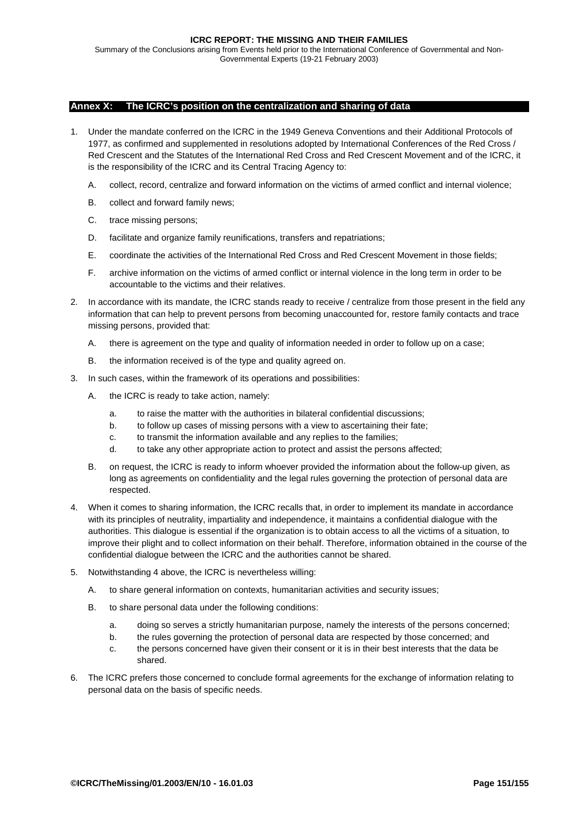## **Annex X: The ICRC's position on the centralization and sharing of data**

- 1. Under the mandate conferred on the ICRC in the 1949 Geneva Conventions and their Additional Protocols of 1977, as confirmed and supplemented in resolutions adopted by International Conferences of the Red Cross / Red Crescent and the Statutes of the International Red Cross and Red Crescent Movement and of the ICRC, it is the responsibility of the ICRC and its Central Tracing Agency to:
	- A. collect, record, centralize and forward information on the victims of armed conflict and internal violence;
	- B. collect and forward family news;
	- C. trace missing persons;
	- D. facilitate and organize family reunifications, transfers and repatriations;
	- E. coordinate the activities of the International Red Cross and Red Crescent Movement in those fields;
	- F. archive information on the victims of armed conflict or internal violence in the long term in order to be accountable to the victims and their relatives.
- 2. In accordance with its mandate, the ICRC stands ready to receive / centralize from those present in the field any information that can help to prevent persons from becoming unaccounted for, restore family contacts and trace missing persons, provided that:
	- A. there is agreement on the type and quality of information needed in order to follow up on a case;
	- B. the information received is of the type and quality agreed on.
- 3. In such cases, within the framework of its operations and possibilities:
	- A. the ICRC is ready to take action, namely:
		- a. to raise the matter with the authorities in bilateral confidential discussions;
		- b. to follow up cases of missing persons with a view to ascertaining their fate;
		- c. to transmit the information available and any replies to the families;
		- d. to take any other appropriate action to protect and assist the persons affected;
	- B. on request, the ICRC is ready to inform whoever provided the information about the follow-up given, as long as agreements on confidentiality and the legal rules governing the protection of personal data are respected.
- 4. When it comes to sharing information, the ICRC recalls that, in order to implement its mandate in accordance with its principles of neutrality, impartiality and independence, it maintains a confidential dialogue with the authorities. This dialogue is essential if the organization is to obtain access to all the victims of a situation, to improve their plight and to collect information on their behalf. Therefore, information obtained in the course of the confidential dialogue between the ICRC and the authorities cannot be shared.
- 5. Notwithstanding 4 above, the ICRC is nevertheless willing:
	- A. to share general information on contexts, humanitarian activities and security issues;
	- B. to share personal data under the following conditions:
		- a. doing so serves a strictly humanitarian purpose, namely the interests of the persons concerned;
		- b. the rules governing the protection of personal data are respected by those concerned; and
		- c. the persons concerned have given their consent or it is in their best interests that the data be shared.
- 6. The ICRC prefers those concerned to conclude formal agreements for the exchange of information relating to personal data on the basis of specific needs.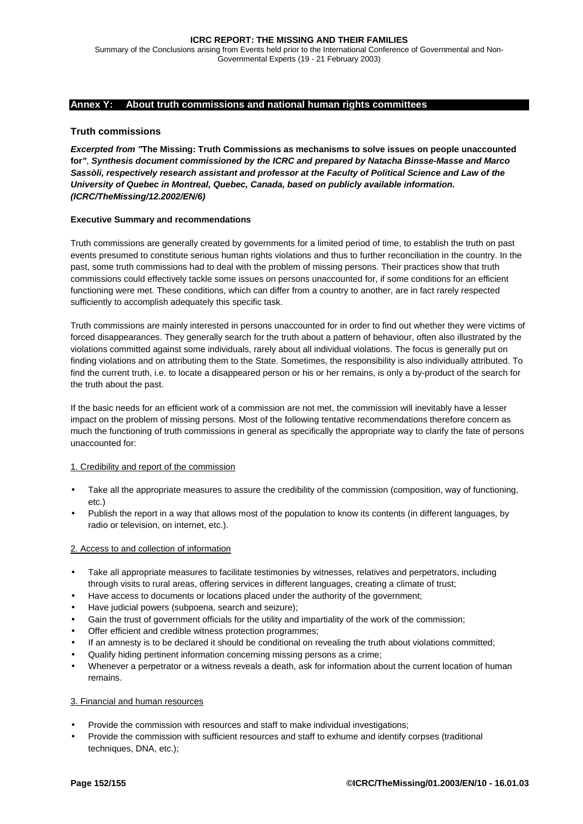Summary of the Conclusions arising from Events held prior to the International Conference of Governmental and Non-Governmental Experts (19 - 21 February 2003)

## **Annex Y: About truth commissions and national human rights committees**

# **Truth commissions**

*Excerpted from "***The Missing: Truth Commissions as mechanisms to solve issues on people unaccounted for***"*, *Synthesis document commissioned by the ICRC and prepared by Natacha Binsse-Masse and Marco Sassòli, respectively research assistant and professor at the Faculty of Political Science and Law of the University of Quebec in Montreal, Quebec, Canada, based on publicly available information. (ICRC/TheMissing/12.2002/EN/6)* 

## **Executive Summary and recommendations**

Truth commissions are generally created by governments for a limited period of time, to establish the truth on past events presumed to constitute serious human rights violations and thus to further reconciliation in the country. In the past, some truth commissions had to deal with the problem of missing persons. Their practices show that truth commissions could effectively tackle some issues on persons unaccounted for, if some conditions for an efficient functioning were met. These conditions, which can differ from a country to another, are in fact rarely respected sufficiently to accomplish adequately this specific task.

Truth commissions are mainly interested in persons unaccounted for in order to find out whether they were victims of forced disappearances. They generally search for the truth about a pattern of behaviour, often also illustrated by the violations committed against some individuals, rarely about all individual violations. The focus is generally put on finding violations and on attributing them to the State. Sometimes, the responsibility is also individually attributed. To find the current truth, i.e. to locate a disappeared person or his or her remains, is only a by-product of the search for the truth about the past.

If the basic needs for an efficient work of a commission are not met, the commission will inevitably have a lesser impact on the problem of missing persons. Most of the following tentative recommendations therefore concern as much the functioning of truth commissions in general as specifically the appropriate way to clarify the fate of persons unaccounted for:

### 1. Credibility and report of the commission

- Take all the appropriate measures to assure the credibility of the commission (composition, way of functioning, etc.)
- Publish the report in a way that allows most of the population to know its contents (in different languages, by radio or television, on internet, etc.).

### 2. Access to and collection of information

- Take all appropriate measures to facilitate testimonies by witnesses, relatives and perpetrators, including through visits to rural areas, offering services in different languages, creating a climate of trust;
- Have access to documents or locations placed under the authority of the government;
- Have judicial powers (subpoena, search and seizure);
- Gain the trust of government officials for the utility and impartiality of the work of the commission;
- Offer efficient and credible witness protection programmes;
- If an amnesty is to be declared it should be conditional on revealing the truth about violations committed;
- Qualify hiding pertinent information concerning missing persons as a crime;
- Whenever a perpetrator or a witness reveals a death, ask for information about the current location of human remains.

### 3. Financial and human resources

- Provide the commission with resources and staff to make individual investigations;
- Provide the commission with sufficient resources and staff to exhume and identify corpses (traditional techniques, DNA, etc.);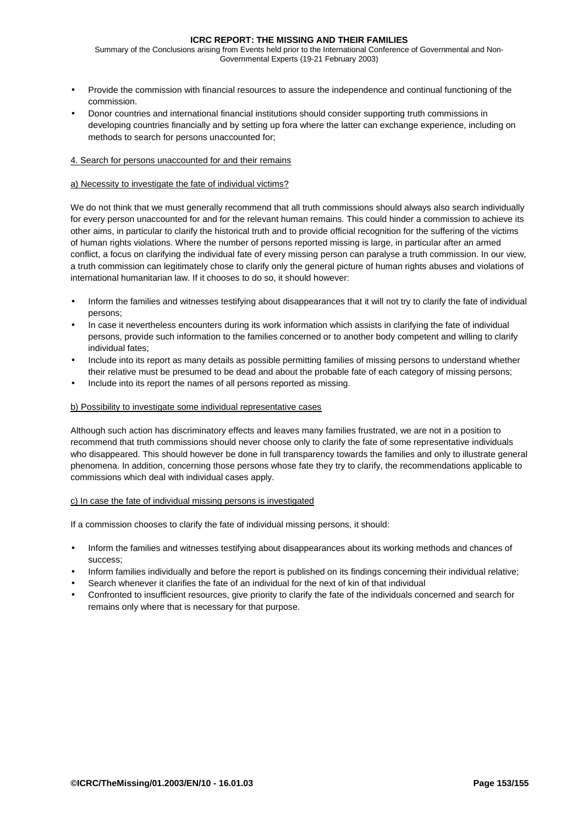Summary of the Conclusions arising from Events held prior to the International Conference of Governmental and Non-Governmental Experts (19-21 February 2003)

- Provide the commission with financial resources to assure the independence and continual functioning of the commission.
- Donor countries and international financial institutions should consider supporting truth commissions in developing countries financially and by setting up fora where the latter can exchange experience, including on methods to search for persons unaccounted for;

## 4. Search for persons unaccounted for and their remains

## a) Necessity to investigate the fate of individual victims?

We do not think that we must generally recommend that all truth commissions should always also search individually for every person unaccounted for and for the relevant human remains. This could hinder a commission to achieve its other aims, in particular to clarify the historical truth and to provide official recognition for the suffering of the victims of human rights violations. Where the number of persons reported missing is large, in particular after an armed conflict, a focus on clarifying the individual fate of every missing person can paralyse a truth commission. In our view, a truth commission can legitimately chose to clarify only the general picture of human rights abuses and violations of international humanitarian law. If it chooses to do so, it should however:

- Inform the families and witnesses testifying about disappearances that it will not try to clarify the fate of individual persons;
- In case it nevertheless encounters during its work information which assists in clarifying the fate of individual persons, provide such information to the families concerned or to another body competent and willing to clarify individual fates;
- Include into its report as many details as possible permitting families of missing persons to understand whether their relative must be presumed to be dead and about the probable fate of each category of missing persons;
- Include into its report the names of all persons reported as missing.

### b) Possibility to investigate some individual representative cases

Although such action has discriminatory effects and leaves many families frustrated, we are not in a position to recommend that truth commissions should never choose only to clarify the fate of some representative individuals who disappeared. This should however be done in full transparency towards the families and only to illustrate general phenomena. In addition, concerning those persons whose fate they try to clarify, the recommendations applicable to commissions which deal with individual cases apply.

### c) In case the fate of individual missing persons is investigated

If a commission chooses to clarify the fate of individual missing persons, it should:

- Inform the families and witnesses testifying about disappearances about its working methods and chances of success;
- Inform families individually and before the report is published on its findings concerning their individual relative;
- Search whenever it clarifies the fate of an individual for the next of kin of that individual
- Confronted to insufficient resources, give priority to clarify the fate of the individuals concerned and search for remains only where that is necessary for that purpose.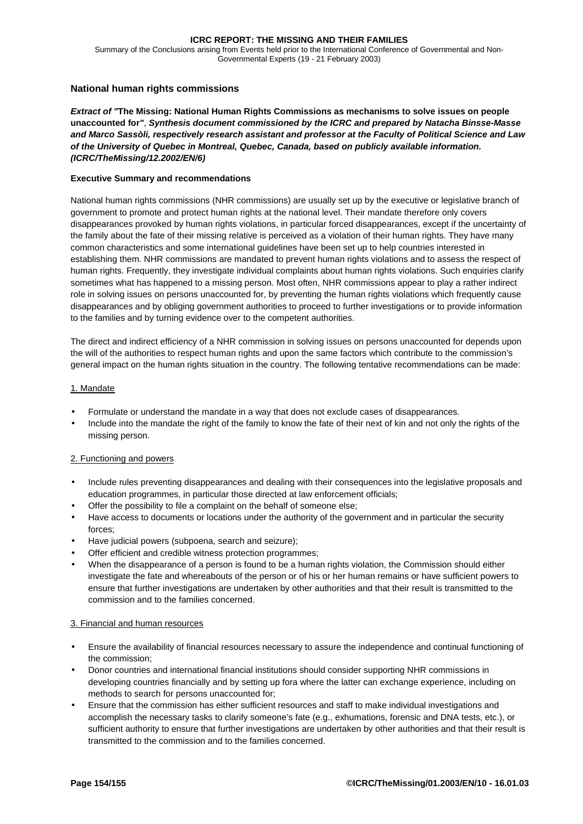Summary of the Conclusions arising from Events held prior to the International Conference of Governmental and Non-Governmental Experts (19 - 21 February 2003)

# **National human rights commissions**

*Extract of "***The Missing: National Human Rights Commissions as mechanisms to solve issues on people unaccounted for***"*, *Synthesis document commissioned by the ICRC and prepared by Natacha Binsse-Masse and Marco Sassòli, respectively research assistant and professor at the Faculty of Political Science and Law of the University of Quebec in Montreal, Quebec, Canada, based on publicly available information. (ICRC/TheMissing/12.2002/EN/6)*

## **Executive Summary and recommendations**

National human rights commissions (NHR commissions) are usually set up by the executive or legislative branch of government to promote and protect human rights at the national level. Their mandate therefore only covers disappearances provoked by human rights violations, in particular forced disappearances, except if the uncertainty of the family about the fate of their missing relative is perceived as a violation of their human rights. They have many common characteristics and some international guidelines have been set up to help countries interested in establishing them. NHR commissions are mandated to prevent human rights violations and to assess the respect of human rights. Frequently, they investigate individual complaints about human rights violations. Such enquiries clarify sometimes what has happened to a missing person. Most often, NHR commissions appear to play a rather indirect role in solving issues on persons unaccounted for, by preventing the human rights violations which frequently cause disappearances and by obliging government authorities to proceed to further investigations or to provide information to the families and by turning evidence over to the competent authorities.

The direct and indirect efficiency of a NHR commission in solving issues on persons unaccounted for depends upon the will of the authorities to respect human rights and upon the same factors which contribute to the commission's general impact on the human rights situation in the country. The following tentative recommendations can be made:

## 1. Mandate

- Formulate or understand the mandate in a way that does not exclude cases of disappearances.
- Include into the mandate the right of the family to know the fate of their next of kin and not only the rights of the missing person.

# 2. Functioning and powers

- Include rules preventing disappearances and dealing with their consequences into the legislative proposals and education programmes, in particular those directed at law enforcement officials;
- Offer the possibility to file a complaint on the behalf of someone else;
- Have access to documents or locations under the authority of the government and in particular the security forces;
- Have judicial powers (subpoena, search and seizure);
- Offer efficient and credible witness protection programmes;
- When the disappearance of a person is found to be a human rights violation, the Commission should either investigate the fate and whereabouts of the person or of his or her human remains or have sufficient powers to ensure that further investigations are undertaken by other authorities and that their result is transmitted to the commission and to the families concerned.

### 3. Financial and human resources

- Ensure the availability of financial resources necessary to assure the independence and continual functioning of the commission;
- Donor countries and international financial institutions should consider supporting NHR commissions in developing countries financially and by setting up fora where the latter can exchange experience, including on methods to search for persons unaccounted for;
- Ensure that the commission has either sufficient resources and staff to make individual investigations and accomplish the necessary tasks to clarify someone's fate (e.g., exhumations, forensic and DNA tests, etc.), or sufficient authority to ensure that further investigations are undertaken by other authorities and that their result is transmitted to the commission and to the families concerned.